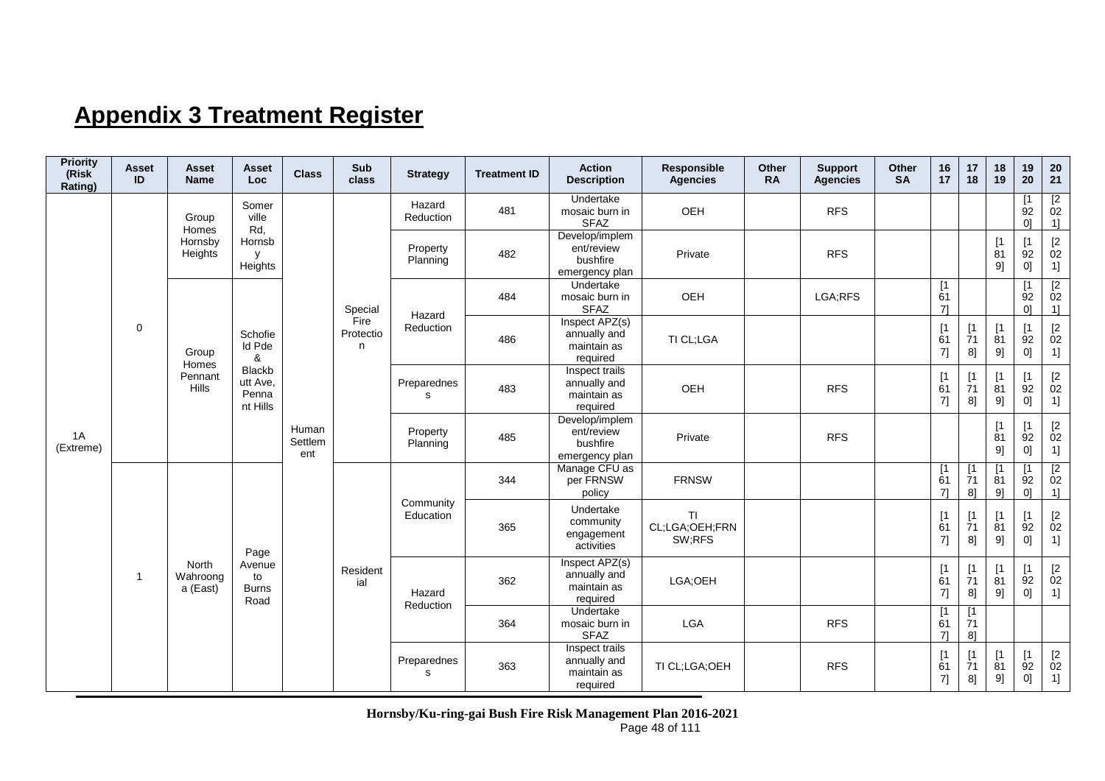## **Appendix 3 Treatment Register**

| <b>Priority</b><br>(Risk<br>Rating) | <b>Asset</b><br>ID | <b>Asset</b><br><b>Name</b>   | <b>Asset</b><br>Loc                     | <b>Class</b>            | Sub<br>class           | <b>Strategy</b>            | <b>Treatment ID</b> | <b>Action</b><br><b>Description</b>                        | Responsible<br><b>Agencies</b>        | Other<br><b>RA</b> | <b>Support</b><br><b>Agencies</b> | Other<br><b>SA</b> | 16<br>17        | 17<br>18                      | 18<br>19                      | 19<br>20                            | 20<br>21                                                         |
|-------------------------------------|--------------------|-------------------------------|-----------------------------------------|-------------------------|------------------------|----------------------------|---------------------|------------------------------------------------------------|---------------------------------------|--------------------|-----------------------------------|--------------------|-----------------|-------------------------------|-------------------------------|-------------------------------------|------------------------------------------------------------------|
|                                     |                    | Group<br>Homes                | Somer<br>ville<br>Rd,                   |                         |                        | Hazard<br>Reduction        | 481                 | Undertake<br>mosaic burn in<br><b>SFAZ</b>                 | OEH                                   |                    | <b>RFS</b>                        |                    |                 |                               |                               | $\lceil 1 \rceil$<br>92<br>$\Omega$ | $\begin{array}{c} \boxed{2} \\ 02 \end{array}$<br>1]             |
|                                     |                    | Hornsby<br>Heights            | Hornsb<br>y<br>Heights                  |                         |                        | Property<br>Planning       | 482                 | Develop/implem<br>ent/review<br>bushfire<br>emergency plan | Private                               |                    | <b>RFS</b>                        |                    |                 |                               | [1]<br>81<br>9]               | [1]<br>92<br>0]                     | $\begin{array}{c} \n [2] \\ \n 02\n \end{array}$<br>1]           |
|                                     |                    |                               |                                         |                         | Special                | Hazard                     | 484                 | Undertake<br>mosaic burn in<br><b>SFAZ</b>                 | OEH                                   |                    | LGA;RFS                           |                    | [1]<br>61<br>71 |                               |                               | $\mathsf{I}$<br>92<br>$\Omega$      | $\begin{array}{c} \boxed{2} \\ 02 \end{array}$<br>1]             |
| 1A<br>(Extreme)                     | $\mathbf 0$        | Group                         | Schofie<br>Id Pde<br>&                  |                         | Fire<br>Protectio<br>n | Reduction                  | 486                 | Inspect APZ(s)<br>annually and<br>maintain as<br>required  | TI CL;LGA                             |                    |                                   |                    | [1]<br>61<br>7] | $\mathsf{I}$<br>71<br>8]      | [1]<br>81<br>9]               | [1]<br>92<br>0]                     | $\begin{array}{c} \n [2] \\ \n 02\n \end{array}$<br>1]           |
|                                     |                    | Homes<br>Pennant<br>Hills     | Blackb<br>utt Ave.<br>Penna<br>nt Hills |                         |                        | Preparednes<br>s           | 483                 | Inspect trails<br>annually and<br>maintain as<br>required  | OEH                                   |                    | <b>RFS</b>                        |                    | [1]<br>61<br>7] | $\lceil 1 \rceil$<br>71<br>8] | $\lceil 1 \rceil$<br>81<br>9] | $\lceil 1 \rceil$<br>92<br>0]       | $\frac{[2]}{02}$<br>1]                                           |
|                                     |                    |                               |                                         | Human<br>Settlem<br>ent |                        | Property<br>Planning       | 485                 | Develop/implem<br>ent/review<br>bushfire<br>emergency plan | Private                               |                    | <b>RFS</b>                        |                    |                 |                               | [1]<br>81<br>9]               | [1]<br>92<br>0]                     | $[2\,$<br>02<br>1]                                               |
|                                     |                    |                               |                                         |                         |                        |                            | 344                 | Manage CFU as<br>per FRNSW<br>policy                       | <b>FRNSW</b>                          |                    |                                   |                    | [1]<br>61<br>71 | [1]<br>71<br>8 <sup>1</sup>   | $\mathsf{I}$<br>81<br>9       | $\mathsf{I}$<br>92<br>01            | $\begin{array}{c} \n [2] \\ \n 02\n \end{array}$<br>$1$ ]        |
|                                     |                    |                               | Page                                    |                         |                        | Community<br>Education     | 365                 | Undertake<br>community<br>engagement<br>activities         | <b>TI</b><br>CL;LGA;OEH;FRN<br>SW;RFS |                    |                                   |                    | [1]<br>61<br>7] | $\lceil 1 \rceil$<br>71<br>8] | $\lceil 1 \rceil$<br>81<br>9] | $\mathsf{I}$<br>92<br>0]            | $\frac{[2]}{02}$<br>1]                                           |
|                                     | $\mathbf{1}$       | North<br>Wahroong<br>a (East) | Avenue<br>to<br><b>Burns</b><br>Road    |                         | Resident<br>ial        | Hazard<br>Reduction        | 362                 | Inspect APZ(s)<br>annually and<br>maintain as<br>required  | LGA;OEH                               |                    |                                   |                    | [1]<br>61<br>7] | [1]<br>71<br>8]               | $\lceil 1 \rceil$<br>81<br>9] | $\lceil 1 \rceil$<br>92<br>01       | $[2]$<br>02<br>1]                                                |
|                                     |                    |                               |                                         |                         |                        |                            | 364                 | Undertake<br>mosaic burn in<br><b>SFAZ</b>                 | LGA                                   |                    | <b>RFS</b>                        |                    | [1]<br>61<br>71 | [1]<br>71<br>8]               |                               |                                     |                                                                  |
|                                     |                    |                               |                                         |                         |                        | Preparednes<br>$\mathbf s$ | 363                 | Inspect trails<br>annually and<br>maintain as<br>required  | TI CL;LGA;OEH                         |                    | <b>RFS</b>                        |                    | [1]<br>61<br>7] | [1]<br>71<br>8]               | [1]<br>81<br>9]               | [1]<br>92<br>0]                     | $\begin{array}{c} \left[2\right. \\ 02\right. \end{array}$<br>1] |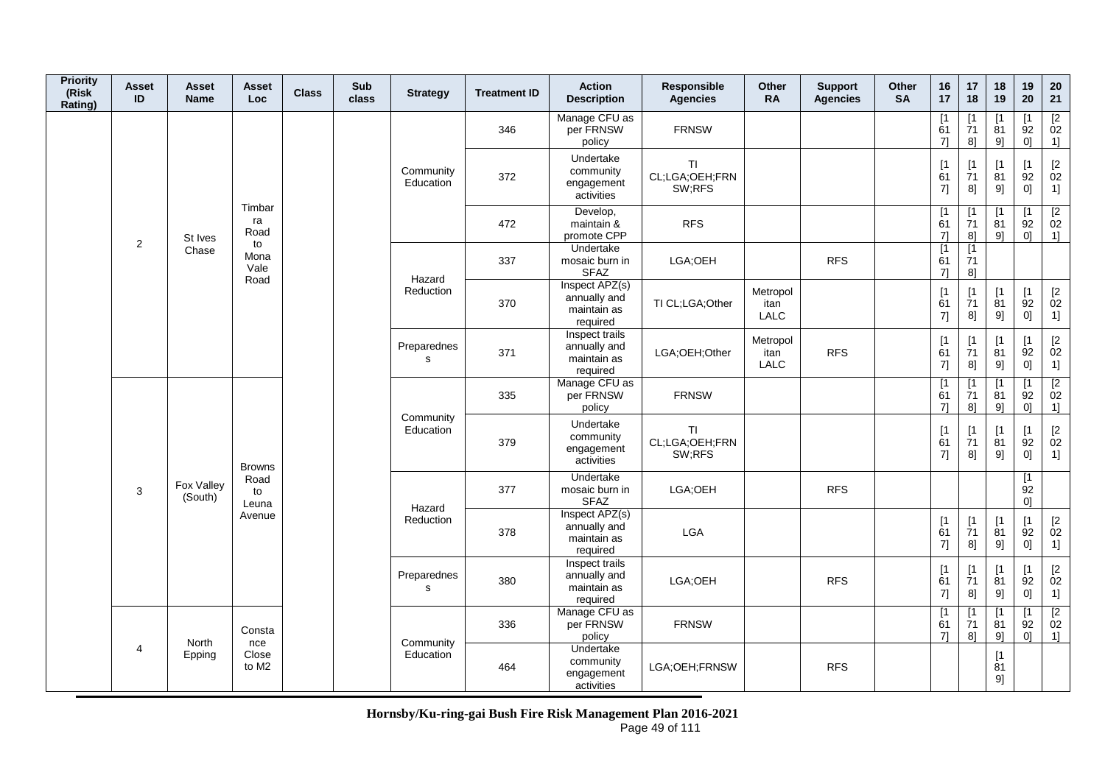| <b>Priority</b><br>(Risk<br>Rating) | Asset<br>ID    | <b>Asset</b><br><b>Name</b> | Asset<br><b>Loc</b>        | <b>Class</b> | Sub<br>class | <b>Strategy</b>        | <b>Treatment ID</b> | <b>Action</b><br><b>Description</b>                       | Responsible<br><b>Agencies</b>        | Other<br><b>RA</b>       | <b>Support</b><br><b>Agencies</b> | Other<br><b>SA</b> | 16<br>17                                        | 17<br>18                               | 18<br>19                      | 19<br>20                      | ${\bf 20}$<br>21                                     |
|-------------------------------------|----------------|-----------------------------|----------------------------|--------------|--------------|------------------------|---------------------|-----------------------------------------------------------|---------------------------------------|--------------------------|-----------------------------------|--------------------|-------------------------------------------------|----------------------------------------|-------------------------------|-------------------------------|------------------------------------------------------|
|                                     |                |                             |                            |              |              |                        | 346                 | Manage CFU as<br>per FRNSW<br>policy                      | <b>FRNSW</b>                          |                          |                                   |                    | [1<br>61<br>71                                  | [1]<br>71<br>8]                        | $\lceil 1 \rceil$<br>81<br>9] | [1<br>92<br>0 <sup>1</sup>    | $\begin{array}{c} \boxed{2} \\ 02 \end{array}$<br>1] |
|                                     |                |                             |                            |              |              | Community<br>Education | 372                 | Undertake<br>community<br>engagement<br>activities        | TI<br>CL;LGA;OEH;FRN<br>SW;RFS        |                          |                                   |                    | [1<br>61<br>7]                                  | [1<br>71<br>8]                         | $\lceil 1 \rceil$<br>81<br>9] | [1]<br>92<br>0]               | $\begin{bmatrix} 2 \\ 02 \end{bmatrix}$<br>1]        |
|                                     | $\overline{2}$ | St Ives                     | Timbar<br>ra<br>Road       |              |              |                        | 472                 | Develop,<br>maintain &<br>promote CPP                     | <b>RFS</b>                            |                          |                                   |                    | [1<br>61<br>71                                  | [1]<br>71<br>8]                        | [1]<br>81<br>9]               | [1<br>92<br>0]                | $\overline{2}$<br>02<br>$1$ ]                        |
|                                     |                | Chase                       | to<br>Mona<br>Vale<br>Road |              |              | Hazard                 | 337                 | Undertake<br>mosaic burn in<br><b>SFAZ</b>                | LGA;OEH                               |                          | <b>RFS</b>                        |                    | $\overline{1}$<br>61<br>71                      | $\overline{1}$<br>71<br>8 <sup>1</sup> |                               |                               |                                                      |
|                                     |                |                             |                            |              |              | Reduction              | 370                 | Inspect APZ(s)<br>annually and<br>maintain as<br>required | TI CL;LGA;Other                       | Metropol<br>itan<br>LALC |                                   |                    | [1]<br>61<br>7]                                 | [1]<br>$\overline{7}1$<br>8]           | [1]<br>81<br>9]               | [1]<br>92<br>0]               | $^{[2}_{02}$<br>1]                                   |
|                                     |                |                             |                            |              |              | Preparednes<br>s       | 371                 | Inspect trails<br>annually and<br>maintain as<br>required | LGA;OEH;Other                         | Metropol<br>itan<br>LALC | <b>RFS</b>                        |                    | [1]<br>61<br>$7] \qquad \qquad \rule{2mm}{2mm}$ | $\lceil 1 \rceil$<br>71<br>8]          | $\lceil 1 \rceil$<br>81<br>9] | $\lceil 1 \rceil$<br>92<br>0] | $[2]$<br>02<br>1]                                    |
|                                     |                |                             |                            |              |              |                        | 335                 | Manage CFU as<br>per FRNSW<br>policy                      | <b>FRNSW</b>                          |                          |                                   |                    | [1<br>61<br>71                                  | [1<br>71<br>8]                         | [1<br>81<br>9]                | [1<br>92<br>0]                | [2]<br>02<br>1]                                      |
|                                     |                |                             | <b>Browns</b>              |              |              | Community<br>Education | 379                 | Undertake<br>community<br>engagement<br>activities        | <b>TI</b><br>CL;LGA;OEH;FRN<br>SW;RFS |                          |                                   |                    | [1]<br>61<br>7]                                 | $\sqrt{1}$<br>71<br>8]                 | $\mathsf{I}$<br>81<br>9]      | [1]<br>92<br>0]               | $\begin{bmatrix} 2 \\ 02 \end{bmatrix}$<br>1]        |
|                                     | 3              | Fox Valley<br>(South)       | Road<br>to<br>Leuna        |              |              | Hazard                 | 377                 | Undertake<br>mosaic burn in<br><b>SFAZ</b>                | LGA;OEH                               |                          | <b>RFS</b>                        |                    |                                                 |                                        |                               | [1]<br>92<br>0 <sup>1</sup>   |                                                      |
|                                     |                |                             | Avenue                     |              |              | Reduction              | 378                 | Inspect APZ(s)<br>annually and<br>maintain as<br>required | LGA                                   |                          |                                   |                    | [1<br>61<br>$7]$                                | [1]<br>$\overline{7}1$<br>8]           | $[1]$<br>81<br>9]             | [1]<br>92<br>0]               | $\begin{bmatrix} 2 \\ 02 \end{bmatrix}$<br>1]        |
|                                     |                | North                       |                            |              |              | Preparednes<br>s       | 380                 | Inspect trails<br>annually and<br>maintain as<br>required | LGA;OEH                               |                          | <b>RFS</b>                        |                    | [1]<br>61<br>7]                                 | [1]<br>$\overline{7}1$<br>8]           | [1<br>81<br>9]                | [1<br>92<br>0]                | $\begin{bmatrix} 2 \\ 02 \end{bmatrix}$<br>1]        |
|                                     |                |                             | Consta<br>nce              |              |              | Community              | 336                 | Manage CFU as<br>per FRNSW<br>policy                      | <b>FRNSW</b>                          |                          |                                   |                    | [1<br>61<br>71                                  | [1<br>71<br>8]                         | [1<br>81<br>9]                | [1<br>92<br>0 <sup>1</sup>    | $\sqrt{2}$<br>02<br>1]                               |
|                                     | 4              | Epping                      | Close<br>to M <sub>2</sub> |              |              | Education              | 464                 | Undertake<br>community<br>engagement<br>activities        | LGA;OEH;FRNSW                         |                          | <b>RFS</b>                        |                    |                                                 |                                        | [1]<br>81<br>9]               |                               |                                                      |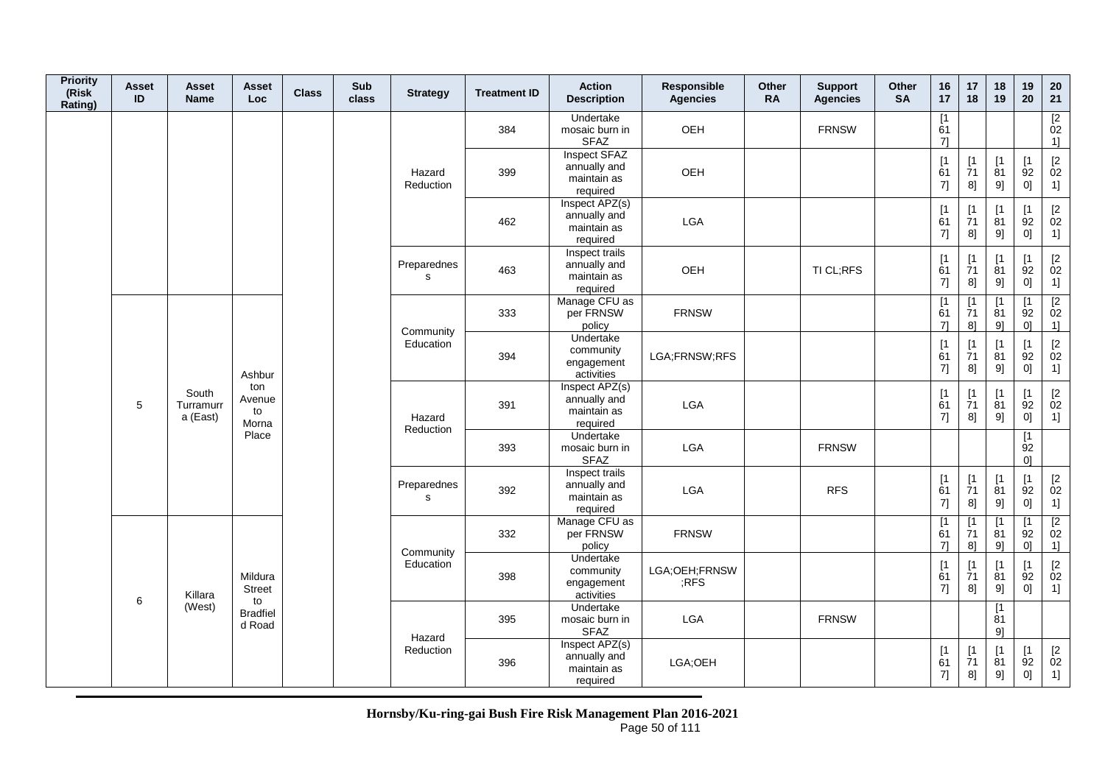| <b>Priority</b><br>(Risk<br>Rating) | Asset<br>ID | <b>Asset</b><br><b>Name</b>    | <b>Asset</b><br>Loc          | <b>Class</b> | Sub<br>class | <b>Strategy</b>             | <b>Treatment ID</b> | <b>Action</b><br><b>Description</b>                       | Responsible<br><b>Agencies</b> | Other<br><b>RA</b> | <b>Support</b><br><b>Agencies</b> | Other<br><b>SA</b> | 16<br>17                                        | 17<br>18                                                    | 18<br>19                       | 19<br>20                                | 20<br>21                                             |
|-------------------------------------|-------------|--------------------------------|------------------------------|--------------|--------------|-----------------------------|---------------------|-----------------------------------------------------------|--------------------------------|--------------------|-----------------------------------|--------------------|-------------------------------------------------|-------------------------------------------------------------|--------------------------------|-----------------------------------------|------------------------------------------------------|
|                                     |             |                                |                              |              |              |                             | 384                 | Undertake<br>mosaic burn in<br><b>SFAZ</b>                | OEH                            |                    | <b>FRNSW</b>                      |                    | [1]<br>61<br>7]                                 |                                                             |                                |                                         | $\begin{array}{c} \boxed{2} \\ 02 \end{array}$<br>1] |
|                                     |             |                                |                              |              |              | Hazard<br>Reduction         | 399                 | Inspect SFAZ<br>annually and<br>maintain as<br>required   | OEH                            |                    |                                   |                    | [1]<br>61<br>7]                                 | [1]<br>71<br>8]                                             | [1]<br>81<br>9]                | [1]<br>92<br>0]                         | $\begin{bmatrix} 2 \\ 02 \end{bmatrix}$<br>1]        |
|                                     |             |                                |                              |              |              |                             | 462                 | Inspect APZ(s)<br>annually and<br>maintain as<br>required | LGA                            |                    |                                   |                    | [1]<br>61<br>7]                                 | $\begin{array}{c} \n[1] \\ \n[7] \n[7] \n\end{array}$<br>8] | $[1]$<br>$\overline{81}$<br>9] | [1<br>92<br>0]                          | $\begin{bmatrix} 2 \\ 02 \end{bmatrix}$<br>1]        |
|                                     |             |                                |                              |              |              | Preparednes<br>$\mathbf s$  | 463                 | Inspect trails<br>annually and<br>maintain as<br>required | OEH                            |                    | TI CL;RFS                         |                    | [1]<br>61<br>7]                                 | $[1]$<br>$\overline{7}1$<br>8]                              | [1]<br>81<br>9]                | [1]<br>92<br>$0] \hspace{.05cm}$        | $\begin{bmatrix} 2 \\ 02 \end{bmatrix}$<br>1]        |
|                                     |             |                                |                              |              |              | Community                   | 333                 | Manage CFU as<br>per FRNSW<br>policy                      | <b>FRNSW</b>                   |                    |                                   |                    | $\overline{1}$<br>61<br>71                      | $\lceil 1 \rceil$<br>71<br>8]                               | $\lceil 1 \rceil$<br>81<br>9]  | $\lceil 1 \rceil$<br>92<br>0]           | [2]<br>02<br>1]                                      |
|                                     |             |                                | Ashbur                       |              |              | Education                   | 394                 | Undertake<br>community<br>engagement<br>activities        | LGA;FRNSW;RFS                  |                    |                                   |                    | $[1]$<br>61<br>7]                               | [1]<br>$\overline{7}1$<br>8]                                | [1]<br>81<br>9]                | [1]<br>92<br>$0] \;$                    | $\begin{bmatrix} 2 \\ 02 \end{bmatrix}$<br>1]        |
|                                     | 5           | South<br>Turramurr<br>a (East) | ton<br>Avenue<br>to<br>Morna |              |              | Hazard                      | 391                 | Inspect APZ(s)<br>annually and<br>maintain as<br>required | LGA                            |                    |                                   |                    | [1]<br>61<br>$7] \qquad \qquad \rule{2mm}{2mm}$ | $[1]$<br>$\overline{7}1$<br>8]                              | $[1]$<br>81<br>9]              | [1]<br>92<br>0]                         | $\begin{bmatrix} 2 \\ 02 \end{bmatrix}$<br>1]        |
|                                     |             |                                | Place                        |              |              | Reduction                   | 393                 | Undertake<br>mosaic burn in<br><b>SFAZ</b>                | LGA                            |                    | <b>FRNSW</b>                      |                    |                                                 |                                                             |                                | $\overline{11}$<br>92<br>0 <sup>1</sup> |                                                      |
|                                     |             |                                |                              |              |              | Preparednes<br>$\mathsf{s}$ | 392                 | Inspect trails<br>annually and<br>maintain as<br>required | LGA                            |                    | <b>RFS</b>                        |                    | [1]<br>61<br>7]                                 | $[1]$<br>$\overline{7}1$<br>8]                              | $\lceil 1 \rceil$<br>81<br>9]  | [1]<br>92<br>0]                         | $\begin{bmatrix} 2 \\ 02 \end{bmatrix}$<br>1]        |
|                                     |             |                                |                              |              |              | Community                   | 332                 | Manage CFU as<br>per FRNSW<br>policy                      | <b>FRNSW</b>                   |                    |                                   |                    | $\overline{1}$<br>61<br>71                      | $[1]$<br>71<br>8]                                           | [1]<br>81<br>9]                | [1]<br>92<br>0 <sup>1</sup>             | $\begin{array}{c} \boxed{2} \\ 02 \end{array}$<br>1] |
|                                     | 6           | Killara                        | Mildura<br>Street<br>to      |              |              | Education                   | 398                 | Undertake<br>community<br>engagement<br>activities        | LGA;OEH;FRNSW<br>:RFS          |                    |                                   |                    | [1]<br>61<br>7]                                 | [1]<br>$\overline{7}1$<br>8]                                | $[1]$<br>$\overline{81}$<br>9] | [1]<br>92<br>0]                         | $\begin{bmatrix} 2 \\ 02 \end{bmatrix}$<br>1]        |
|                                     |             | (West)                         | <b>Bradfiel</b><br>d Road    |              |              | Hazard                      | 395                 | Undertake<br>mosaic burn in<br><b>SFAZ</b>                | LGA                            |                    | <b>FRNSW</b>                      |                    |                                                 |                                                             | [1]<br>81<br>9]                |                                         |                                                      |
|                                     |             |                                |                              |              |              | Reduction                   | 396                 | Inspect APZ(s)<br>annually and<br>maintain as<br>required | LGA;OEH                        |                    |                                   |                    | [1]<br>61<br>7]                                 | [1]<br>$\overline{7}1$<br>8]                                | [1]<br>81<br>9]                | [1]<br>92<br>0]                         | $\begin{bmatrix} 2 \\ 02 \end{bmatrix}$<br>1]        |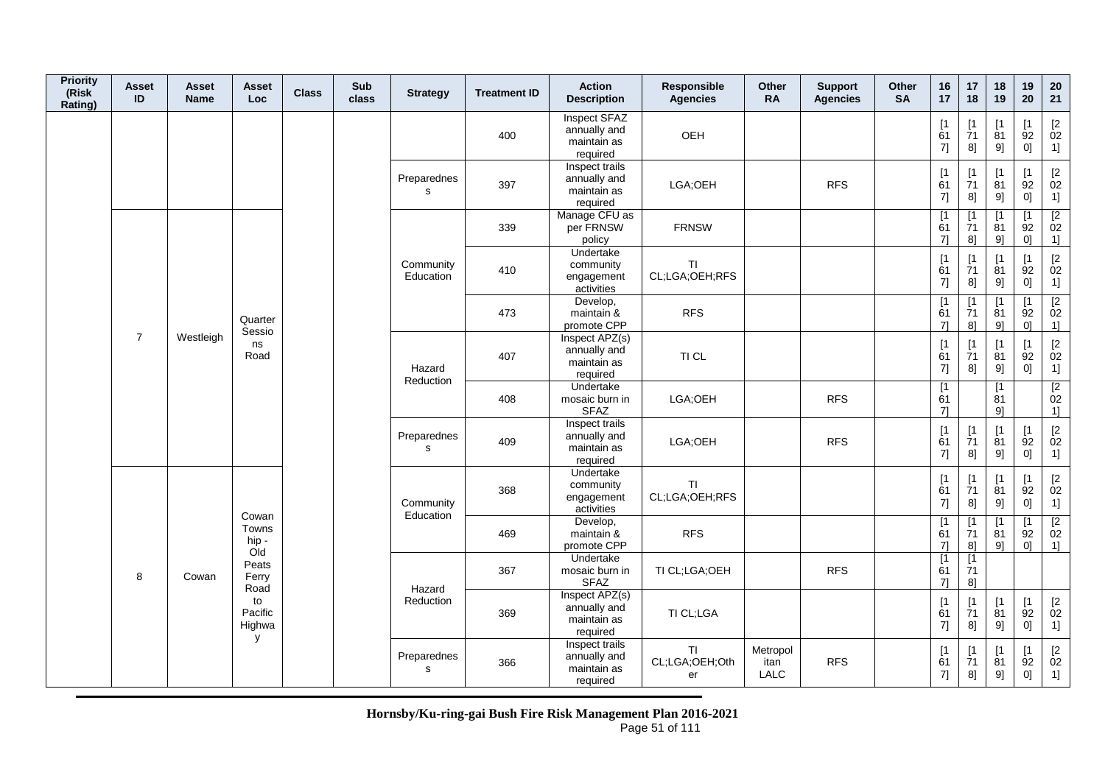| <b>Priority</b><br>(Risk<br>Rating) | <b>Asset</b><br>ID | <b>Asset</b><br><b>Name</b> | Asset<br>Loc                 | <b>Class</b> | Sub<br>class | <b>Strategy</b>        | <b>Treatment ID</b> | <b>Action</b><br><b>Description</b>                       | Responsible<br><b>Agencies</b>    | Other<br><b>RA</b>       | <b>Support</b><br><b>Agencies</b> | Other<br><b>SA</b> | 16<br>17                      | 17<br>18                                                                   | 18<br>19                      | 19<br>20                      | 20<br>21                                                  |
|-------------------------------------|--------------------|-----------------------------|------------------------------|--------------|--------------|------------------------|---------------------|-----------------------------------------------------------|-----------------------------------|--------------------------|-----------------------------------|--------------------|-------------------------------|----------------------------------------------------------------------------|-------------------------------|-------------------------------|-----------------------------------------------------------|
|                                     |                    |                             |                              |              |              |                        | 400                 | Inspect SFAZ<br>annually and<br>maintain as<br>required   | OEH                               |                          |                                   |                    | [1]<br>61<br>7]               | $[1]$<br>71<br>8]                                                          | $\lceil 1 \rceil$<br>81<br>9] | $\mathsf{I}$<br>92<br>0]      | $[2]$<br>02<br>1]                                         |
|                                     |                    |                             |                              |              |              | Preparednes<br>s       | 397                 | Inspect trails<br>annually and<br>maintain as<br>required | LGA;OEH                           |                          | <b>RFS</b>                        |                    | [1]<br>61<br>7]               | $\begin{array}{c} \n 1 \\ 71\n \end{array}$<br>8]                          | $\mathsf{I}$<br>81<br>9]      | $\mathsf{I}$<br>92<br>0]      | $\begin{bmatrix} 2 \\ 02 \end{bmatrix}$<br>1]             |
|                                     |                    |                             |                              |              |              |                        | 339                 | Manage CFU as<br>per FRNSW<br>policy                      | <b>FRNSW</b>                      |                          |                                   |                    | [1<br>61<br>$7$ ]             | [1<br>71<br>8]                                                             | $\mathsf{I}$<br>81<br>9]      | $\mathsf{I}$<br>92<br>0]      | $\overline{2}$<br>02<br>1]                                |
|                                     |                    |                             |                              |              |              | Community<br>Education | 410                 | Undertake<br>community<br>engagement<br>activities        | TI<br>CL;LGA;OEH;RFS              |                          |                                   |                    | [1]<br>61<br>7]               | $[1]$<br>$\overline{7}1$<br>8]                                             | [1]<br>81<br>9]               | $\mathsf{I}$<br>92<br>0]      | $\begin{bmatrix} 2 \\ 02 \end{bmatrix}$<br>1]             |
|                                     |                    |                             | Quarter<br>Sessio            |              |              |                        | 473                 | Develop,<br>maintain &<br>promote CPP                     | <b>RFS</b>                        |                          |                                   |                    | $\overline{11}$<br>61<br>71   | $\mathsf{I}$<br>71<br>8]                                                   | $\mathsf{I}$<br>81<br>9]      | $\mathsf{I}$<br>92<br>0]      | $\overline{2}$<br>02<br>1                                 |
|                                     | $\overline{7}$     | Westleigh                   | ns<br>Road                   |              |              | Hazard                 | 407                 | Inspect APZ(s)<br>annually and<br>maintain as<br>required | TI CL                             |                          |                                   |                    | [1]<br>61<br>7]               | $\begin{array}{c} \left[ 1 \right. \\ \left. 71 \right. \end{array}$<br>8] | $\mathsf{I}$<br>81<br>9]      | $\mathsf{I}$<br>92<br>0]      | $\begin{bmatrix} 2 \\ 02 \end{bmatrix}$<br>1]             |
|                                     |                    |                             |                              |              |              | Reduction              | 408                 | Undertake<br>mosaic burn in<br>SFAZ                       | LGA;OEH                           |                          | <b>RFS</b>                        |                    | [1]<br>61<br>$7$ ]            |                                                                            | [1]<br>81<br>91               |                               | $\begin{array}{c} \boxed{2} \\ 02 \end{array}$<br>1]      |
|                                     |                    |                             |                              |              |              | Preparednes<br>s       | 409                 | Inspect trails<br>annually and<br>maintain as<br>required | LGA;OEH                           |                          | <b>RFS</b>                        |                    | [1]<br>61<br>7]               | [1<br>$\overline{7}1$<br>8]                                                | $\lceil 1 \rceil$<br>81<br>9] | $\lceil 1 \rceil$<br>92<br>0] | $\begin{bmatrix} 2 \\ 02 \end{bmatrix}$<br>1]             |
|                                     |                    |                             | Cowan                        |              |              | Community<br>Education | 368                 | Undertake<br>community<br>engagement<br>activities        | <b>TI</b><br>CL;LGA;OEH;RFS       |                          |                                   |                    | [1]<br>61<br>7]               | [1<br>$\overline{7}1$<br>8]                                                | $\mathsf{I}$<br>81<br>9]      | $\mathsf{I}$<br>92<br>0]      | $\begin{bmatrix} 2 \\ 02 \end{bmatrix}$<br>1]             |
|                                     |                    |                             | Towns<br>hip -<br>Old        |              |              |                        | 469                 | Develop,<br>maintain &<br>promote CPP                     | <b>RFS</b>                        |                          |                                   |                    | [1<br>61<br>$7$ ]             | [1<br>71<br>8]                                                             | Γ1<br>81<br>9]                | Γ1<br>92<br>0]                | $\begin{array}{c} \boxed{2} \\ 02 \end{array}$<br>$1$ ]   |
|                                     | 8                  | Cowan                       | Peats<br>Ferry<br>Road       |              |              | Hazard                 | 367                 | Undertake<br>mosaic burn in<br><b>SFAZ</b>                | TI CL;LGA;OEH                     |                          | <b>RFS</b>                        |                    | $\lceil 1 \rceil$<br>61<br>71 | $[1]$<br>71<br>8]                                                          |                               |                               |                                                           |
|                                     |                    |                             | to<br>Pacific<br>Highwa<br>y |              |              | Reduction              | 369                 | Inspect APZ(s)<br>annually and<br>maintain as<br>required | TI CL;LGA                         |                          |                                   |                    | [1]<br>61<br>7]               | $[1]$<br>71<br>8]                                                          | [1]<br>81<br>9]               | [1]<br>92<br>0]               | $\begin{bmatrix} 2 \\ 02 \end{bmatrix}$<br>1]             |
|                                     |                    |                             |                              |              |              | Preparednes<br>s       | 366                 | Inspect trails<br>annually and<br>maintain as<br>required | <b>TI</b><br>CL;LGA;OEH;Oth<br>er | Metropol<br>itan<br>LALC | <b>RFS</b>                        |                    | [1<br>61<br>7]                | [1<br>$\overline{7}1$<br>8]                                                | $\mathsf{I}$<br>81<br>9]      | $\mathsf{I}$<br>92<br>0]      | $\begin{bmatrix} 2 \\ 02 \end{bmatrix}$<br>$\overline{1}$ |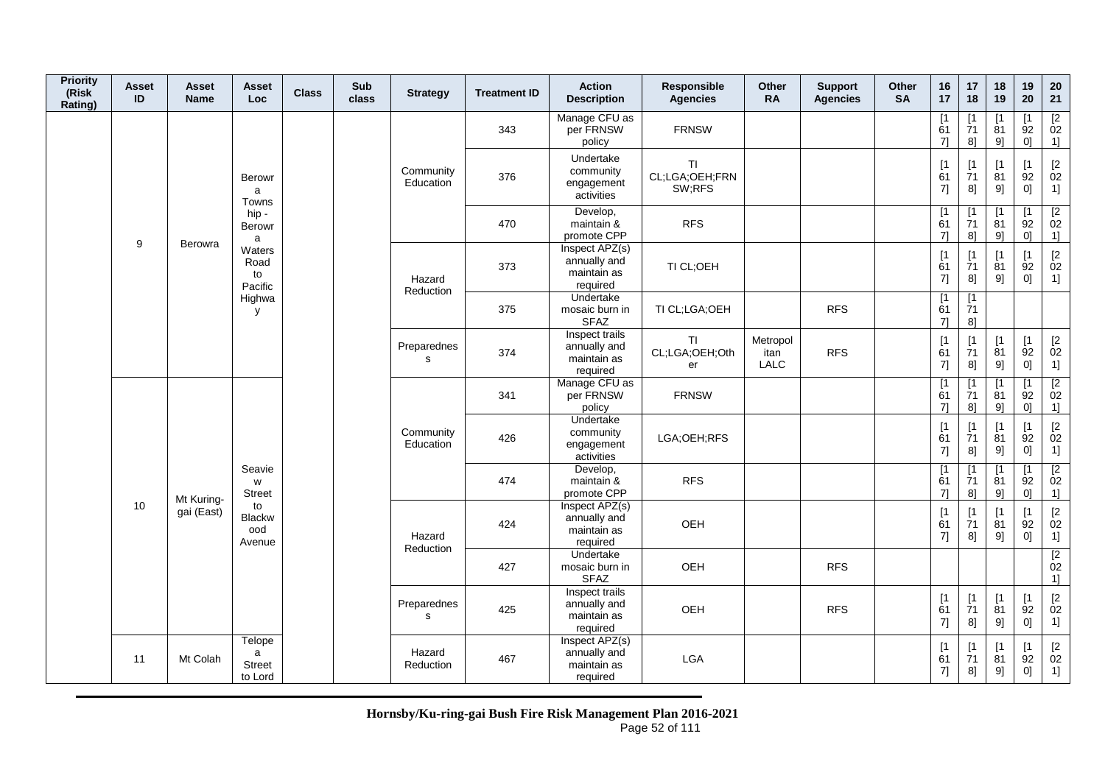| <b>Priority</b><br>(Risk<br>Rating) | <b>Asset</b><br>ID | Asset<br><b>Name</b> | Asset<br>Loc.                           | <b>Class</b> | Sub<br>class | <b>Strategy</b>             | <b>Treatment ID</b> | <b>Action</b><br><b>Description</b>                       | Responsible<br><b>Agencies</b>        | Other<br><b>RA</b>       | <b>Support</b><br><b>Agencies</b> | Other<br><b>SA</b> | 16<br>17                   | 17<br>18                       | 18<br>19                      | 19<br>20                                  | 20<br>21                                                    |
|-------------------------------------|--------------------|----------------------|-----------------------------------------|--------------|--------------|-----------------------------|---------------------|-----------------------------------------------------------|---------------------------------------|--------------------------|-----------------------------------|--------------------|----------------------------|--------------------------------|-------------------------------|-------------------------------------------|-------------------------------------------------------------|
|                                     |                    |                      |                                         |              |              |                             | 343                 | Manage CFU as<br>per FRNSW<br>policy                      | <b>FRNSW</b>                          |                          |                                   |                    | $\overline{1}$<br>61<br>71 | [1<br>$\overline{7}1$<br>8]    | $\lceil 1 \rceil$<br>81<br>9] | [1]<br>$\overline{9}2$<br>0 <sup>1</sup>  | $\frac{[2]}{02}$<br>1]                                      |
|                                     |                    |                      | <b>Berowr</b><br>a<br>Towns             |              |              | Community<br>Education      | 376                 | Undertake<br>community<br>engagement<br>activities        | <b>TI</b><br>CL;LGA;OEH;FRN<br>SW;RFS |                          |                                   |                    | [1]<br>61<br>7]            | $\lceil 1 \rceil$<br>71<br>8]  | $\lceil 1 \rceil$<br>81<br>9] | $\lceil 1 \rceil$<br>92<br>0]             | $\begin{bmatrix} 2 \\ 02 \end{bmatrix}$<br>1]               |
|                                     |                    |                      | hip-<br>Berowr<br>a                     |              |              |                             | 470                 | Develop,<br>maintain &<br>promote CPP                     | <b>RFS</b>                            |                          |                                   |                    | [1]<br>61<br>71            | [1]<br>$\overline{7}1$<br>8]   | $\lceil 1 \rceil$<br>81<br>9] | $\lceil 1 \rceil$<br>92<br>0 <sup>1</sup> | $\begin{array}{c} \n [2] \hline\n 02\n \end{array}$<br>1]   |
|                                     | 9                  | Berowra              | Waters<br>Road<br>to<br>Pacific         |              |              | Hazard<br>Reduction         | 373                 | Inspect APZ(s)<br>annually and<br>maintain as<br>required | TI CL;OEH                             |                          |                                   |                    | [1]<br>61<br>7]            | $\lceil 1 \rceil$<br>71<br>8]  | $\mathsf{I}$<br>81<br>9]      | [1<br>92<br>0]                            | $\begin{array}{c} [2 \\ 02 \end{array}$<br>1]               |
|                                     |                    |                      | Highwa<br>y                             |              |              |                             | 375                 | Undertake<br>mosaic burn in<br><b>SFAZ</b>                | TI CL;LGA;OEH                         |                          | <b>RFS</b>                        |                    | [1<br>61<br>71             | [1]<br>71<br>8]                |                               |                                           |                                                             |
|                                     |                    |                      |                                         |              |              | Preparednes<br>s            | 374                 | Inspect trails<br>annually and<br>maintain as<br>required | TI<br>CL;LGA;OEH;Oth<br>er            | Metropol<br>itan<br>LALC | <b>RFS</b>                        |                    | [1]<br>61<br>7]            | $[1]$<br>$\overline{7}1$<br>8] | [1]<br>81<br>9]               | [1]<br>92<br>0]                           | $\begin{bmatrix} 2 \\ 02 \end{bmatrix}$<br>1]               |
|                                     |                    |                      |                                         |              |              |                             | 341                 | Manage CFU as<br>per FRNSW<br>policy                      | <b>FRNSW</b>                          |                          |                                   |                    | [1<br>61<br>71             | $\lceil 1 \rceil$<br>71<br>8]  | $\lceil 1 \rceil$<br>81<br>9] | [1]<br>92<br>0]                           | [2]<br>02<br>1]                                             |
|                                     |                    |                      |                                         |              |              | Community<br>Education      | 426                 | Undertake<br>community<br>engagement<br>activities        | LGA;OEH;RFS                           |                          |                                   |                    | $[1]$<br>61<br>7]          | [1]<br>$\overline{7}1$<br>8]   | [1<br>81<br>9]                | [1]<br>92<br>0]                           | $\begin{bmatrix} 2 \\ 02 \end{bmatrix}$<br>1]               |
|                                     |                    | Mt Kuring-           | Seavie<br>W<br><b>Street</b>            |              |              |                             | 474                 | Develop,<br>maintain &<br>promote CPP                     | <b>RFS</b>                            |                          |                                   |                    | [1<br>61<br>71             | [1<br>71<br>8]                 | $\lceil 1 \rceil$<br>81<br>9] | $\lceil 1 \rceil$<br>92<br>0 <sup>1</sup> | $\sqrt{2}$<br>02<br>1]                                      |
|                                     | 10                 | gai (East)           | to<br><b>Blackw</b><br>ood<br>Avenue    |              |              | Hazard<br>Reduction         | 424                 | Inspect APZ(s)<br>annually and<br>maintain as<br>required | OEH                                   |                          |                                   |                    | [1]<br>61<br>7]            | [1]<br>71<br>8]                | [1<br>81<br>9]                | [1<br>92<br>0]                            | $\begin{bmatrix} 2 \\ 02 \end{bmatrix}$<br>1]               |
|                                     |                    |                      |                                         |              |              |                             | 427                 | Undertake<br>mosaic burn in<br><b>SFAZ</b>                | OEH                                   |                          | <b>RFS</b>                        |                    |                            |                                |                               |                                           | $\overline{2}$<br>02<br>1]                                  |
|                                     |                    |                      |                                         |              |              | Preparednes<br>$\mathbf{s}$ | 425                 | Inspect trails<br>annually and<br>maintain as<br>required | OEH                                   |                          | <b>RFS</b>                        |                    | [1]<br>61<br>7]            | $[1]$<br>71<br>8]              | $[1]$<br>81<br>9]             | [1]<br>92<br>0]                           | $[2]$<br>02<br>1]                                           |
|                                     | 11                 | Mt Colah             | Telope<br>a<br><b>Street</b><br>to Lord |              |              | Hazard<br>Reduction         | 467                 | Inspect APZ(s)<br>annually and<br>maintain as<br>required | <b>LGA</b>                            |                          |                                   |                    | [1]<br>61<br>7]            | $\lceil 1 \rceil$<br>71<br>8]  | $\lceil 1 \rceil$<br>81<br>9] | [1<br>92<br>0]                            | $\begin{array}{c} \left[ 2 \right. \\ 02 \end{array}$<br>1] |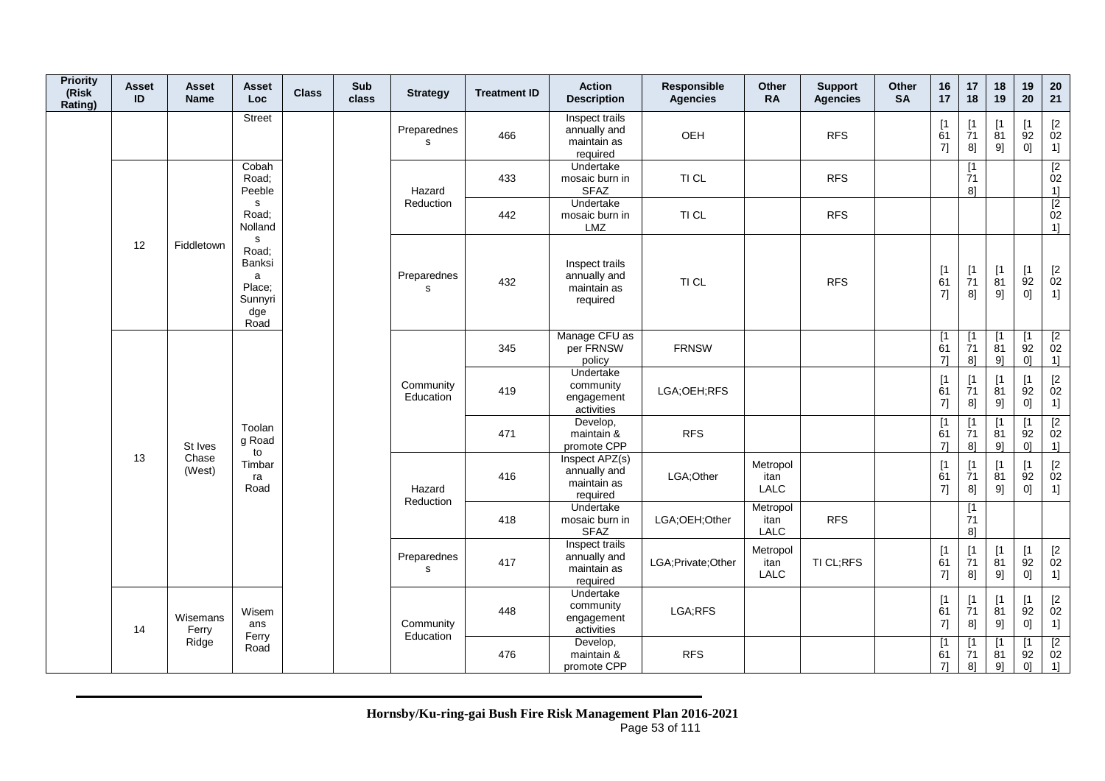| <b>Priority</b><br>(Risk<br>Rating) | <b>Asset</b><br>ID | Asset<br><b>Name</b>       | Asset<br><b>Loc</b>                                                   | <b>Class</b> | Sub<br>class | <b>Strategy</b>        | <b>Treatment ID</b> | <b>Action</b><br><b>Description</b>                       | Responsible<br><b>Agencies</b> | <b>Other</b><br><b>RA</b> | <b>Support</b><br><b>Agencies</b> | Other<br><b>SA</b> | 16<br>17                   | 17<br>18                       | 18<br>19                       | 19<br>20                      | 20<br>21                                                                                                                                                                                                               |
|-------------------------------------|--------------------|----------------------------|-----------------------------------------------------------------------|--------------|--------------|------------------------|---------------------|-----------------------------------------------------------|--------------------------------|---------------------------|-----------------------------------|--------------------|----------------------------|--------------------------------|--------------------------------|-------------------------------|------------------------------------------------------------------------------------------------------------------------------------------------------------------------------------------------------------------------|
|                                     |                    |                            | <b>Street</b>                                                         |              |              | Preparednes<br>s       | 466                 | Inspect trails<br>annually and<br>maintain as<br>required | OEH                            |                           | <b>RFS</b>                        |                    | $[1]$<br>61<br>7]          | [1<br>71<br>8]                 | [1]<br>81<br>9]                | Γ1<br>92<br>0]                | $[2] % \centering \includegraphics[width=0.8\textwidth]{images/TrDiS/N-Architecture.png} % \caption{The figure shows the results of the estimators in the left and right.} \label{TrDiS/N-Architecture} %$<br>02<br>1] |
|                                     |                    |                            | Cobah<br>Road:<br>Peeble                                              |              |              | Hazard                 | 433                 | Undertake<br>mosaic burn in<br><b>SFAZ</b>                | TI CL                          |                           | <b>RFS</b>                        |                    |                            | [1<br>71<br>8]                 |                                |                               | $\begin{array}{c} \boxed{2} \\ 02 \end{array}$<br>1]                                                                                                                                                                   |
|                                     |                    |                            | s<br>Road;<br>Nolland                                                 |              |              | Reduction              | 442                 | Undertake<br>mosaic burn in<br><b>LMZ</b>                 | TI CL                          |                           | <b>RFS</b>                        |                    |                            |                                |                                |                               | $\begin{array}{c} 2 \\ 02 \end{array}$<br>1]                                                                                                                                                                           |
|                                     | 12                 | Fiddletown                 | ${\sf s}$<br>Road;<br>Banksi<br>a<br>Place;<br>Sunnyri<br>dge<br>Road |              |              | Preparednes<br>s       | 432                 | Inspect trails<br>annually and<br>maintain as<br>required | TI CL                          |                           | <b>RFS</b>                        |                    | [1]<br>61<br>7]            | $[1]$<br>$\overline{7}1$<br>8] | $[1]$<br>$\overline{8}1$<br>9] | [1]<br>92<br>0]               | $\begin{bmatrix} 2 \\ 02 \end{bmatrix}$<br>1]                                                                                                                                                                          |
|                                     |                    |                            |                                                                       |              |              |                        | 345                 | Manage CFU as<br>per FRNSW<br>policy                      | <b>FRNSW</b>                   |                           |                                   |                    | $\overline{1}$<br>61<br>7] | [1]<br>71<br>8]                | $\overline{1}$<br>81<br>9]     | $[1]$<br>92<br>0]             | $\overline{2}$<br>02<br>1]                                                                                                                                                                                             |
|                                     |                    | St Ives<br>Chase<br>(West) |                                                                       |              |              | Community<br>Education | 419                 | Undertake<br>community<br>engagement<br>activities        | LGA;OEH;RFS                    |                           |                                   |                    | [1]<br>61<br>7]            | $\mathsf{I}$<br>71<br>8]       | $\lceil 1 \rceil$<br>81<br>9]  | $\mathsf{I}$<br>92<br>0]      | $\begin{bmatrix} 2 \\ 02 \end{bmatrix}$<br>1]                                                                                                                                                                          |
|                                     |                    |                            | Toolan<br>g Road<br>to                                                |              |              |                        | 471                 | Develop,<br>maintain &<br>promote CPP                     | <b>RFS</b>                     |                           |                                   |                    | $\overline{1}$<br>61<br>7] | [1]<br>71<br>8]                | $[1]$<br>81<br>9]              | [1<br>92<br>01                | $\boxed{2}$<br>02<br>1]                                                                                                                                                                                                |
|                                     | 13                 |                            | Timbar<br>ra<br>Road                                                  |              |              | Hazard<br>Reduction    | 416                 | Inspect APZ(s)<br>annually and<br>maintain as<br>required | LGA;Other                      | Metropol<br>itan<br>LALC  |                                   |                    | [1]<br>61<br>$7] \;$       | [1<br>71<br>8]                 | [1]<br>81<br>9]                | $\lceil 1 \rceil$<br>92<br>0] | [2<br>02<br>1]                                                                                                                                                                                                         |
|                                     |                    |                            |                                                                       |              |              |                        | 418                 | Undertake<br>mosaic burn in<br><b>SFAZ</b>                | LGA;OEH;Other                  | Metropol<br>itan<br>LALC  | <b>RFS</b>                        |                    |                            | [1]<br>71<br>8]                |                                |                               |                                                                                                                                                                                                                        |
|                                     |                    |                            |                                                                       |              |              | Preparednes<br>s       | 417                 | Inspect trails<br>annually and<br>maintain as<br>required | LGA; Private; Other            | Metropol<br>itan<br>LALC  | TI CL;RFS                         |                    | [1]<br>61<br>$7] \;$       | [1]<br>71<br>8]                | $[1]$<br>81<br>9]              | [1]<br>92<br>0]               | $\begin{bmatrix} 2 \\ 02 \end{bmatrix}$<br>1]                                                                                                                                                                          |
|                                     | 14                 | Wisemans<br>Ferry          | Wisem<br>ans                                                          |              |              | Community<br>Education | 448                 | Undertake<br>community<br>engagement<br>activities        | LGA;RFS                        |                           |                                   |                    | [1]<br>61<br>7]            | [1]<br>71<br>8]                | [1<br>81<br>9]                 | [1<br>92<br>0]                | $\mathop{02}\limits^{[2]}$<br>1]                                                                                                                                                                                       |
|                                     |                    | Ridge                      | Ferry<br>Road                                                         |              |              |                        | 476                 | Develop,<br>maintain &<br>promote CPP                     | <b>RFS</b>                     |                           |                                   |                    | [1]<br>61<br>71            | Г1<br>71<br>8]                 | $\mathsf{I}$<br>81<br>9]       | $\mathsf{I}$<br>92<br>01      | $\overline{2}$<br>02<br>1]                                                                                                                                                                                             |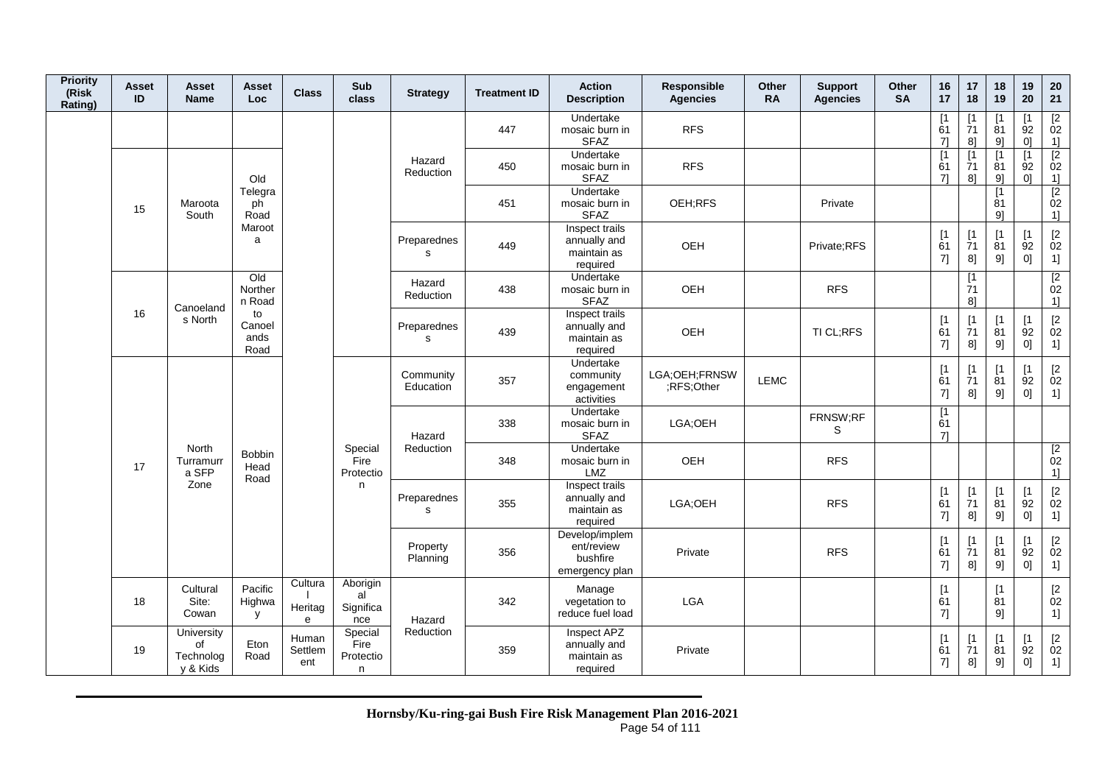| <b>Priority</b><br>(Risk<br>Rating) | <b>Asset</b><br>ID | Asset<br><b>Name</b>                      | Asset<br><b>Loc</b>           | <b>Class</b>            | Sub<br>class                       | <b>Strategy</b>        | <b>Treatment ID</b> | <b>Action</b><br><b>Description</b>                        | Responsible<br><b>Agencies</b> | <b>Other</b><br><b>RA</b> | <b>Support</b><br><b>Agencies</b> | <b>Other</b><br><b>SA</b> | 16<br>17                      | 17<br>18                       | 18<br>19                      | 19<br>20                                  | $20\,$<br>21                                         |
|-------------------------------------|--------------------|-------------------------------------------|-------------------------------|-------------------------|------------------------------------|------------------------|---------------------|------------------------------------------------------------|--------------------------------|---------------------------|-----------------------------------|---------------------------|-------------------------------|--------------------------------|-------------------------------|-------------------------------------------|------------------------------------------------------|
|                                     |                    |                                           |                               |                         |                                    |                        | 447                 | Undertake<br>mosaic burn in<br><b>SFAZ</b>                 | <b>RFS</b>                     |                           |                                   |                           | $\lceil 1 \rceil$<br>61<br>71 | $\lceil 1 \rceil$<br>71<br>8]  | 81<br>91                      | 92<br>0 <sup>1</sup>                      | $\frac{[2]}{02}$<br>1]                               |
|                                     |                    |                                           | Old                           |                         |                                    | Hazard<br>Reduction    | 450                 | Undertake<br>mosaic burn in<br><b>SFAZ</b>                 | <b>RFS</b>                     |                           |                                   |                           | $\lceil 1 \rceil$<br>61<br>71 | $\lceil 1 \rceil$<br>71<br>8]  | $\mathsf{I}$<br>81<br>9]      | $\lceil 1 \rceil$<br>92<br>0 <sup>1</sup> | $\overline{2}$<br>02<br>1]                           |
|                                     | 15                 | Maroota<br>South                          | Telegra<br>ph<br>Road         |                         |                                    |                        | 451                 | Undertake<br>mosaic burn in<br><b>SFAZ</b>                 | OEH;RFS                        |                           | Private                           |                           |                               |                                | $\lceil 1 \rceil$<br>81<br>91 |                                           | $\overline{2}$<br>02<br>1]                           |
|                                     |                    |                                           | Maroot<br>a                   |                         |                                    | Preparednes<br>s       | 449                 | Inspect trails<br>annually and<br>maintain as<br>required  | OEH                            |                           | Private;RFS                       |                           | [1]<br>61<br>$7$ ]            | [1]<br>71<br>8]                | $\mathsf{I}$<br>81<br>9]      | $\lceil 1 \rceil$<br>92<br>0]             | $\begin{bmatrix} 2 \\ 02 \end{bmatrix}$<br>1]        |
|                                     |                    | Canoeland                                 | Qd<br>Norther<br>n Road       |                         |                                    | Hazard<br>Reduction    | 438                 | Undertake<br>mosaic burn in<br><b>SFAZ</b>                 | OEH                            |                           | <b>RFS</b>                        |                           |                               | [1]<br>71<br>81                |                               |                                           | $\overline{2}$<br>02<br>11                           |
|                                     | 16                 | s North                                   | to<br>Canoel<br>ands<br>Road  |                         |                                    | Preparednes<br>s       | 439                 | Inspect trails<br>annually and<br>maintain as<br>required  | OEH                            |                           | TI CL;RFS                         |                           | [1]<br>61<br>7]               | $[1]$<br>$\overline{7}1$<br>8] | $\mathsf{I}$<br>81<br>9]      | [1]<br>92<br>0]                           | $\begin{bmatrix} 2 \\ 02 \end{bmatrix}$<br>1]        |
|                                     |                    |                                           |                               |                         |                                    | Community<br>Education | 357                 | Undertake<br>community<br>engagement<br>activities         | LGA;OEH;FRNSW<br>;RFS;Other    | <b>LEMC</b>               |                                   |                           | [1]<br>61<br>7]               | [1]<br>71<br>8]                | [1<br>81<br>9]                | [1<br>92<br>0]                            | $[2]$<br>02<br>1]                                    |
|                                     |                    |                                           |                               |                         |                                    | Hazard                 | 338                 | Undertake<br>mosaic burn in<br><b>SFAZ</b>                 | LGA;OEH                        |                           | FRNSW;RF<br>S                     |                           | [1]<br>61<br>71               |                                |                               |                                           |                                                      |
|                                     | 17                 | North<br>Turramurr<br>a SFP               | <b>Bobbin</b><br>Head<br>Road |                         | Special<br>Fire<br>Protectio       | Reduction              | 348                 | Undertake<br>mosaic burn in<br>LMZ                         | OEH                            |                           | <b>RFS</b>                        |                           |                               |                                |                               |                                           | $\begin{array}{c} \boxed{2} \\ 02 \end{array}$<br>1] |
|                                     |                    | Zone                                      |                               |                         | n                                  | Preparednes<br>s       | 355                 | Inspect trails<br>annually and<br>maintain as<br>required  | LGA;OEH                        |                           | <b>RFS</b>                        |                           | [1]<br>61<br>7]               | $[1]$<br>71<br>8]              | [1<br>81<br>9]                | [1<br>92<br>0]                            | $[2]$<br>02<br>1]                                    |
|                                     |                    |                                           |                               |                         |                                    | Property<br>Planning   | 356                 | Develop/implem<br>ent/review<br>bushfire<br>emergency plan | Private                        |                           | <b>RFS</b>                        |                           | [1]<br>61<br>7]               | $[1]$<br>71<br>8]              | [1<br>81<br>9]                | $\lceil 1 \rceil$<br>92<br>0]             | $\begin{bmatrix} 2 \\ 02 \end{bmatrix}$<br>1]        |
|                                     | 18                 | Cultural<br>Site:<br>Cowan                | Pacific<br>Highwa<br>y        | Cultura<br>Heritag<br>e | Aborigin<br>al<br>Significa<br>nce | Hazard                 | 342                 | Manage<br>vegetation to<br>reduce fuel load                | LGA                            |                           |                                   |                           | [1]<br>61<br>7]               |                                | $\lceil 1 \rceil$<br>81<br>91 |                                           | $\begin{bmatrix} 2 \\ 02 \end{bmatrix}$<br>1]        |
|                                     | 19                 | University<br>of<br>Technolog<br>y & Kids | Eton<br>Road                  | Human<br>Settlem<br>ent | Special<br>Fire<br>Protectio<br>n  | Reduction              | 359                 | Inspect APZ<br>annually and<br>maintain as<br>required     | Private                        |                           |                                   |                           | [1<br>61<br>7]                | $\lceil 1 \rceil$<br>71<br>8]  | $\mathsf{I}$<br>81<br>9]      | $\lceil 1 \rceil$<br>92<br>0]             | $[2]$<br>02<br>1]                                    |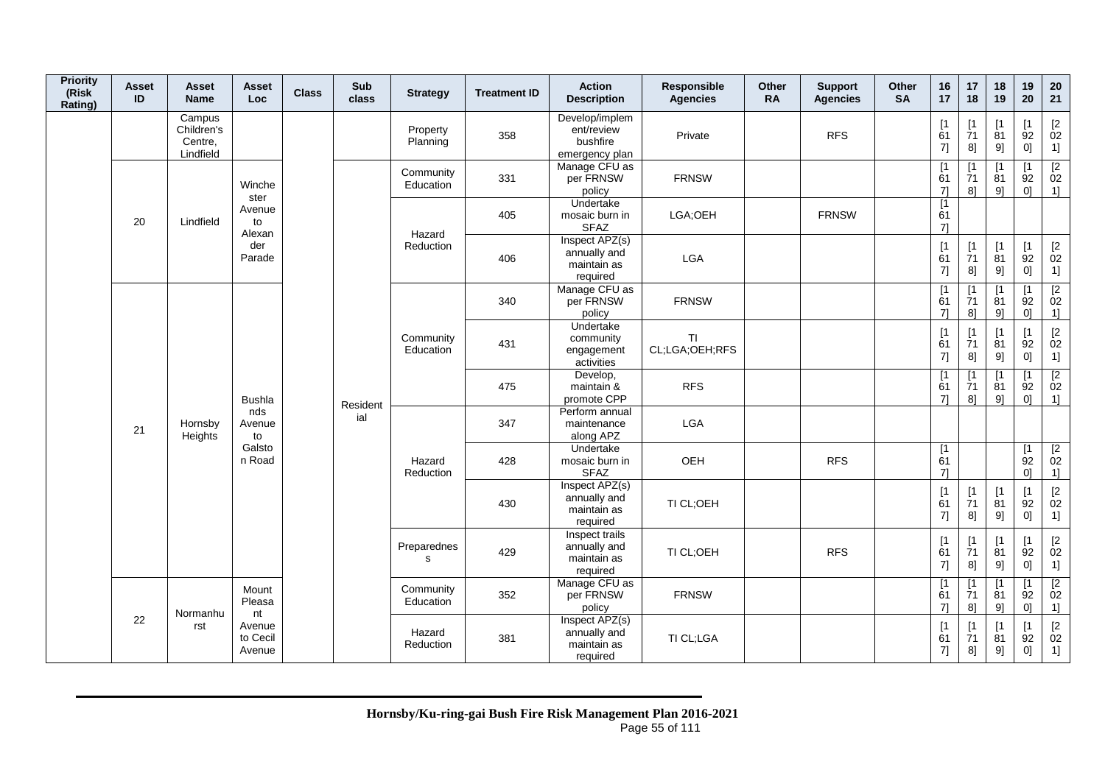| <b>Priority</b><br>(Risk<br>Rating) | Asset<br>ID   | Asset<br><b>Name</b>                         | Asset<br>Loc.                | <b>Class</b> | Sub<br>class | <b>Strategy</b>        | <b>Treatment ID</b>                   | <b>Action</b><br><b>Description</b>                        | Responsible<br><b>Agencies</b> | Other<br><b>RA</b> | <b>Support</b><br><b>Agencies</b> | Other<br><b>SA</b> | 16<br>17                      | 17<br>18                              | 18<br>19                      | 19<br>20                             | 20<br>21                                             |
|-------------------------------------|---------------|----------------------------------------------|------------------------------|--------------|--------------|------------------------|---------------------------------------|------------------------------------------------------------|--------------------------------|--------------------|-----------------------------------|--------------------|-------------------------------|---------------------------------------|-------------------------------|--------------------------------------|------------------------------------------------------|
|                                     |               | Campus<br>Children's<br>Centre,<br>Lindfield |                              |              |              | Property<br>Planning   | 358                                   | Develop/implem<br>ent/review<br>bushfire<br>emergency plan | Private                        |                    | <b>RFS</b>                        |                    | $[1]$<br>61<br>7]             | [1<br>71<br>8]                        | $[1]$<br>81<br>9]             | Γ1<br>92<br>0]                       | $^{[2}_{02}$<br>1]                                   |
|                                     |               |                                              | Winche<br>ster               |              |              | Community<br>Education | 331                                   | Manage CFU as<br>per FRNSW<br>policy                       | <b>FRNSW</b>                   |                    |                                   |                    | [1]<br>61<br>71               | [1<br>71<br>81                        | $\mathsf{I}$<br>81<br>9       | $\mathsf{I}$<br>92<br>0 <sup>1</sup> | $\overline{[2]}$<br>02<br>$1$ ]                      |
|                                     | 20            | Lindfield                                    | Avenue<br>to<br>Alexan       |              |              | Hazard                 | 405                                   | Undertake<br>mosaic burn in<br><b>SFAZ</b>                 | LGA;OEH                        |                    | <b>FRNSW</b>                      |                    | [1]<br>61<br>71               |                                       |                               |                                      |                                                      |
|                                     |               |                                              | der<br>Parade                |              |              | Reduction              | 406                                   | Inspect APZ(s)<br>annually and<br>maintain as<br>required  | LGA                            |                    |                                   |                    | [1]<br>61<br>7]               | $[1]$<br>$\frac{1}{7}1$<br>8]         | [1]<br>$\overline{8}1$<br>9]  | $\lceil 1 \rceil$<br>92<br>0]        | $\begin{bmatrix} 2 \\ 02 \end{bmatrix}$<br>1]        |
|                                     |               |                                              |                              |              |              |                        | 340                                   | Manage CFU as<br>per FRNSW<br>policy                       | <b>FRNSW</b>                   |                    |                                   |                    | [1]<br>61<br>$7$ ]            | $\mathsf{I}$<br>$\overline{7}1$<br>8] | [1<br>81<br>9]                | Γ1<br>92<br>0 <sup>1</sup>           | $\begin{array}{c} \n [2] \n 02\n \end{array}$<br>1]  |
|                                     |               |                                              |                              |              |              | Community<br>Education | 431                                   | Undertake<br>community<br>engagement<br>activities         | <b>TI</b><br>CL;LGA;OEH;RFS    |                    |                                   |                    | [1]<br>61<br>7]               | [1]<br>71<br>8]                       | [1]<br>81<br>9]               | $\mathsf{I}$<br>92<br>0]             | [2]<br>02<br>$\overline{1}$                          |
|                                     | Hornsby<br>21 | <b>Bushla</b>                                |                              | Resident     |              | 475                    | Develop,<br>maintain &<br>promote CPP | <b>RFS</b>                                                 |                                |                    |                                   | [1<br>61<br>71     | [1<br>71<br>8]                | [1<br>81<br>9]                        | $\mathsf{I}$<br>92<br>0]      | $\overline{2}$<br>02<br>$1$ ]        |                                                      |
|                                     |               | Heights                                      | nds<br>Avenue<br>to          |              | ial          |                        | 347                                   | Perform annual<br>maintenance<br>along APZ                 | LGA                            |                    |                                   |                    |                               |                                       |                               |                                      |                                                      |
|                                     |               |                                              | Galsto<br>n Road             |              |              | Hazard<br>Reduction    | 428                                   | Undertake<br>mosaic burn in<br><b>SFAZ</b>                 | OEH                            |                    | <b>RFS</b>                        |                    | $\overline{11}$<br>61<br>71   |                                       |                               | [1]<br>92<br>0 <sup>1</sup>          | $\begin{array}{c} \boxed{2} \\ 02 \end{array}$<br>1] |
|                                     |               |                                              |                              |              |              |                        | 430                                   | Inspect APZ(s)<br>annually and<br>maintain as<br>required  | TI CL;OEH                      |                    |                                   |                    | [1]<br>61<br>7]               | [1]<br>71<br>8]                       | $[1]$<br>81<br>9]             | [1]<br>92<br>0]                      | $[2]$<br>02<br>1]                                    |
|                                     |               |                                              |                              |              |              | Preparednes<br>s       | 429                                   | Inspect trails<br>annually and<br>maintain as<br>required  | TI CL;OEH                      |                    | <b>RFS</b>                        |                    | [1]<br>61<br>7]               | [1]<br>71<br>8]                       | [1]<br>81<br>9]               | $\mathsf{I}$<br>92<br>0]             | $\mathop{02}\limits^{[2]}$<br>1]                     |
|                                     |               | Normanhu                                     | Mount<br>Pleasa<br>nt        |              |              | Community<br>Education | 352                                   | Manage CFU as<br>per FRNSW<br>policy                       | <b>FRNSW</b>                   |                    |                                   |                    | $\lceil 1 \rceil$<br>61<br>71 | $\lceil 1 \rceil$<br>71<br>8]         | $\mathsf{I}$<br>81<br>9]      | $\mathsf{I}$<br>92<br>0]             | $\overline{2}$<br>02<br>1]                           |
|                                     | 22            | rst                                          | Avenue<br>to Cecil<br>Avenue |              |              | Hazard<br>Reduction    | 381                                   | Inspect APZ(s)<br>annually and<br>maintain as<br>required  | TI CL;LGA                      |                    |                                   |                    | [1]<br>61<br>7]               | $\lceil 1 \rceil$<br>71<br>8]         | $\lceil 1 \rceil$<br>81<br>9] | $\mathsf{I}$<br>92<br>0]             | $\begin{bmatrix} 2 \\ 02 \end{bmatrix}$<br>1]        |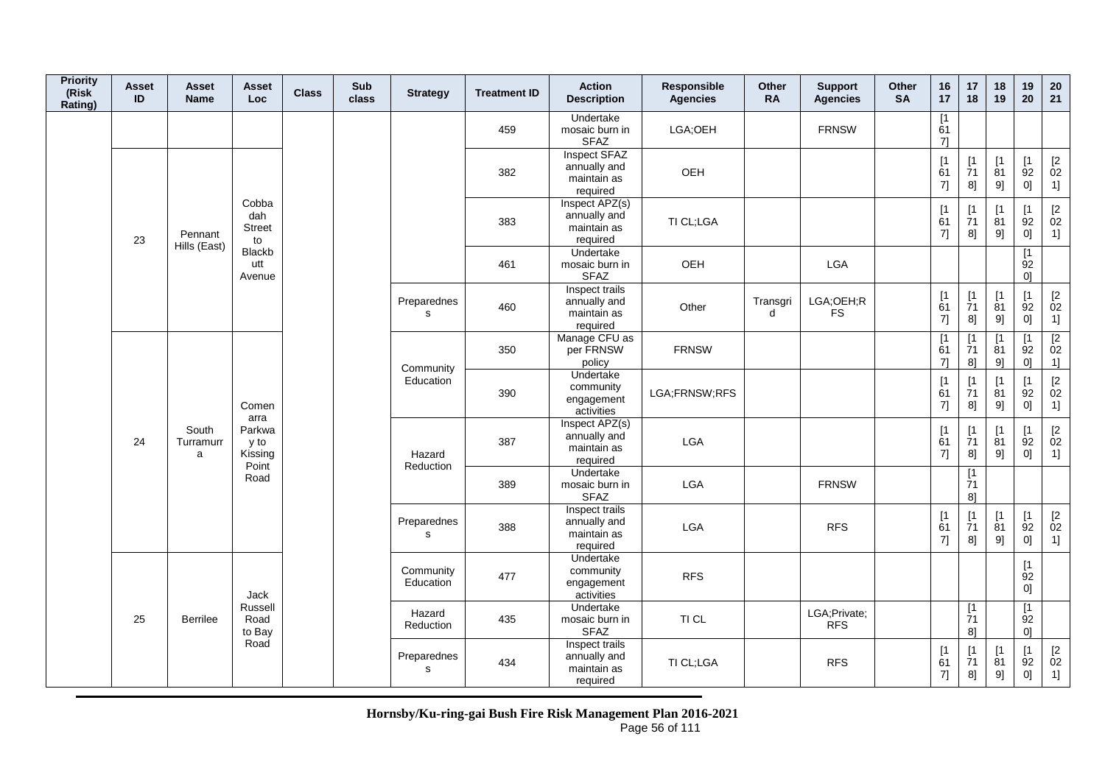| <b>Priority</b><br>(Risk<br>Rating) | <b>Asset</b><br>ID | <b>Asset</b><br><b>Name</b> | Asset<br><b>Loc</b>                        | <b>Class</b> | Sub<br>class | <b>Strategy</b>            | <b>Treatment ID</b> | <b>Action</b><br><b>Description</b>                       | Responsible<br><b>Agencies</b> | Other<br><b>RA</b> | <b>Support</b><br><b>Agencies</b> | Other<br><b>SA</b> | 16<br>17                                              | 17<br>18                       | 18<br>19                       | 19<br>20                                | 20<br>21                                                    |
|-------------------------------------|--------------------|-----------------------------|--------------------------------------------|--------------|--------------|----------------------------|---------------------|-----------------------------------------------------------|--------------------------------|--------------------|-----------------------------------|--------------------|-------------------------------------------------------|--------------------------------|--------------------------------|-----------------------------------------|-------------------------------------------------------------|
|                                     |                    |                             |                                            |              |              |                            | 459                 | Undertake<br>mosaic burn in<br><b>SFAZ</b>                | LGA;OEH                        |                    | <b>FRNSW</b>                      |                    | $\overline{11}$<br>61<br>71                           |                                |                                |                                         |                                                             |
|                                     |                    |                             |                                            |              |              |                            | 382                 | Inspect SFAZ<br>annually and<br>maintain as<br>required   | OEH                            |                    |                                   |                    | [1]<br>$\overline{6}1$<br>7]                          | [1]<br>$\overline{7}1$<br>8]   | [1]<br>81<br>9]                | [1]<br>92<br>0]                         | $\begin{bmatrix} 2 \\ 02 \end{bmatrix}$<br>1]               |
|                                     | 23                 | Pennant<br>Hills (East)     | Cobba<br>dah<br><b>Street</b><br>to        |              |              |                            | 383                 | Inspect APZ(s)<br>annually and<br>maintain as<br>required | TI CL;LGA                      |                    |                                   |                    | $\begin{array}{c} \n[1] \\ \n61\n\end{array}$<br>7]   | [1]<br>$\overline{7}1$<br>8]   | [1]<br>81<br>9]                | [1]<br>92<br>0]                         | $\begin{bmatrix} 2 \\ 02 \end{bmatrix}$<br>1]               |
|                                     |                    |                             | Blackb<br>utt<br>Avenue                    |              |              |                            | 461                 | Undertake<br>mosaic burn in<br><b>SFAZ</b>                | OEH                            |                    | LGA                               |                    |                                                       |                                |                                | $\lceil 1 \rceil$<br>92<br>0]           |                                                             |
|                                     |                    |                             |                                            |              |              | Preparednes<br>s           | 460                 | Inspect trails<br>annually and<br>maintain as<br>required | Other                          | Transgri<br>d      | LGA;OEH;R<br><b>FS</b>            |                    | $\begin{array}{c} \n[1] \\ \n61\n\end{array}$<br>$7]$ | $[1]$<br>$\overline{7}1$<br>8] | [1]<br>81<br>9]                | [1]<br>92<br>0]                         | $\begin{array}{c} \left[ 2 \right. \\ 02 \end{array}$<br>1] |
|                                     |                    |                             |                                            |              |              | Community                  | 350                 | Manage CFU as<br>per FRNSW<br>policy                      | <b>FRNSW</b>                   |                    |                                   |                    | $\begin{array}{c} \boxed{1} \\ 61 \end{array}$<br>71  | [1<br>$\overline{7}1$<br>$8$ ] | $\lceil 1 \rceil$<br>81<br>91  | $\mathsf{I}$<br>92<br>0]                | $\begin{array}{c} \boxed{2} \\ 02 \end{array}$<br>1]        |
|                                     |                    |                             | Comen                                      |              |              | Education                  | 390                 | Undertake<br>community<br>engagement<br>activities        | LGA;FRNSW;RFS                  |                    |                                   |                    | $\begin{array}{c} \n[1] \\ \n61\n\end{array}$<br>7]   | [1]<br>$\overline{7}1$<br>8]   | [1]<br>81<br>9]                | [1]<br>92<br>0]                         | $\begin{bmatrix} 2 \\ 02 \end{bmatrix}$<br>1]               |
|                                     | 24                 | South<br>Turramurr<br>a     | arra<br>Parkwa<br>y to<br>Kissing<br>Point |              |              | Hazard<br>Reduction        | 387                 | Inspect APZ(s)<br>annually and<br>maintain as<br>required | <b>LGA</b>                     |                    |                                   |                    | [1]<br>61<br>7]                                       | [1<br>$\overline{7}1$<br>8]    | $\lceil 1 \rceil$<br>81<br>9]  | $\lceil 1 \rceil$<br>92<br>0]           | $\mathop{02}\limits^{[2]}$<br>1]                            |
|                                     |                    |                             | Road                                       |              |              |                            | 389                 | Undertake<br>mosaic burn in<br><b>SFAZ</b>                | <b>LGA</b>                     |                    | <b>FRNSW</b>                      |                    |                                                       | [1<br>71<br>81                 |                                |                                         |                                                             |
|                                     |                    |                             |                                            |              |              | Preparednes<br>$\mathbf s$ | 388                 | Inspect trails<br>annually and<br>maintain as<br>required | <b>LGA</b>                     |                    | <b>RFS</b>                        |                    | $\begin{array}{c} \n[1] \\ \n61\n\end{array}$<br>7]   | [1]<br>$\frac{1}{7}1$<br>8]    | $[1]$<br>$\overline{81}$<br>9] | [1]<br>92<br>0]                         | $\mathop{02}\limits^{[2]}$<br>1]                            |
|                                     |                    |                             | Jack                                       |              |              | Community<br>Education     | 477                 | Undertake<br>community<br>engagement<br>activities        | <b>RFS</b>                     |                    |                                   |                    |                                                       |                                |                                | [1]<br>92<br>0]                         |                                                             |
|                                     | 25                 | <b>Berrilee</b>             | Russell<br>Road<br>to Bay                  |              |              | Hazard<br>Reduction        | 435                 | Undertake<br>mosaic burn in<br><b>SFAZ</b>                | TI CL                          |                    | LGA;Private;<br><b>RFS</b>        |                    |                                                       | $\lceil 1 \rceil$<br>71<br>81  |                                | $\overline{11}$<br>92<br>0 <sup>1</sup> |                                                             |
|                                     |                    |                             | Road                                       |              |              | Preparednes<br>$\mathbf s$ | 434                 | Inspect trails<br>annually and<br>maintain as<br>required | TI CL;LGA                      |                    | <b>RFS</b>                        |                    | $\begin{array}{c} \n[1] \\ \n61\n\end{array}$<br>7]   | [1<br>$\overline{7}1$<br>8]    | [1]<br>$\overline{8}1$<br>9]   | [1]<br>$\overline{9}2$<br>0]            | $\mathop{02}\limits^{[2]}$<br>1]                            |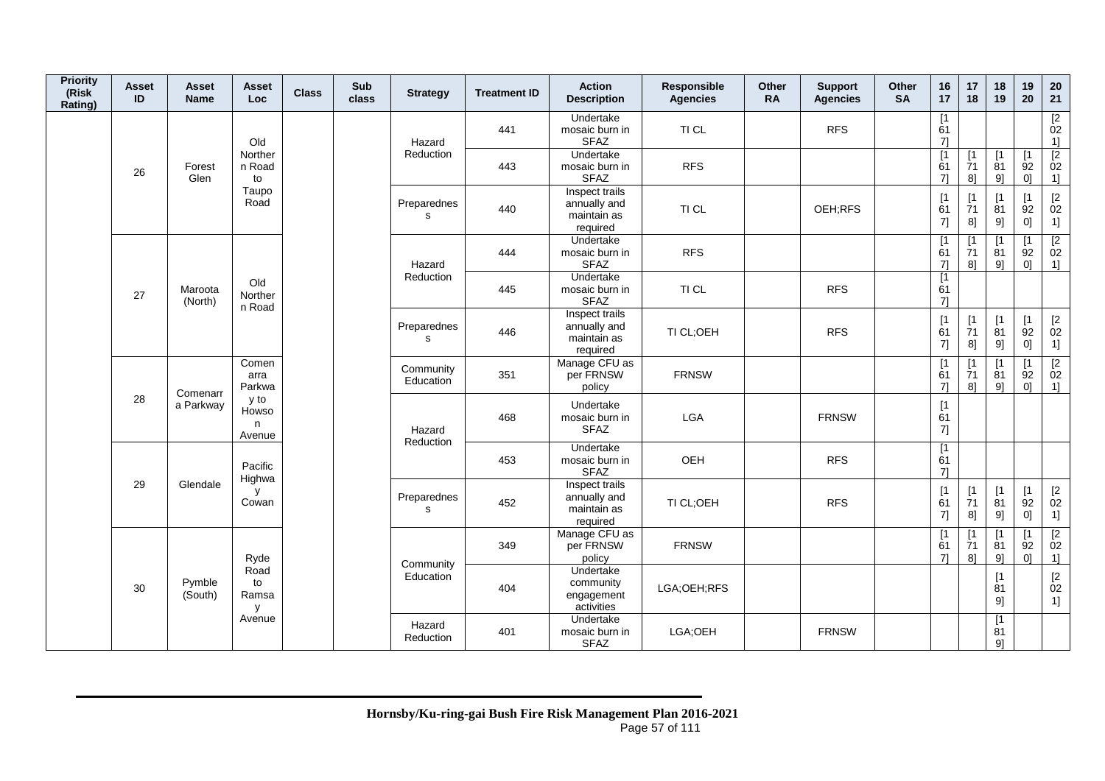| <b>Priority</b><br>(Risk<br>Rating) | Asset<br>ID    | Asset<br><b>Name</b> | Asset<br>Loc.                | <b>Class</b> | Sub<br>class | <b>Strategy</b>             | <b>Treatment ID</b>                  | <b>Action</b><br><b>Description</b>                       | Responsible<br><b>Agencies</b> | Other<br><b>RA</b> | <b>Support</b><br><b>Agencies</b> | Other<br><b>SA</b>         | 16<br>17                                            | 17<br>18                                      | 18<br>19                                   | 19<br>20                                  | 20<br>21                                                     |
|-------------------------------------|----------------|----------------------|------------------------------|--------------|--------------|-----------------------------|--------------------------------------|-----------------------------------------------------------|--------------------------------|--------------------|-----------------------------------|----------------------------|-----------------------------------------------------|-----------------------------------------------|--------------------------------------------|-------------------------------------------|--------------------------------------------------------------|
|                                     |                |                      | Old                          |              |              | Hazard                      | 441                                  | Undertake<br>mosaic burn in<br><b>SFAZ</b>                | TI CL                          |                    | <b>RFS</b>                        |                            | [1<br>61<br>$7$ ]                                   |                                               |                                            |                                           | $\frac{[2]}{02}$<br>1]                                       |
|                                     | 26             | Forest<br>Glen       | Norther<br>n Road<br>to      |              |              | Reduction                   | 443                                  | Undertake<br>mosaic burn in<br><b>SFAZ</b>                | <b>RFS</b>                     |                    |                                   |                            | $\lceil 1 \rceil$<br>61<br>71                       | $\lceil 1 \rceil$<br>$\overline{7}1$<br>$8$ ] | $\lceil 1 \rceil$<br>81<br>9]              | $\lceil 1 \rceil$<br>92<br>0]             | $\overline{2}$<br>02<br>1]                                   |
|                                     |                |                      | Taupo<br>Road                |              |              | Preparednes<br>$\mathbf{s}$ | 440                                  | Inspect trails<br>annually and<br>maintain as<br>required | TI CL                          |                    | OEH;RFS                           |                            | [1]<br>61<br>7]                                     | [1]<br>71<br>8]                               | $\sqrt{1}$<br>81<br>9]                     | $[1]$<br>92<br>0]                         | $[2]$<br>02<br>1]                                            |
|                                     |                |                      |                              |              |              | Hazard                      | 444                                  | Undertake<br>mosaic burn in<br><b>SFAZ</b>                | <b>RFS</b>                     |                    |                                   |                            | $\overline{1}$<br>61<br>71                          | [1]<br>71<br>$8$ ]                            | $\sqrt{1}$<br>81<br>9]                     | $\lceil 1 \rceil$<br>92<br>0 <sup>1</sup> | $\overline{2}$<br>02<br>1]                                   |
|                                     | 27             | Maroota<br>(North)   | Old<br>Norther<br>n Road     |              |              | Reduction                   | 445                                  | Undertake<br>mosaic burn in<br><b>SFAZ</b>                | TI CL                          |                    | <b>RFS</b>                        |                            | $\overline{11}$<br>61<br>71                         |                                               |                                            |                                           |                                                              |
|                                     |                |                      |                              |              |              | Preparednes<br>s            | 446                                  | Inspect trails<br>annually and<br>maintain as<br>required | TI CL;OEH                      |                    | <b>RFS</b>                        |                            | $\begin{array}{c} \n[1] \\ \n61\n\end{array}$<br>7] | [1]<br>$\overline{7}1$<br>8]                  | $[1]$<br>81<br>9]                          | [1]<br>92<br>0]                           | $\begin{bmatrix} 2 \\ 02 \end{bmatrix}$<br>1]                |
|                                     |                | Comenarr             | Comen<br>arra<br>Parkwa      |              |              | Community<br>Education      | 351                                  | Manage CFU as<br>per FRNSW<br>policy                      | <b>FRNSW</b>                   |                    |                                   |                            | $\lceil 1 \rceil$<br>61<br>71                       | $\lceil 1 \rceil$<br>$\overline{7}1$<br>81    | $\lceil 1 \rceil$<br>81<br>9]              | $\mathsf{I}$<br>92<br>0 <sup>1</sup>      | $\begin{array}{c} \n [2] \hline\n 02\n \end{array}$<br>$1$ ] |
|                                     | 28             | a Parkway            | y to<br>Howso<br>n<br>Avenue |              |              | Hazard<br>Reduction         | 468                                  | Undertake<br>mosaic burn in<br><b>SFAZ</b>                | LGA                            |                    | <b>FRNSW</b>                      |                            | [1]<br>61<br>7]                                     |                                               |                                            |                                           |                                                              |
|                                     |                |                      | Pacific<br>Highwa            |              |              |                             | 453                                  | Undertake<br>mosaic burn in<br><b>SFAZ</b>                | OEH                            |                    | <b>RFS</b>                        |                            | [1]<br>61<br>71                                     |                                               |                                            |                                           |                                                              |
|                                     | 29<br>Glendale |                      | y<br>Cowan                   |              |              | Preparednes<br>$\mathbf{s}$ | 452                                  | Inspect trails<br>annually and<br>maintain as<br>required | TI CL;OEH                      |                    | <b>RFS</b>                        |                            | [1]<br>61<br>7]                                     | [1<br>$\overline{7}1$<br>8]                   | [1]<br>81<br>9]                            | $[1]$<br>92<br>0]                         | $[2]$<br>02<br>1]                                            |
|                                     |                | Ryde                 |                              |              | Community    | 349                         | Manage CFU as<br>per FRNSW<br>policy | <b>FRNSW</b>                                              |                                |                    |                                   | $\overline{1}$<br>61<br>71 | $\lceil 1 \rceil$<br>71<br>$8$ ]                    | $\lceil 1 \rceil$<br>81<br>9]                 | $\lceil 1 \rceil$<br>92<br>0 <sup>1</sup>  | $\overline{2}$<br>02<br>1                 |                                                              |
|                                     | 30             | Pymble<br>(South)    | Road<br>to<br>Ramsa<br>y     |              |              | Education                   | 404                                  | Undertake<br>community<br>engagement<br>activities        | LGA;OEH;RFS                    |                    |                                   |                            |                                                     |                                               | $[1]$<br>81<br>9]                          |                                           | $\begin{array}{c} \left[ 2 \right. \\ 02 \end{array}$<br>1]  |
|                                     |                |                      | Avenue                       |              |              | Hazard<br>Reduction         | 401                                  | Undertake<br>mosaic burn in<br><b>SFAZ</b>                | LGA;OEH                        |                    | <b>FRNSW</b>                      |                            |                                                     |                                               | $\lceil 1 \rceil$<br>$\overline{8}1$<br>9] |                                           |                                                              |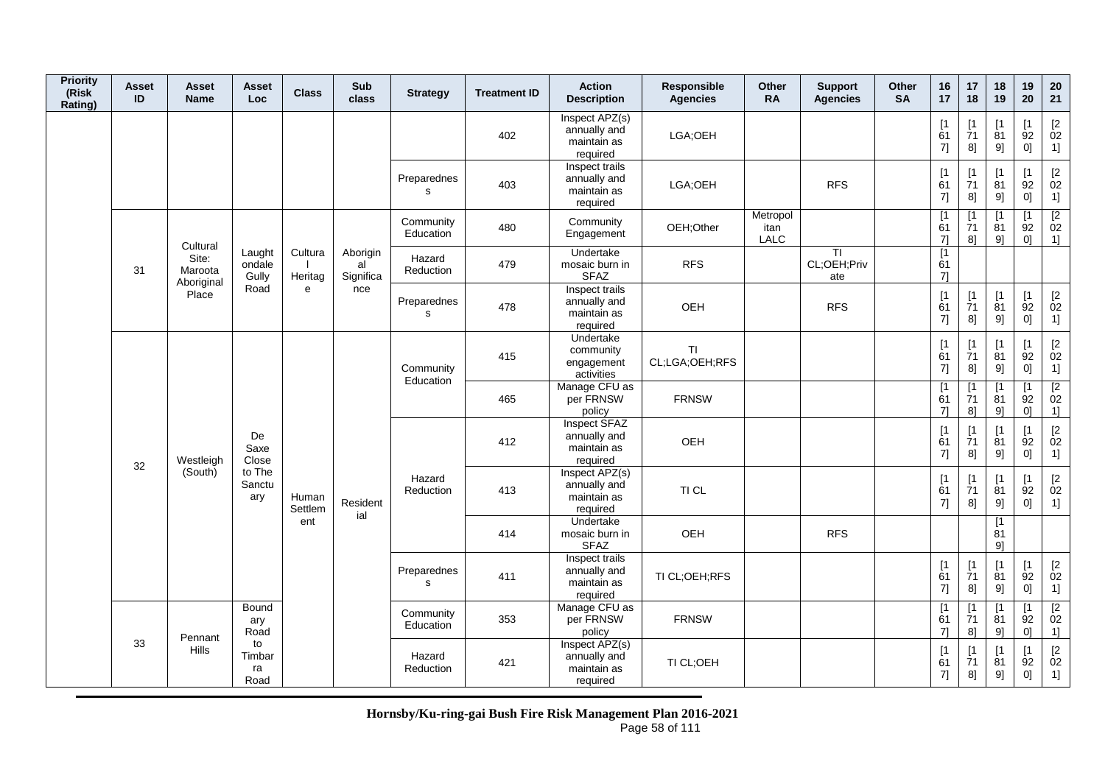| <b>Priority</b><br>(Risk<br>Rating) | <b>Asset</b><br>ID     | <b>Asset</b><br><b>Name</b>    | <b>Asset</b><br>Loc.      | <b>Class</b>       | Sub<br>class                | <b>Strategy</b>        | <b>Treatment ID</b>                                       | <b>Action</b><br><b>Description</b>                       | Responsible<br><b>Agencies</b> | Other<br><b>RA</b>              | <b>Support</b><br><b>Agencies</b> | Other<br><b>SA</b> | 16<br>17                                             | 17<br>18                      | 18<br>19                      | 19<br>20                                                    | 20<br>21                                                    |
|-------------------------------------|------------------------|--------------------------------|---------------------------|--------------------|-----------------------------|------------------------|-----------------------------------------------------------|-----------------------------------------------------------|--------------------------------|---------------------------------|-----------------------------------|--------------------|------------------------------------------------------|-------------------------------|-------------------------------|-------------------------------------------------------------|-------------------------------------------------------------|
|                                     |                        |                                |                           |                    |                             |                        | 402                                                       | Inspect APZ(s)<br>annually and<br>maintain as<br>required | LGA;OEH                        |                                 |                                   |                    | [1]<br>61<br>7]                                      | $\lceil 1 \rceil$<br>71<br>8] | [1]<br>81<br>9]               | $\mathsf{I}$<br>92<br>0]                                    | $\begin{bmatrix} 2 \\ 02 \end{bmatrix}$<br>1]               |
|                                     |                        |                                |                           |                    |                             | Preparednes<br>s       | 403                                                       | Inspect trails<br>annually and<br>maintain as<br>required | LGA;OEH                        |                                 | <b>RFS</b>                        |                    | $\begin{array}{c} \n[1] \\ \n61 \n\end{array}$<br>7] | [1<br>71<br>8]                | [1]<br>$\overline{8}1$<br>9]  | $\lceil 1 \rceil$<br>92<br>0]                               | $\begin{bmatrix} 2 \\ 02 \end{bmatrix}$<br>1]               |
|                                     |                        | Cultural                       |                           |                    |                             | Community<br>Education | 480                                                       | Community<br>Engagement                                   | OEH;Other                      | Metropol<br>itan<br><b>LALC</b> |                                   |                    | [1]<br>61<br>7]                                      | $\lceil 1 \rceil$<br>71<br>8] | $\lceil 1 \rceil$<br>81<br>91 | $\mathsf{I}$<br>92<br>01                                    | $\sqrt{2}$<br>02<br>$\overline{1}$                          |
|                                     | 31                     | Site:<br>Maroota<br>Aboriginal | Laught<br>ondale<br>Gully | Cultura<br>Heritag | Aborigin<br>al<br>Significa | Hazard<br>Reduction    | 479                                                       | Undertake<br>mosaic burn in<br><b>SFAZ</b>                | <b>RFS</b>                     |                                 | <b>TI</b><br>CL;OEH;Priv<br>ate   |                    | [1]<br>61<br>7]                                      |                               |                               |                                                             |                                                             |
|                                     |                        | Place                          | Road                      | e                  | nce                         | Preparednes<br>s       | 478                                                       | Inspect trails<br>annually and<br>maintain as<br>required | OEH                            |                                 | <b>RFS</b>                        |                    | [1]<br>61<br>7]                                      | [1]<br>71<br>8]               | [1]<br>81<br>9]               | [1]<br>92<br>0]                                             | $\begin{bmatrix} 2 \\ 02 \end{bmatrix}$<br>1]               |
|                                     |                        |                                |                           |                    |                             | Community              | 415                                                       | Undertake<br>community<br>engagement<br>activities        | ΤI<br>CL;LGA;OEH;RFS           |                                 |                                   |                    | [1]<br>61<br>7]                                      | [1]<br>71<br>8]               | [1<br>81<br>9]                | $\lceil 1 \rceil$<br>$\overline{9}2$<br>0]                  | $\begin{bmatrix} 2 \\ 02 \end{bmatrix}$<br>1]               |
|                                     |                        |                                |                           |                    |                             | Education              | 465                                                       | Manage CFU as<br>per FRNSW<br>policy                      | <b>FRNSW</b>                   |                                 |                                   |                    | $[1]$<br>61<br>$7$ ]                                 | $\mathsf{I}$<br>71<br>8]      | $\mathsf{I}$<br>81<br>91      | $\mathsf{I}$<br>92<br>01                                    | $\sqrt{2}$<br>02<br>1]                                      |
|                                     | 32                     | Westleigh                      | De<br>Saxe<br>Close       |                    |                             |                        | 412                                                       | Inspect SFAZ<br>annually and<br>maintain as<br>required   | OEH                            |                                 |                                   |                    | [1]<br>61<br>7]                                      | [1]<br>71<br>8]               | $\lceil 1 \rceil$<br>81<br>9] | $\lceil 1 \rceil$<br>92<br>0]                               | $\begin{array}{c} \left[ 2 \right. \\ 02 \end{array}$<br>1] |
|                                     |                        | (South)                        | to The<br>Sanctu<br>ary   | Human<br>Settlem   | Resident<br>ial             | Hazard<br>Reduction    | 413                                                       | Inspect APZ(s)<br>annually and<br>maintain as<br>required | TI CL                          |                                 |                                   |                    | [1]<br>61<br>7]                                      | $\lceil 1 \rceil$<br>71<br>8] | $\lceil 1 \rceil$<br>81<br>9] | $\mathsf{I}$<br>$\overline{9}2$<br>0]                       | $\begin{bmatrix} 2 \\ 02 \end{bmatrix}$<br>1]               |
|                                     |                        |                                |                           | ent                |                             |                        | 414                                                       | Undertake<br>mosaic burn in<br><b>SFAZ</b>                | OEH                            |                                 | <b>RFS</b>                        |                    |                                                      |                               | [1<br>81<br>9                 |                                                             |                                                             |
|                                     |                        |                                |                           |                    |                             | Preparednes<br>s       | 411                                                       | Inspect trails<br>annually and<br>maintain as<br>required | TI CL;OEH;RFS                  |                                 |                                   |                    | $[1]$<br>61<br>7]                                    | [1]<br>71<br>8]               | $\lceil 1 \rceil$<br>81<br>9] | $\mathsf{I}$<br>92<br>0]                                    | $\begin{bmatrix} 2 \\ 02 \end{bmatrix}$<br>1]               |
|                                     |                        |                                | Bound<br>ary<br>Road      |                    |                             | Community<br>Education | 353                                                       | Manage CFU as<br>per FRNSW<br>policy                      | <b>FRNSW</b>                   |                                 |                                   |                    | [1]<br>61<br>71                                      | $\lceil 1 \rceil$<br>71<br>8] | [1]<br>81<br>9]               | $\mathsf{I}$<br>92<br>01                                    | [2]<br>02<br>1]                                             |
|                                     | Pennant<br>33<br>Hills | to<br>Timbar<br>ra<br>Road     |                           |                    | Hazard<br>Reduction         | 421                    | Inspect APZ(s)<br>annually and<br>maintain as<br>required | TI CL;OEH                                                 |                                |                                 |                                   | [1]<br>61<br>7]    | $\lceil 1 \rceil$<br>71<br>8]                        | $\lceil 1 \rceil$<br>81<br>9] | $\lceil 1 \rceil$<br>92<br>0] | $\begin{array}{c} \left[ 2 \right. \\ 02 \end{array}$<br>1] |                                                             |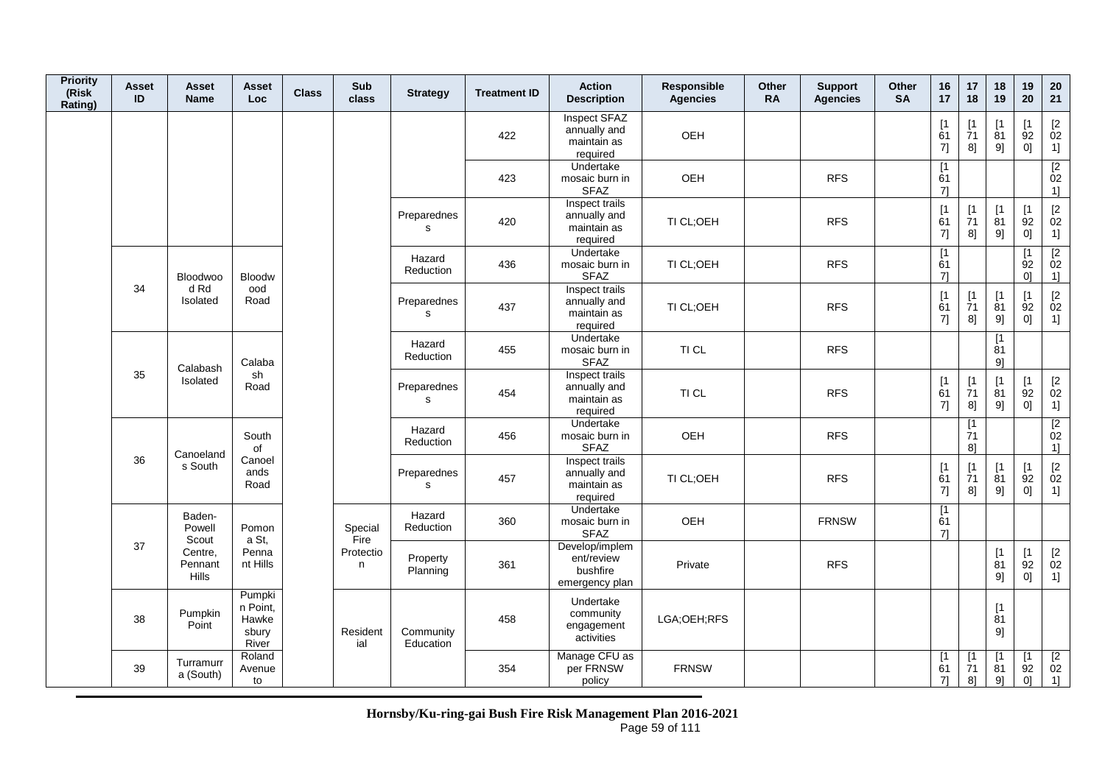| <b>Priority</b><br>(Risk<br>Rating) | Asset<br>ID | <b>Asset</b><br><b>Name</b> | Asset<br><b>Loc</b>                           | <b>Class</b> | Sub<br>class    | <b>Strategy</b>             | <b>Treatment ID</b> | <b>Action</b><br><b>Description</b>                        | Responsible<br><b>Agencies</b> | Other<br><b>RA</b> | <b>Support</b><br><b>Agencies</b> | Other<br><b>SA</b> | 16<br>17        | 17<br>18                                          | 18<br>19                      | 19<br>20                      | 20<br>21                                                          |
|-------------------------------------|-------------|-----------------------------|-----------------------------------------------|--------------|-----------------|-----------------------------|---------------------|------------------------------------------------------------|--------------------------------|--------------------|-----------------------------------|--------------------|-----------------|---------------------------------------------------|-------------------------------|-------------------------------|-------------------------------------------------------------------|
|                                     |             |                             |                                               |              |                 |                             | 422                 | Inspect SFAZ<br>annually and<br>maintain as<br>required    | OEH                            |                    |                                   |                    | [1]<br>61<br>7] | $\lceil 1 \rceil$<br>71<br>8]                     | $\lceil 1 \rceil$<br>81<br>9] | $\mathsf{I}$<br>92<br>0]      | $[2]$<br>02<br>1]                                                 |
|                                     |             |                             |                                               |              |                 |                             | 423                 | Undertake<br>mosaic burn in<br><b>SFAZ</b>                 | OEH                            |                    | <b>RFS</b>                        |                    | [1]<br>61<br>71 |                                                   |                               |                               | $\begin{array}{c} \n [2] \n 02\n \end{array}$<br>1]               |
|                                     |             |                             |                                               |              |                 | Preparednes<br>$\mathbf{s}$ | 420                 | Inspect trails<br>annually and<br>maintain as<br>required  | TI CL;OEH                      |                    | <b>RFS</b>                        |                    | [1]<br>61<br>7] | $\begin{array}{c} \n 1 \\ 71\n \end{array}$<br>8] | [1]<br>$\overline{8}1$<br>9]  | $\lceil 1 \rceil$<br>92<br>0] | $\begin{bmatrix} 2 \\ 02 \end{bmatrix}$<br>1]                     |
|                                     |             | <b>Bloodwoo</b>             | <b>Bloodw</b>                                 |              |                 | Hazard<br>Reduction         | 436                 | Undertake<br>mosaic burn in<br><b>SFAZ</b>                 | TI CL;OEH                      |                    | <b>RFS</b>                        |                    | [1]<br>61<br>7] |                                                   |                               | $\mathsf{I}$<br>92<br> 0      | [2]<br>02<br>1]                                                   |
|                                     | 34          | d Rd<br>Isolated            | ood<br>Road                                   |              |                 | Preparednes<br>s            | 437                 | Inspect trails<br>annually and<br>maintain as<br>required  | TI CL;OEH                      |                    | <b>RFS</b>                        |                    | [1]<br>61<br>7] | [1]<br>$\overline{7}1$<br>8]                      | [1]<br>81<br>9]               | $\mathsf{I}$<br>92<br>0]      | $\begin{array}{c} \left[2 \right. \\ 02 \\ 1 \right] \end{array}$ |
|                                     |             | Calabash                    | Calaba                                        |              |                 | Hazard<br>Reduction         | 455                 | Undertake<br>mosaic burn in<br><b>SFAZ</b>                 | TI CL                          |                    | <b>RFS</b>                        |                    |                 |                                                   | $[1]$<br>81<br>91             |                               |                                                                   |
|                                     | 35          | Isolated                    | sh<br>Road                                    |              |                 | Preparednes<br>$\mathbf{s}$ | 454                 | Inspect trails<br>annually and<br>maintain as<br>required  | TI CL                          |                    | <b>RFS</b>                        |                    | [1]<br>61<br>7] | [1]<br>71<br>8]                                   | [1]<br>81<br>9]               | $\mathsf{I}$<br>92<br>0]      | $\begin{bmatrix} 2 \\ 02 \end{bmatrix}$<br>1]                     |
|                                     |             | Canoeland                   | South<br>of                                   |              |                 | Hazard<br>Reduction         | 456                 | Undertake<br>mosaic burn in<br><b>SFAZ</b>                 | OEH                            |                    | <b>RFS</b>                        |                    |                 | [1<br>$\overline{7}1$<br>8]                       |                               |                               | $\begin{array}{c} \n [2] \n 02\n \end{array}$<br>1                |
|                                     | 36          | s South                     | Canoel<br>ands<br>Road                        |              |                 | Preparednes<br>$\mathbf{s}$ | 457                 | Inspect trails<br>annually and<br>maintain as<br>required  | TI CL;OEH                      |                    | <b>RFS</b>                        |                    | [1]<br>61<br>7] | [1]<br>71<br>8]                                   | [1]<br>81<br>9]               | [1]<br>92<br>0]               | $[2]$<br>02<br>1]                                                 |
|                                     |             | Baden-<br>Powell<br>Scout   | Pomon<br>a St,                                |              | Special<br>Fire | Hazard<br>Reduction         | 360                 | Undertake<br>mosaic burn in<br><b>SFAZ</b>                 | OEH                            |                    | <b>FRNSW</b>                      |                    | [1]<br>61<br>7] |                                                   |                               |                               |                                                                   |
|                                     | 37          | Centre,<br>Pennant<br>Hills | Penna<br>nt Hills                             |              | Protectio<br>n  | Property<br>Planning        | 361                 | Develop/implem<br>ent/review<br>bushfire<br>emergency plan | Private                        |                    | <b>RFS</b>                        |                    |                 |                                                   | $[1]$<br>81<br>9]             | $[1]$<br>92<br>0]             | $\mathop{02}\limits^{[2]}$<br>1]                                  |
|                                     | 38          | Pumpkin<br>Point            | Pumpki<br>n Point,<br>Hawke<br>sbury<br>River |              | Resident<br>ial | Community<br>Education      | 458                 | Undertake<br>community<br>engagement<br>activities         | LGA:OEH:RFS                    |                    |                                   |                    |                 |                                                   | [1]<br>81<br>9]               |                               |                                                                   |
|                                     | 39          | Turramurr<br>a (South)      | Roland<br>Avenue<br>to                        |              |                 |                             | 354                 | Manage CFU as<br>per FRNSW<br>policy                       | <b>FRNSW</b>                   |                    |                                   |                    | [1<br>61<br>71  | [1<br>$\overline{7}1$<br>8]                       | [1]<br>81<br>9]               | $\lceil 1 \rceil$<br>92<br>0] | $\begin{array}{c} \boxed{2} \\ 02 \end{array}$<br>1]              |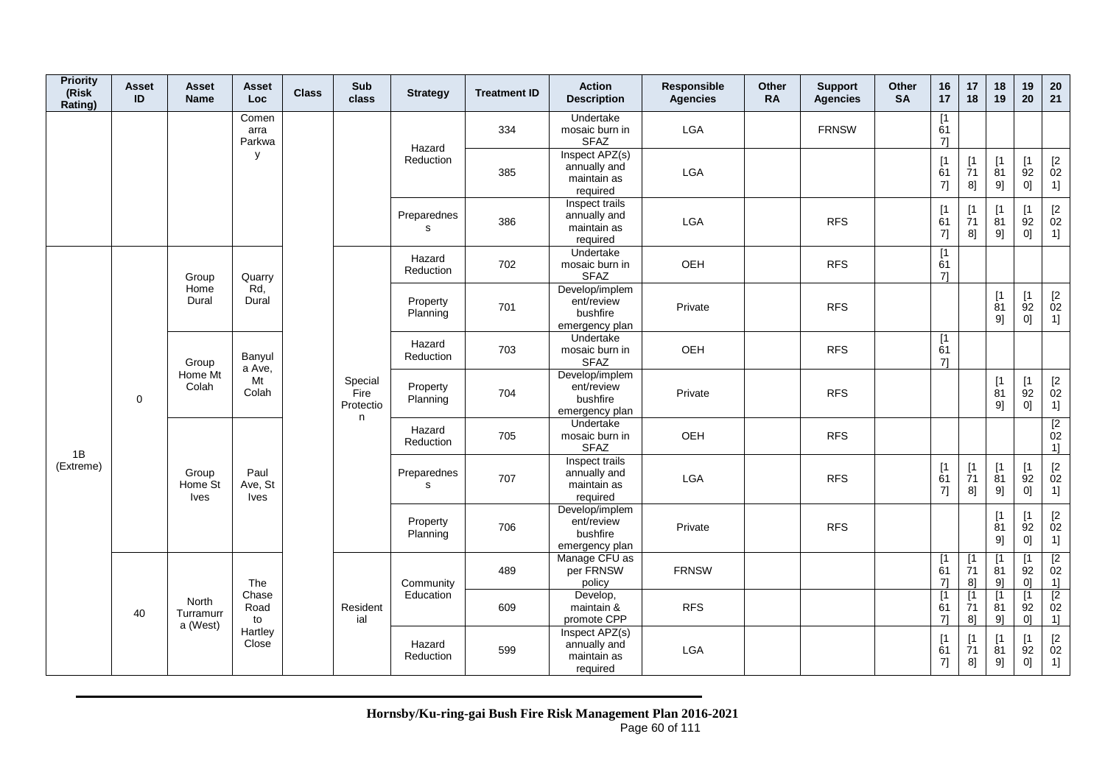| <b>Priority</b><br>(Risk<br>Rating) | <b>Asset</b><br>ID | <b>Asset</b><br><b>Name</b>     | Asset<br><b>Loc</b>            | <b>Class</b> | Sub<br>class                 | <b>Strategy</b>      | <b>Treatment ID</b> | <b>Action</b><br><b>Description</b>                        | Responsible<br><b>Agencies</b> | Other<br><b>RA</b> | <b>Support</b><br><b>Agencies</b> | Other<br><b>SA</b> | 16<br>17                      | 17<br>18                       | 18<br>19                      | 19<br>20                                  | 20<br>21                                                          |
|-------------------------------------|--------------------|---------------------------------|--------------------------------|--------------|------------------------------|----------------------|---------------------|------------------------------------------------------------|--------------------------------|--------------------|-----------------------------------|--------------------|-------------------------------|--------------------------------|-------------------------------|-------------------------------------------|-------------------------------------------------------------------|
|                                     |                    |                                 | Comen<br>arra<br>Parkwa        |              |                              | Hazard               | 334                 | Undertake<br>mosaic burn in<br><b>SFAZ</b>                 | LGA                            |                    | <b>FRNSW</b>                      |                    | $\overline{11}$<br>61<br>7]   |                                |                               |                                           |                                                                   |
|                                     |                    |                                 | У                              |              |                              | Reduction            | 385                 | Inspect APZ(s)<br>annually and<br>maintain as<br>required  | LGA                            |                    |                                   |                    | [1]<br>61<br>7]               | $[1]$<br>71<br>8]              | [1<br>81<br>9]                | [1]<br>92<br>0]                           | $\begin{array}{c} \left[2\right. \\ 02 \\ 1 \right] \end{array}$  |
|                                     |                    |                                 |                                |              |                              | Preparednes<br>s     | 386                 | Inspect trails<br>annually and<br>maintain as<br>required  | LGA                            |                    | <b>RFS</b>                        |                    | [1<br>61<br>7]                | [1<br>$\dot{7}1$<br>8]         | $\mathsf{I}$<br>81<br>9]      | [1]<br>92<br>0]                           | $\begin{array}{c} \left[2 \right. \\ 02 \\ 1 \right] \end{array}$ |
|                                     |                    | Group                           | Quarry                         |              |                              | Hazard<br>Reduction  | 702                 | Undertake<br>mosaic burn in<br><b>SFAZ</b>                 | OEH                            |                    | <b>RFS</b>                        |                    | $\sqrt{1}$<br>61<br>71        |                                |                               |                                           |                                                                   |
|                                     |                    | Home<br>Dural                   | Rd,<br>Dural                   |              |                              | Property<br>Planning | 701                 | Develop/implem<br>ent/review<br>bushfire<br>emergency plan | Private                        |                    | <b>RFS</b>                        |                    |                               |                                | [1]<br>81<br>9]               | [1]<br>92<br>0]                           | $\begin{bmatrix} 2 \\ 02 \end{bmatrix}$<br>1]                     |
|                                     |                    | Group                           | Banyul<br>a Ave,               |              |                              | Hazard<br>Reduction  | 703                 | Undertake<br>mosaic burn in<br><b>SFAZ</b>                 | OEH                            |                    | <b>RFS</b>                        |                    | [1]<br>61<br>71               |                                |                               |                                           |                                                                   |
|                                     | $\mathbf 0$        | Home Mt<br>Colah                | Mt<br>Colah                    |              | Special<br>Fire<br>Protectio | Property<br>Planning | 704                 | Develop/implem<br>ent/review<br>bushfire<br>emergency plan | Private                        |                    | <b>RFS</b>                        |                    |                               |                                | $[1]$<br>81<br>9]             | [1]<br>92<br>0]                           | $\begin{bmatrix} 2 \\ 02 \end{bmatrix}$<br>1]                     |
|                                     |                    |                                 |                                |              | n                            | Hazard<br>Reduction  | 705                 | Undertake<br>mosaic burn in<br><b>SFAZ</b>                 | OEH                            |                    | <b>RFS</b>                        |                    |                               |                                |                               |                                           | $\begin{array}{c} \n [2] \n 02\n \end{array}$<br>1]               |
| 1B<br>(Extreme)                     |                    | Group<br>Home St<br><b>Ives</b> | Paul<br>Ave, St<br><b>Ives</b> |              |                              | Preparednes<br>s     | 707                 | Inspect trails<br>annually and<br>maintain as<br>required  | LGA                            |                    | <b>RFS</b>                        |                    | [1]<br>61<br>7]               | [1]<br>$\overline{7}1$<br>8]   | [1<br>81<br>9]                | [1<br>92<br>0]                            | $\begin{array}{c} \left[2\right. \\ 02 \\ 1 \right] \end{array}$  |
|                                     |                    |                                 |                                |              |                              | Property<br>Planning | 706                 | Develop/implem<br>ent/review<br>bushfire<br>emergency plan | Private                        |                    | <b>RFS</b>                        |                    |                               |                                | [1<br>81<br>91                | [1]<br>92<br>0]                           | $\begin{array}{c} \left[2 \right. \\ 02 \\ 1 \right] \end{array}$ |
|                                     |                    |                                 | The                            |              |                              | Community            | 489                 | Manage CFU as<br>per FRNSW<br>policy                       | <b>FRNSW</b>                   |                    |                                   |                    | $\lceil 1 \rceil$<br>61<br>71 | $[1]$<br>$\overline{7}1$<br>81 | $\mathsf{I}$<br>81<br>9       | $\lceil 1 \rceil$<br>92<br>0 <sup>1</sup> | $\begin{array}{c} \boxed{2} \\ 02 \end{array}$<br>1]              |
|                                     | 40                 | North<br>Turramurr<br>a (West)  | Chase<br>Road<br>to            |              | Resident<br>ial              | Education            | 609                 | Develop,<br>maintain &<br>promote CPP                      | <b>RFS</b>                     |                    |                                   |                    | $\lceil 1 \rceil$<br>61<br>71 | [1]<br>$\overline{7}1$<br>81   | $\lceil 1 \rceil$<br>81<br>91 | $\lceil 1 \rceil$<br>92<br>0 <sup>1</sup> | $\begin{array}{c} \boxed{2} \\ 02 \end{array}$<br>1]              |
|                                     |                    |                                 | Hartley<br>Close               |              |                              | Hazard<br>Reduction  | 599                 | Inspect APZ(s)<br>annually and<br>maintain as<br>required  | LGA                            |                    |                                   |                    | [1]<br>61<br>7]               | $\lceil 1 \rceil$<br>71<br>8]  | Γ1<br>81<br>9]                | $\lceil 1 \rceil$<br>92<br>$0] \;$        | $[2]$<br>02<br>$1] \;$                                            |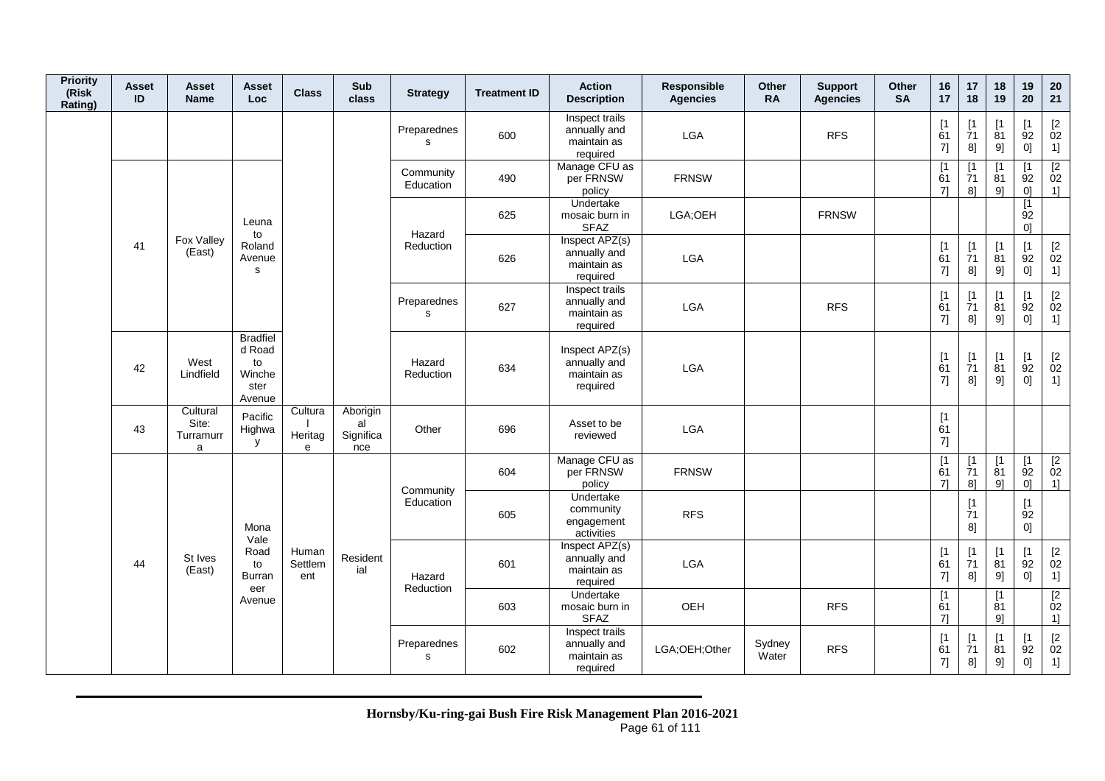| <b>Priority</b><br>(Risk<br>Rating) | <b>Asset</b><br>ID | Asset<br><b>Name</b>                | Asset<br><b>Loc</b>                                         | <b>Class</b>            | Sub<br>class                       | <b>Strategy</b>        | <b>Treatment ID</b>                                       | <b>Action</b><br><b>Description</b>                       | Responsible<br><b>Agencies</b> | <b>Other</b><br><b>RA</b> | <b>Support</b><br><b>Agencies</b> | Other<br><b>SA</b> | 16<br>17                                        | 17<br>18                                          | 18<br>19                       | 19<br>20                                      | 20<br>21                                                |
|-------------------------------------|--------------------|-------------------------------------|-------------------------------------------------------------|-------------------------|------------------------------------|------------------------|-----------------------------------------------------------|-----------------------------------------------------------|--------------------------------|---------------------------|-----------------------------------|--------------------|-------------------------------------------------|---------------------------------------------------|--------------------------------|-----------------------------------------------|---------------------------------------------------------|
|                                     |                    |                                     |                                                             |                         |                                    | Preparednes<br>s       | 600                                                       | Inspect trails<br>annually and<br>maintain as<br>required | <b>LGA</b>                     |                           | <b>RFS</b>                        |                    | $[1]$<br>61<br>7]                               | [1<br>71<br>81                                    | [1]<br>81<br>9]                | $\mathsf{I}$<br>92<br>0]                      | $\begin{bmatrix} 2 \\ 02 \end{bmatrix}$<br>1]           |
|                                     |                    |                                     |                                                             |                         |                                    | Community<br>Education | 490                                                       | Manage CFU as<br>per FRNSW<br>policy                      | <b>FRNSW</b>                   |                           |                                   |                    | $\lceil 1 \rceil$<br>61<br>71                   | $\mathsf{I}$<br>$\overline{7}1$<br>81             | $\lceil 1 \rceil$<br>81<br>9   | $\mathsf{I}$<br>92<br>0 <sup>1</sup>          | $\begin{array}{c} \boxed{2} \\ 02 \end{array}$<br>$1$ ] |
|                                     |                    |                                     | Leuna<br>to                                                 |                         |                                    | Hazard                 | 625                                                       | Undertake<br>mosaic burn in<br><b>SFAZ</b>                | LGA;OEH                        |                           | <b>FRNSW</b>                      |                    |                                                 |                                                   |                                | $\overline{11}$<br>92<br>0]                   |                                                         |
|                                     | 41                 | Fox Valley<br>(East)                | Roland<br>Avenue<br>s                                       |                         |                                    | Reduction              | 626                                                       | Inspect APZ(s)<br>annually and<br>maintain as<br>required | LGA                            |                           |                                   |                    | [1]<br>61<br>$7] \qquad \qquad \rule{2mm}{2mm}$ | $\begin{array}{c} \n 1 \\ 71\n \end{array}$<br>8] | $[1]$<br>$\overline{8}1$<br>9] | [1]<br>92<br>0]                               | $\begin{bmatrix} 2 \\ 02 \end{bmatrix}$<br>1]           |
|                                     | West<br>42         |                                     |                                                             |                         | Preparednes<br>$\mathbf{s}$        | 627                    | Inspect trails<br>annually and<br>maintain as<br>required | LGA                                                       |                                | <b>RFS</b>                |                                   | [1]<br>61<br>7]    | [1<br>71<br>8]                                  | [1]<br>81<br>9]                                   | $\mathsf{I}$<br>92<br>0]       | $\begin{bmatrix} 2 \\ 02 \end{bmatrix}$<br>1] |                                                         |
|                                     |                    | Lindfield                           | <b>Bradfiel</b><br>d Road<br>to<br>Winche<br>ster<br>Avenue |                         |                                    | Hazard<br>Reduction    | 634                                                       | Inspect APZ(s)<br>annually and<br>maintain as<br>required | <b>LGA</b>                     |                           |                                   |                    | [1]<br>61<br>7]                                 | [1]<br>71<br>8]                                   | [1]<br>81<br>9]                | $\mathsf{I}$<br>92<br> 0                      | $\begin{bmatrix} 2 \\ 02 \end{bmatrix}$<br>1]           |
|                                     | 43                 | Cultural<br>Site:<br>Turramurr<br>a | Pacific<br>Highwa<br>y                                      | Cultura<br>Heritag<br>e | Aborigin<br>al<br>Significa<br>nce | Other                  | 696                                                       | Asset to be<br>reviewed                                   | <b>LGA</b>                     |                           |                                   |                    | [1]<br>61<br>7]                                 |                                                   |                                |                                               |                                                         |
|                                     |                    |                                     |                                                             |                         |                                    | Community              | 604                                                       | Manage CFU as<br>per FRNSW<br>policy                      | <b>FRNSW</b>                   |                           |                                   |                    | $\overline{1}$<br>61<br>71                      | [1]<br>71<br>8]                                   | [1]<br>81<br>9                 | [1]<br>92<br>0 <sup>1</sup>                   | $\begin{array}{c} \boxed{2} \\ 02 \end{array}$<br>1]    |
|                                     | 44                 |                                     | Mona<br>Vale                                                |                         |                                    | Education              | 605                                                       | Undertake<br>community<br>engagement<br>activities        | <b>RFS</b>                     |                           |                                   |                    |                                                 | $[1]$<br>$\overline{7}1$<br>8]                    |                                | [1]<br>92<br>0]                               |                                                         |
|                                     |                    | St Ives<br>(East)                   | Road<br>to<br>Burran<br>eer                                 | Human<br>Settlem<br>ent | Resident<br>ial                    | Hazard<br>Reduction    | 601                                                       | Inspect APZ(s)<br>annually and<br>maintain as<br>required | LGA                            |                           |                                   |                    | [1]<br>61<br>7]                                 | [1]<br>$\overline{7}1$<br>8]                      | [1]<br>$\overline{8}1$<br>9]   | $\lceil 1 \rceil$<br>92<br>0]                 | $\begin{bmatrix} 2 \\ 02 \end{bmatrix}$<br>1]           |
|                                     |                    |                                     | Avenue                                                      |                         |                                    |                        | 603                                                       | Undertake<br>mosaic burn in<br><b>SFAZ</b>                | OEH                            |                           | <b>RFS</b>                        |                    | [1<br>61<br>71                                  |                                                   | [1]<br>81<br>9                 |                                               | [2]<br>02<br>1]                                         |
|                                     |                    |                                     |                                                             |                         |                                    | Preparednes<br>s       | 602                                                       | Inspect trails<br>annually and<br>maintain as<br>required | LGA;OEH;Other                  | Sydney<br>Water           | <b>RFS</b>                        |                    | [1]<br>61<br>7]                                 | $\mathsf{I}$<br>71<br>8]                          | [1]<br>81<br>9]                | $\lceil 1 \rceil$<br>92<br>0]                 | $\begin{bmatrix} 2 \\ 02 \end{bmatrix}$<br>1]           |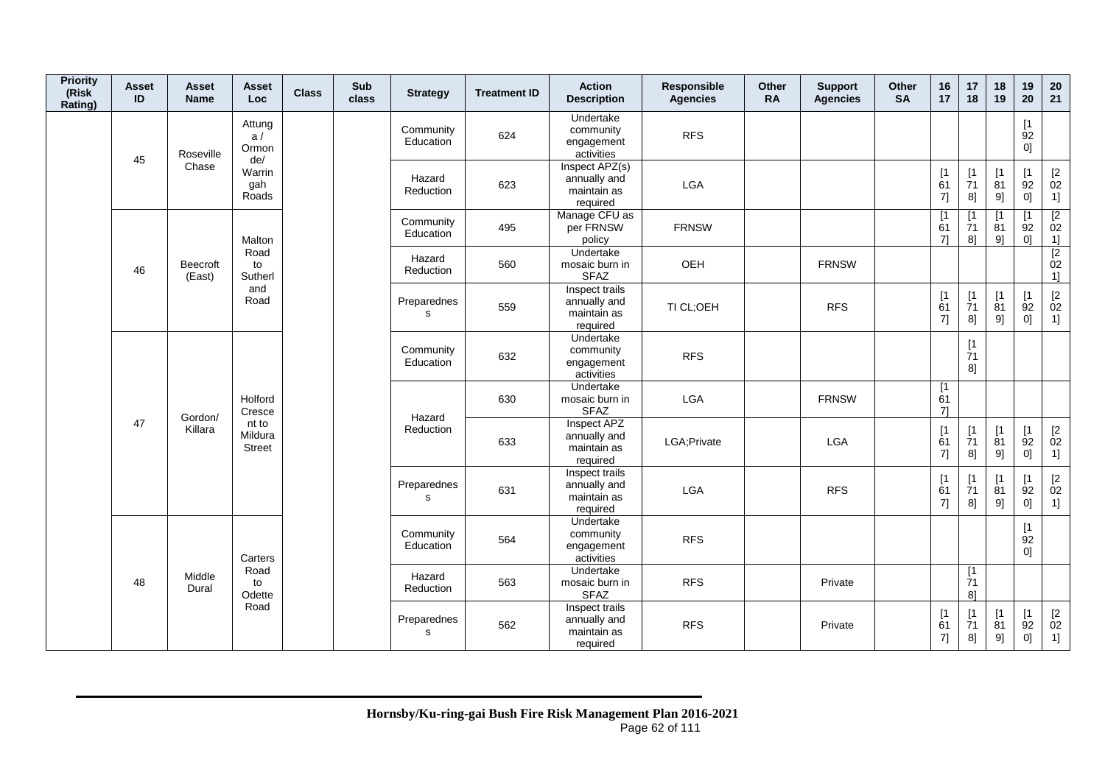| <b>Priority</b><br>(Risk<br>Rating) | Asset<br>ID | Asset<br><b>Name</b>     | <b>Asset</b><br>Loc.              | <b>Class</b> | Sub<br>class | <b>Strategy</b>        | <b>Treatment ID</b> | <b>Action</b><br><b>Description</b>                       | Responsible<br><b>Agencies</b> | Other<br><b>RA</b> | <b>Support</b><br><b>Agencies</b> | Other<br><b>SA</b> | 16<br>17        | 17<br>18                       | 18<br>19                    | 19<br>20                      | 20<br>21                                                         |
|-------------------------------------|-------------|--------------------------|-----------------------------------|--------------|--------------|------------------------|---------------------|-----------------------------------------------------------|--------------------------------|--------------------|-----------------------------------|--------------------|-----------------|--------------------------------|-----------------------------|-------------------------------|------------------------------------------------------------------|
|                                     | 45          | Roseville                | Attung<br>a/<br>Ormon<br>de/      |              |              | Community<br>Education | 624                 | Undertake<br>community<br>engagement<br>activities        | <b>RFS</b>                     |                    |                                   |                    |                 |                                |                             | $\lceil 1 \rceil$<br>92<br>0] |                                                                  |
|                                     |             | Chase                    | Warrin<br>gah<br>Roads            |              |              | Hazard<br>Reduction    | 623                 | Inspect APZ(s)<br>annually and<br>maintain as<br>required | LGA                            |                    |                                   |                    | [1]<br>61<br>7] | [1]<br>$\dot{7}1$<br>8]        | $[1]$<br>$\dot{8}1$<br>9]   | [1]<br>92<br>0]               | $\mathop{02}\limits^{[2]}$<br>1]                                 |
|                                     |             |                          | Malton                            |              |              | Community<br>Education | 495                 | Manage CFU as<br>per FRNSW<br>policy                      | <b>FRNSW</b>                   |                    |                                   |                    | [1<br>61<br>71  | $\overline{1}$<br>71<br>8]     | $\overline{11}$<br>81<br>9] | [1]<br>92<br>01               | $\frac{2}{1}$<br>$\frac{1}{2}$<br>02                             |
|                                     | 46          | Beecroft<br>(East)       | Road<br>to<br>Sutherl             |              |              | Hazard<br>Reduction    | 560                 | Undertake<br>mosaic burn in<br><b>SFAZ</b>                | OEH                            |                    | <b>FRNSW</b>                      |                    |                 |                                |                             |                               | 1]                                                               |
|                                     |             |                          | and<br>Road                       |              |              | Preparednes<br>s       | 559                 | Inspect trails<br>annually and<br>maintain as<br>required | TI CL;OEH                      |                    | <b>RFS</b>                        |                    | [1]<br>61<br>7] | $[1]$<br>71<br>8]              | [1]<br>81<br>9]             | $[1]$<br>92<br>0]             | $\begin{array}{c} \left[2\right. \\ 02 \\ 1 \right] \end{array}$ |
|                                     |             |                          |                                   |              |              | Community<br>Education | 632                 | Undertake<br>community<br>engagement<br>activities        | <b>RFS</b>                     |                    |                                   |                    |                 | $[1]$<br>$\overline{7}1$<br>8] |                             |                               |                                                                  |
|                                     |             |                          | Holford<br>Cresce                 |              |              | Hazard                 | 630                 | Undertake<br>mosaic burn in<br><b>SFAZ</b>                | LGA                            |                    | <b>FRNSW</b>                      |                    | [1]<br>61<br>71 |                                |                             |                               |                                                                  |
|                                     |             | Gordon/<br>47<br>Killara | nt to<br>Mildura<br><b>Street</b> |              |              | Reduction              | 633                 | Inspect APZ<br>annually and<br>maintain as<br>required    | LGA; Private                   |                    | LGA                               |                    | [1]<br>61<br>7] | [1]<br>$\overline{7}1$<br>8]   | [1]<br>81<br>9]             | [1]<br>92<br>0]               | $\mathop{02}\limits^{[2]}$<br>1]                                 |
|                                     |             |                          |                                   |              |              | Preparednes<br>s       | 631                 | Inspect trails<br>annually and<br>maintain as<br>required | <b>LGA</b>                     |                    | <b>RFS</b>                        |                    | [1]<br>61<br>7] | [1]<br>$\overline{7}1$<br>8]   | [1<br>81<br>9]              | [1]<br>92<br>0]               | $\frac{[2]}{02}$<br>1]                                           |
|                                     |             |                          | Carters                           |              |              | Community<br>Education | 564                 | Undertake<br>community<br>engagement<br>activities        | <b>RFS</b>                     |                    |                                   |                    |                 |                                |                             | [1]<br>92<br>0]               |                                                                  |
|                                     | 48          | Middle<br>Dural          | Road<br>to<br>Odette              |              |              | Hazard<br>Reduction    | 563                 | Undertake<br>mosaic burn in<br><b>SFAZ</b>                | <b>RFS</b>                     |                    | Private                           |                    |                 | [1]<br>71<br>8 <sup>1</sup>    |                             |                               |                                                                  |
|                                     |             |                          | Road                              |              |              | Preparednes<br>s       | 562                 | Inspect trails<br>annually and<br>maintain as<br>required | <b>RFS</b>                     |                    | Private                           |                    | [1]<br>61<br>7] | [1]<br>71<br>8]                | [1]<br>81<br>9]             | [1]<br>92<br>0]               | $\mathop{02}\limits^{[2]}$<br>1]                                 |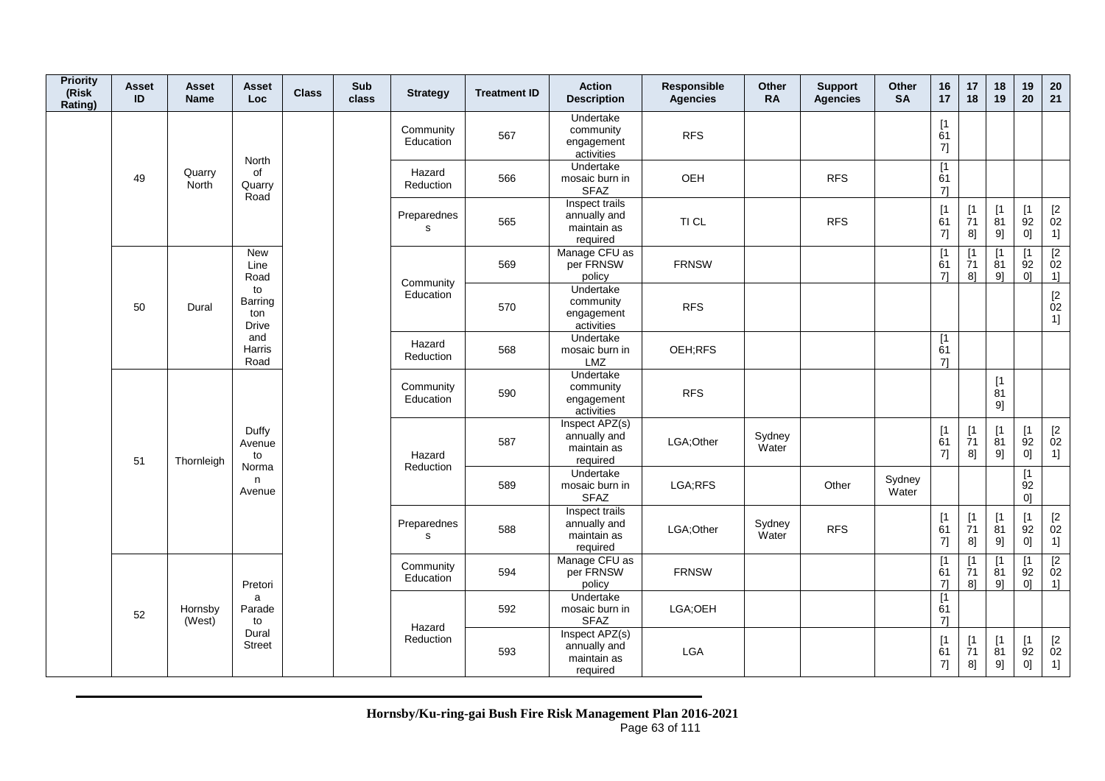| <b>Priority</b><br>(Risk<br>Rating) | <b>Asset</b><br>ID | Asset<br><b>Name</b>   | Asset<br>Loc                         | <b>Class</b> | Sub<br>class | <b>Strategy</b>            | <b>Treatment ID</b> | <b>Action</b><br><b>Description</b>                       | Responsible<br><b>Agencies</b> | Other<br><b>RA</b> | <b>Support</b><br><b>Agencies</b> | Other<br><b>SA</b> | 16<br>17                                                 | 17<br>18                                                                   | 18<br>19                                      | 19<br>20                      | 20<br>21                                                    |
|-------------------------------------|--------------------|------------------------|--------------------------------------|--------------|--------------|----------------------------|---------------------|-----------------------------------------------------------|--------------------------------|--------------------|-----------------------------------|--------------------|----------------------------------------------------------|----------------------------------------------------------------------------|-----------------------------------------------|-------------------------------|-------------------------------------------------------------|
|                                     |                    |                        | North                                |              |              | Community<br>Education     | 567                 | Undertake<br>community<br>engagement<br>activities        | <b>RFS</b>                     |                    |                                   |                    | [1]<br>61<br>7]                                          |                                                                            |                                               |                               |                                                             |
|                                     | 49                 | Quarry<br><b>North</b> | of<br>Quarry<br>Road                 |              |              | Hazard<br>Reduction        | 566                 | Undertake<br>mosaic burn in<br><b>SFAZ</b>                | OEH                            |                    | <b>RFS</b>                        |                    | [1]<br>61<br>71                                          |                                                                            |                                               |                               |                                                             |
|                                     |                    |                        |                                      |              |              | Preparednes<br>s           | 565                 | Inspect trails<br>annually and<br>maintain as<br>required | TI CL                          |                    | <b>RFS</b>                        |                    | $\begin{array}{c} \n[1] \\ \n61\n\end{array}$<br>$7] \;$ | $\begin{array}{c} \left[ 1 \right. \\ \left. 71 \right. \end{array}$<br>8] | $\begin{bmatrix} 1 \\ 81 \end{bmatrix}$<br>9] | [1]<br>92<br>0]               | $\mathop{02}\limits^{[2]}$<br>1]                            |
|                                     |                    |                        | New<br>Line<br>Road                  |              |              | Community                  | 569                 | Manage CFU as<br>per FRNSW<br>policy                      | <b>FRNSW</b>                   |                    |                                   |                    | $\overline{1}$<br>61<br>71                               | [1<br>$\overline{7}1$<br>8]                                                | [1<br>$\overline{8}1$<br>91                   | $\lceil 1 \rceil$<br>92<br>0] | $\overline{2}$<br>02<br>1]                                  |
|                                     | 50                 | Dural                  | to<br>Barring<br>ton<br><b>Drive</b> |              |              | Education                  | 570                 | Undertake<br>community<br>engagement<br>activities        | <b>RFS</b>                     |                    |                                   |                    |                                                          |                                                                            |                                               |                               | $\begin{array}{c} \left[ 2 \right. \\ 02 \end{array}$<br>1] |
|                                     |                    |                        | and<br>Harris<br>Road                |              |              | Hazard<br>Reduction        | 568                 | Undertake<br>mosaic burn in<br><b>LMZ</b>                 | OEH;RFS                        |                    |                                   |                    | [1]<br>61<br>71                                          |                                                                            |                                               |                               |                                                             |
|                                     |                    |                        |                                      |              |              | Community<br>Education     | 590                 | Undertake<br>community<br>engagement<br>activities        | <b>RFS</b>                     |                    |                                   |                    |                                                          |                                                                            | $[1]$<br>$\overline{81}$<br>9]                |                               |                                                             |
|                                     | 51                 | Thornleigh             | Duffy<br>Avenue<br>to                |              |              | Hazard                     | 587                 | Inspect APZ(s)<br>annually and<br>maintain as<br>required | LGA;Other                      | Sydney<br>Water    |                                   |                    | [1]<br>61<br>7]                                          | [1]<br>$\overline{7}1$<br>8]                                               | [1]<br>$\overline{81}$<br>9]                  | [1]<br>92<br>[0]              | $\mathop{02}\limits^{[2]}$<br>1]                            |
|                                     |                    |                        | Norma<br>n.<br>Avenue                |              |              | Reduction                  | 589                 | Undertake<br>mosaic burn in<br><b>SFAZ</b>                | LGA;RFS                        |                    | Other                             | Sydney<br>Water    |                                                          |                                                                            |                                               | [1]<br>$\overline{92}$<br>0]  |                                                             |
|                                     |                    |                        |                                      |              |              | Preparednes<br>$\mathbf s$ | 588                 | Inspect trails<br>annually and<br>maintain as<br>required | LGA;Other                      | Sydney<br>Water    | <b>RFS</b>                        |                    | $\begin{array}{c} \n[1] \\ \n61\n\end{array}$<br>7]      | $\begin{array}{c} \frac{1}{7} \end{array}$<br>8]                           | $\begin{bmatrix} 1 \\ 81 \end{bmatrix}$<br>9] | [1]<br>$\overline{9}2$<br>0]  | $\underset{02}{[2}$<br>1]                                   |
|                                     |                    |                        | Pretori                              |              |              | Community<br>Education     | 594                 | Manage CFU as<br>per FRNSW<br>policy                      | <b>FRNSW</b>                   |                    |                                   |                    | [1]<br>61<br>71                                          | [1<br>$\overline{7}1$<br>8]                                                | [1<br>81<br>91                                | $\lceil 1 \rceil$<br>92<br>0] | $\overline{2}$<br>02<br>1]                                  |
|                                     | 52                 | Hornsby<br>(West)      | a<br>Parade<br>to                    |              |              | Hazard                     | 592                 | Undertake<br>mosaic burn in<br><b>SFAZ</b>                | LGA;OEH                        |                    |                                   |                    | [1]<br>61<br>71                                          |                                                                            |                                               |                               |                                                             |
|                                     |                    |                        | Dural<br><b>Street</b>               |              |              | Reduction                  | 593                 | Inspect APZ(s)<br>annually and<br>maintain as<br>required | LGA                            |                    |                                   |                    | [1]<br>61<br>7]                                          | $\lceil 1 \rceil$<br>71<br>8]                                              | [1]<br>81<br>9]                               | [1<br>92<br>0]                | $[2]$<br>02<br>1]                                           |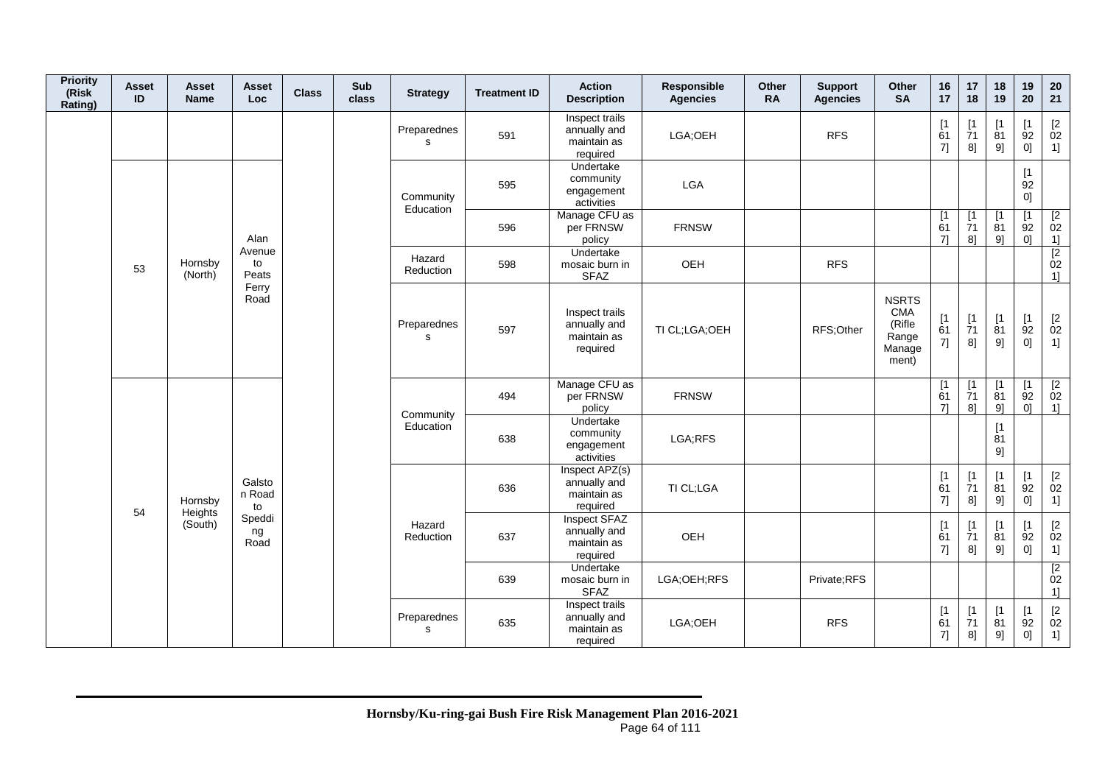| <b>Priority</b><br>(Risk<br>Rating) | <b>Asset</b><br>ID | Asset<br><b>Name</b>     | Asset<br>Loc           | <b>Class</b> | Sub<br>class | <b>Strategy</b>             | <b>Treatment ID</b> | <b>Action</b><br><b>Description</b>                       | Responsible<br><b>Agencies</b> | Other<br><b>RA</b> | <b>Support</b><br><b>Agencies</b> | Other<br><b>SA</b>                                               | 16<br>17                         | $17$<br>18                     | 18<br>19                      | 19<br>20                                       | $20\,$<br>21                                                      |
|-------------------------------------|--------------------|--------------------------|------------------------|--------------|--------------|-----------------------------|---------------------|-----------------------------------------------------------|--------------------------------|--------------------|-----------------------------------|------------------------------------------------------------------|----------------------------------|--------------------------------|-------------------------------|------------------------------------------------|-------------------------------------------------------------------|
|                                     |                    |                          |                        |              |              | Preparednes<br>s            | 591                 | Inspect trails<br>annually and<br>maintain as<br>required | LGA;OEH                        |                    | <b>RFS</b>                        |                                                                  | [1]<br>61<br>7]                  | $[1]$<br>71<br>8]              | [1<br>81<br>9]                | [1]<br>92<br>0]                                | $\begin{array}{c} \left[2\right. \\ 02 \\ 1 \right] \end{array}$  |
|                                     |                    |                          |                        |              |              | Community<br>Education      | 595                 | Undertake<br>community<br>engagement<br>activities        | LGA                            |                    |                                   |                                                                  |                                  |                                |                               | $\lceil 1 \rceil$<br>92<br>0]                  |                                                                   |
|                                     |                    |                          | Alan                   |              |              |                             | 596                 | Manage CFU as<br>per FRNSW<br>policy                      | <b>FRNSW</b>                   |                    |                                   |                                                                  | [1<br>61<br>71                   | [1]<br>$\overline{7}1$<br>8]   | $\lceil 1 \rceil$<br>81<br>9] | [1<br>92<br>0 <sup>1</sup>                     | $\sqrt{2}$<br>02<br>1]                                            |
|                                     | 53                 | Hornsby<br>(North)       | Avenue<br>to<br>Peats  |              |              | Hazard<br>Reduction         | 598                 | Undertake<br>mosaic burn in<br><b>SFAZ</b>                | OEH                            |                    | <b>RFS</b>                        |                                                                  |                                  |                                |                               |                                                | $\begin{array}{c} \boxed{2} \\ 02 \end{array}$<br>1]              |
|                                     |                    |                          | Ferry<br>Road          |              |              | Preparednes<br>$\mathbf{s}$ | 597                 | Inspect trails<br>annually and<br>maintain as<br>required | TI CL;LGA;OEH                  |                    | RFS;Other                         | <b>NSRTS</b><br><b>CMA</b><br>(Rifle<br>Range<br>Manage<br>ment) | [1]<br>61<br>7]                  | $[1]$<br>$\overline{7}1$<br>8] | [1]<br>$\overline{8}1$<br>9]  | [1]<br>92<br>0]                                | $\begin{array}{c} \left[2 \right. \\ 02 \\ 1 \right] \end{array}$ |
|                                     |                    |                          |                        |              |              | Community                   | 494                 | Manage CFU as<br>per FRNSW<br>policy                      | <b>FRNSW</b>                   |                    |                                   |                                                                  | $\lceil 1 \rceil$<br>61<br>$7$ ] | [1]<br>71<br>8]                | [1<br>81<br>9]                | [1<br>92<br>0 <sup>1</sup>                     | [2]<br>02<br>1]                                                   |
|                                     |                    |                          |                        |              |              | Education                   | 638                 | Undertake<br>community<br>engagement<br>activities        | LGA;RFS                        |                    |                                   |                                                                  |                                  |                                | [1]<br>81<br>9]               |                                                |                                                                   |
|                                     |                    | Hornsby                  | Galsto<br>n Road<br>to |              |              |                             | 636                 | Inspect APZ(s)<br>annually and<br>maintain as<br>required | TI CL;LGA                      |                    |                                   |                                                                  | [1<br>61<br>7]                   | [1]<br>71<br>8]                | [1]<br>81<br>9]               | [1]<br>92<br>0]                                | $\begin{array}{c} \left[2\right. \\ 02 \\ 1 \right] \end{array}$  |
|                                     |                    | 54<br>Heights<br>(South) | Speddi<br>ng<br>Road   |              |              | Hazard<br>Reduction         | 637                 | Inspect SFAZ<br>annually and<br>maintain as<br>required   | OEH                            |                    |                                   |                                                                  | [1<br>61<br>7]                   | [1]<br>$\dot{7}1$<br>8]        | [1<br>81<br>9]                | [1<br>92<br> 0                                 | $\begin{bmatrix} 2 \\ 02 \end{bmatrix}$<br>1]                     |
|                                     |                    |                          |                        |              |              |                             | 639                 | Undertake<br>mosaic burn in<br><b>SFAZ</b>                | LGA;OEH;RFS                    |                    | Private;RFS                       |                                                                  |                                  |                                |                               |                                                | $\begin{array}{c} \boxed{2} \\ 02 \end{array}$<br>1]              |
|                                     |                    |                          |                        |              |              | Preparednes<br>s            | 635                 | Inspect trails<br>annually and<br>maintain as<br>required | LGA;OEH                        |                    | <b>RFS</b>                        |                                                                  | $\lceil 1 \rceil$<br>61<br>7]    | $\lceil 1 \rceil$<br>71<br>8]  | $\mathsf{I}$<br>81<br>9]      | $\lceil 1 \rceil$<br>92<br>$0] \hspace{.05cm}$ | $[2]$<br>02<br>1]                                                 |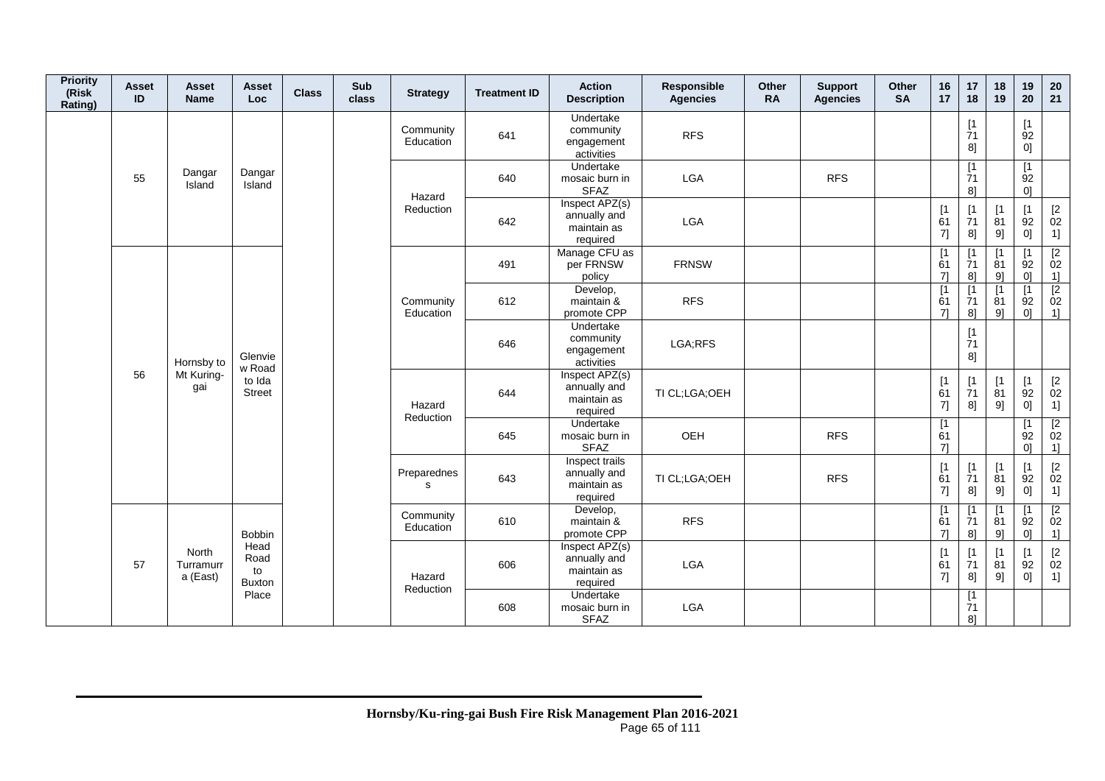| <b>Priority</b><br>(Risk<br>Rating) | Asset<br>ID                    | <b>Asset</b><br><b>Name</b>         | <b>Asset</b><br>Loc | <b>Class</b> | Sub<br>class | <b>Strategy</b>             | <b>Treatment ID</b>                                       | <b>Action</b><br><b>Description</b>                       | Responsible<br><b>Agencies</b> | Other<br><b>RA</b> | <b>Support</b><br><b>Agencies</b> | Other<br><b>SA</b> | 16<br>17                    | 17<br>18                                | 18<br>19                | 19<br>20                                      | 20<br>21                                                         |
|-------------------------------------|--------------------------------|-------------------------------------|---------------------|--------------|--------------|-----------------------------|-----------------------------------------------------------|-----------------------------------------------------------|--------------------------------|--------------------|-----------------------------------|--------------------|-----------------------------|-----------------------------------------|-------------------------|-----------------------------------------------|------------------------------------------------------------------|
|                                     |                                |                                     |                     |              |              | Community<br>Education      | 641                                                       | Undertake<br>community<br>engagement<br>activities        | <b>RFS</b>                     |                    |                                   |                    |                             | $[1]$<br>71<br>8]                       |                         | [1]<br>92<br>0]                               |                                                                  |
|                                     | 55                             | Dangar<br>Island                    | Dangar<br>Island    |              |              | Hazard                      | 640                                                       | Undertake<br>mosaic burn in<br><b>SFAZ</b>                | LGA                            |                    | <b>RFS</b>                        |                    |                             | $[1]$<br>71<br>8 <sup>1</sup>           |                         | [1]<br>92<br>0 <sup>1</sup>                   |                                                                  |
|                                     |                                |                                     |                     |              |              | Reduction                   | 642                                                       | Inspect APZ(s)<br>annually and<br>maintain as<br>required | LGA                            |                    |                                   |                    | [1]<br>61<br>7]             | [1]<br>$\overline{7}1$<br>8]            | $[1]$<br>81<br>9]       | [1]<br>92<br>0]                               | $\begin{array}{c} \left[2\right. \\ 02 \\ 1 \right] \end{array}$ |
|                                     |                                |                                     |                     |              |              |                             | 491                                                       | Manage CFU as<br>per FRNSW<br>policy                      | <b>FRNSW</b>                   |                    |                                   |                    | [1<br>61<br>71              | [1<br>$\overline{7}1$<br>8]             | [1<br>81<br>91          | [1<br>92<br>$\Omega$                          | $\begin{array}{c} \boxed{2} \\ 02 \end{array}$                   |
|                                     | 56                             |                                     |                     |              |              | Community<br>Education      | 612                                                       | Develop,<br>maintain &<br>promote CPP                     | <b>RFS</b>                     |                    |                                   |                    | [1]<br>61<br>71             | $\overline{11}$<br>71<br>8 <sup>1</sup> | [1]<br>81<br>91         | [1]<br>92<br>01                               | $\frac{11}{2}$<br>02<br>1]                                       |
|                                     |                                | Hornsby to                          | Glenvie<br>w Road   |              |              |                             | 646                                                       | Undertake<br>community<br>engagement<br>activities        | LGA;RFS                        |                    |                                   |                    |                             | $[1]$<br>71<br>8]                       |                         |                                               |                                                                  |
|                                     |                                | Mt Kuring-<br>gai                   | to Ida<br>Street    |              |              | Hazard<br>Reduction         | 644                                                       | Inspect APZ(s)<br>annually and<br>maintain as<br>required | TI CL;LGA;OEH                  |                    |                                   |                    | [1]<br>61<br>7]             | [1]<br>$\overline{7}1$<br>8]            | [1]<br>$\dot{8}1$<br>9] | $\begin{bmatrix} 1 \\ 92 \end{bmatrix}$<br>01 | $\mathop{02}\limits^{[2]}$<br>1]                                 |
|                                     |                                |                                     |                     |              |              |                             | 645                                                       | Undertake<br>mosaic burn in<br><b>SFAZ</b>                | OEH                            |                    | <b>RFS</b>                        |                    | $\overline{11}$<br>61<br>71 |                                         |                         | $\lceil 1 \rceil$<br>92<br>0 <sup>1</sup>     | $\begin{array}{c} \boxed{2} \\ 02 \end{array}$<br>1]             |
|                                     |                                |                                     |                     |              |              | Preparednes<br>$\mathbf{s}$ | 643                                                       | Inspect trails<br>annually and<br>maintain as<br>required | TI CL;LGA;OEH                  |                    | <b>RFS</b>                        |                    | [1]<br>61<br>7]             | [1]<br>$\overline{7}1$<br>8]            | [1]<br>81<br>9]         | [1]<br>92<br>01                               | $\begin{array}{c} \left[2\right. \\ 02 \\ 1 \right] \end{array}$ |
|                                     |                                |                                     | <b>Bobbin</b>       |              |              | Community<br>Education      | 610                                                       | Develop,<br>maintain &<br>promote CPP                     | <b>RFS</b>                     |                    |                                   |                    | [1]<br>61<br>71             | [1]<br>71<br>8]                         | $\mathsf{I}$<br>81<br>9 | $\mathsf{I}$<br>92<br>01                      | [2]<br>$\begin{array}{c} 02 \\ 1 \end{array}$                    |
| 57                                  | North<br>Turramurr<br>a (East) | Head<br>Road<br>to<br><b>Buxton</b> |                     |              | Hazard       | 606                         | Inspect APZ(s)<br>annually and<br>maintain as<br>required | LGA                                                       |                                |                    |                                   | [1]<br>61<br>7]    | [1]<br>71<br>8]             | $\lceil 1 \rceil$<br>81<br>9]           | [1<br>92<br> 0          | $\mathop{02}\limits^{[2]}$<br>1]              |                                                                  |
|                                     |                                |                                     | Place               |              |              | Reduction                   | 608                                                       | Undertake<br>mosaic burn in<br><b>SFAZ</b>                | LGA                            |                    |                                   |                    |                             | [1]<br>71<br>8]                         |                         |                                               |                                                                  |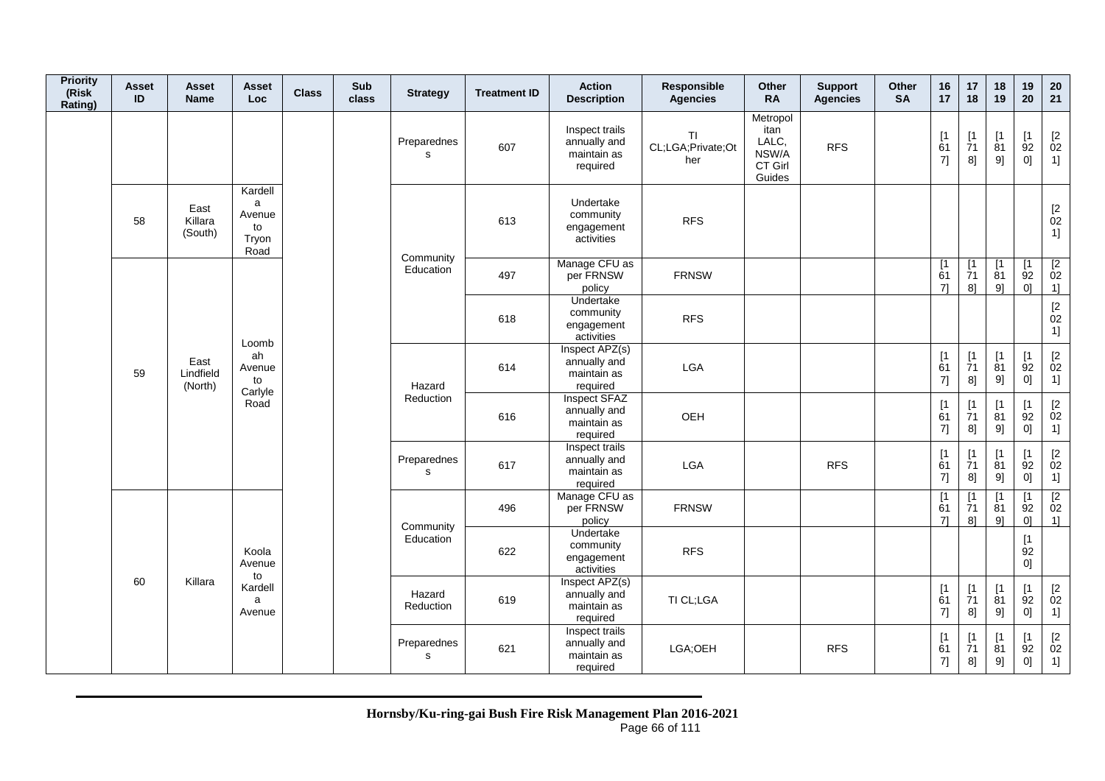| <b>Priority</b><br>(Risk<br>Rating) | <b>Asset</b><br>ID | Asset<br><b>Name</b>         | Asset<br>Loc                                  | <b>Class</b> | Sub<br>class | <b>Strategy</b>             | <b>Treatment ID</b> | <b>Action</b><br><b>Description</b>                       | Responsible<br><b>Agencies</b>        | <b>Other</b><br><b>RA</b>                               | <b>Support</b><br><b>Agencies</b> | <b>Other</b><br><b>SA</b> | 16<br>17                      | 17<br>18                                   | 18<br>19                      | 19<br>20                                                    | 20<br>21                                                          |
|-------------------------------------|--------------------|------------------------------|-----------------------------------------------|--------------|--------------|-----------------------------|---------------------|-----------------------------------------------------------|---------------------------------------|---------------------------------------------------------|-----------------------------------|---------------------------|-------------------------------|--------------------------------------------|-------------------------------|-------------------------------------------------------------|-------------------------------------------------------------------|
|                                     |                    |                              |                                               |              |              | Preparednes<br>$\mathbf{s}$ | 607                 | Inspect trails<br>annually and<br>maintain as<br>required | <b>TI</b><br>CL;LGA;Private;Ot<br>her | Metropol<br>itan<br>LALC,<br>NSW/A<br>CT Girl<br>Guides | <b>RFS</b>                        |                           | [1]<br>61<br>7]               | $[1]$<br>71<br>8]                          | $[1]$<br>81<br>9]             | $\begin{array}{c} \left[ 1 \right. \\ 92 \end{array}$<br>0] | $\begin{array}{c} \left[2 \right. \\ 02 \\ 1 \right] \end{array}$ |
|                                     | 58                 | East<br>Killara<br>(South)   | Kardell<br>a<br>Avenue<br>to<br>Tryon<br>Road |              |              | Community                   | 613                 | Undertake<br>community<br>engagement<br>activities        | <b>RFS</b>                            |                                                         |                                   |                           |                               |                                            |                               |                                                             | $\begin{array}{c} \left[2\right. \\ 02 \\ 1 \right] \end{array}$  |
|                                     |                    |                              |                                               |              |              | Education                   | 497                 | Manage CFU as<br>per FRNSW<br>policy                      | <b>FRNSW</b>                          |                                                         |                                   |                           | $\lceil 1 \rceil$<br>61<br>71 | [1]<br>71<br>8]                            | $\lceil 1 \rceil$<br>81<br>9] | [1]<br>92<br>0 <sup>1</sup>                                 | $\sqrt{2}$<br>02<br>1]                                            |
|                                     |                    |                              | Loomb<br>ah<br>Avenue<br>to                   |              |              |                             | 618                 | Undertake<br>community<br>engagement<br>activities        | <b>RFS</b>                            |                                                         |                                   |                           |                               |                                            |                               |                                                             | $\begin{bmatrix} 2 \\ 02 \end{bmatrix}$<br>1]                     |
|                                     | 59                 | East<br>Lindfield<br>(North) | Carlyle                                       |              |              | Hazard                      | 614                 | Inspect APZ(s)<br>annually and<br>maintain as<br>required | LGA                                   |                                                         |                                   |                           | [1]<br>61<br>7]               | $[1]$<br>71<br>8]                          | $[1]$<br>81<br>9]             | [1]<br>92<br>0]                                             | $\begin{array}{c} \left[ 2 \right. \\ 02 \end{array}$<br>1]       |
|                                     |                    |                              | Road                                          |              |              | Reduction                   | 616                 | Inspect SFAZ<br>annually and<br>maintain as<br>required   | OEH                                   |                                                         |                                   |                           | [1]<br>61<br>7]               | $\lceil 1 \rceil$<br>$\overline{7}1$<br>8] | $\mathsf{I}$<br>81<br>9]      | $\lceil 1 \rceil$<br>92<br>0]                               | $\begin{array}{c} \left[2\right. \\ 02 \\ 1 \right] \end{array}$  |
|                                     |                    |                              |                                               |              |              | Preparednes<br>$\mathbf s$  | 617                 | Inspect trails<br>annually and<br>maintain as<br>required | <b>LGA</b>                            |                                                         | <b>RFS</b>                        |                           | [1]<br>61<br>7]               | [1]<br>71<br>8]                            | $\mathsf{I}$<br>81<br>9]      | $\lceil 1 \rceil$<br>92<br>0]                               | $\begin{bmatrix} 2 \\ 02 \end{bmatrix}$<br>1]                     |
|                                     |                    |                              |                                               |              |              | Community                   | 496                 | Manage CFU as<br>per FRNSW<br>policy                      | <b>FRNSW</b>                          |                                                         |                                   |                           | $\overline{1}$<br>61<br>71    | [1]<br>71<br>8]                            | $\mathsf{I}$<br>81<br>91      | [1<br>92<br>0 <sup>1</sup>                                  | $\begin{array}{c} \n [2] \\ \n 02\n \end{array}$<br>1]            |
|                                     | 60                 |                              | Koola<br>Avenue<br>to                         |              |              | Education                   | 622                 | Undertake<br>community<br>engagement<br>activities        | <b>RFS</b>                            |                                                         |                                   |                           |                               |                                            |                               | [1]<br>92<br>0]                                             |                                                                   |
|                                     |                    | Killara                      | Kardell<br>a<br>Avenue                        |              |              | Hazard<br>Reduction         | 619                 | Inspect APZ(s)<br>annually and<br>maintain as<br>required | TI CL;LGA                             |                                                         |                                   |                           | [1]<br>61<br>7]               | $[1]$<br>$\dot{7}1$<br>8]                  | [1<br>81<br>9]                | [1<br>92<br>0]                                              | $\underset{02}{[2}$<br>1]                                         |
|                                     |                    |                              |                                               |              |              | Preparednes<br>$\mathbf s$  | 621                 | Inspect trails<br>annually and<br>maintain as<br>required | LGA;OEH                               |                                                         | <b>RFS</b>                        |                           | [1<br>61<br>7]                | [1]<br>71<br>8]                            | [1<br>81<br>9]                | $\lceil 1 \rceil$<br>92<br>0]                               | $\begin{bmatrix} 2 \\ 02 \end{bmatrix}$<br>1]                     |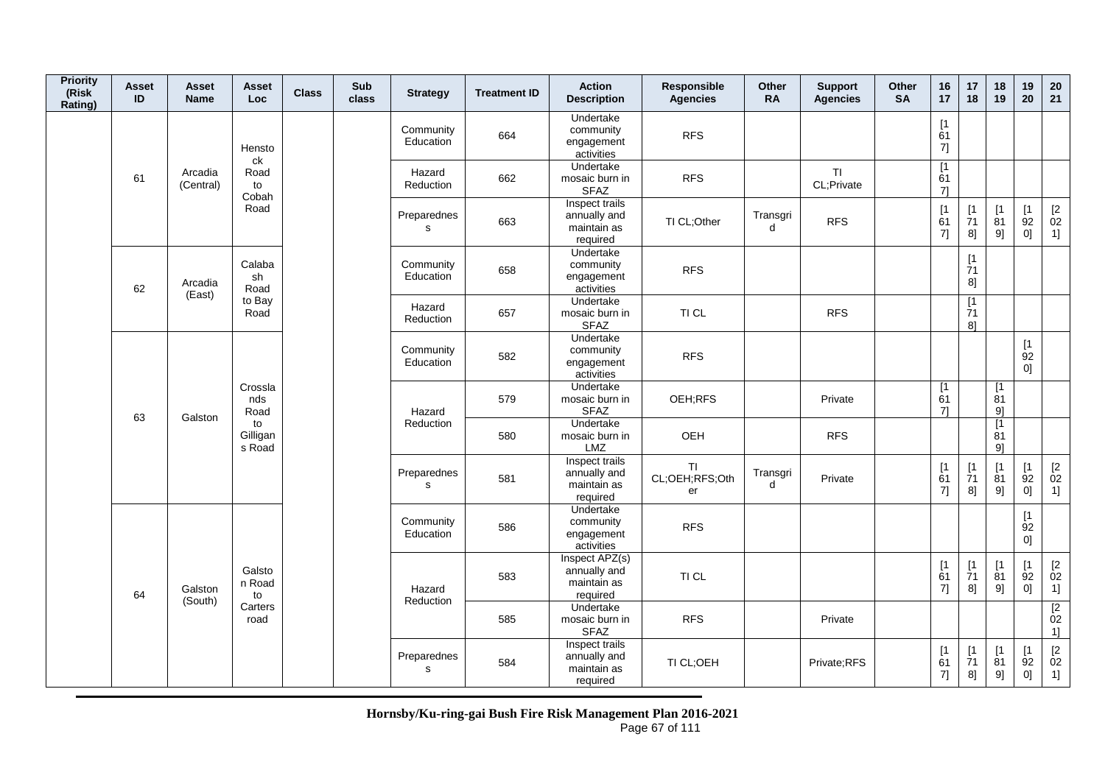| <b>Priority</b><br>(Risk<br>Rating) | Asset<br>ID | Asset<br><b>Name</b> | Asset<br><b>Loc</b>      | <b>Class</b> | Sub<br>class | <b>Strategy</b>             | <b>Treatment ID</b> | <b>Action</b><br><b>Description</b>                       | <b>Responsible</b><br><b>Agencies</b> | <b>Other</b><br><b>RA</b> | <b>Support</b><br><b>Agencies</b> | <b>Other</b><br><b>SA</b> | 16<br>17                    | 17<br>18                                                           | 18<br>19                                                                   | 19<br>20                                      | 20<br>21                         |
|-------------------------------------|-------------|----------------------|--------------------------|--------------|--------------|-----------------------------|---------------------|-----------------------------------------------------------|---------------------------------------|---------------------------|-----------------------------------|---------------------------|-----------------------------|--------------------------------------------------------------------|----------------------------------------------------------------------------|-----------------------------------------------|----------------------------------|
|                                     |             |                      | Hensto<br>ck             |              |              | Community<br>Education      | 664                 | Undertake<br>community<br>engagement<br>activities        | <b>RFS</b>                            |                           |                                   |                           | [1]<br>61<br>7]             |                                                                    |                                                                            |                                               |                                  |
|                                     | 61          | Arcadia<br>(Central) | Road<br>to<br>Cobah      |              |              | Hazard<br>Reduction         | 662                 | Undertake<br>mosaic burn in<br><b>SFAZ</b>                | <b>RFS</b>                            |                           | <b>TI</b><br>CL;Private           |                           | $\overline{11}$<br>61<br>71 |                                                                    |                                                                            |                                               |                                  |
|                                     |             |                      | Road                     |              |              | Preparednes<br>$\mathbf{s}$ | 663                 | Inspect trails<br>annually and<br>maintain as<br>required | TI CL;Other                           | Transgri<br>d             | <b>RFS</b>                        |                           | [1]<br>61<br>7]             | $\begin{array}{c} \n[1] \\ \n[7] \n[7] \n\end{array}$<br>8]        | $\begin{array}{c} \left[ 1 \right. \\ \left. 81 \right. \end{array}$<br>9] | $\begin{bmatrix} 1 \\ 92 \end{bmatrix}$<br>0] | $\frac{[2]}{02}$<br>1]           |
|                                     | 62          | Arcadia<br>(East)    | Calaba<br>sh<br>Road     |              |              | Community<br>Education      | 658                 | Undertake<br>community<br>engagement<br>activities        | <b>RFS</b>                            |                           |                                   |                           |                             | [1]<br>71<br>8]                                                    |                                                                            |                                               |                                  |
|                                     |             |                      | to Bay<br>Road           |              |              | Hazard<br>Reduction         | 657                 | Undertake<br>mosaic burn in<br><b>SFAZ</b>                | TI CL                                 |                           | <b>RFS</b>                        |                           |                             | $\overline{11}$<br>$\overline{7}1$<br>8]                           |                                                                            |                                               |                                  |
|                                     |             |                      |                          |              |              | Community<br>Education      | 582                 | Undertake<br>community<br>engagement<br>activities        | <b>RFS</b>                            |                           |                                   |                           |                             |                                                                    |                                                                            | $[1]$<br>$\overline{9}2$<br>0]                |                                  |
|                                     | 63          | Galston              | Crossla<br>nds<br>Road   |              |              | Hazard                      | 579                 | Undertake<br>mosaic burn in<br><b>SFAZ</b>                | OEH;RFS                               |                           | Private                           |                           | [1]<br>61<br>71             |                                                                    | [1]<br>81<br>9]                                                            |                                               |                                  |
|                                     |             |                      | to<br>Gilligan<br>s Road |              |              | Reduction                   | 580                 | Undertake<br>mosaic burn in<br>LMZ                        | OEH                                   |                           | <b>RFS</b>                        |                           |                             |                                                                    | [1]<br>81<br>91                                                            |                                               |                                  |
|                                     |             |                      |                          |              |              | Preparednes<br>$\mathsf{s}$ | 581                 | Inspect trails<br>annually and<br>maintain as<br>required | <b>TI</b><br>CL;OEH;RFS;Oth<br>er     | Transgri<br>d             | Private                           |                           | [1]<br>61<br>7]             | $[1]$<br>$\overline{7}1$<br>8]                                     | [1]<br>81<br>9]                                                            | [1]<br>$\overline{9}2$<br>0]                  | $\mathop{02}\limits^{[2]}$<br>1] |
|                                     |             |                      |                          |              |              | Community<br>Education      | 586                 | Undertake<br>community<br>engagement<br>activities        | <b>RFS</b>                            |                           |                                   |                           |                             |                                                                    |                                                                            | [1]<br>92<br>0]                               |                                  |
|                                     | 64          | Galston<br>(South)   | Galsto<br>n Road<br>to   |              |              | Hazard<br>Reduction         | 583                 | Inspect APZ(s)<br>annually and<br>maintain as<br>required | TI CL                                 |                           |                                   |                           | [1]<br>61<br>7]             | $\begin{array}{c} \frac{1}{2} \ 1 \ \frac{1}{2} \end{array}$<br>8] | [1]<br>$\dot{8}1$<br>9]                                                    | [1]<br>92<br>0]                               | $\frac{[2]}{02}$<br>1]           |
|                                     |             |                      | Carters<br>road          |              |              |                             | 585                 | Undertake<br>mosaic burn in<br><b>SFAZ</b>                | <b>RFS</b>                            |                           | Private                           |                           |                             |                                                                    |                                                                            |                                               | $\overline{2}$<br>02<br>1]       |
|                                     |             |                      |                          |              |              | Preparednes<br>s            | 584                 | Inspect trails<br>annually and<br>maintain as<br>required | TI CL;OEH                             |                           | Private;RFS                       |                           | [1]<br>61<br>$7] \;$        | [1]<br>$\dot{7}1$<br>8]                                            | $[1]$<br>$\overline{8}1$<br>9]                                             | [1]<br>92<br>01                               | $\mathop{02}\limits^{[2]}$<br>1] |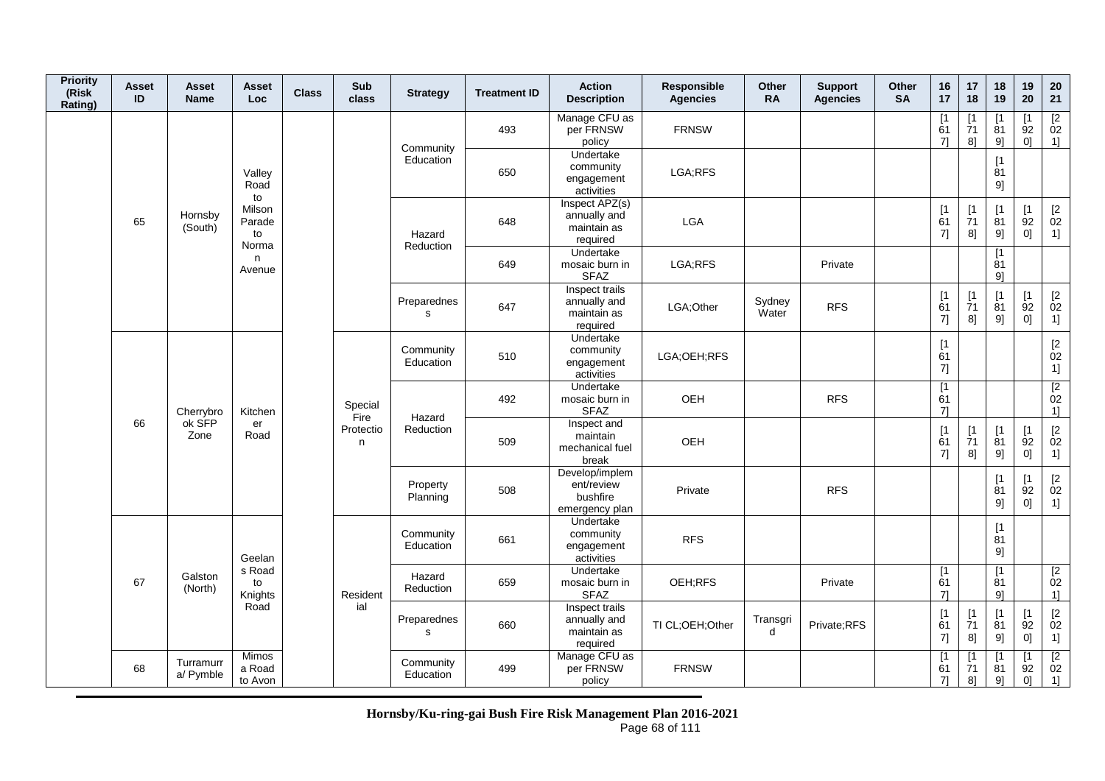| <b>Priority</b><br>(Risk<br>Rating) | Asset<br>ID | Asset<br><b>Name</b>   | Asset<br>Loc.                   | <b>Class</b> | Sub<br>class    | <b>Strategy</b>             | <b>Treatment ID</b> | <b>Action</b><br><b>Description</b>                        | <b>Responsible</b><br><b>Agencies</b> | Other<br><b>RA</b> | <b>Support</b><br><b>Agencies</b> | Other<br><b>SA</b> | 16<br>17                    | 17<br>18                      | 18<br>19                      | 19<br>20                                  | ${\bf 20}$<br>21                                                 |
|-------------------------------------|-------------|------------------------|---------------------------------|--------------|-----------------|-----------------------------|---------------------|------------------------------------------------------------|---------------------------------------|--------------------|-----------------------------------|--------------------|-----------------------------|-------------------------------|-------------------------------|-------------------------------------------|------------------------------------------------------------------|
|                                     |             |                        |                                 |              |                 | Community                   | 493                 | Manage CFU as<br>per FRNSW<br>policy                       | <b>FRNSW</b>                          |                    |                                   |                    | [1]<br>61<br>7]             | $\mathsf{I}$<br>71<br>8]      | $\mathsf{I}$<br>81<br>9]      | $\lceil 1 \rceil$<br>92<br>0]             | $\frac{[2]}{02}$<br>1]                                           |
|                                     |             |                        | Valley<br>Road<br>to            |              |                 | Education                   | 650                 | <b>Undertake</b><br>community<br>engagement<br>activities  | LGA;RFS                               |                    |                                   |                    |                             |                               | [1]<br>81<br>9]               |                                           |                                                                  |
|                                     | 65          | Hornsby<br>(South)     | Milson<br>Parade<br>to<br>Norma |              |                 | Hazard<br>Reduction         | 648                 | Inspect APZ(s)<br>annually and<br>maintain as<br>required  | LGA                                   |                    |                                   |                    | [1]<br>61<br>7]             | [1]<br>$\overline{7}1$<br>8]  | [1]<br>81<br>9]               | [1]<br>92<br>$0] \;$                      | $\begin{bmatrix} 2 \\ 02 \end{bmatrix}$<br>1]                    |
|                                     |             |                        | n<br>Avenue                     |              |                 |                             | 649                 | Undertake<br>mosaic burn in<br><b>SFAZ</b>                 | LGA;RFS                               |                    | Private                           |                    |                             |                               | $\lceil 1 \rceil$<br>81<br>9] |                                           |                                                                  |
|                                     |             |                        |                                 |              |                 | Preparednes<br>s            | 647                 | Inspect trails<br>annually and<br>maintain as<br>required  | LGA;Other                             | Sydney<br>Water    | <b>RFS</b>                        |                    | [1]<br>61<br>7]             | $[1]$<br>71<br>8]             | $[1]$<br>81<br>9]             | [1]<br>92<br>$0] \;$                      | $\begin{array}{c} \left[2\right. \\ 02 \\ 1 \right] \end{array}$ |
|                                     |             |                        |                                 |              |                 | Community<br>Education      | 510                 | Undertake<br>community<br>engagement<br>activities         | LGA:OEH:RFS                           |                    |                                   |                    | $\sqrt{1}$<br>61<br>$7]$    |                               |                               |                                           | $\begin{bmatrix} 2 \\ 02 \end{bmatrix}$<br>1]                    |
|                                     |             | Cherrybro              | Kitchen                         |              | Special<br>Fire | Hazard                      | 492                 | Undertake<br>mosaic burn in<br><b>SFAZ</b>                 | OEH                                   |                    | <b>RFS</b>                        |                    | $\overline{11}$<br>61<br>7] |                               |                               |                                           | $\begin{array}{c} \boxed{2} \\ 02 \end{array}$<br>1]             |
|                                     | 66          | ok SFP<br>Zone         | er<br>Road                      |              | Protectio<br>n  | Reduction                   | 509                 | Inspect and<br>maintain<br>mechanical fuel<br>break        | OEH                                   |                    |                                   |                    | [1<br>61<br>7]              | $\lceil 1 \rceil$<br>71<br>8] | $[1]$<br>81<br>9]             | [1<br>92<br>0]                            | $\begin{array}{c} [2 \\ 02 \end{array}$<br>1]                    |
|                                     |             |                        |                                 |              |                 | Property<br>Planning        | 508                 | Develop/implem<br>ent/review<br>bushfire<br>emergency plan | Private                               |                    | <b>RFS</b>                        |                    |                             |                               | $\lceil 1 \rceil$<br>81<br>9] | $\lceil 1 \rceil$<br>92<br> 0             | $\begin{bmatrix} 2 \\ 02 \end{bmatrix}$<br>1]                    |
|                                     |             |                        | Geelan                          |              |                 | Community<br>Education      | 661                 | Undertake<br>community<br>engagement<br>activities         | <b>RFS</b>                            |                    |                                   |                    |                             |                               | $[1]$<br>81<br>9]             |                                           |                                                                  |
|                                     | 67          | Galston<br>(North)     | s Road<br>to<br>Knights         |              | Resident        | Hazard<br>Reduction         | 659                 | <b>Undertake</b><br>mosaic burn in<br><b>SFAZ</b>          | OEH;RFS                               |                    | Private                           |                    | [1<br>61<br>71              |                               | $[1]$<br>81<br>9]             |                                           | [2]<br>02<br>1]                                                  |
|                                     |             |                        | Road                            |              | ial             | Preparednes<br>$\mathsf{s}$ | 660                 | Inspect trails<br>annually and<br>maintain as<br>required  | TI CL;OEH;Other                       | Transgri<br>d      | Private;RFS                       |                    | [1]<br>61<br>7]             | [1]<br>71<br>8]               | [1]<br>81<br>9]               | [1]<br>92<br>0]                           | $\begin{bmatrix} 2 \\ 02 \end{bmatrix}$<br>1]                    |
|                                     | 68          | Turramurr<br>a/ Pymble | Mimos<br>a Road<br>to Avon      |              |                 | Community<br>Education      | 499                 | Manage CFU as<br>per FRNSW<br>policy                       | <b>FRNSW</b>                          |                    |                                   |                    | [1<br>61<br>71              | $\lceil 1$<br>71<br>8]        | Γ1<br>81<br>9]                | $\lceil 1 \rceil$<br>92<br>0 <sup>1</sup> | $\begin{array}{c} \n [2] \n 02\n \end{array}$<br>1]              |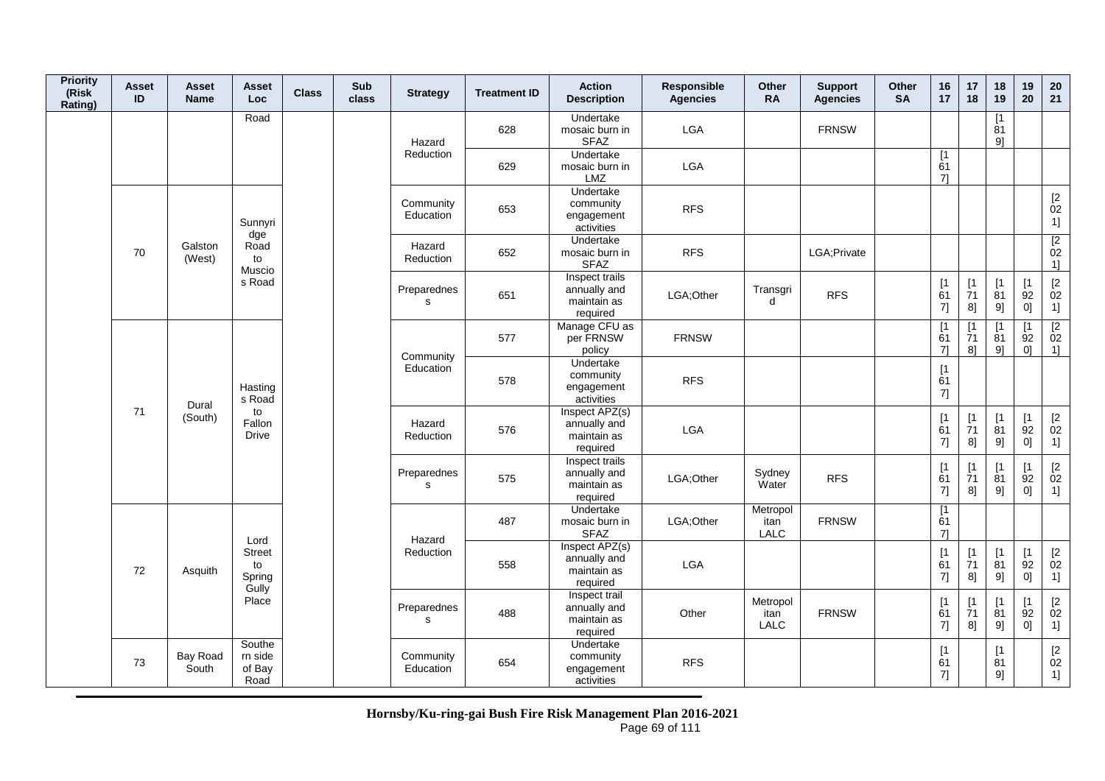| <b>Priority</b><br>(Risk<br>Rating) | Asset<br>ID | Asset<br><b>Name</b> | Asset<br>Loc                           | <b>Class</b> | Sub<br>class | <b>Strategy</b>             | <b>Treatment ID</b> | <b>Action</b><br><b>Description</b>                       | Responsible<br><b>Agencies</b> | Other<br><b>RA</b>              | <b>Support</b><br><b>Agencies</b> | Other<br><b>SA</b> | 16<br>17                                              | 17<br>18                                                    | 18<br>19                         | 19<br>20                                  | 20<br>21                                                    |
|-------------------------------------|-------------|----------------------|----------------------------------------|--------------|--------------|-----------------------------|---------------------|-----------------------------------------------------------|--------------------------------|---------------------------------|-----------------------------------|--------------------|-------------------------------------------------------|-------------------------------------------------------------|----------------------------------|-------------------------------------------|-------------------------------------------------------------|
|                                     |             |                      | Road                                   |              |              | Hazard                      | 628                 | Undertake<br>mosaic burn in<br><b>SFAZ</b>                | LGA                            |                                 | <b>FRNSW</b>                      |                    |                                                       |                                                             | [1]<br>$\overline{8}1$<br>9]     |                                           |                                                             |
|                                     |             |                      |                                        |              |              | Reduction                   | 629                 | Undertake<br>mosaic burn in<br><b>LMZ</b>                 | LGA                            |                                 |                                   |                    | [1]<br>61<br>71                                       |                                                             |                                  |                                           |                                                             |
|                                     |             |                      | Sunnyri<br>dge                         |              |              | Community<br>Education      | 653                 | Undertake<br>community<br>engagement<br>activities        | <b>RFS</b>                     |                                 |                                   |                    |                                                       |                                                             |                                  |                                           | $\begin{array}{c} \left[ 2 \right. \\ 02 \end{array}$<br>1] |
|                                     | 70          | Galston<br>(West)    | Road<br>to<br>Muscio                   |              |              | Hazard<br>Reduction         | 652                 | Undertake<br>mosaic burn in<br><b>SFAZ</b>                | <b>RFS</b>                     |                                 | LGA; Private                      |                    |                                                       |                                                             |                                  |                                           | $\overline{2}$<br>02<br>1]                                  |
|                                     |             |                      | s Road                                 |              |              | Preparednes<br>s            | 651                 | Inspect trails<br>annually and<br>maintain as<br>required | LGA;Other                      | Transgri<br>d                   | <b>RFS</b>                        |                    | $\begin{array}{c} \n[1] \\ \n61\n\end{array}$<br>7]   | $[1]$<br>$\dot{7}1$<br>8]                                   | [1]<br>81<br>9]                  | [1]<br>92<br>0]                           | $\begin{bmatrix} 2 \\ 02 \end{bmatrix}$<br>1]               |
|                                     |             |                      |                                        |              |              |                             | 577                 | Manage CFU as<br>per FRNSW<br>policy                      | <b>FRNSW</b>                   |                                 |                                   |                    | $\lceil 1 \rceil$<br>61<br>71                         | $\lceil 1 \rceil$<br>71<br>8 <sup>1</sup>                   | $\lceil 1 \rceil$<br>81<br>$9$ ] | $\lceil 1 \rceil$<br>92<br>0 <sup>1</sup> | $\overline{2}$<br>02<br>1                                   |
|                                     |             | Dural                | Hasting<br>s Road                      |              |              | Community<br>Education      | 578                 | <b>Undertake</b><br>community<br>engagement<br>activities | <b>RFS</b>                     |                                 |                                   |                    | [1]<br>61<br>7]                                       |                                                             |                                  |                                           |                                                             |
|                                     | 71          | (South)              | to<br>Fallon<br>Drive                  |              |              | Hazard<br>Reduction         | 576                 | Inspect APZ(s)<br>annually and<br>maintain as<br>required | LGA                            |                                 |                                   |                    | $\begin{array}{c} \n[1] \\ \n61\n\end{array}$<br>7]   | $\begin{array}{c} \n[1] \\ \n[7] \n[7] \n\end{array}$<br>8] | $[1]$<br>$\overline{81}$<br>9]   | [1]<br>92<br>0]                           | $[2]$<br>02<br>1]                                           |
|                                     |             |                      |                                        |              |              | Preparednes<br>$\mathsf{s}$ | 575                 | Inspect trails<br>annually and<br>maintain as<br>required | LGA: Other                     | Sydney<br>Water                 | <b>RFS</b>                        |                    | [1]<br>61<br>7]                                       | [1<br>$\overline{7}1$<br>8]                                 | [1]<br>$\overline{8}1$<br>9]     | [1]<br>92<br>0]                           | $[2]$<br>02<br>1]                                           |
|                                     |             |                      | Lord                                   |              |              | Hazard                      | 487                 | <b>Undertake</b><br>mosaic burn in<br><b>SFAZ</b>         | LGA;Other                      | Metropol<br>itan<br>LALC        | <b>FRNSW</b>                      |                    | [1<br>61<br>71                                        |                                                             |                                  |                                           |                                                             |
|                                     | 72          | Asquith              | <b>Street</b><br>to<br>Spring<br>Gully |              |              | Reduction                   | 558                 | Inspect APZ(s)<br>annually and<br>maintain as<br>required | LGA                            |                                 |                                   |                    | $\begin{array}{c} \n[1] \\ \n61\n\end{array}$<br>7]   | [1]<br>$\overline{7}1$<br>8]                                | $[1]$<br>81<br>9]                | [1]<br>$\overline{9}2$<br>0]              | [2]<br>02<br>1]                                             |
|                                     |             |                      | Place                                  |              |              | Preparednes<br>$\mathbf s$  | 488                 | Inspect trail<br>annually and<br>maintain as<br>required  | Other                          | Metropol<br>itan<br><b>LALC</b> | <b>FRNSW</b>                      |                    | $\begin{array}{c} \n[1] \\ \n61\n\end{array}$<br>$7]$ | [1]<br>$\overline{7}1$<br>8]                                | [1]<br>81<br>$9] \!$             | [1<br>92<br>0]                            | $\begin{bmatrix} 2 \\ 02 \end{bmatrix}$<br>1]               |
|                                     | 73          | Bay Road<br>South    | Southe<br>rn side<br>of Bay<br>Road    |              |              | Community<br>Education      | 654                 | Undertake<br>community<br>engagement<br>activities        | <b>RFS</b>                     |                                 |                                   |                    | $\begin{array}{c} \n[1] \\ \n61\n\end{array}$<br>7]   |                                                             | $\lceil 1 \rceil$<br>81<br>9]    |                                           | $\begin{bmatrix} 2 \\ 02 \end{bmatrix}$<br>1]               |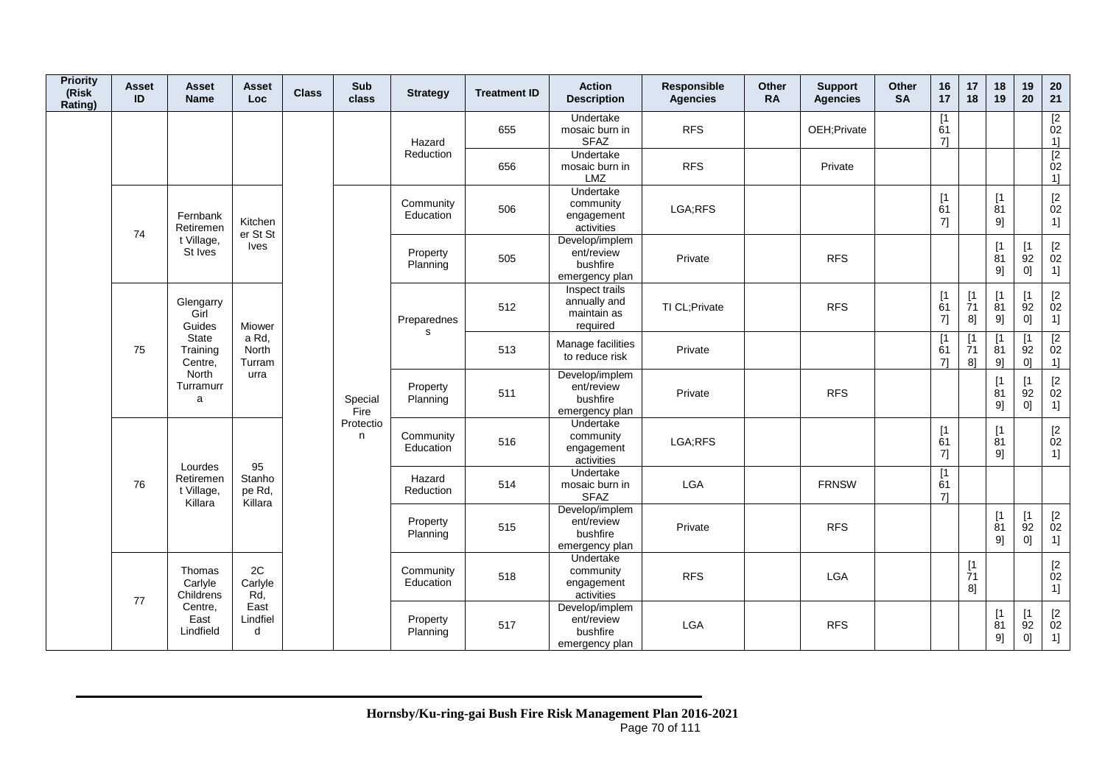| <b>Priority</b><br>(Risk<br>Rating) | <b>Asset</b><br>ID                   | Asset<br><b>Name</b>         | Asset<br>Loc.               | <b>Class</b> | Sub<br>class           | <b>Strategy</b>        | <b>Treatment ID</b>                                       | <b>Action</b><br><b>Description</b>                        | Responsible<br><b>Agencies</b> | Other<br><b>RA</b> | <b>Support</b><br><b>Agencies</b> | Other<br><b>SA</b> | 16<br>17                      | 17<br>18                   | 18<br>19                      | 19<br>20                                   | 20<br>21                                                         |
|-------------------------------------|--------------------------------------|------------------------------|-----------------------------|--------------|------------------------|------------------------|-----------------------------------------------------------|------------------------------------------------------------|--------------------------------|--------------------|-----------------------------------|--------------------|-------------------------------|----------------------------|-------------------------------|--------------------------------------------|------------------------------------------------------------------|
|                                     |                                      |                              |                             |              |                        | Hazard                 | 655                                                       | Undertake<br>mosaic burn in<br><b>SFAZ</b>                 | <b>RFS</b>                     |                    | OEH;Private                       |                    | $\lceil 1 \rceil$<br>61<br>71 |                            |                               |                                            | $\frac{[2]}{02}$<br>1]                                           |
|                                     |                                      |                              |                             |              |                        | Reduction              | 656                                                       | Undertake<br>mosaic burn in<br><b>LMZ</b>                  | <b>RFS</b>                     |                    | Private                           |                    |                               |                            |                               |                                            | $\overline{2}$<br>02<br>1]                                       |
|                                     | 74                                   | Fernbank<br>Retiremen        | Kitchen<br>er St St         |              |                        | Community<br>Education | 506                                                       | Undertake<br>community<br>engagement<br>activities         | LGA;RFS                        |                    |                                   |                    | $\sqrt{1}$<br>61<br>7]        |                            | $\sqrt{1}$<br>81<br>91        |                                            | $\begin{bmatrix} 2 \\ 02 \end{bmatrix}$<br>1]                    |
|                                     |                                      | t Village,<br>St Ives        | <b>Ives</b>                 |              |                        | Property<br>Planning   | 505                                                       | Develop/implem<br>ent/review<br>bushfire<br>emergency plan | Private                        |                    | <b>RFS</b>                        |                    |                               |                            | [1]<br>81<br>9]               | [1<br>92<br>0]                             | $^{[2}_{02}$<br>1]                                               |
|                                     |                                      | Glengarry<br>Girl<br>Guides  | <b>Miower</b>               |              |                        | Preparednes<br>s       | 512                                                       | Inspect trails<br>annually and<br>maintain as<br>required  | TI CL; Private                 |                    | <b>RFS</b>                        |                    | [1]<br>61<br>7]               | [1]<br>71<br>8]            | $\mathsf{I}$<br>81<br>9]      | $\lceil 1 \rceil$<br>92<br>0]              | $\begin{array}{c} \left[2\right. \\ 02 \\ 1 \right] \end{array}$ |
|                                     | 75                                   | State<br>Training<br>Centre. | a Rd,<br>North<br>Turram    |              |                        |                        | 513                                                       | Manage facilities<br>to reduce risk                        | Private                        |                    |                                   |                    | [1]<br>61<br>71               | [1<br>71<br>8 <sup>1</sup> | 81<br>91                      | 92<br>0 <sup>1</sup>                       | $\begin{array}{c} \boxed{2} \\ 02 \end{array}$<br>11             |
|                                     |                                      | North<br>Turramurr<br>a      | urra                        |              | Special<br>Fire        | Property<br>Planning   | 511                                                       | Develop/implem<br>ent/review<br>bushfire<br>emergency plan | Private                        |                    | <b>RFS</b>                        |                    |                               |                            | [1<br>81<br>91                | $\lceil 1 \rceil$<br>$\overline{9}2$<br>01 | $\begin{bmatrix} 2 \\ 02 \end{bmatrix}$<br>1]                    |
|                                     |                                      | Lourdes                      | 95                          |              | Protectio<br>n         | Community<br>Education | 516                                                       | Undertake<br>community<br>engagement<br>activities         | LGA;RFS                        |                    |                                   |                    | $[1]$<br>61<br>7]             |                            | $\lceil 1 \rceil$<br>81<br>91 |                                            | $\begin{bmatrix} 2 \\ 02 \end{bmatrix}$<br>1]                    |
|                                     | 76                                   | Retiremen<br>t Village,      | Stanho<br>pe Rd,<br>Killara |              |                        | Hazard<br>Reduction    | 514                                                       | Undertake<br>mosaic burn in<br><b>SFAZ</b>                 | LGA                            |                    | <b>FRNSW</b>                      |                    | [1]<br>61<br>71               |                            |                               |                                            |                                                                  |
|                                     |                                      | Killara                      |                             |              |                        | Property<br>Planning   | 515                                                       | Develop/implem<br>ent/review<br>bushfire<br>emergency plan | Private                        |                    | <b>RFS</b>                        |                    |                               |                            | [1<br>81<br>9]                | [1]<br>$\overline{9}2$<br>0]               | $\begin{bmatrix} 2 \\ 02 \end{bmatrix}$<br>1]                    |
|                                     | Thomas<br>Carlyle<br>Childrens<br>77 | 2C<br>Carlyle<br>Rd,         |                             |              | Community<br>Education | 518                    | <b>Undertake</b><br>community<br>engagement<br>activities | <b>RFS</b>                                                 |                                | <b>LGA</b>         |                                   |                    | $[1]$<br>71<br>8]             |                            |                               | $[2]$<br>02<br>1]                          |                                                                  |
|                                     |                                      | Centre,<br>East<br>Lindfield | East<br>Lindfiel<br>d       |              |                        | Property<br>Planning   | 517                                                       | Develop/implem<br>ent/review<br>bushfire<br>emergency plan | <b>LGA</b>                     |                    | <b>RFS</b>                        |                    |                               |                            | $\lceil 1 \rceil$<br>81<br>9] | $\lceil 1 \rceil$<br>92<br>$\overline{0}$  | $[2]$<br>02<br>1]                                                |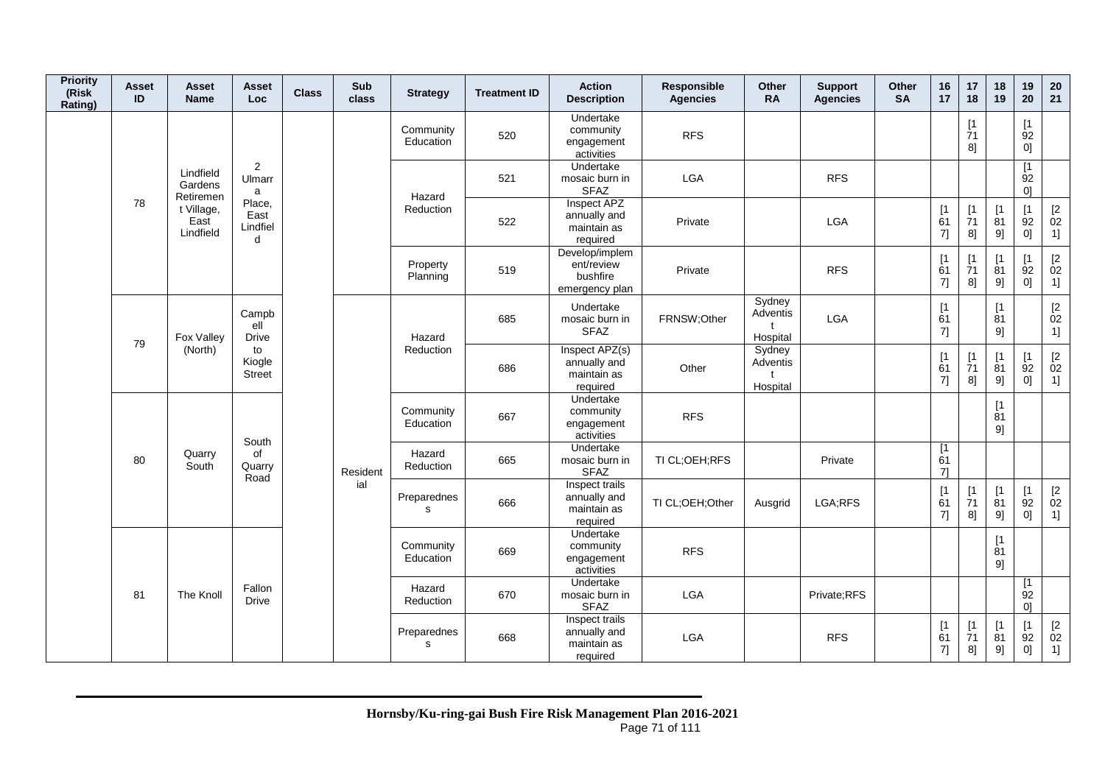| <b>Priority</b><br>(Risk<br>Rating) | Asset<br>ID     | Asset<br><b>Name</b>              | Asset<br>Loc                               | <b>Class</b> | Sub<br>class           | <b>Strategy</b>        | <b>Treatment ID</b>                                | <b>Action</b><br><b>Description</b>                        | Responsible<br><b>Agencies</b> | Other<br><b>RA</b>             | <b>Support</b><br><b>Agencies</b> | Other<br><b>SA</b> | 16<br>17                      | 17<br>18                                          | 18<br>19                      | 19<br>20                      | 20<br>21                                      |
|-------------------------------------|-----------------|-----------------------------------|--------------------------------------------|--------------|------------------------|------------------------|----------------------------------------------------|------------------------------------------------------------|--------------------------------|--------------------------------|-----------------------------------|--------------------|-------------------------------|---------------------------------------------------|-------------------------------|-------------------------------|-----------------------------------------------|
|                                     |                 |                                   |                                            |              |                        | Community<br>Education | 520                                                | Undertake<br>community<br>engagement<br>activities         | <b>RFS</b>                     |                                |                                   |                    |                               | $[1]$<br>71<br>8]                                 |                               | [1]<br>92<br>0]               |                                               |
|                                     |                 | Lindfield<br>Gardens<br>Retiremen | $\overline{2}$<br>Ulmarr<br>a              |              |                        | Hazard                 | 521                                                | Undertake<br>mosaic burn in<br><b>SFAZ</b>                 | LGA                            |                                | <b>RFS</b>                        |                    |                               |                                                   |                               | [1]<br>92<br>01               |                                               |
|                                     | 78              | t Village,<br>East<br>Lindfield   | Place,<br>East<br>Lindfiel<br>$\mathsf{d}$ |              |                        | Reduction              | 522                                                | Inspect APZ<br>annually and<br>maintain as<br>required     | Private                        |                                | <b>LGA</b>                        |                    | [1]<br>61<br>7]               | $\begin{array}{c} \n 1 \\ 71\n \end{array}$<br>8] | [1]<br>$\overline{8}1$<br>9]  | [1]<br>92<br>0]               | $\mathop{02}\limits^{[2]}$<br>1]              |
|                                     |                 |                                   |                                            |              |                        | Property<br>Planning   | 519                                                | Develop/implem<br>ent/review<br>bushfire<br>emergency plan | Private                        |                                | <b>RFS</b>                        |                    | [1]<br>61<br>7]               | [1]<br>71<br>8]                                   | [1]<br>81<br>9]               | $\lceil 1 \rceil$<br>92<br>0] | $\begin{bmatrix} 2 \\ 02 \end{bmatrix}$<br>1] |
|                                     | 79              | Fox Valley                        | Campb<br>ell<br><b>Drive</b>               |              |                        | Hazard                 | 685                                                | Undertake<br>mosaic burn in<br><b>SFAZ</b>                 | FRNSW;Other                    | Sydney<br>Adventis<br>Hospital | LGA                               |                    | [1]<br>61<br>7]               |                                                   | $[1]$<br>$\dot{8}1$<br>9]     |                               | $\begin{bmatrix} 2 \\ 02 \end{bmatrix}$<br>1] |
|                                     |                 | (North)                           | to<br>Kiogle<br><b>Street</b>              |              |                        | Reduction              | 686                                                | Inspect APZ(s)<br>annually and<br>maintain as<br>required  | Other                          | Sydney<br>Adventis<br>Hospital |                                   |                    | [1]<br>61<br>7]               | [1]<br>71<br>8]                                   | [1]<br>81<br>9]               | [1]<br>92<br> 0               | $\mathop{02}\limits^{[2]}$<br>1]              |
|                                     |                 |                                   | South                                      |              |                        | Community<br>Education | 667                                                | Undertake<br>community<br>engagement<br>activities         | <b>RFS</b>                     |                                |                                   |                    |                               |                                                   | [1]<br>$\overline{81}$<br>9]  |                               |                                               |
|                                     | 80              | Quarry<br>South                   | of<br>Quarry<br>Road                       |              | Resident               | Hazard<br>Reduction    | 665                                                | Undertake<br>mosaic burn in<br><b>SFAZ</b>                 | TI CL;OEH;RFS                  |                                | Private                           |                    | [1]<br>61<br>71               |                                                   |                               |                               |                                               |
|                                     |                 |                                   |                                            |              | ial                    | Preparednes<br>s       | 666                                                | Inspect trails<br>annually and<br>maintain as<br>required  | TI CL;OEH;Other                | Ausgrid                        | LGA;RFS                           |                    | [1]<br>61<br>7]               | [1]<br>71<br>8]                                   | [1]<br>81<br>9]               | [1]<br>92<br>01               | $\mathop{02}\limits^{[2]}$<br>1]              |
|                                     | 81<br>The Knoll |                                   |                                            |              | Community<br>Education | 669                    | Undertake<br>community<br>engagement<br>activities | <b>RFS</b>                                                 |                                |                                |                                   |                    |                               | [1]<br>81<br>9]                                   |                               |                               |                                               |
|                                     |                 |                                   | Fallon<br><b>Drive</b>                     |              |                        | Hazard<br>Reduction    | 670                                                | Undertake<br>mosaic burn in<br><b>SFAZ</b>                 | LGA                            |                                | Private;RFS                       |                    |                               |                                                   |                               | [1]<br>92<br>01               |                                               |
|                                     |                 |                                   |                                            |              |                        | Preparednes<br>s       | 668                                                | Inspect trails<br>annually and<br>maintain as<br>required  | <b>LGA</b>                     |                                | <b>RFS</b>                        |                    | $\lceil 1 \rceil$<br>61<br>7] | [1]<br>71<br>8]                                   | $\lceil 1 \rceil$<br>81<br>9] | [1]<br>92<br>0]               | $[2]$<br>02<br>1]                             |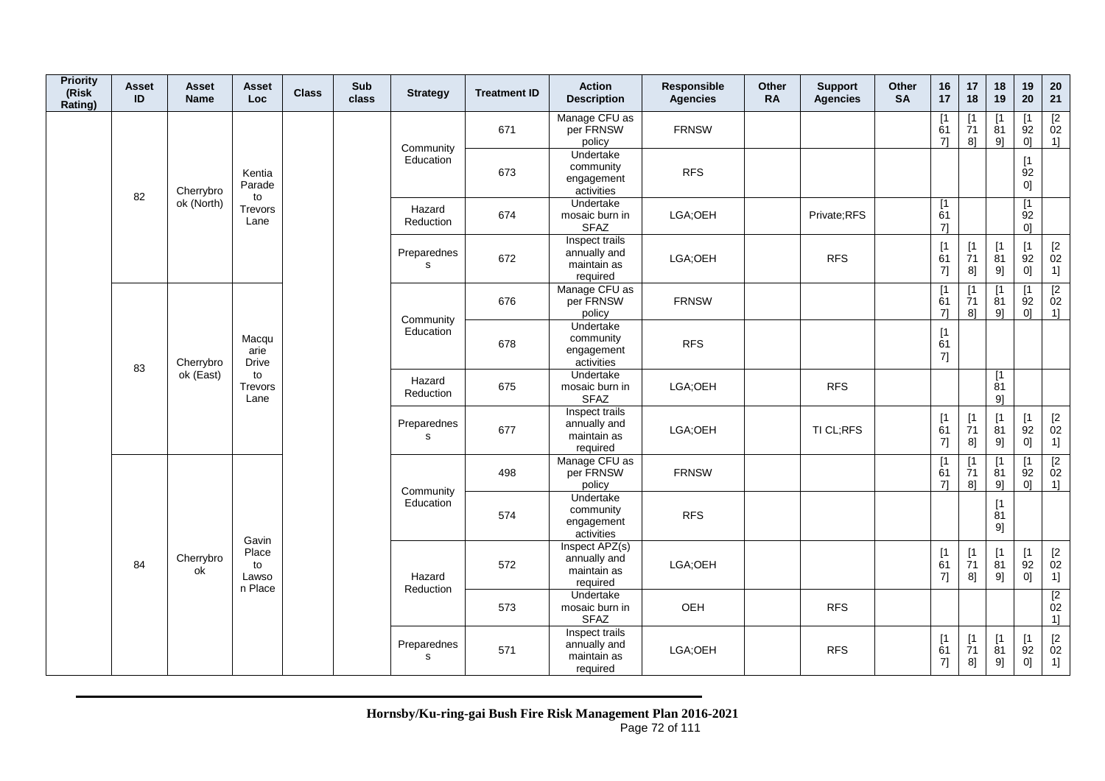| <b>Priority</b><br>(Risk<br>Rating) | Asset<br>ID | Asset<br><b>Name</b> | Asset<br><b>Loc</b>             | <b>Class</b> | <b>Sub</b><br>class | <b>Strategy</b>             | <b>Treatment ID</b>                        | <b>Action</b><br><b>Description</b>                       | Responsible<br><b>Agencies</b> | <b>Other</b><br><b>RA</b> | <b>Support</b><br><b>Agencies</b> | <b>Other</b><br><b>SA</b> | 16<br>17                                                    | 17<br>18                                                    | 18<br>19                                                                   | 19<br>20                                               | 20<br>21                                             |
|-------------------------------------|-------------|----------------------|---------------------------------|--------------|---------------------|-----------------------------|--------------------------------------------|-----------------------------------------------------------|--------------------------------|---------------------------|-----------------------------------|---------------------------|-------------------------------------------------------------|-------------------------------------------------------------|----------------------------------------------------------------------------|--------------------------------------------------------|------------------------------------------------------|
|                                     |             |                      |                                 |              |                     | Community                   | 671                                        | Manage CFU as<br>per FRNSW<br>policy                      | <b>FRNSW</b>                   |                           |                                   |                           | [1]<br>61<br>71                                             | [1<br>$\overline{7}1$<br>8]                                 | $\lceil 1 \rceil$<br>$\overline{8}1$<br>91                                 | $\lceil 1 \rceil$<br>$\overline{9}2$<br>0 <sup>1</sup> | $\overline{[2]}$<br>02<br>$1$ ]                      |
|                                     | 82          | Cherrybro            | Kentia<br>Parade<br>to          |              |                     | Education                   | 673                                        | Undertake<br>community<br>engagement<br>activities        | <b>RFS</b>                     |                           |                                   |                           |                                                             |                                                             |                                                                            | [1]<br>$\begin{bmatrix} 92 \\ 0 \end{bmatrix}$         |                                                      |
|                                     |             | ok (North)           | Trevors<br>Lane                 |              |                     | Hazard<br>Reduction         | 674                                        | Undertake<br>mosaic burn in<br><b>SFAZ</b>                | LGA;OEH                        |                           | Private;RFS                       |                           | [1<br>61<br>71                                              |                                                             |                                                                            | [1]<br>92<br>0 <sup>1</sup>                            |                                                      |
|                                     |             |                      |                                 |              |                     | Preparednes<br>$\mathsf{s}$ | 672                                        | Inspect trails<br>annually and<br>maintain as<br>required | LGA;OEH                        |                           | <b>RFS</b>                        |                           | [1]<br>61<br>7]                                             | $\begin{array}{c} \frac{1}{7} \end{array}$<br>8]            | [1]<br>$\dot{8}1$<br>9]                                                    | $\sqrt{1}$<br>92<br>0]                                 | $^{[2}_{02}$<br>1]                                   |
|                                     |             |                      |                                 |              |                     | Community                   | 676                                        | Manage CFU as<br>per FRNSW<br>policy                      | <b>FRNSW</b>                   |                           |                                   |                           | $[1]$<br>61<br>$7$ ]                                        | [1<br>$\overline{7}1$<br>8]                                 | [1]<br>81<br>9]                                                            | [1<br>92<br>0]                                         | $\begin{array}{c} \boxed{2} \\ 02 \end{array}$<br>1] |
|                                     | 83          | Cherrybro            | Macqu<br>arie<br><b>Drive</b>   |              |                     | Education                   | 678                                        | Undertake<br>community<br>engagement<br>activities        | <b>RFS</b>                     |                           |                                   |                           | [1]<br>61<br>7]                                             |                                                             |                                                                            |                                                        |                                                      |
|                                     |             | ok (East)            | to<br>Trevors<br>Lane           |              |                     | Hazard<br>Reduction         | 675                                        | Undertake<br>mosaic burn in<br><b>SFAZ</b>                | LGA;OEH                        |                           | <b>RFS</b>                        |                           |                                                             |                                                             | [1]<br>81<br>9                                                             |                                                        |                                                      |
|                                     |             |                      |                                 |              |                     | Preparednes<br>$\mathbf s$  | 677                                        | Inspect trails<br>annually and<br>maintain as<br>required | LGA;OEH                        |                           | TI CL;RFS                         |                           | $\begin{array}{c} \left[ 1 \right. \\ 61 \end{array}$<br>7] | $\begin{array}{c} \frac{1}{7} \end{array}$<br>8]            | $\begin{array}{c} \left[ 1 \right. \\ \left[ 81 \right] \end{array}$<br>9] | [1]<br>92<br>0]                                        | $[2]$<br>02<br>1]                                    |
|                                     |             |                      |                                 |              |                     | Community                   | 498                                        | Manage CFU as<br>per FRNSW<br>policy                      | <b>FRNSW</b>                   |                           |                                   |                           | [1]<br>61<br>71                                             | [1<br>$\overline{7}1$<br>8]                                 | $\lceil 1$<br>$\overline{8}1$<br>91                                        | $\lceil 1 \rceil$<br>92<br>01                          | $\begin{array}{c} \boxed{2} \\ 02 \end{array}$<br>1] |
|                                     |             |                      | Gavin                           |              |                     | Education                   | 574                                        | Undertake<br>community<br>engagement<br>activities        | <b>RFS</b>                     |                           |                                   |                           |                                                             |                                                             | [1]<br>$\overline{81}$<br>9]                                               |                                                        |                                                      |
|                                     | 84          | Cherrybro<br>ok      | Place<br>to<br>Lawso<br>n Place |              |                     | Hazard<br>Reduction         | 572                                        | Inspect APZ(s)<br>annually and<br>maintain as<br>required | LGA;OEH                        |                           |                                   |                           | $[1]$<br>61<br>7]                                           | $\begin{array}{c} \n[1] \\ \n[7] \n[7] \n\end{array}$<br>8] | [1]<br>$\dot{8}1$<br>9]                                                    | [1]<br>92<br>0]                                        | $\begin{bmatrix} 2 \\ 02 \end{bmatrix}$<br>1]        |
|                                     |             |                      |                                 |              |                     | 573                         | Undertake<br>mosaic burn in<br><b>SFAZ</b> | OEH                                                       |                                | <b>RFS</b>                |                                   |                           |                                                             |                                                             |                                                                            | $\overline{[2]}$<br>02<br>1]                           |                                                      |
|                                     |             |                      |                                 |              |                     | Preparednes<br>s            | 571                                        | Inspect trails<br>annually and<br>maintain as<br>required | LGA;OEH                        |                           | <b>RFS</b>                        |                           | [1]<br>61<br>7]                                             | [1<br>71<br>8]                                              | [1]<br>81<br>9]                                                            | [1]<br>92<br>0]                                        | $[2]$<br>02<br>1]                                    |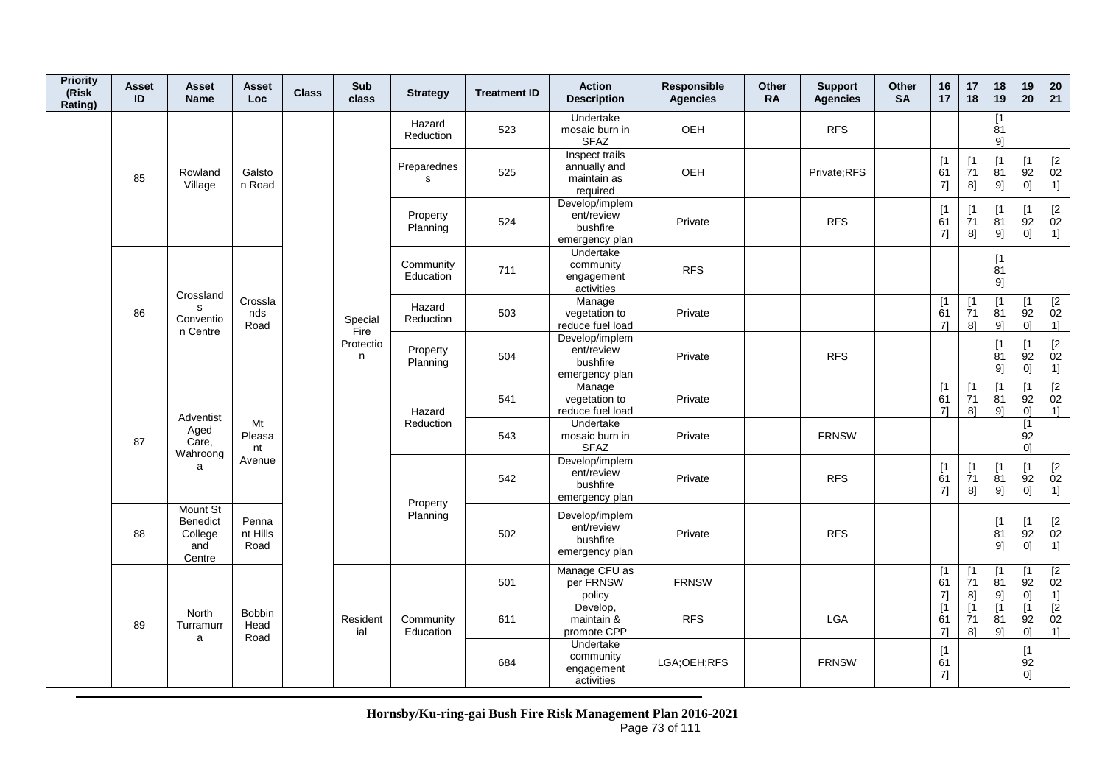| <b>Priority</b><br>(Risk<br>Rating) | Asset<br>ID | Asset<br><b>Name</b>                                           | Asset<br><b>Loc</b>           | <b>Class</b> | Sub<br>class    | <b>Strategy</b>        | <b>Treatment ID</b> | <b>Action</b><br><b>Description</b>                        | Responsible<br><b>Agencies</b> | <b>Other</b><br><b>RA</b> | <b>Support</b><br><b>Agencies</b> | <b>Other</b><br><b>SA</b> | 16<br>17        | 17<br>18                       | 18<br>19                         | 19<br>20                          | 20<br>21                                                         |
|-------------------------------------|-------------|----------------------------------------------------------------|-------------------------------|--------------|-----------------|------------------------|---------------------|------------------------------------------------------------|--------------------------------|---------------------------|-----------------------------------|---------------------------|-----------------|--------------------------------|----------------------------------|-----------------------------------|------------------------------------------------------------------|
|                                     |             |                                                                |                               |              |                 | Hazard<br>Reduction    | 523                 | Undertake<br>mosaic burn in<br><b>SFAZ</b>                 | OEH                            |                           | <b>RFS</b>                        |                           |                 |                                | [1]<br>81<br>9]                  |                                   |                                                                  |
|                                     | 85          | Rowland<br>Village                                             | Galsto<br>n Road              |              |                 | Preparednes<br>s       | 525                 | Inspect trails<br>annually and<br>maintain as<br>required  | OEH                            |                           | Private;RFS                       |                           | [1]<br>61<br>7] | [1]<br>71<br>8]                | [1]<br>81<br>9]                  | $\mathsf{I}$<br>92<br>0]          | $[2]$<br>02<br>$\overline{1}$                                    |
|                                     |             |                                                                |                               |              |                 | Property<br>Planning   | 524                 | Develop/implem<br>ent/review<br>bushfire<br>emergency plan | Private                        |                           | <b>RFS</b>                        |                           | [1]<br>61<br>7] | $[1]$<br>$\overline{7}1$<br>8] | [1]<br>81<br>9]                  | [1<br>92<br>0]                    | $\begin{bmatrix} 2 \\ 02 \end{bmatrix}$<br>1]                    |
|                                     |             | Crossland                                                      |                               |              |                 | Community<br>Education | 711                 | Undertake<br>community<br>engagement<br>activities         | <b>RFS</b>                     |                           |                                   |                           |                 |                                | [1<br>81<br>9]                   |                                   |                                                                  |
|                                     | 86          | s<br>Conventio<br>n Centre                                     | Crossla<br>nds<br>Road        |              | Special<br>Fire | Hazard<br>Reduction    | 503                 | Manage<br>vegetation to<br>reduce fuel load                | Private                        |                           |                                   |                           | [1]<br>61<br>71 | $\lceil 1 \rceil$<br>71<br>81  | $\lceil 1 \rceil$<br>81<br>$9$ ] | $\mathsf{I}$<br>92<br>01          | [2]<br>02<br>1]                                                  |
|                                     |             |                                                                |                               |              | Protectio<br>n. | Property<br>Planning   | 504                 | Develop/implem<br>ent/review<br>bushfire<br>emergency plan | Private                        |                           | <b>RFS</b>                        |                           |                 |                                | [1]<br>81<br>9]                  | [1<br>92<br>0]                    | $\begin{array}{c} \left[2\right. \\ 02 \\ 1 \right] \end{array}$ |
|                                     |             |                                                                |                               |              |                 | Hazard                 | 541                 | Manage<br>vegetation to<br>reduce fuel load                | Private                        |                           |                                   |                           | [1<br>61<br>71  | [1<br>$\overline{7}1$<br>8]    | [1]<br>81<br>9]                  | ٢1<br>92<br>0]                    | $\begin{array}{c} \boxed{2} \\ 02 \end{array}$<br>1]             |
|                                     | 87          | Adventist<br>Aged<br>Care,<br>Wahroong                         | Mt<br>Pleasa<br>nt            |              |                 | Reduction              | 543                 | Undertake<br>mosaic burn in<br><b>SFAZ</b>                 | Private                        |                           | <b>FRNSW</b>                      |                           |                 |                                |                                  | $\lceil 1 \rceil$<br>92<br>01     |                                                                  |
|                                     |             | a                                                              | Avenue                        |              |                 | Property               | 542                 | Develop/implem<br>ent/review<br>bushfire<br>emergency plan | Private                        |                           | <b>RFS</b>                        |                           | [1]<br>61<br>7] | [1]<br>71<br>8]                | [1]<br>81<br>9]                  | $\mathsf{I}$<br>92<br>0]          | $[2]$<br>02<br>$\overline{1}$                                    |
|                                     | 88          | <b>Mount St</b><br><b>Benedict</b><br>College<br>and<br>Centre | Penna<br>nt Hills<br>Road     |              |                 | Planning               | 502                 | Develop/implem<br>ent/review<br>bushfire<br>emergency plan | Private                        |                           | <b>RFS</b>                        |                           |                 |                                | [1]<br>81<br>9]                  | $\mathsf{I}$<br>92<br>0]          | $^{[2}_{02}$<br>1]                                               |
|                                     |             |                                                                |                               |              |                 |                        | 501                 | Manage CFU as<br>per FRNSW<br>policy                       | <b>FRNSW</b>                   |                           |                                   |                           | [1]<br>61<br>71 | [1<br>71<br>8]                 | $\lceil 1 \rceil$<br>81<br>9]    | <b>[1</b><br>92<br>0 <sup>1</sup> | $\overline{2}$<br>02<br>1]                                       |
|                                     | 89          | <b>North</b><br>Turramurr<br>a                                 | <b>Bobbin</b><br>Head<br>Road |              | Resident<br>ial | Community<br>Education | 611                 | Develop,<br>maintain &<br>promote CPP                      | <b>RFS</b>                     |                           | LGA                               |                           | [1<br>61<br>71  | $\lceil 1 \rceil$<br>71<br>8]  | $\lceil 1 \rceil$<br>81<br>9]    | <b>r</b><br>92<br>0 <sup>1</sup>  | $\overline{2}$<br>02<br>$1$ ]                                    |
|                                     |             |                                                                |                               |              |                 |                        | 684                 | Undertake<br>community<br>engagement<br>activities         | LGA;OEH;RFS                    |                           | <b>FRNSW</b>                      |                           | [1]<br>61<br>7] |                                |                                  | $\lceil 1 \rceil$<br>92<br>0]     |                                                                  |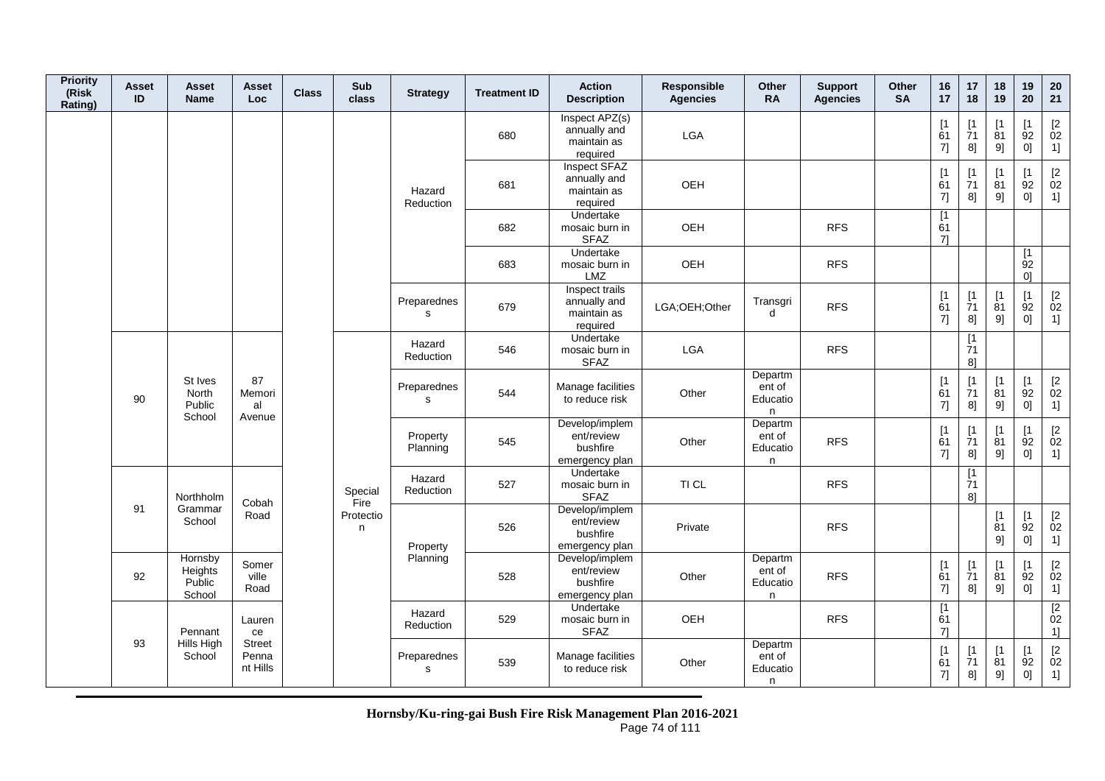| <b>Priority</b><br>(Risk<br>Rating) | <b>Asset</b><br>ID | <b>Asset</b><br><b>Name</b>            | Asset<br>Loc                       | <b>Class</b> | Sub<br>class    | <b>Strategy</b>          | <b>Treatment ID</b> | <b>Action</b><br><b>Description</b>                        | Responsible<br><b>Agencies</b> | Other<br><b>RA</b>                 | <b>Support</b><br><b>Agencies</b> | <b>Other</b><br><b>SA</b> | 16<br>17        | 17<br>18                       | 18<br>19                     | 19<br>20                                | 20<br>21                                                         |
|-------------------------------------|--------------------|----------------------------------------|------------------------------------|--------------|-----------------|--------------------------|---------------------|------------------------------------------------------------|--------------------------------|------------------------------------|-----------------------------------|---------------------------|-----------------|--------------------------------|------------------------------|-----------------------------------------|------------------------------------------------------------------|
|                                     |                    |                                        |                                    |              |                 |                          | 680                 | Inspect APZ(s)<br>annually and<br>maintain as<br>required  | LGA                            |                                    |                                   |                           | [1]<br>61<br>7] | $\mathsf{I}$<br>71<br>8]       | $\mathsf{I}$<br>81<br>9]     | $\lceil 1 \rceil$<br>92<br>0]           | $\left[ 2 \right]$<br>02<br>1]                                   |
|                                     |                    |                                        |                                    |              |                 | Hazard<br>Reduction      | 681                 | Inspect SFAZ<br>annually and<br>maintain as<br>required    | <b>OEH</b>                     |                                    |                                   |                           | [1]<br>61<br>7] | $\lceil 1 \rceil$<br>71<br>8]  | $\mathsf{I}$<br>81<br>9]     | $\lceil 1 \rceil$<br>92<br>0]           | $\begin{bmatrix} 2 \\ 02 \end{bmatrix}$<br>1]                    |
|                                     |                    |                                        |                                    |              |                 |                          | 682                 | Undertake<br>mosaic burn in<br><b>SFAZ</b>                 | OEH                            |                                    | <b>RFS</b>                        |                           | [1<br>61<br>7]  |                                |                              |                                         |                                                                  |
|                                     |                    |                                        |                                    |              |                 |                          | 683                 | Undertake<br>mosaic burn in<br><b>LMZ</b>                  | OEH                            |                                    | <b>RFS</b>                        |                           |                 |                                |                              | $\overline{11}$<br>92<br>0 <sup>1</sup> |                                                                  |
|                                     |                    |                                        |                                    |              |                 | Preparednes<br>s         | 679                 | Inspect trails<br>annually and<br>maintain as<br>required  | LGA;OEH;Other                  | Transgri<br>d                      | <b>RFS</b>                        |                           | [1]<br>61<br>7] | $[1]$<br>$\overline{7}1$<br>8] | [1]<br>81<br>9]              | [1]<br>92<br>0]                         | $\begin{array}{c} \left[2\right. \\ 02 \\ 1 \right] \end{array}$ |
|                                     |                    |                                        |                                    |              |                 | Hazard<br>Reduction      | 546                 | Undertake<br>mosaic burn in<br><b>SFAZ</b>                 | <b>LGA</b>                     |                                    | <b>RFS</b>                        |                           |                 | [1]<br>71<br>8 <sup>1</sup>    |                              |                                         |                                                                  |
|                                     | 90                 | St Ives<br>North<br>Public<br>School   | 87<br>Memori<br>al<br>Avenue       |              |                 | Preparednes<br>s         | 544                 | Manage facilities<br>to reduce risk                        | Other                          | Departm<br>ent of<br>Educatio<br>n |                                   |                           | [1]<br>61<br>7] | [1]<br>$\overline{7}1$<br>8]   | [1]<br>81<br>9]              | [1]<br>92<br>0]                         | $\begin{bmatrix} 2 \\ 02 \end{bmatrix}$<br>1]                    |
|                                     |                    |                                        |                                    |              |                 | Property<br>Planning     | 545                 | Develop/implem<br>ent/review<br>bushfire<br>emergency plan | Other                          | Departm<br>ent of<br>Educatio<br>n | <b>RFS</b>                        |                           | [1]<br>61<br>7] | $\mathsf{I}$<br>71<br>8]       | $\mathsf{I}$<br>81<br>9]     | $\lceil 1 \rceil$<br>92<br>0]           | $\begin{bmatrix} 2 \\ 02 \end{bmatrix}$<br>1]                    |
|                                     |                    | Northholm                              | Cobah                              |              | Special<br>Fire | Hazard<br>Reduction      | 527                 | Undertake<br>mosaic burn in<br><b>SFAZ</b>                 | TI CL                          |                                    | <b>RFS</b>                        |                           |                 | [1]<br>71<br>8]                |                              |                                         |                                                                  |
|                                     | 91                 | Grammar<br>School                      | Road                               |              | Protectio<br>n  | Property                 | 526                 | Develop/implem<br>ent/review<br>bushfire<br>emergency plan | Private                        |                                    | <b>RFS</b>                        |                           |                 |                                | $[1]$<br>81<br>9]            | [1]<br>92<br>0]                         | $\begin{bmatrix} 2 \\ 02 \end{bmatrix}$<br>1]                    |
|                                     | 92                 | Hornsby<br>Heights<br>Public<br>School | Somer<br>ville<br>Road             |              |                 | Planning                 | 528                 | Develop/implem<br>ent/review<br>bushfire<br>emergency plan | Other                          | Departm<br>ent of<br>Educatio<br>n | <b>RFS</b>                        |                           | [1]<br>61<br>7] | $[1]$<br>$\overline{7}1$<br>8] | [1]<br>$\overline{81}$<br>9] | [1]<br>92<br>0]                         | $\begin{bmatrix} 2 \\ 02 \end{bmatrix}$<br>1]                    |
|                                     |                    | Pennant                                | Lauren<br>ce                       |              |                 | Hazard<br>Reduction      | 529                 | Undertake<br>mosaic burn in<br><b>SFAZ</b>                 | OEH                            |                                    | <b>RFS</b>                        |                           | [1<br>61<br>7]  |                                |                              |                                         | $\boxed{2}$<br>02<br>1]                                          |
|                                     | 93                 | Hills High<br>School                   | <b>Street</b><br>Penna<br>nt Hills |              |                 | Preparednes<br>${\tt S}$ | 539                 | Manage facilities<br>to reduce risk                        | Other                          | Departm<br>ent of<br>Educatio<br>n |                                   |                           | [1]<br>61<br>7] | [1]<br>71<br>8]                | [1<br>81<br>9]               | [1]<br>92<br>0]                         | $\begin{bmatrix} 2 \\ 02 \end{bmatrix}$<br>1]                    |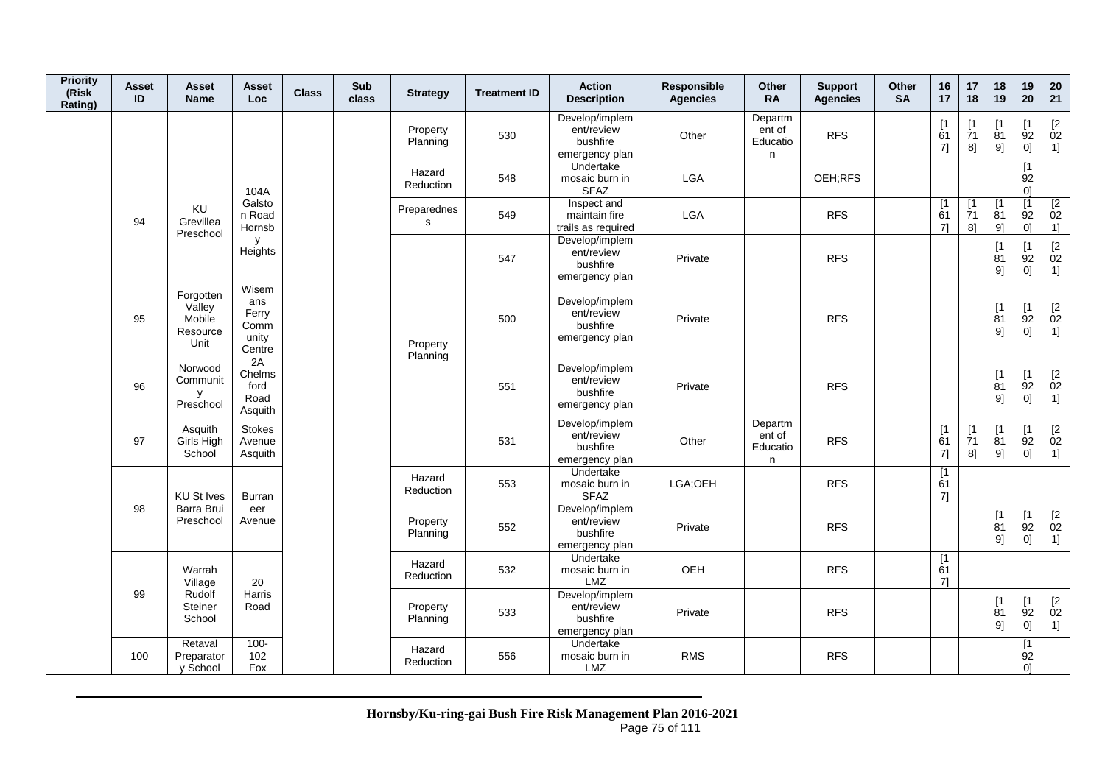| <b>Priority</b><br>(Risk<br>Rating) | <b>Asset</b><br>ID | <b>Asset</b><br><b>Name</b>                       | Asset<br><b>Loc</b>                              | <b>Class</b> | Sub<br>class | <b>Strategy</b>      | <b>Treatment ID</b> | <b>Action</b><br><b>Description</b>                        | Responsible<br><b>Agencies</b> | Other<br><b>RA</b>                 | <b>Support</b><br><b>Agencies</b> | Other<br><b>SA</b> | 16<br>17                    | 17<br>18                     | 18<br>19                       | 19<br>20                                   | 20<br>21                                                          |
|-------------------------------------|--------------------|---------------------------------------------------|--------------------------------------------------|--------------|--------------|----------------------|---------------------|------------------------------------------------------------|--------------------------------|------------------------------------|-----------------------------------|--------------------|-----------------------------|------------------------------|--------------------------------|--------------------------------------------|-------------------------------------------------------------------|
|                                     |                    |                                                   |                                                  |              |              | Property<br>Planning | 530                 | Develop/implem<br>ent/review<br>bushfire<br>emergency plan | Other                          | Departm<br>ent of<br>Educatio<br>n | <b>RFS</b>                        |                    | [1]<br>61<br>7]             | [1]<br>71<br>8]              | $\lceil 1 \rceil$<br>81<br>9]  | [1<br>92<br>0]                             | $\begin{bmatrix} 2 \\ 02 \end{bmatrix}$<br>1]                     |
|                                     |                    |                                                   | 104A                                             |              |              | Hazard<br>Reduction  | 548                 | Undertake<br>mosaic burn in<br><b>SFAZ</b>                 | <b>LGA</b>                     |                                    | OEH;RFS                           |                    |                             |                              |                                | [1]<br>92<br>0]                            |                                                                   |
|                                     | 94                 | KU<br>Grevillea<br>Preschool                      | Galsto<br>n Road<br>Hornsb                       |              |              | Preparednes<br>s     | 549                 | Inspect and<br>maintain fire<br>trails as required         | <b>LGA</b>                     |                                    | <b>RFS</b>                        |                    | [1]<br>61<br>71             | [1]<br>$\overline{7}1$<br>81 | $\overline{1}$<br>81<br>9]     | $\overline{1}$<br>92<br>0]                 | $\overline{2}$<br>02<br>1]                                        |
|                                     |                    |                                                   | У<br>Heights                                     |              |              |                      | 547                 | Develop/implem<br>ent/review<br>bushfire<br>emergency plan | Private                        |                                    | <b>RFS</b>                        |                    |                             |                              | $[1]$<br>$\overline{8}1$<br>9] | [1]<br>$\overline{9}2$<br>0]               | $\mathop{02}\limits^{[2]}$<br>1]                                  |
|                                     | 95                 | Forgotten<br>Valley<br>Mobile<br>Resource<br>Unit | Wisem<br>ans<br>Ferry<br>Comm<br>unity<br>Centre |              |              | Property<br>Planning | 500                 | Develop/implem<br>ent/review<br>bushfire<br>emergency plan | Private                        |                                    | <b>RFS</b>                        |                    |                             |                              | [1]<br>81<br>9]                | $\lceil 1 \rceil$<br>$\overline{9}2$<br>0] | $\begin{array}{c} \left[2 \right. \\ 02 \\ 1 \right] \end{array}$ |
|                                     | 96                 | Norwood<br>Communit<br>y<br>Preschool             | 2A<br>Chelms<br>ford<br>Road<br>Asquith          |              |              |                      | 551                 | Develop/implem<br>ent/review<br>bushfire<br>emergency plan | Private                        |                                    | <b>RFS</b>                        |                    |                             |                              | [1]<br>$\overline{8}1$<br>9]   | [1]<br>92<br>0]                            | $\frac{[2]}{02}$<br>1]                                            |
|                                     | 97                 | Asquith<br>Girls High<br>School                   | Stokes<br>Avenue<br>Asquith                      |              |              |                      | 531                 | Develop/implem<br>ent/review<br>bushfire<br>emergency plan | Other                          | Departm<br>ent of<br>Educatio<br>n | <b>RFS</b>                        |                    | [1]<br>61<br>7]             | [1]<br>$\overline{7}1$<br>8] | $[1]$<br>81<br>9]              | [1<br>92<br>0]                             | $\mathop{02}\limits^{[2]}$<br>1]                                  |
|                                     |                    | <b>KU St Ives</b>                                 | <b>Burran</b>                                    |              |              | Hazard<br>Reduction  | 553                 | Undertake<br>mosaic burn in<br><b>SFAZ</b>                 | LGA;OEH                        |                                    | <b>RFS</b>                        |                    | $\overline{11}$<br>61<br>71 |                              |                                |                                            |                                                                   |
|                                     | 98                 | Barra Brui<br>Preschool                           | eer<br>Avenue                                    |              |              | Property<br>Planning | 552                 | Develop/implem<br>ent/review<br>bushfire<br>emergency plan | Private                        |                                    | <b>RFS</b>                        |                    |                             |                              | [1]<br>81<br>9]                | [1]<br>92<br>0]                            | $[2]$<br>02<br>$1$ ]                                              |
|                                     |                    | Warrah<br>Village                                 | 20                                               |              |              | Hazard<br>Reduction  | 532                 | Undertake<br>mosaic burn in<br>LMZ                         | OEH                            |                                    | <b>RFS</b>                        |                    | [1]<br>61<br>71             |                              |                                |                                            |                                                                   |
|                                     | 99                 | Rudolf<br>Steiner<br>School                       | Harris<br>Road                                   |              |              | Property<br>Planning | 533                 | Develop/implem<br>ent/review<br>bushfire<br>emergency plan | Private                        |                                    | <b>RFS</b>                        |                    |                             |                              | [1]<br>81<br>9]                | [1]<br>$\overline{9}2$<br>0]               | $\frac{[2]}{02}$<br>1]                                            |
|                                     | 100                | Retaval<br>Preparator<br>y School                 | $100 -$<br>102<br>Fox                            |              |              | Hazard<br>Reduction  | 556                 | Undertake<br>mosaic burn in<br>LMZ                         | <b>RMS</b>                     |                                    | <b>RFS</b>                        |                    |                             |                              |                                | [1]<br>92<br>0 <sup>1</sup>                |                                                                   |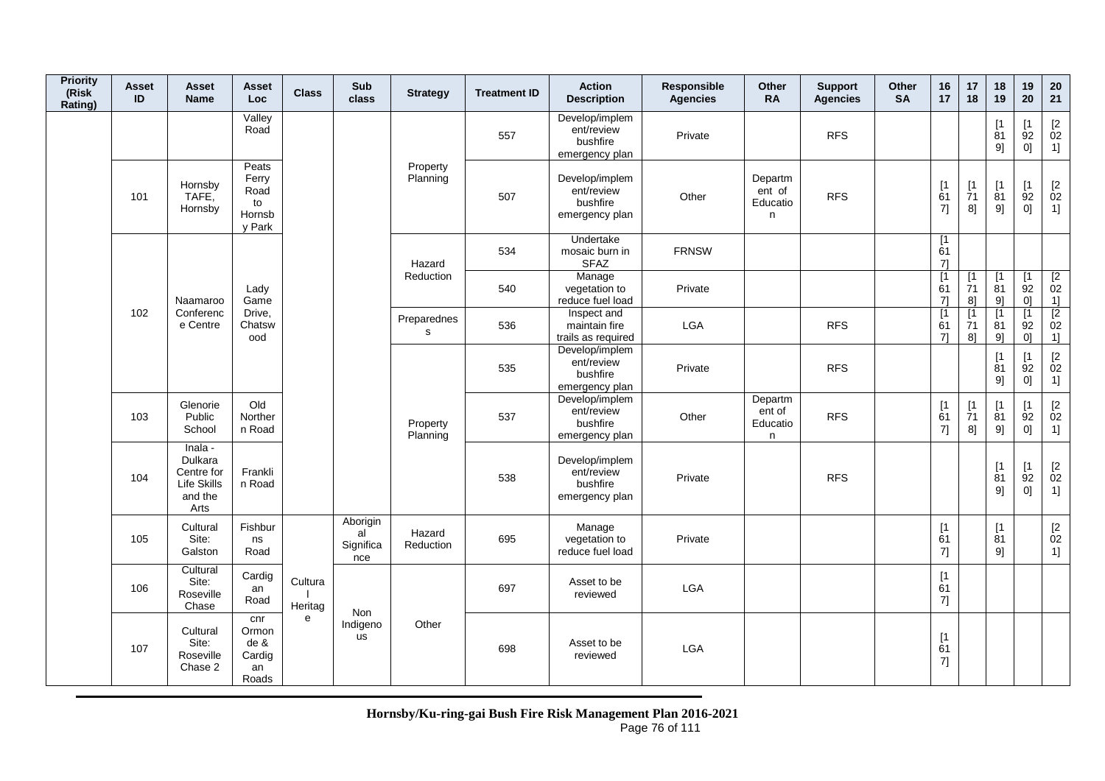| <b>Priority</b><br>(Risk<br>Rating) | <b>Asset</b><br>ID | <b>Asset</b><br><b>Name</b>                                        | <b>Asset</b><br>Loc                              | <b>Class</b>       | Sub<br>class                       | <b>Strategy</b>      | <b>Treatment ID</b> | <b>Action</b><br><b>Description</b>                        | <b>Responsible</b><br><b>Agencies</b> | Other<br><b>RA</b>                 | <b>Support</b><br><b>Agencies</b> | Other<br><b>SA</b> | 16<br>17                      | 17<br>18                                  | 18<br>19                     | 19<br>20                                  | 20<br>21                                                    |
|-------------------------------------|--------------------|--------------------------------------------------------------------|--------------------------------------------------|--------------------|------------------------------------|----------------------|---------------------|------------------------------------------------------------|---------------------------------------|------------------------------------|-----------------------------------|--------------------|-------------------------------|-------------------------------------------|------------------------------|-------------------------------------------|-------------------------------------------------------------|
|                                     |                    |                                                                    | Valley<br>Road                                   |                    |                                    |                      | 557                 | Develop/implem<br>ent/review<br>bushfire<br>emergency plan | Private                               |                                    | <b>RFS</b>                        |                    |                               |                                           | [1]<br>81<br>9]              | [1<br>92<br>0]                            | $[2]$<br>02<br>1]                                           |
|                                     | 101                | Hornsby<br>TAFE,<br>Hornsby                                        | Peats<br>Ferry<br>Road<br>to<br>Hornsb<br>y Park |                    |                                    | Property<br>Planning | 507                 | Develop/implem<br>ent/review<br>bushfire<br>emergency plan | Other                                 | Departm<br>ent of<br>Educatio<br>n | <b>RFS</b>                        |                    | [1]<br>61<br>7]               | [1<br>$\overline{7}1$<br>8]               | [1]<br>$\overline{81}$<br>9] | [1]<br>92<br>0]                           | $\mathop{02}\limits^{[2]}$<br>1]                            |
|                                     |                    |                                                                    |                                                  |                    |                                    | Hazard               | 534                 | <b>Undertake</b><br>mosaic burn in<br><b>SFAZ</b>          | <b>FRNSW</b>                          |                                    |                                   |                    | [1]<br>61<br>71               |                                           |                              |                                           |                                                             |
|                                     |                    | Naamaroo                                                           | Lady<br>Game                                     |                    |                                    | Reduction            | 540                 | Manage<br>vegetation to<br>reduce fuel load                | Private                               |                                    |                                   |                    | $\lceil 1 \rceil$<br>61<br>71 | $\lceil 1 \rceil$<br>71<br>8]             | [1]<br>81<br>9]              | $\lceil 1 \rceil$<br>92<br>0]             | $\overline{2}$<br>02<br>1]                                  |
|                                     | 102                | Conferenc<br>e Centre                                              | Drive,<br>Chatsw<br>ood                          |                    |                                    | Preparednes<br>s     | 536                 | Inspect and<br>maintain fire<br>trails as required         | LGA                                   |                                    | <b>RFS</b>                        |                    | $\lceil 1 \rceil$<br>61<br>71 | $\lceil 1 \rceil$<br>71<br>8 <sup>1</sup> | $\sqrt{1}$<br>81<br>91       | $\lceil 1 \rceil$<br>92<br>0 <sup>1</sup> | $\overline{2}$<br>02<br>1]                                  |
|                                     |                    |                                                                    |                                                  |                    |                                    |                      | 535                 | Develop/implem<br>ent/review<br>bushfire<br>emergency plan | Private                               |                                    | <b>RFS</b>                        |                    |                               |                                           | [1]<br>81<br>9]              | [1]<br>92<br>0]                           | [2<br>02<br>1]                                              |
|                                     | 103                | Glenorie<br>Public<br>School                                       | Old<br>Norther<br>n Road                         |                    |                                    | Property<br>Planning | 537                 | Develop/implem<br>ent/review<br>bushfire<br>emergency plan | Other                                 | Departm<br>ent of<br>Educatio<br>n | <b>RFS</b>                        |                    | [1]<br>61<br>7]               | [1]<br>$\overline{7}1$<br>8]              | [1]<br>81<br>9]              | [1]<br>92<br>0]                           | [2]<br>02<br>1]                                             |
|                                     | 104                | Inala -<br>Dulkara<br>Centre for<br>Life Skills<br>and the<br>Arts | Frankli<br>n Road                                |                    |                                    |                      | 538                 | Develop/implem<br>ent/review<br>bushfire<br>emergency plan | Private                               |                                    | <b>RFS</b>                        |                    |                               |                                           | [1]<br>81<br>9]              | [1]<br>92<br>0]                           | $\begin{bmatrix} 2 \\ 02 \end{bmatrix}$<br>1]               |
|                                     | 105                | Cultural<br>Site:<br>Galston                                       | Fishbur<br>ns<br>Road                            |                    | Aborigin<br>al<br>Significa<br>nce | Hazard<br>Reduction  | 695                 | Manage<br>vegetation to<br>reduce fuel load                | Private                               |                                    |                                   |                    | [1]<br>61<br>7]               |                                           | [1]<br>81<br>9]              |                                           | $\begin{array}{c} \left[ 2 \right. \\ 02 \end{array}$<br>1] |
|                                     | 106                | Cultural<br>Site:<br>Roseville<br>Chase                            | Cardig<br>an<br>Road                             | Cultura<br>Heritag |                                    |                      | 697                 | Asset to be<br>reviewed                                    | LGA                                   |                                    |                                   |                    | [1]<br>61<br>7]               |                                           |                              |                                           |                                                             |
|                                     | 107                | Cultural<br>Site:<br>Roseville<br>Chase 2                          | cnr<br>Ormon<br>de &<br>Cardig<br>an<br>Roads    | e                  | Non<br>Indigeno<br><b>us</b>       | Other                | 698                 | Asset to be<br>reviewed                                    | LGA                                   |                                    |                                   |                    | [1]<br>61<br>7]               |                                           |                              |                                           |                                                             |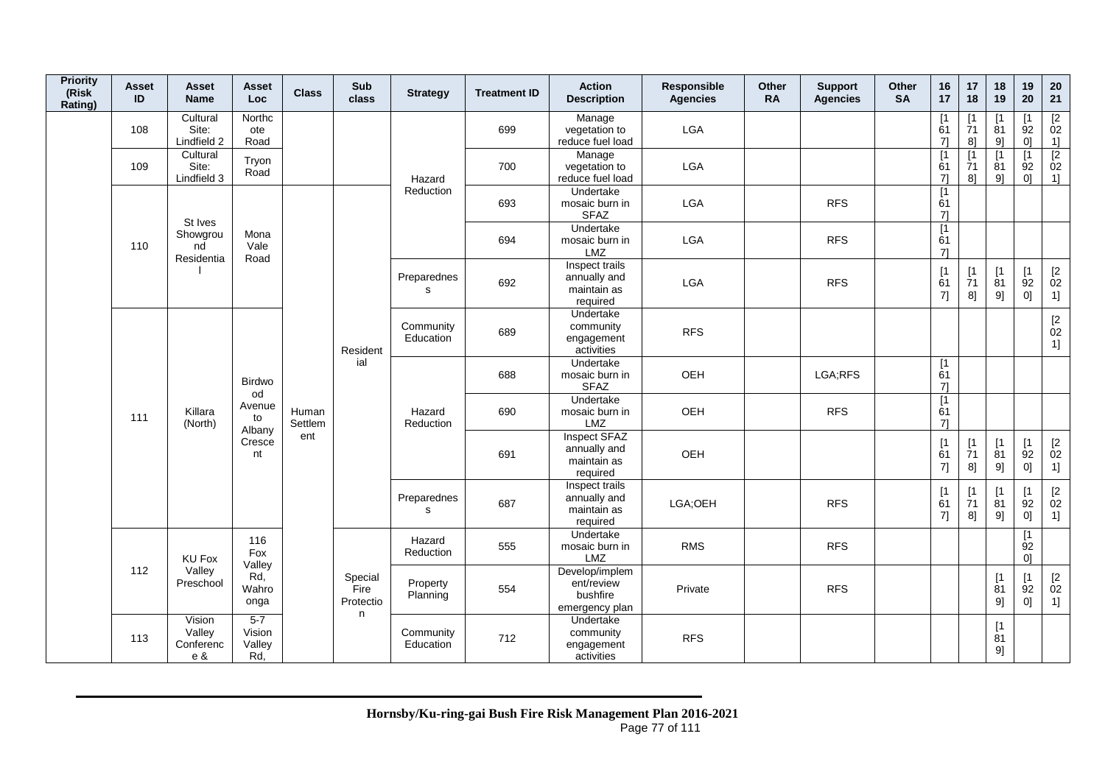| <b>Priority</b><br>(Risk<br>Rating) | <b>Asset</b><br>ID         | Asset<br><b>Name</b>                 | Asset<br>Loc                       | <b>Class</b>                      | Sub<br>class           | <b>Strategy</b>             | <b>Treatment ID</b>                                        | <b>Action</b><br><b>Description</b>                       | Responsible<br><b>Agencies</b> | Other<br><b>RA</b> | <b>Support</b><br><b>Agencies</b> | Other<br><b>SA</b> | 16<br>17                      | 17<br>18                            | 18<br>19                      | 19<br>20                                      | $20\,$<br>21                                  |
|-------------------------------------|----------------------------|--------------------------------------|------------------------------------|-----------------------------------|------------------------|-----------------------------|------------------------------------------------------------|-----------------------------------------------------------|--------------------------------|--------------------|-----------------------------------|--------------------|-------------------------------|-------------------------------------|-------------------------------|-----------------------------------------------|-----------------------------------------------|
|                                     | 108                        | Cultural<br>Site:<br>Lindfield 2     | Northc<br>ote<br>Road              |                                   |                        |                             | 699                                                        | Manage<br>vegetation to<br>reduce fuel load               | LGA                            |                    |                                   |                    | $\lceil 1 \rceil$<br>61<br>71 | $\lceil 1$<br>$\overline{7}1$<br>8] | Γ1<br>81<br>9]                | $\mathsf{I}$<br>92<br>0 <sup>1</sup>          | [2]<br>02<br>1]                               |
|                                     | 109                        | Cultural<br>Site:<br>Lindfield 3     | Tryon<br>Road                      |                                   |                        | Hazard                      | 700                                                        | Manage<br>vegetation to<br>reduce fuel load               | <b>LGA</b>                     |                    |                                   |                    | [1]<br>61<br>71               | [1]<br>71<br>8]                     | $\sqrt{1}$<br>81<br>9]        | $\lceil 1 \rceil$<br>92<br>0 <sup>1</sup>     | [2]<br>02<br>1]                               |
|                                     |                            | St Ives                              |                                    |                                   |                        | Reduction                   | 693                                                        | Undertake<br>mosaic burn in<br><b>SFAZ</b>                | LGA                            |                    | <b>RFS</b>                        |                    | [1<br>61<br>7]                |                                     |                               |                                               |                                               |
|                                     | 110                        | Showgrou<br>nd<br>Residentia         | Mona<br>Vale<br>Road               |                                   |                        |                             | 694                                                        | Undertake<br>mosaic burn in<br>LMZ                        | LGA                            |                    | <b>RFS</b>                        |                    | [1]<br>61<br>$7$ ]            |                                     |                               |                                               |                                               |
|                                     |                            |                                      |                                    |                                   |                        | Preparednes<br>$\mathbf{s}$ | 692                                                        | Inspect trails<br>annually and<br>maintain as<br>required | <b>LGA</b>                     |                    | <b>RFS</b>                        |                    | [1]<br>61<br>7]               | [1]<br>71<br>8]                     | $\lceil 1 \rceil$<br>81<br>9] | [1]<br>92<br>0]                               | $\begin{bmatrix} 2 \\ 02 \end{bmatrix}$<br>1] |
|                                     |                            |                                      |                                    |                                   | Resident               | Community<br>Education      | 689                                                        | Undertake<br>community<br>engagement<br>activities        | <b>RFS</b>                     |                    |                                   |                    |                               |                                     |                               |                                               | $\begin{bmatrix} 2 \\ 02 \end{bmatrix}$<br>1] |
|                                     |                            |                                      | <b>Birdwo</b>                      |                                   | ial                    |                             | 688                                                        | Undertake<br>mosaic burn in<br><b>SFAZ</b>                | OEH                            |                    | LGA;RFS                           |                    | [1]<br>61<br>71               |                                     |                               |                                               |                                               |
|                                     | 111                        | Killara<br>(North)                   | od<br>Avenue<br>to<br>Albany       | Human<br>Settlem                  |                        | Hazard<br>Reduction         | 690                                                        | Undertake<br>mosaic burn in<br>LMZ                        | OEH                            |                    | <b>RFS</b>                        |                    | $\overline{11}$<br>61<br>71   |                                     |                               |                                               |                                               |
|                                     |                            |                                      | Cresce<br>nt                       | ent                               |                        |                             | 691                                                        | Inspect SFAZ<br>annually and<br>maintain as<br>required   | OEH                            |                    |                                   |                    | [1]<br>61<br>7]               | [1]<br>$\overline{7}1$<br>8]        | [1]<br>81<br>9]               | [1]<br>$\overline{9}2$<br>0]                  | $\begin{bmatrix} 2 \\ 02 \end{bmatrix}$<br>1] |
|                                     |                            |                                      |                                    |                                   |                        | Preparednes<br>s            | 687                                                        | Inspect trails<br>annually and<br>maintain as<br>required | LGA;OEH                        |                    | <b>RFS</b>                        |                    | [1]<br>61<br>7]               | [1]<br>71<br>8]                     | [1<br>81<br>9]                | [1<br>92<br>0]                                | $\begin{bmatrix} 2 \\ 02 \end{bmatrix}$<br>1] |
|                                     |                            | <b>KU Fox</b>                        | 116<br>Fox<br>Valley               |                                   |                        | Hazard<br>Reduction         | 555                                                        | Undertake<br>mosaic burn in<br>LMZ                        | <b>RMS</b>                     |                    | <b>RFS</b>                        |                    |                               |                                     |                               | [1]<br>92<br>01                               |                                               |
|                                     | 112<br>Valley<br>Preschool | Rd,<br>Wahro<br>onga                 |                                    | Special<br>Fire<br>Protectio<br>n | Property<br>Planning   | 554                         | Develop/implem<br>ent/review<br>bushfire<br>emergency plan | Private                                                   |                                | <b>RFS</b>         |                                   |                    |                               | $[1]$<br>81<br>9]                   | [1]<br>92<br>0]               | $\begin{bmatrix} 2 \\ 02 \end{bmatrix}$<br>1] |                                               |
|                                     | 113                        | Vision<br>Valley<br>Conferenc<br>e & | $5 - 7$<br>Vision<br>Valley<br>Rd, |                                   | Community<br>Education | 712                         | Undertake<br>community<br>engagement<br>activities         | <b>RFS</b>                                                |                                |                    |                                   |                    |                               | [1]<br>81<br>9]                     |                               |                                               |                                               |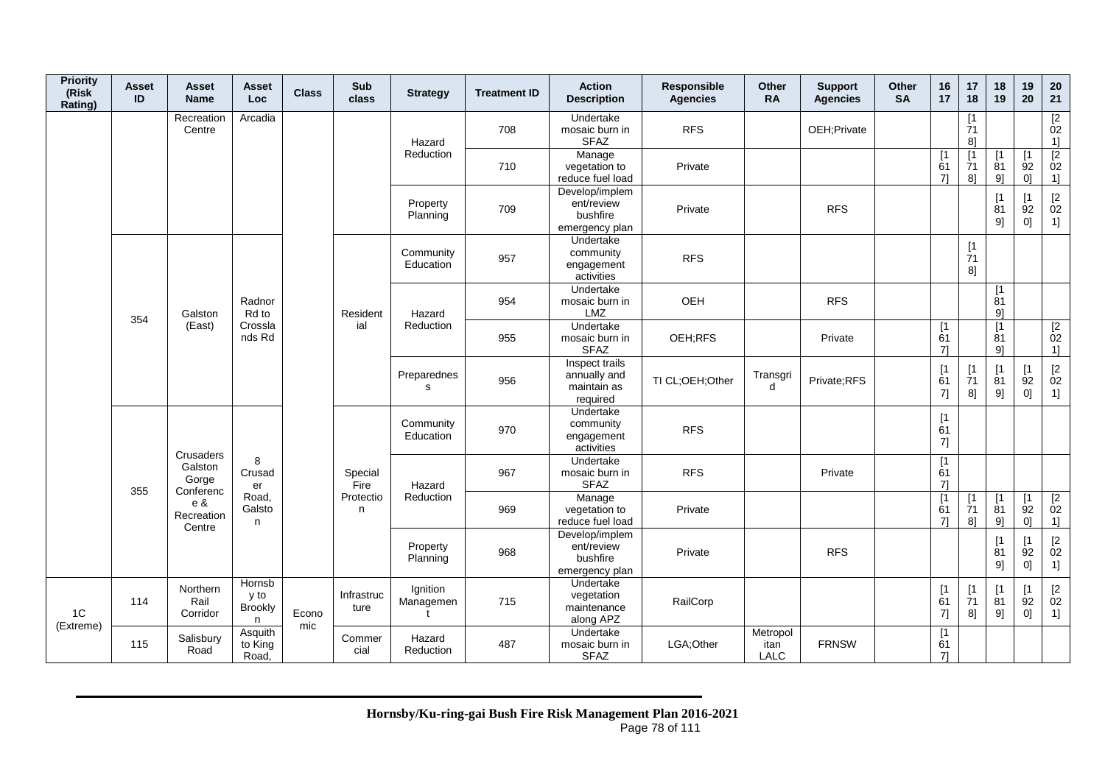| <b>Priority</b><br>(Risk<br>Rating) | <b>Asset</b><br>ID | <b>Asset</b><br><b>Name</b>                | Asset<br><b>Loc</b>            | <b>Class</b> | Sub<br>class       | <b>Strategy</b>            | <b>Treatment ID</b> | <b>Action</b><br><b>Description</b>                        | Responsible<br><b>Agencies</b> | Other<br><b>RA</b>              | <b>Support</b><br><b>Agencies</b> | Other<br><b>SA</b> | 16<br>17                      | 17<br>18                    | 18<br>19                      | 19<br>20                                  | 20<br>21                                                    |
|-------------------------------------|--------------------|--------------------------------------------|--------------------------------|--------------|--------------------|----------------------------|---------------------|------------------------------------------------------------|--------------------------------|---------------------------------|-----------------------------------|--------------------|-------------------------------|-----------------------------|-------------------------------|-------------------------------------------|-------------------------------------------------------------|
|                                     |                    | Recreation<br>Centre                       | Arcadia                        |              |                    | Hazard                     | 708                 | Undertake<br>mosaic burn in<br><b>SFAZ</b>                 | <b>RFS</b>                     |                                 | OEH;Private                       |                    |                               | [1<br>71<br>8]              |                               |                                           | $\overline{2}$<br>02<br>1]                                  |
|                                     |                    |                                            |                                |              |                    | Reduction                  | 710                 | Manage<br>vegetation to<br>reduce fuel load                | Private                        |                                 |                                   |                    | [1]<br>61<br>71               | [1]<br>71<br>8]             | $\lceil 1$<br>81<br>91        | 92<br>0 <sup>1</sup>                      | $\boxed{2}$<br>02<br>1]                                     |
|                                     |                    |                                            |                                |              |                    | Property<br>Planning       | 709                 | Develop/implem<br>ent/review<br>bushfire<br>emergency plan | Private                        |                                 | <b>RFS</b>                        |                    |                               |                             | $\lceil 1 \rceil$<br>81<br>91 | [1]<br>92<br>0]                           | $\begin{bmatrix} 2 \\ 02 \end{bmatrix}$<br>1]               |
|                                     |                    |                                            |                                |              |                    | Community<br>Education     | 957                 | Undertake<br>community<br>engagement<br>activities         | <b>RFS</b>                     |                                 |                                   |                    |                               | [1]<br>71<br>8]             |                               |                                           |                                                             |
|                                     | 354                | Galston                                    | Radnor<br>Rd to                |              | Resident           | Hazard                     | 954                 | Undertake<br>mosaic burn in<br><b>LMZ</b>                  | OEH                            |                                 | <b>RFS</b>                        |                    |                               |                             | [1<br>81<br>9]                |                                           |                                                             |
|                                     |                    | (East)                                     | Crossla<br>nds Rd              |              | ial                | Reduction                  | 955                 | Undertake<br>mosaic burn in<br><b>SFAZ</b>                 | OEH;RFS                        |                                 | Private                           |                    | $\sqrt{1}$<br>61<br>71        |                             | $\mathsf{I}$<br>81<br>91      |                                           | $\overline{2}$<br>02<br>11                                  |
|                                     |                    |                                            |                                |              |                    | Preparednes<br>$\mathbf s$ | 956                 | Inspect trails<br>annually and<br>maintain as<br>required  | TI CL;OEH;Other                | Transgri<br>d                   | Private;RFS                       |                    | [1]<br>61<br>7]               | [1]<br>71<br>8]             | $\mathsf{I}$<br>81<br>9]      | [1]<br>92<br>0]                           | $\begin{bmatrix} 2 \\ 02 \end{bmatrix}$<br>1]               |
|                                     |                    |                                            |                                |              |                    | Community<br>Education     | 970                 | Undertake<br>community<br>engagement<br>activities         | <b>RFS</b>                     |                                 |                                   |                    | [1]<br>61<br>7]               |                             |                               |                                           |                                                             |
|                                     | 355                | Crusaders<br>Galston<br>Gorge<br>Conferenc | 8<br>Crusad<br>er              |              | Special<br>Fire    | Hazard                     | 967                 | Undertake<br>mosaic burn in<br><b>SFAZ</b>                 | <b>RFS</b>                     |                                 | Private                           |                    | $\lceil 1 \rceil$<br>61<br>71 |                             |                               |                                           |                                                             |
|                                     |                    | e &<br>Recreation<br>Centre                | Road,<br>Galsto<br>n           |              | Protectio<br>n     | Reduction                  | 969                 | Manage<br>vegetation to<br>reduce fuel load                | Private                        |                                 |                                   |                    | $\overline{11}$<br>61<br>71   | [1]<br>71<br>8 <sup>1</sup> | $\mathsf{I}$<br>81<br>91      | $\lceil 1 \rceil$<br>92<br>0 <sup>1</sup> | $\sqrt{2}$<br>02<br>1]                                      |
|                                     |                    |                                            |                                |              |                    | Property<br>Planning       | 968                 | Develop/implem<br>ent/review<br>bushfire<br>emergency plan | Private                        |                                 | <b>RFS</b>                        |                    |                               |                             | $\lceil 1 \rceil$<br>81<br>9] | $\lceil 1 \rceil$<br>92<br>0]             | $\begin{bmatrix} 2 \\ 02 \end{bmatrix}$<br>1]               |
| 1C                                  | 114                | Northern<br>Rail<br>Corridor               | Hornsb<br>y to<br>Brookly<br>n | Econo        | Infrastruc<br>ture | Ignition<br>Managemen      | 715                 | Undertake<br>vegetation<br>maintenance<br>along APZ        | RailCorp                       |                                 |                                   |                    | [1<br>61<br>7]                | [1]<br>71<br>8]             | $\mathsf{I}$<br>81<br>9]      | $\lceil 1 \rceil$<br>92<br>0]             | $\begin{array}{c} \left[ 2 \right. \\ 02 \end{array}$<br>1] |
| (Extreme)                           | 115                | Salisbury<br>Road                          | Asquith<br>to King<br>Road,    | mic          | Commer<br>cial     | Hazard<br>Reduction        | 487                 | Undertake<br>mosaic burn in<br><b>SFAZ</b>                 | LGA:Other                      | Metropol<br>itan<br><b>LALC</b> | <b>FRNSW</b>                      |                    | $\sqrt{1}$<br>61<br>71        |                             |                               |                                           |                                                             |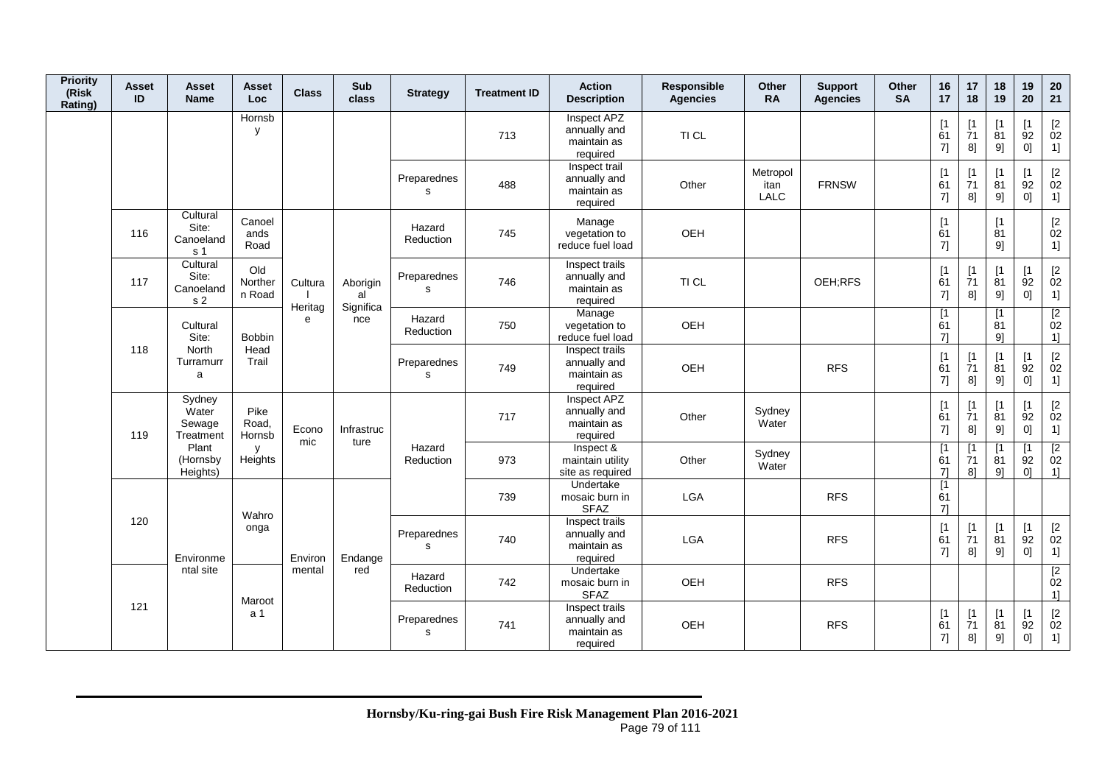| <b>Priority</b><br>(Risk<br>Rating) | Asset<br>ID | Asset<br><b>Name</b>                             | Asset<br><b>Loc</b>      | <b>Class</b>       | Sub<br>class                | <b>Strategy</b>            | <b>Treatment ID</b> | <b>Action</b><br><b>Description</b>                       | Responsible<br><b>Agencies</b> | Other<br><b>RA</b>              | <b>Support</b><br><b>Agencies</b> | Other<br><b>SA</b> | 16<br>17                      | 17<br>18                              | 18<br>19                                   | 19<br>20                      | 20<br>21                                                                                                                                                                                                                                                                                                                                                                                                                                                                                                                                                                                                                                                                                                                                                                                                                                                                                                                                                                                                                                                 |
|-------------------------------------|-------------|--------------------------------------------------|--------------------------|--------------------|-----------------------------|----------------------------|---------------------|-----------------------------------------------------------|--------------------------------|---------------------------------|-----------------------------------|--------------------|-------------------------------|---------------------------------------|--------------------------------------------|-------------------------------|----------------------------------------------------------------------------------------------------------------------------------------------------------------------------------------------------------------------------------------------------------------------------------------------------------------------------------------------------------------------------------------------------------------------------------------------------------------------------------------------------------------------------------------------------------------------------------------------------------------------------------------------------------------------------------------------------------------------------------------------------------------------------------------------------------------------------------------------------------------------------------------------------------------------------------------------------------------------------------------------------------------------------------------------------------|
|                                     |             |                                                  | Hornsb<br>У              |                    |                             |                            | 713                 | Inspect APZ<br>annually and<br>maintain as<br>required    | TI CL                          |                                 |                                   |                    | $\mathsf{I}$<br>61<br>7]      | Γ1<br>71<br>8]                        | [1]<br>81<br>9]                            | $\lceil 1 \rceil$<br>92<br>0] | $\begin{bmatrix} 2 \\ 02 \end{bmatrix}$<br>1]                                                                                                                                                                                                                                                                                                                                                                                                                                                                                                                                                                                                                                                                                                                                                                                                                                                                                                                                                                                                            |
|                                     |             |                                                  |                          |                    |                             | Preparednes<br>s           | 488                 | Inspect trail<br>annually and<br>maintain as<br>required  | Other                          | Metropol<br>itan<br><b>LALC</b> | <b>FRNSW</b>                      |                    | $\sqrt{1}$<br>61<br>$7$ ]     | 71<br>8]                              | [1<br>$\overline{81}$<br>9]                | $\mathsf{I}$<br>92<br>0]      | $[2] % \centering \includegraphics[width=0.8\textwidth]{images/TrDiS/N-Architecture.png} % \caption{The first two different values of the parameter $\Sigma$ and the first two different values of the parameter $2$. The first two different values of the parameter $2$. The first two different values of the parameter $3$. The first two different values of the parameter $3$. The first two different values of the parameter $3$. The first two different values of the parameter $3$. The first two different values of the parameter $3$. The first two different values of the parameter $3$. The first two different values of the parameter $3$. The first two different values of the parameter $3$. The first two different values of the parameter $3$. The first two different values of the parameter $3$. The first two different values of the parameter $3$. The first two different values of the parameter $3$. The first two different values of the parameter $3$. The first two different values of the parameter$<br>02<br>1] |
|                                     | 116         | Cultural<br>Site:<br>Canoeland<br>s 1            | Canoel<br>ands<br>Road   |                    |                             | Hazard<br>Reduction        | 745                 | Manage<br>vegetation to<br>reduce fuel load               | OEH                            |                                 |                                   |                    | $\sqrt{1}$<br>61<br>7]        |                                       | [1<br>81<br>9]                             |                               | $\begin{bmatrix} 2 \\ 02 \end{bmatrix}$<br>1]                                                                                                                                                                                                                                                                                                                                                                                                                                                                                                                                                                                                                                                                                                                                                                                                                                                                                                                                                                                                            |
|                                     | 117         | Cultural<br>Site:<br>Canoeland<br>s <sub>2</sub> | Old<br>Norther<br>n Road | Cultura<br>Heritag | Aborigin<br>al<br>Significa | Preparednes<br>$\mathbf s$ | 746                 | Inspect trails<br>annually and<br>maintain as<br>required | TI CL                          |                                 | OEH;RFS                           |                    | $\sqrt{1}$<br>61<br>7]        | $\mathsf{I}$<br>$\overline{7}1$<br>8] | $\lceil 1 \rceil$<br>$\overline{81}$<br>9] | $\lceil 1 \rceil$<br>92<br>0] | $\begin{bmatrix} 2 \\ 02 \end{bmatrix}$<br>1]                                                                                                                                                                                                                                                                                                                                                                                                                                                                                                                                                                                                                                                                                                                                                                                                                                                                                                                                                                                                            |
|                                     |             | Cultural<br>Site:                                | <b>Bobbin</b>            | e                  | nce                         | Hazard<br>Reduction        | 750                 | Manage<br>vegetation to<br>reduce fuel load               | OEH                            |                                 |                                   |                    | $\lceil 1 \rceil$<br>61<br>71 |                                       | [1]<br>81<br>91                            |                               | $\overline{[2]}$<br>02<br>1]                                                                                                                                                                                                                                                                                                                                                                                                                                                                                                                                                                                                                                                                                                                                                                                                                                                                                                                                                                                                                             |
|                                     | 118         | <b>North</b><br>Turramurr<br>a                   | Head<br>Trail            |                    |                             | Preparednes<br>s           | 749                 | Inspect trails<br>annually and<br>maintain as<br>required | OEH                            |                                 | <b>RFS</b>                        |                    | $\mathsf{I}$<br>61<br>7]      | $\mathsf{I}$<br>71<br>8]              | [1]<br>81<br>9]                            | [1<br>92<br>0]                | $[2]$<br>02<br>1]                                                                                                                                                                                                                                                                                                                                                                                                                                                                                                                                                                                                                                                                                                                                                                                                                                                                                                                                                                                                                                        |
|                                     | 119         | Sydney<br>Water<br>Sewage<br>Treatment           | Pike<br>Road,<br>Hornsb  | Econo<br>mic       | Infrastruc<br>ture          |                            | 717                 | Inspect APZ<br>annually and<br>maintain as<br>required    | Other                          | Sydney<br>Water                 |                                   |                    | $\sqrt{1}$<br>61<br>7]        | $\mathsf{I}$<br>71<br>8]              | $\lceil 1 \rceil$<br>81<br>9]              | $\lceil 1 \rceil$<br>92<br>0] | $\begin{bmatrix} 2 \\ 02 \end{bmatrix}$<br>1]                                                                                                                                                                                                                                                                                                                                                                                                                                                                                                                                                                                                                                                                                                                                                                                                                                                                                                                                                                                                            |
|                                     |             | Plant<br>(Hornsby<br>Heights)                    | y<br>Heights             |                    |                             | Hazard<br>Reduction        | 973                 | Inspect &<br>maintain utility<br>site as required         | Other                          | Sydney<br>Water                 |                                   |                    | $\lceil 1 \rceil$<br>61<br>71 | 71<br>81                              | [1<br>81<br>91                             | $\mathsf{I}$<br>92<br>0]      | $[2] % \centering \includegraphics[width=0.8\textwidth]{images/TrDiM-Architecture.png} % \caption{The figure shows the results of the estimators in the left hand side.} \label{TrDiM-Architecture} %$<br>02<br>1]                                                                                                                                                                                                                                                                                                                                                                                                                                                                                                                                                                                                                                                                                                                                                                                                                                       |
|                                     |             |                                                  | Wahro                    |                    |                             |                            | 739                 | Undertake<br>mosaic burn in<br><b>SFAZ</b>                | <b>LGA</b>                     |                                 | <b>RFS</b>                        |                    | $\lceil 1 \rceil$<br>61<br>71 |                                       |                                            |                               |                                                                                                                                                                                                                                                                                                                                                                                                                                                                                                                                                                                                                                                                                                                                                                                                                                                                                                                                                                                                                                                          |
|                                     | 120         | Environme                                        | onga                     | Environ            | Endange                     | Preparednes<br>s           | 740                 | Inspect trails<br>annually and<br>maintain as<br>required | LGA                            |                                 | <b>RFS</b>                        |                    | $\sqrt{1}$<br>61<br>7]        | 71<br>8]                              | [1]<br>81<br>9]                            | [1]<br>92<br>0]               | $[2]$<br>02<br>1]                                                                                                                                                                                                                                                                                                                                                                                                                                                                                                                                                                                                                                                                                                                                                                                                                                                                                                                                                                                                                                        |
|                                     |             | ntal site                                        | Maroot                   | mental             | red                         | Hazard<br>Reduction        | 742                 | Undertake<br>mosaic burn in<br><b>SFAZ</b>                | OEH                            |                                 | <b>RFS</b>                        |                    |                               |                                       |                                            |                               | $\overline{2}$<br>02<br>1]                                                                                                                                                                                                                                                                                                                                                                                                                                                                                                                                                                                                                                                                                                                                                                                                                                                                                                                                                                                                                               |
|                                     | 121         |                                                  | a 1                      |                    |                             | Preparednes<br>s           | 741                 | Inspect trails<br>annually and<br>maintain as<br>required | OEH                            |                                 | <b>RFS</b>                        |                    | $\lceil 1 \rceil$<br>61<br>7] | $\lceil 1 \rceil$<br>71<br>8]         | [1]<br>81<br>9]                            | [1]<br>92<br>0]               | $[2]$<br>02<br>1]                                                                                                                                                                                                                                                                                                                                                                                                                                                                                                                                                                                                                                                                                                                                                                                                                                                                                                                                                                                                                                        |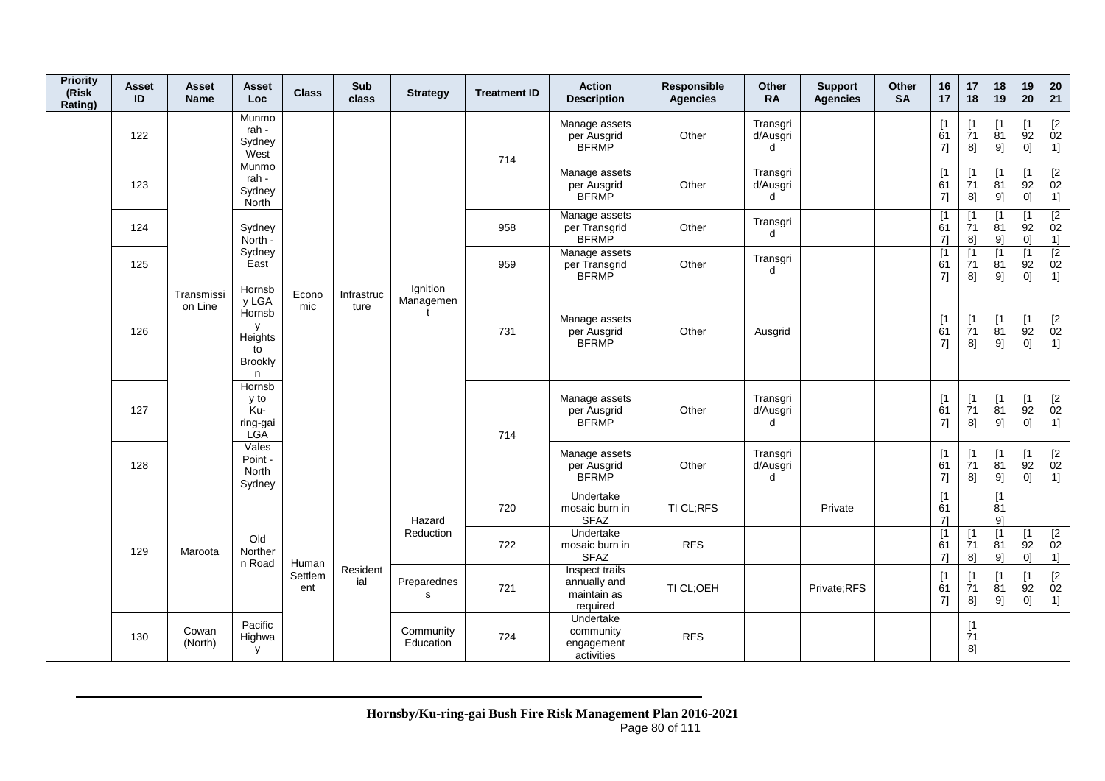| <b>Priority</b><br>(Risk<br>Rating) | <b>Asset</b><br>ID | Asset<br><b>Name</b>  | Asset<br><b>Loc</b>                                                    | <b>Class</b>   | Sub<br>class       | <b>Strategy</b>        | <b>Treatment ID</b> | <b>Action</b><br><b>Description</b>                       | Responsible<br><b>Agencies</b> | Other<br><b>RA</b>        | <b>Support</b><br><b>Agencies</b> | Other<br><b>SA</b> | 16<br>17                      | 17<br>18                       | 18<br>19                    | 19<br>20                              | 20<br>21                                                           |
|-------------------------------------|--------------------|-----------------------|------------------------------------------------------------------------|----------------|--------------------|------------------------|---------------------|-----------------------------------------------------------|--------------------------------|---------------------------|-----------------------------------|--------------------|-------------------------------|--------------------------------|-----------------------------|---------------------------------------|--------------------------------------------------------------------|
|                                     | 122                |                       | Munmo<br>rah -<br>Sydney<br>West                                       |                |                    |                        | 714                 | Manage assets<br>per Ausgrid<br><b>BFRMP</b>              | Other                          | Transgri<br>d/Ausgri<br>d |                                   |                    | [1]<br>61<br>7]               | $[1]$<br>71<br>8]              | [1<br>81<br>9]              | $\lceil 1 \rceil$<br>92<br>0]         | $\begin{array}{c} \left[2 \right. \\ 02 \right. \end{array}$<br>1] |
|                                     | 123                |                       | Munmo<br>rah -<br>Sydney<br><b>North</b>                               |                |                    |                        |                     | Manage assets<br>per Ausgrid<br><b>BFRMP</b>              | Other                          | Transgri<br>d/Ausgri<br>d |                                   |                    | [1]<br>61<br>7]               | [1]<br>$\overline{7}1$<br>8]   | Γ1<br>81<br>9]              | $\mathsf{I}$<br>$\overline{9}2$<br>0] | $\begin{bmatrix} 2 \\ 02 \end{bmatrix}$<br>1]                      |
|                                     | 124                |                       | Sydney<br>North -                                                      |                |                    |                        | 958                 | Manage assets<br>per Transgrid<br><b>BFRMP</b>            | Other                          | Transgri<br>$\mathbf d$   |                                   |                    | $\lceil 1 \rceil$<br>61<br>71 | $\lceil 1 \rceil$<br>71<br>8]  | Γ1<br>81<br>91              | <b>T1</b><br>92<br>0 <sup>1</sup>     | $\overline{2}$<br>02<br>1]                                         |
|                                     | 125                |                       | Sydney<br>East                                                         |                |                    |                        | 959                 | Manage assets<br>per Transgrid<br><b>BFRMP</b>            | Other                          | Transgri<br>d             |                                   |                    | $\lceil 1 \rceil$<br>61<br>7] | [1]<br>71<br>8]                | $\mathsf{I}$<br>81<br>9]    | $\lceil 1 \rceil$<br>92<br>0]         | $\overline{2}$<br>02<br>1]                                         |
|                                     | 126                | Transmissi<br>on Line | Hornsb<br>y LGA<br>Hornsb<br>y<br>Heights<br>to<br><b>Brookly</b><br>n | Econo<br>mic   | Infrastruc<br>ture | Ignition<br>Managemen  | 731                 | Manage assets<br>per Ausgrid<br><b>BFRMP</b>              | Other                          | Ausgrid                   |                                   |                    | [1<br>61<br>7]                | $[1]$<br>71<br>8]              | [1<br>81<br>9]              | [1]<br>92<br>0]                       | $\begin{bmatrix} 2 \\ 02 \end{bmatrix}$<br>1]                      |
|                                     | 127                |                       | Hornsb<br>y to<br>Ku-<br>ring-gai<br>LGĂ                               |                |                    |                        | 714                 | Manage assets<br>per Ausgrid<br><b>BFRMP</b>              | Other                          | Transgri<br>d/Ausgri<br>d |                                   |                    | [1]<br>61<br>7]               | $[1]$<br>$\overline{7}1$<br>8] | [1<br>81<br>9]              | [1<br>92<br>0]                        | $\begin{bmatrix} 2 \\ 02 \end{bmatrix}$<br>1]                      |
|                                     | 128                |                       | Vales<br>Point -<br>North<br>Sydney                                    |                |                    |                        |                     | Manage assets<br>per Ausgrid<br><b>BFRMP</b>              | Other                          | Transgri<br>d/Ausgri<br>d |                                   |                    | [1]<br>61<br>7]               | $[1]$<br>71<br>8]              | $\mathsf{I}$<br>81<br>9]    | $\mathsf{I}$<br>92<br>0]              | $\begin{bmatrix} 2 \\ 02 \end{bmatrix}$<br>1]                      |
|                                     |                    |                       |                                                                        |                |                    | Hazard                 | 720                 | Undertake<br>mosaic burn in<br><b>SFAZ</b>                | TI CL;RFS                      |                           | Private                           |                    | [1]<br>61<br>7]               |                                | [1<br>81<br>9]              |                                       |                                                                    |
|                                     | 129                | Maroota               | Old<br>Norther<br>n Road                                               | Human          |                    | Reduction              | 722                 | Undertake<br>mosaic burn in<br><b>SFAZ</b>                | <b>RFS</b>                     |                           |                                   |                    | $\overline{11}$<br>61<br>71   | $[1]$<br>71<br>8]              | [1<br>$\overline{8}1$<br>9] | [1<br>92<br>0 <sup>1</sup>            | $\begin{array}{c} \n [2] \n 02\n \end{array}$<br>1]                |
|                                     |                    |                       |                                                                        | Settlem<br>ent | Resident<br>ial    | Preparednes<br>s       | 721                 | Inspect trails<br>annually and<br>maintain as<br>required | TI CL;OEH                      |                           | Private;RFS                       |                    | [1]<br>61<br>7]               | [1]<br>71<br>8]                | [1<br>81<br>9]              | $\lceil 1 \rceil$<br>92<br> 0         | $[2]$<br>02<br>1]                                                  |
|                                     | 130                | Cowan<br>(North)      | Pacific<br>Highwa<br>y                                                 |                |                    | Community<br>Education | 724                 | Undertake<br>community<br>engagement<br>activities        | <b>RFS</b>                     |                           |                                   |                    |                               | [1<br>71<br>8]                 |                             |                                       |                                                                    |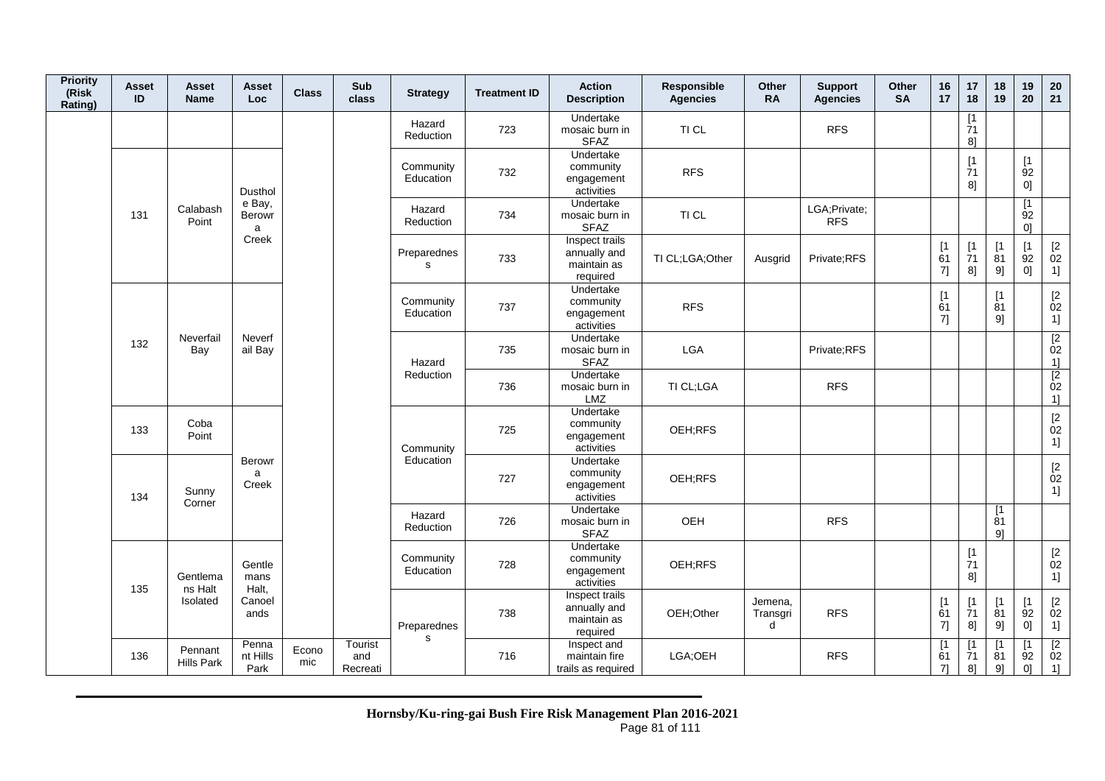| <b>Priority</b><br>(Risk<br>Rating) | <b>Asset</b><br>ID | Asset<br><b>Name</b>         | Asset<br><b>Loc</b>         | <b>Class</b> | Sub<br>class               | <b>Strategy</b>             | <b>Treatment ID</b> | <b>Action</b><br><b>Description</b>                       | Responsible<br><b>Agencies</b> | Other<br><b>RA</b>       | <b>Support</b><br><b>Agencies</b> | Other<br><b>SA</b> | 16<br>17                    | 17<br>18                                                                   | 18<br>19                 | 19<br>20                                  | 20<br>21                                                         |
|-------------------------------------|--------------------|------------------------------|-----------------------------|--------------|----------------------------|-----------------------------|---------------------|-----------------------------------------------------------|--------------------------------|--------------------------|-----------------------------------|--------------------|-----------------------------|----------------------------------------------------------------------------|--------------------------|-------------------------------------------|------------------------------------------------------------------|
|                                     |                    |                              |                             |              |                            | Hazard<br>Reduction         | 723                 | Undertake<br>mosaic burn in<br><b>SFAZ</b>                | TI CL                          |                          | <b>RFS</b>                        |                    |                             | [1]<br>71<br>8]                                                            |                          |                                           |                                                                  |
|                                     |                    |                              | Dusthol                     |              |                            | Community<br>Education      | 732                 | Undertake<br>community<br>engagement<br>activities        | <b>RFS</b>                     |                          |                                   |                    |                             | $[1]$<br>71<br>8]                                                          |                          | [1]<br>92<br>0]                           |                                                                  |
|                                     | 131                | Calabash<br>Point            | e Bay,<br>Berowr<br>a       |              |                            | Hazard<br>Reduction         | 734                 | Undertake<br>mosaic burn in<br><b>SFAZ</b>                | TI CL                          |                          | LGA;Private;<br><b>RFS</b>        |                    |                             |                                                                            |                          | [1]<br>92<br>01                           |                                                                  |
|                                     |                    |                              | Creek                       |              |                            | Preparednes<br>s            | 733                 | Inspect trails<br>annually and<br>maintain as<br>required | TI CL;LGA;Other                | Ausgrid                  | Private;RFS                       |                    | [1]<br>61<br>7]             | $\begin{array}{c} \n[1] \\ \n[7] \n[7] \n\end{array}$<br>8]                | [1]<br>81<br>9]          | [1]<br>92<br>0]                           | $\frac{[2]}{02}$<br>1]                                           |
|                                     |                    |                              |                             |              |                            | Community<br>Education      | 737                 | Undertake<br>community<br>engagement<br>activities        | <b>RFS</b>                     |                          |                                   |                    | [1]<br>61<br>7]             |                                                                            | $[1]$<br>81<br>9]        |                                           | $\mathop{02}\limits^{[2]}$<br>1]                                 |
|                                     | 132                | Neverfail<br>Bay             | Neverf<br>ail Bay           |              |                            | Hazard                      | 735                 | Undertake<br>mosaic burn in<br><b>SFAZ</b>                | <b>LGA</b>                     |                          | Private;RFS                       |                    |                             |                                                                            |                          |                                           | $\begin{array}{c} \boxed{2} \\ 02 \end{array}$<br>$\frac{11}{2}$ |
|                                     |                    |                              |                             |              |                            | Reduction                   | 736                 | Undertake<br>mosaic burn in<br>LMZ                        | TI CL;LGA                      |                          | <b>RFS</b>                        |                    |                             |                                                                            |                          |                                           | $\begin{array}{c} 02 \\ 1 \end{array}$                           |
|                                     | 133                | Coba<br>Point                |                             |              |                            | Community                   | 725                 | Undertake<br>community<br>engagement<br>activities        | OEH;RFS                        |                          |                                   |                    |                             |                                                                            |                          |                                           | $\frac{[2]}{02}$<br>1]                                           |
|                                     | 134                | Sunny<br>Corner              | <b>Berowr</b><br>a<br>Creek |              |                            | Education                   | 727                 | Undertake<br>community<br>engagement<br>activities        | OEH;RFS                        |                          |                                   |                    |                             |                                                                            |                          |                                           | $\begin{bmatrix} 2 \\ 02 \end{bmatrix}$<br>1]                    |
|                                     |                    |                              |                             |              |                            | Hazard<br>Reduction         | 726                 | Undertake<br>mosaic burn in<br><b>SFAZ</b>                | OEH                            |                          | <b>RFS</b>                        |                    |                             |                                                                            | [1]<br>81<br>91          |                                           |                                                                  |
|                                     | 135                | Gentlema<br>ns Halt          | Gentle<br>mans<br>Halt,     |              |                            | Community<br>Education      | 728                 | Undertake<br>community<br>engagement<br>activities        | OEH;RFS                        |                          |                                   |                    |                             | $\begin{array}{c} \left[ 1 \right. \\ \left. 71 \right. \end{array}$<br>8] |                          |                                           | $\begin{bmatrix} 2 \\ 02 \end{bmatrix}$<br>1]                    |
|                                     |                    | Isolated                     | Canoel<br>ands              |              |                            | Preparednes<br>$\mathsf{s}$ | 738                 | Inspect trails<br>annually and<br>maintain as<br>required | OEH;Other                      | Jemena,<br>Transgri<br>d | <b>RFS</b>                        |                    | [1]<br>61<br>$7]$           | $\begin{array}{c} \n[1] \\ \n[7] \n[7] \n\end{array}$<br>8]                | [1]<br>81<br>9]          | [1]<br>92<br>0]                           | $\frac{[2]}{02}$<br>1]                                           |
|                                     | 136                | Pennant<br><b>Hills Park</b> | Penna<br>nt Hills<br>Park   | Econo<br>mic | Tourist<br>and<br>Recreati |                             | 716                 | Inspect and<br>maintain fire<br>trails as required        | LGA;OEH                        |                          | <b>RFS</b>                        |                    | $\overline{11}$<br>61<br>71 | [1<br>71<br>8]                                                             | $\mathsf{I}$<br>81<br>9] | $\lceil 1 \rceil$<br>92<br>0 <sup>1</sup> | $\overline{2}$<br>02<br>1]                                       |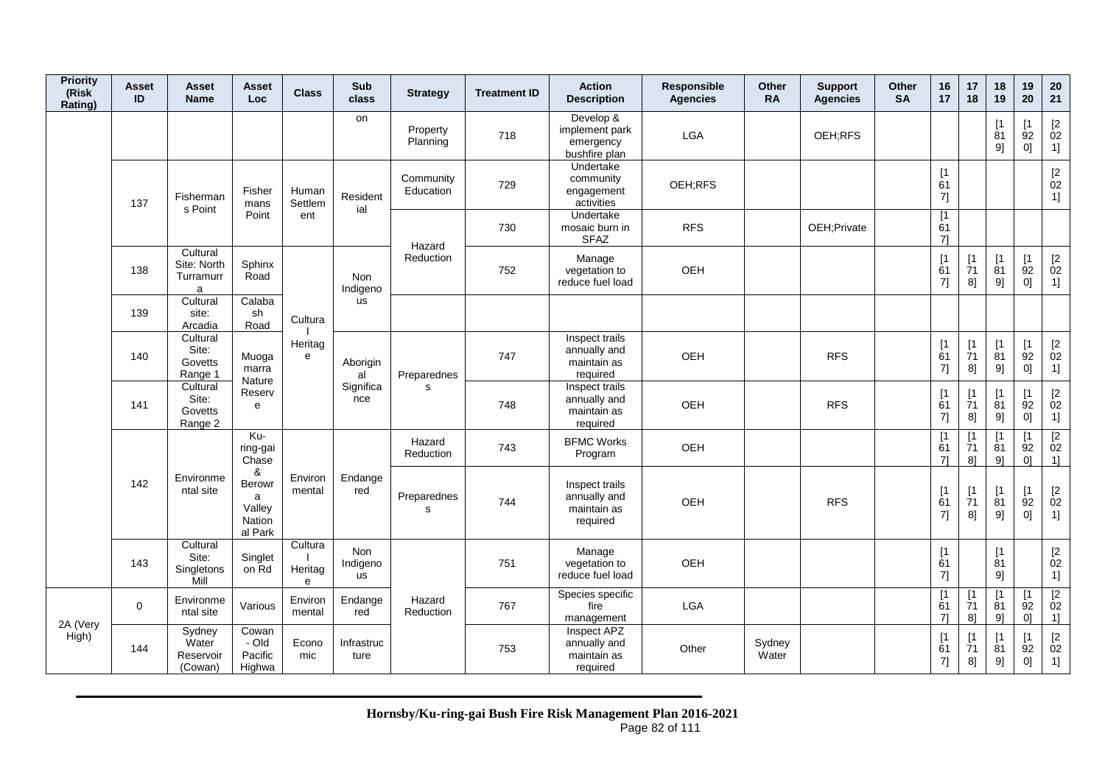| <b>Priority</b><br>(Risk<br>Rating) | <b>Asset</b><br>ID | Asset<br><b>Name</b>                      | <b>Asset</b><br>Loc                                    | <b>Class</b>            | Sub<br>class                        | <b>Strategy</b>            | <b>Treatment ID</b> | <b>Action</b><br><b>Description</b>                       | Responsible<br><b>Agencies</b> | Other<br><b>RA</b> | <b>Support</b><br><b>Agencies</b> | Other<br><b>SA</b> | 16<br>17                      | 17<br>18                                  | 18<br>19                     | 19<br>20                            | 20<br>21                                                    |
|-------------------------------------|--------------------|-------------------------------------------|--------------------------------------------------------|-------------------------|-------------------------------------|----------------------------|---------------------|-----------------------------------------------------------|--------------------------------|--------------------|-----------------------------------|--------------------|-------------------------------|-------------------------------------------|------------------------------|-------------------------------------|-------------------------------------------------------------|
|                                     |                    |                                           |                                                        |                         | on                                  | Property<br>Planning       | 718                 | Develop &<br>implement park<br>emergency<br>bushfire plan | <b>LGA</b>                     |                    | OEH:RFS                           |                    |                               |                                           | $\mathsf{I}$<br>81<br>9]     | $\mathsf{I}$<br>92<br>0]            | $\begin{array}{c} \left[ 2 \right. \\ 02 \end{array}$<br>1] |
|                                     | 137                | Fisherman<br>s Point                      | Fisher<br>mans                                         | Human<br>Settlem        | Resident<br>ial                     | Community<br>Education     | 729                 | Undertake<br>community<br>engagement<br>activities        | OEH;RFS                        |                    |                                   |                    | [1]<br>61<br>7]               |                                           |                              |                                     | $\begin{bmatrix} 2 \\ 02 \end{bmatrix}$<br>1]               |
|                                     |                    |                                           | Point                                                  | ent                     |                                     | Hazard                     | 730                 | Undertake<br>mosaic burn in<br><b>SFAZ</b>                | <b>RFS</b>                     |                    | OEH; Private                      |                    | [1]<br>61<br>71               |                                           |                              |                                     |                                                             |
|                                     | 138                | Cultural<br>Site: North<br>Turramurr<br>a | Sphinx<br>Road                                         |                         | <b>Non</b><br>Indigeno              | Reduction                  | 752                 | Manage<br>vegetation to<br>reduce fuel load               | OEH                            |                    |                                   |                    | [1]<br>61<br>7]               | [1]<br>71<br>8]                           | [1]<br>81<br>9]              | [1]<br>92<br>0]                     | $\frac{[2]}{02}$<br>1]                                      |
|                                     | 139                | Cultural<br>site:<br>Arcadia              | Calaba<br>sh<br>Road                                   | Cultura                 | us                                  |                            |                     |                                                           |                                |                    |                                   |                    |                               |                                           |                              |                                     |                                                             |
|                                     | 140                | Cultural<br>Site:<br>Govetts<br>Range 1   | Muoga<br>marra<br>Nature                               | Heritag<br>e            | Aborigin<br>al                      | Preparednes                | 747                 | Inspect trails<br>annually and<br>maintain as<br>required | OEH                            |                    | <b>RFS</b>                        |                    | [1]<br>61<br>7]               | [1]<br>71<br>8]                           | [1]<br>$\overline{81}$<br>9] | [1]<br>92<br>0]                     | $\begin{bmatrix} 2 \\ 02 \end{bmatrix}$<br>1]               |
|                                     | 141                | Cultural<br>Site:<br>Govetts<br>Range 2   | Reserv<br>e                                            |                         | Significa<br>nce                    | s                          | 748                 | Inspect trails<br>annually and<br>maintain as<br>required | <b>OEH</b>                     |                    | <b>RFS</b>                        |                    | [1]<br>61<br>7]               | [1<br>71<br>8]                            | [1<br>81<br>9]               | [1]<br>92<br>0]                     | $[2]$<br>02<br>1]                                           |
|                                     |                    |                                           | $Ku$ -<br>ring-gai<br>Chase                            |                         |                                     | Hazard<br><b>Reduction</b> | 743                 | <b>BFMC Works</b><br>Program                              | OEH                            |                    |                                   |                    | $\lceil 1 \rceil$<br>61<br>71 | $\mathsf{I}$<br>71<br>8 <sup>1</sup>      | $\mathsf{I}$<br>81<br>91     | $\mathsf{I}$<br>92<br>01            | $\overline{2}$<br>02<br>1]                                  |
|                                     | 142                | Environme<br>ntal site                    | &<br><b>Berowr</b><br>a<br>Valley<br>Nation<br>al Park | Environ<br>mental       | Endange<br>red                      | Preparednes<br>s           | 744                 | Inspect trails<br>annually and<br>maintain as<br>required | OEH                            |                    | <b>RFS</b>                        |                    | [1]<br>61<br>7]               | [1]<br>71<br>8]                           | [1]<br>81<br>9]              | [1]<br>92<br>0]                     | $\begin{array}{c} \left[ 2 \right. \\ 02 \end{array}$<br>1] |
|                                     | 143                | Cultural<br>Site:<br>Singletons<br>Mill   | Singlet<br>on Rd                                       | Cultura<br>Heritag<br>e | <b>Non</b><br>Indigeno<br><b>us</b> |                            | 751                 | Manage<br>vegetation to<br>reduce fuel load               | OEH                            |                    |                                   |                    | [1<br>61<br>7]                |                                           | [1]<br>81<br>9]              |                                     | $\begin{bmatrix} 2 \\ 02 \end{bmatrix}$<br>1]               |
| 2A (Very                            | $\mathbf 0$        | Environme<br>ntal site                    | Various                                                | Environ<br>mental       | Endange<br>red                      | Hazard<br>Reduction        | 767                 | Species specific<br>fire<br>management                    | <b>LGA</b>                     |                    |                                   |                    | $\lceil 1 \rceil$<br>61<br>71 | $\lceil 1 \rceil$<br>71<br>8 <sup>1</sup> | $\mathsf{I}$<br>81<br>91     | $\lceil 1 \rceil$<br>92<br>$\Omega$ | $\overline{2}$<br>02<br>1]                                  |
| High)                               | 144                | Sydney<br>Water<br>Reservoir<br>(Cowan)   | Cowan<br>$-$ Old<br>Pacific<br><b>Highwa</b>           | Econo<br>mic            | Infrastruc<br>ture                  |                            | 753                 | Inspect APZ<br>annually and<br>maintain as<br>required    | Other                          | Sydney<br>Water    |                                   |                    | $\lceil 1 \rceil$<br>61<br>7] | $\lceil 1 \rceil$<br>71<br>8]             | $\mathsf{I}$<br>81<br>9]     | $\mathsf{I}$<br>92<br> 0            | $[2]$<br>02<br>1]                                           |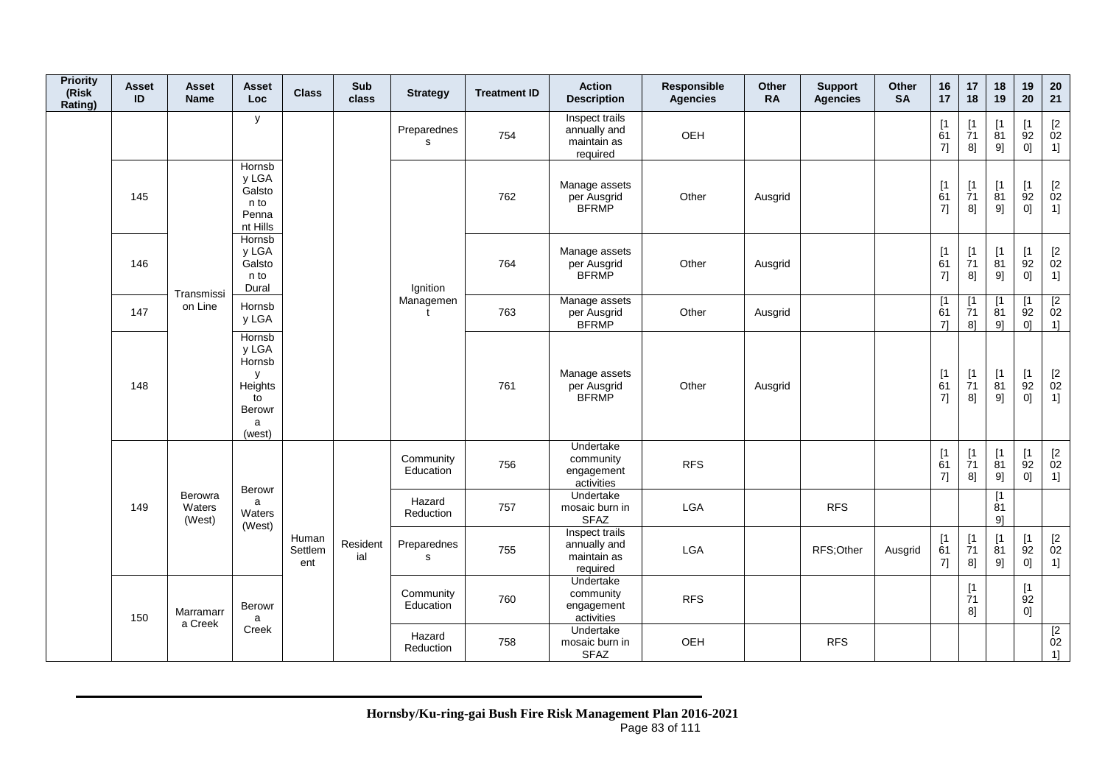| <b>Priority</b><br>(Risk<br>Rating) | <b>Asset</b><br>ID | Asset<br><b>Name</b>                                | <b>Asset</b><br><b>Loc</b>                                               | <b>Class</b>            | Sub<br>class    | <b>Strategy</b>            | <b>Treatment ID</b> | <b>Action</b><br><b>Description</b>                       | Responsible<br><b>Agencies</b> | <b>Other</b><br><b>RA</b> | <b>Support</b><br><b>Agencies</b> | <b>Other</b><br><b>SA</b> | 16<br>17        | 17<br>18                       | 18<br>19                      | 19<br>20        | 20<br>21                                                    |
|-------------------------------------|--------------------|-----------------------------------------------------|--------------------------------------------------------------------------|-------------------------|-----------------|----------------------------|---------------------|-----------------------------------------------------------|--------------------------------|---------------------------|-----------------------------------|---------------------------|-----------------|--------------------------------|-------------------------------|-----------------|-------------------------------------------------------------|
|                                     |                    |                                                     | y                                                                        |                         |                 | Preparednes<br>s           | 754                 | Inspect trails<br>annually and<br>maintain as<br>required | OEH                            |                           |                                   |                           | [1]<br>61<br>7] | $[1]$<br>$\overline{7}1$<br>8] | [1<br>81<br>9]                | [1]<br>92<br>0] | $\begin{array}{c} \left[ 2 \right. \\ 02 \end{array}$<br>1] |
|                                     | 145                |                                                     | Hornsb<br>y LGA<br>Galsto<br>n to<br>Penna<br>nt Hills                   |                         |                 |                            | 762                 | Manage assets<br>per Ausgrid<br><b>BFRMP</b>              | Other                          | Ausgrid                   |                                   |                           | [1<br>61<br>7]  | [1]<br>71<br>8]                | $\mathsf{I}$<br>81<br>9]      | [1<br>92<br>0]  | $\begin{bmatrix} 2 \\ 02 \end{bmatrix}$<br>1]               |
|                                     | 146                |                                                     | Hornsb<br>y LGA<br>Galsto<br>n to<br>Dural                               |                         |                 | Ignition                   | 764                 | Manage assets<br>per Ausgrid<br><b>BFRMP</b>              | Other                          | Ausgrid                   |                                   |                           | [1]<br>61<br>7] | $[1]$<br>$\overline{7}1$<br>8] | $[1]$<br>81<br>9]             | [1]<br>92<br>0] | $\begin{bmatrix} 2 \\ 02 \end{bmatrix}$<br>1]               |
|                                     | 147                | Transmissi<br>on Line                               | Hornsb<br>y LGA                                                          |                         |                 | Managemen                  | 763                 | Manage assets<br>per Ausgrid<br><b>BFRMP</b>              | Other                          | Ausgrid                   |                                   |                           | [1<br>61<br>71  | [1<br>71<br>8]                 | [1<br>81<br>9]                | [1<br>92<br>0]  | $\begin{array}{c} \boxed{2} \\ 02 \end{array}$<br>1]        |
|                                     | 148                |                                                     | Hornsb<br>y LGA<br>Hornsb<br>У<br>Heights<br>to<br>Berowr<br>a<br>(west) |                         |                 |                            | 761                 | Manage assets<br>per Ausgrid<br><b>BFRMP</b>              | Other                          | Ausgrid                   |                                   |                           | [1]<br>61<br>7] | $[1]$<br>$\overline{7}1$<br>8] | $[1]$<br>$\dot{8}1$<br>9]     | [1]<br>92<br>0] | $\begin{bmatrix} 2 \\ 02 \end{bmatrix}$<br>1]               |
|                                     |                    |                                                     |                                                                          |                         |                 | Community<br>Education     | 756                 | Undertake<br>community<br>engagement<br>activities        | <b>RFS</b>                     |                           |                                   |                           | [1]<br>61<br>7] | $[1]$<br>$\overline{7}1$<br>8] | [1]<br>81<br>9]               | [1]<br>92<br>0] | $\begin{bmatrix} 2 \\ 02 \end{bmatrix}$<br>1]               |
|                                     | 149                | Berowra<br>Waters<br>(West)<br>Marramarr<br>a Creek | Berowr<br>a<br>Waters                                                    |                         |                 | Hazard<br>Reduction        | 757                 | Undertake<br>mosaic burn in<br><b>SFAZ</b>                | LGA                            |                           | <b>RFS</b>                        |                           |                 |                                | $\lceil 1 \rceil$<br>81<br>91 |                 |                                                             |
|                                     |                    |                                                     | (West)                                                                   | Human<br>Settlem<br>ent | Resident<br>ial | Preparednes<br>$\mathbf s$ | 755                 | Inspect trails<br>annually and<br>maintain as<br>required | <b>LGA</b>                     |                           | RFS;Other                         | Ausgrid                   | [1]<br>61<br>7] | [1]<br>$\overline{7}1$<br>8]   | [1]<br>81<br>9]               | [1]<br>92<br>0] | $\begin{bmatrix} 2 \\ 02 \end{bmatrix}$<br>1]               |
|                                     | 150                |                                                     | Berowr<br>a                                                              |                         |                 | Community<br>Education     | 760                 | Undertake<br>community<br>engagement<br>activities        | <b>RFS</b>                     |                           |                                   |                           |                 | [1]<br>$\overline{7}1$<br>8]   |                               | [1]<br>92<br>0] |                                                             |
|                                     |                    |                                                     | Creek                                                                    |                         |                 | Hazard<br>Reduction        | 758                 | Undertake<br>mosaic burn in<br><b>SFAZ</b>                | OEH                            |                           | <b>RFS</b>                        |                           |                 |                                |                               |                 | $\begin{array}{c} \n [2] \hline\n 02\n \end{array}$<br>1]   |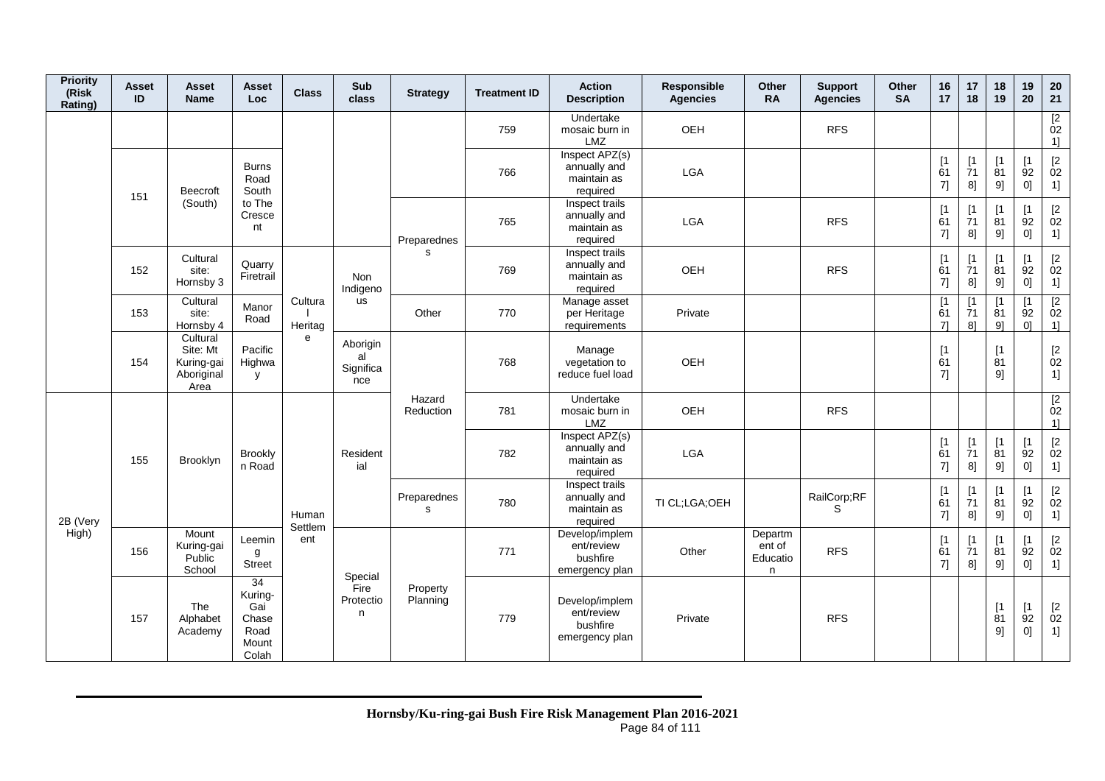| <b>Priority</b><br>(Risk<br>Rating) | <b>Asset</b><br>ID | Asset<br><b>Name</b>                                     | <b>Asset</b><br>Loc                                     | <b>Class</b>       | Sub<br>class                       | <b>Strategy</b>      | <b>Treatment ID</b> | <b>Action</b><br><b>Description</b>                        | Responsible<br><b>Agencies</b> | Other<br><b>RA</b>                 | <b>Support</b><br><b>Agencies</b> | Other<br><b>SA</b> | 16<br>17        | 17<br>18                      | 18<br>19                                   | 19<br>20                      | 20<br>21                                                         |
|-------------------------------------|--------------------|----------------------------------------------------------|---------------------------------------------------------|--------------------|------------------------------------|----------------------|---------------------|------------------------------------------------------------|--------------------------------|------------------------------------|-----------------------------------|--------------------|-----------------|-------------------------------|--------------------------------------------|-------------------------------|------------------------------------------------------------------|
|                                     |                    |                                                          |                                                         |                    |                                    |                      | 759                 | Undertake<br>mosaic burn in<br>LMZ                         | OEH                            |                                    | <b>RFS</b>                        |                    |                 |                               |                                            |                               | $\frac{[2]}{02}$<br>1]                                           |
|                                     | 151                | Beecroft                                                 | <b>Burns</b><br>Road<br>South                           |                    |                                    |                      | 766                 | Inspect APZ(s)<br>annually and<br>maintain as<br>required  | LGA                            |                                    |                                   |                    | [1]<br>61<br>7] | [1]<br>71<br>8]               | [1]<br>81<br>9]                            | $\lceil 1 \rceil$<br>92<br>0] | $\begin{array}{c} \left[ 2 \right. \\ 02 \end{array}$<br>1]      |
|                                     |                    | (South)                                                  | to The<br>Cresce<br>nt                                  |                    |                                    | Preparednes          | 765                 | Inspect trails<br>annually and<br>maintain as<br>required  | <b>LGA</b>                     |                                    | <b>RFS</b>                        |                    | [1]<br>61<br>7] | $\mathsf{I}$<br>71<br>8]      | $\mathsf{I}$<br>81<br>9]                   | $\mathsf{I}$<br>92<br>0]      | $\begin{bmatrix} 2 \\ 02 \end{bmatrix}$<br>1]                    |
|                                     | 152                | Cultural<br>site:<br>Hornsby 3                           | Quarry<br>Firetrail                                     |                    | Non<br>Indigeno                    | s                    | 769                 | Inspect trails<br>annually and<br>maintain as<br>required  | OEH                            |                                    | <b>RFS</b>                        |                    | [1]<br>61<br>7] | [1]<br>71<br>8]               | [1]<br>81<br>9]                            | [1<br>92<br>0]                | $\begin{array}{c} \left[2\right. \\ 02\right. \end{array}$<br>1] |
|                                     | 153                | Cultural<br>site:<br>Hornsby 4                           | Manor<br>Road                                           | Cultura<br>Heritag | us                                 | Other                | 770                 | Manage asset<br>per Heritage<br>requirements               | Private                        |                                    |                                   |                    | [1<br>61<br>71  | [1<br>71<br>8]                | [1<br>81<br>91                             | [1<br>92<br>01                | $\sqrt{2}$<br>02<br>1]                                           |
|                                     | 154                | Cultural<br>Site: Mt<br>Kuring-gai<br>Aboriginal<br>Area | Pacific<br>Highwa<br><b>V</b>                           | e                  | Aborigin<br>al<br>Significa<br>nce |                      | 768                 | Manage<br>vegetation to<br>reduce fuel load                | OEH                            |                                    |                                   |                    | [1<br>61<br>7]  |                               | [1]<br>81<br>91                            |                               | $\begin{bmatrix} 2 \\ 02 \end{bmatrix}$<br>1]                    |
|                                     |                    |                                                          |                                                         |                    |                                    | Hazard<br>Reduction  | 781                 | Undertake<br>mosaic burn in<br><b>LMZ</b>                  | OEH                            |                                    | <b>RFS</b>                        |                    |                 |                               |                                            |                               | [2]<br>02<br>1]                                                  |
|                                     | 155                | Brooklyn                                                 | <b>Brookly</b><br>n Road                                |                    | Resident<br>ial                    |                      | 782                 | Inspect APZ(s)<br>annually and<br>maintain as<br>required  | LGA                            |                                    |                                   |                    | [1]<br>61<br>7] | [1]<br>71<br>8]               | [1]<br>81<br>9]                            | $\lceil 1 \rceil$<br>92<br>0] | $[2\,$<br>02<br>1]                                               |
| 2B (Very                            |                    |                                                          |                                                         | Human<br>Settlem   |                                    | Preparednes<br>s     | 780                 | Inspect trails<br>annually and<br>maintain as<br>required  | TI CL;LGA;OEH                  |                                    | RailCorp;RF<br>S                  |                    | [1]<br>61<br>7] | $\mathsf{I}$<br>71<br>8]      | $\mathsf{I}$<br>81<br>9]                   | $\mathsf{I}$<br>92<br>0]      | $\begin{bmatrix} 2 \\ 02 \end{bmatrix}$<br>1]                    |
| High)                               | 156                | Mount<br>Kuring-gai<br>Public<br>School                  | Leemin<br>g<br><b>Street</b>                            | ent                | Special                            |                      | 771                 | Develop/implem<br>ent/review<br>bushfire<br>emergency plan | Other                          | Departm<br>ent of<br>Educatio<br>n | <b>RFS</b>                        |                    | [1]<br>61<br>7] | $\lceil 1 \rceil$<br>71<br>8] | $\lceil 1 \rceil$<br>$\overline{8}1$<br>9] | $\mathsf{I}$<br>92<br>0]      | $\frac{[2]}{02}$<br>1]                                           |
|                                     | 157                | The<br>Alphabet<br>Academy                               | 34<br>Kuring-<br>Gai<br>Chase<br>Road<br>Mount<br>Colah |                    | Fire<br>Protectio<br>n             | Property<br>Planning | 779                 | Develop/implem<br>ent/review<br>bushfire<br>emergency plan | Private                        |                                    | <b>RFS</b>                        |                    |                 |                               | $\lceil 1 \rceil$<br>81<br>9]              | [1]<br>92<br>0]               | $\begin{bmatrix} 2 \\ 02 \end{bmatrix}$<br>1]                    |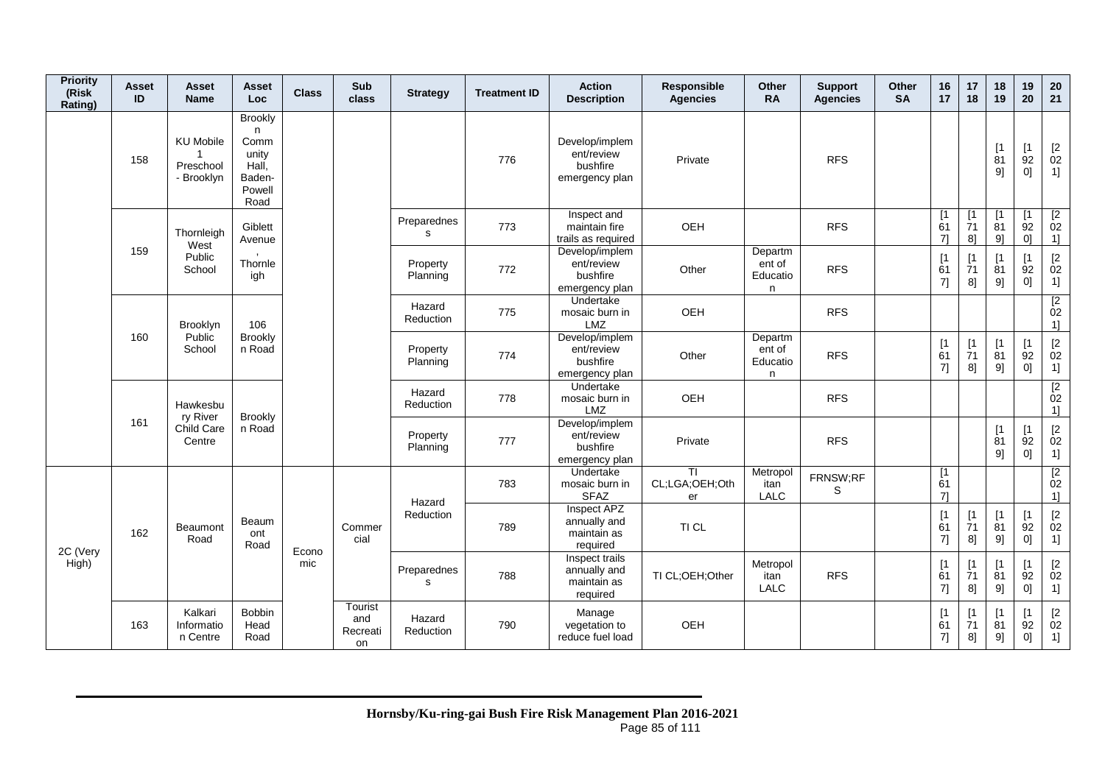| <b>Priority</b><br>(Risk<br>Rating) | <b>Asset</b><br>ID | Asset<br><b>Name</b>                                        | Asset<br><b>Loc</b>                                                        | <b>Class</b> | Sub<br>class                     | <b>Strategy</b>      | <b>Treatment ID</b> | <b>Action</b><br><b>Description</b>                        | Responsible<br><b>Agencies</b>         | Other<br><b>RA</b>                 | <b>Support</b><br><b>Agencies</b> | Other<br><b>SA</b> | 16<br>17        | 17<br>18                      | 18<br>19                      | 19<br>20                      | ${\bf 20}$<br>21                                                                                                                                                                                                       |
|-------------------------------------|--------------------|-------------------------------------------------------------|----------------------------------------------------------------------------|--------------|----------------------------------|----------------------|---------------------|------------------------------------------------------------|----------------------------------------|------------------------------------|-----------------------------------|--------------------|-----------------|-------------------------------|-------------------------------|-------------------------------|------------------------------------------------------------------------------------------------------------------------------------------------------------------------------------------------------------------------|
|                                     | 158                | <b>KU Mobile</b><br>$\mathbf{1}$<br>Preschool<br>- Brooklyn | <b>Brookly</b><br>n.<br>Comm<br>unity<br>Hall,<br>Baden-<br>Powell<br>Road |              |                                  |                      | 776                 | Develop/implem<br>ent/review<br>bushfire<br>emergency plan | Private                                |                                    | <b>RFS</b>                        |                    |                 |                               | $\lceil 1 \rceil$<br>81<br>9] | $\lceil 1 \rceil$<br>92<br>0] | $\begin{array}{c} \left[2\right. \\ 02 \\ 1 \right] \end{array}$                                                                                                                                                       |
|                                     |                    | Thornleigh<br>West                                          | Giblett<br>Avenue                                                          |              |                                  | Preparednes<br>s     | 773                 | Inspect and<br>maintain fire<br>trails as required         | OEH                                    |                                    | <b>RFS</b>                        |                    | [1]<br>61<br>71 | [1]<br>$\overline{7}1$<br>8]  | [1]<br>81<br>9                | [1<br>$\overline{9}2$<br>01   | $\begin{array}{c} \boxed{2} \\ 02 \end{array}$<br>1]                                                                                                                                                                   |
|                                     | 159                | Public<br>School                                            | Thornle<br>igh                                                             |              |                                  | Property<br>Planning | 772                 | Develop/implem<br>ent/review<br>bushfire<br>emergency plan | Other                                  | Departm<br>ent of<br>Educatio<br>n | <b>RFS</b>                        |                    | [1]<br>61<br>7] | $\lceil 1 \rceil$<br>71<br>8] | $\lceil 1 \rceil$<br>81<br>9] | $\mathsf{I}$<br>92<br>0]      | $\begin{bmatrix} 2 \\ 02 \end{bmatrix}$<br>1]                                                                                                                                                                          |
|                                     |                    | Brooklyn                                                    | 106                                                                        |              |                                  | Hazard<br>Reduction  | 775                 | Undertake<br>mosaic burn in<br>LMZ                         | OEH                                    |                                    | <b>RFS</b>                        |                    |                 |                               |                               |                               | $\overline{2}$<br>02<br>1]                                                                                                                                                                                             |
|                                     | 160                | Public<br>School                                            | <b>Brookly</b><br>n Road                                                   |              |                                  | Property<br>Planning | 774                 | Develop/implem<br>ent/review<br>bushfire<br>emergency plan | Other                                  | Departm<br>ent of<br>Educatio<br>n | <b>RFS</b>                        |                    | [1]<br>61<br>7] | $\mathsf{I}$<br>71<br>8]      | [1]<br>81<br>9]               | <b>[1</b><br>92<br>0]         | $[2] % \centering \includegraphics[width=0.8\textwidth]{images/TrDiS/N-Architecture.png} % \caption{The figure shows the results of the estimators in the left hand side.} \label{TrDiS/N-Architecture} %$<br>02<br>1] |
|                                     |                    | Hawkesbu<br>ry River                                        | <b>Brookly</b>                                                             |              |                                  | Hazard<br>Reduction  | 778                 | Undertake<br>mosaic burn in<br>LMZ                         | OEH                                    |                                    | <b>RFS</b>                        |                    |                 |                               |                               |                               | $\overline{2}$<br>02<br>1]                                                                                                                                                                                             |
|                                     | 161                | Child Care<br>Centre                                        | n Road                                                                     |              |                                  | Property<br>Planning | 777                 | Develop/implem<br>ent/review<br>bushfire<br>emergency plan | Private                                |                                    | <b>RFS</b>                        |                    |                 |                               | [1]<br>81<br>9]               | $\mathsf{I}$<br>92<br>0]      | $\begin{bmatrix} 2 \\ 02 \end{bmatrix}$<br>1]                                                                                                                                                                          |
|                                     |                    |                                                             |                                                                            |              |                                  | Hazard               | 783                 | Undertake<br>mosaic burn in<br><b>SFAZ</b>                 | $\overline{1}$<br>CL;LGA;OEH;Oth<br>er | Metropol<br>itan<br>LALC           | FRNSW;RF<br>S                     |                    | [1<br>61<br>71  |                               |                               |                               | $\boxed{2}$<br>02<br>1]                                                                                                                                                                                                |
| 2C (Very<br>High)                   | 162                | <b>Beaumont</b><br>Road                                     | Beaum<br>ont<br>Road                                                       | Econo        | Commer<br>cial                   | Reduction            | 789                 | Inspect APZ<br>annually and<br>maintain as<br>required     | TI CL                                  |                                    |                                   |                    | [1]<br>61<br>7] | [1]<br>71<br>8]               | [1]<br>81<br>9]               | [1<br>92<br>01                | $\begin{bmatrix} 2 \\ 02 \end{bmatrix}$<br>1]                                                                                                                                                                          |
|                                     |                    |                                                             |                                                                            | mic          |                                  | Preparednes<br>s     | 788                 | Inspect trails<br>annually and<br>maintain as<br>required  | TI CL;OEH;Other                        | Metropol<br>itan<br>LALC           | <b>RFS</b>                        |                    | [1]<br>61<br>7] | $\mathsf{I}$<br>71<br>8]      | $\lceil 1 \rceil$<br>81<br>9] | Γ1<br>92<br>0]                | $\begin{bmatrix} 2 \\ 02 \end{bmatrix}$<br>1]                                                                                                                                                                          |
|                                     | 163                | Kalkari<br>Informatio<br>n Centre                           | Bobbin<br>Head<br>Road                                                     |              | Tourist<br>and<br>Recreati<br>on | Hazard<br>Reduction  | 790                 | Manage<br>vegetation to<br>reduce fuel load                | OEH                                    |                                    |                                   |                    | [1]<br>61<br>7] | <b>r</b><br>71<br>8]          | $\mathsf{I}$<br>81<br>9]      | <b>I1</b><br>92<br>0]         | $[2]$<br>02<br>1]                                                                                                                                                                                                      |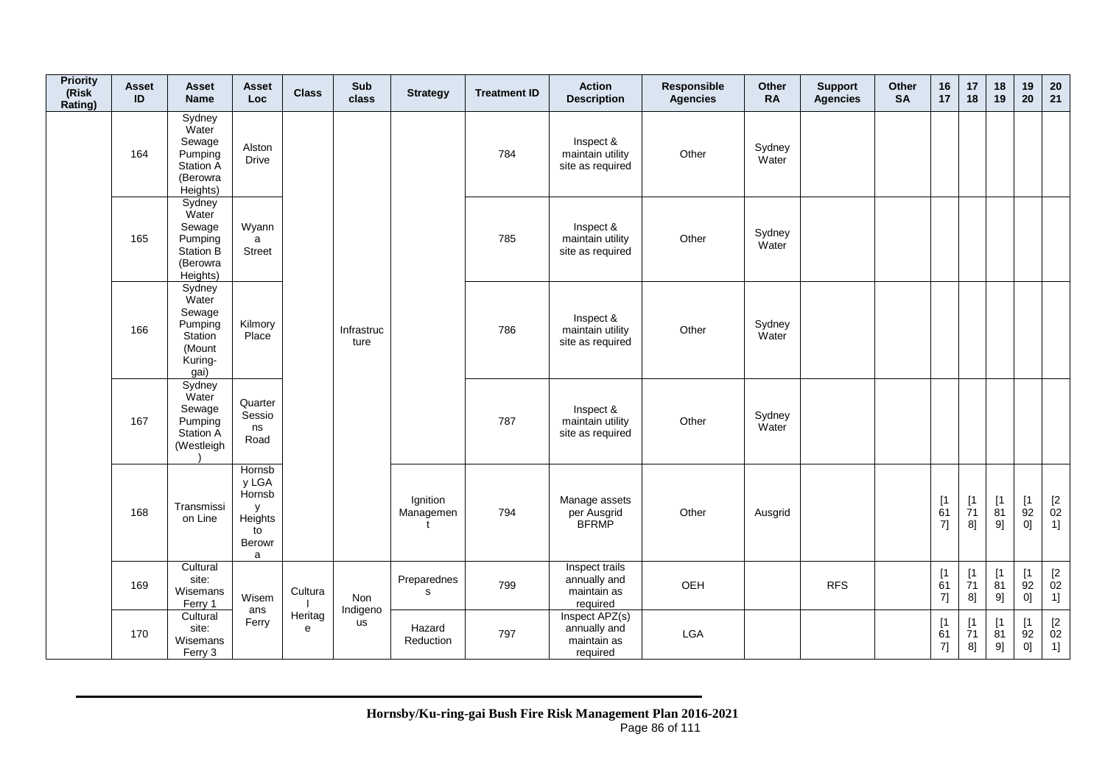| <b>Priority</b><br>(Risk<br>Rating) | <b>Asset</b><br>ID | <b>Asset</b><br><b>Name</b>                                                         | <b>Asset</b><br>Loc                                                              | <b>Class</b> | Sub<br>class       | <b>Strategy</b>                       | <b>Treatment ID</b> | <b>Action</b><br><b>Description</b>                       | Responsible<br><b>Agencies</b> | Other<br><b>RA</b> | <b>Support</b><br><b>Agencies</b> | Other<br><b>SA</b> | 16<br>17                                                 | 17<br>18                                          | 18<br>19                     | 19<br>20        | 20<br>21                         |
|-------------------------------------|--------------------|-------------------------------------------------------------------------------------|----------------------------------------------------------------------------------|--------------|--------------------|---------------------------------------|---------------------|-----------------------------------------------------------|--------------------------------|--------------------|-----------------------------------|--------------------|----------------------------------------------------------|---------------------------------------------------|------------------------------|-----------------|----------------------------------|
|                                     | 164                | Sydney<br>Water<br>Sewage<br>Pumping<br><b>Station A</b><br>(Berowra<br>Heights)    | Alston<br><b>Drive</b>                                                           |              |                    |                                       | 784                 | Inspect &<br>maintain utility<br>site as required         | Other                          | Sydney<br>Water    |                                   |                    |                                                          |                                                   |                              |                 |                                  |
|                                     | 165                | Sydney<br>Water<br>Sewage<br>Pumping<br>Station B<br>(Berowra<br>Heights)           | Wyann<br>a<br><b>Street</b>                                                      |              |                    |                                       | 785                 | Inspect &<br>maintain utility<br>site as required         | Other                          | Sydney<br>Water    |                                   |                    |                                                          |                                                   |                              |                 |                                  |
|                                     | 166                | Sydney<br>Water<br>Sewage<br>Pumping<br><b>Station</b><br>(Mount<br>Kuring-<br>gai) | Kilmory<br>Place                                                                 |              | Infrastruc<br>ture |                                       | 786                 | Inspect &<br>maintain utility<br>site as required         | Other                          | Sydney<br>Water    |                                   |                    |                                                          |                                                   |                              |                 |                                  |
|                                     | 167                | Sydney<br>Water<br>Sewage<br>Pumping<br><b>Station A</b><br>(Westleigh              | Quarter<br>Sessio<br>ns<br>Road                                                  |              |                    |                                       | 787                 | Inspect &<br>maintain utility<br>site as required         | Other                          | Sydney<br>Water    |                                   |                    |                                                          |                                                   |                              |                 |                                  |
|                                     | 168                | Transmissi<br>on Line                                                               | Hornsb<br>y LGA<br>Hornsb<br>у<br>Heights<br>to<br><b>Berowr</b><br>$\mathsf{a}$ |              |                    | Ignition<br>Managemen<br>$\mathbf{f}$ | 794                 | Manage assets<br>per Ausgrid<br><b>BFRMP</b>              | Other                          | Ausgrid            |                                   |                    | [1<br>61<br>7]                                           | $[1]$<br>$\overline{7}1$<br>8]                    | [1]<br>81<br>9]              | [1]<br>92<br>0] | $\mathop{02}\limits^{[2]}$<br>1] |
|                                     | 169                | Cultural<br>site:<br>Wisemans<br>Ferry 1                                            | Wisem<br>ans                                                                     | Cultura      | Non<br>Indigeno    | Preparednes<br>s                      | 799                 | Inspect trails<br>annually and<br>maintain as<br>required | OEH                            |                    | <b>RFS</b>                        |                    | $\begin{array}{c} \n[1] \\ \n61\n\end{array}$<br>$7] \;$ | $\begin{array}{c} \n 1 \\ 71\n \end{array}$<br>8] | [1]<br>$\overline{81}$<br>9] | [1]<br>92<br>0] | $\mathop{02}\limits^{[2]}$<br>1] |
|                                     | 170                | Cultural<br>site:<br>Wisemans<br>Ferry 3                                            | Ferry                                                                            | Heritag<br>e | us                 | Hazard<br>Reduction                   | 797                 | Inspect APZ(s)<br>annually and<br>maintain as<br>required | LGA                            |                    |                                   |                    | [1]<br>61<br>7]                                          | [1]<br>71<br>8]                                   | [1<br>81<br>9]               | [1<br>92<br>0]  | [2]<br>02<br>1]                  |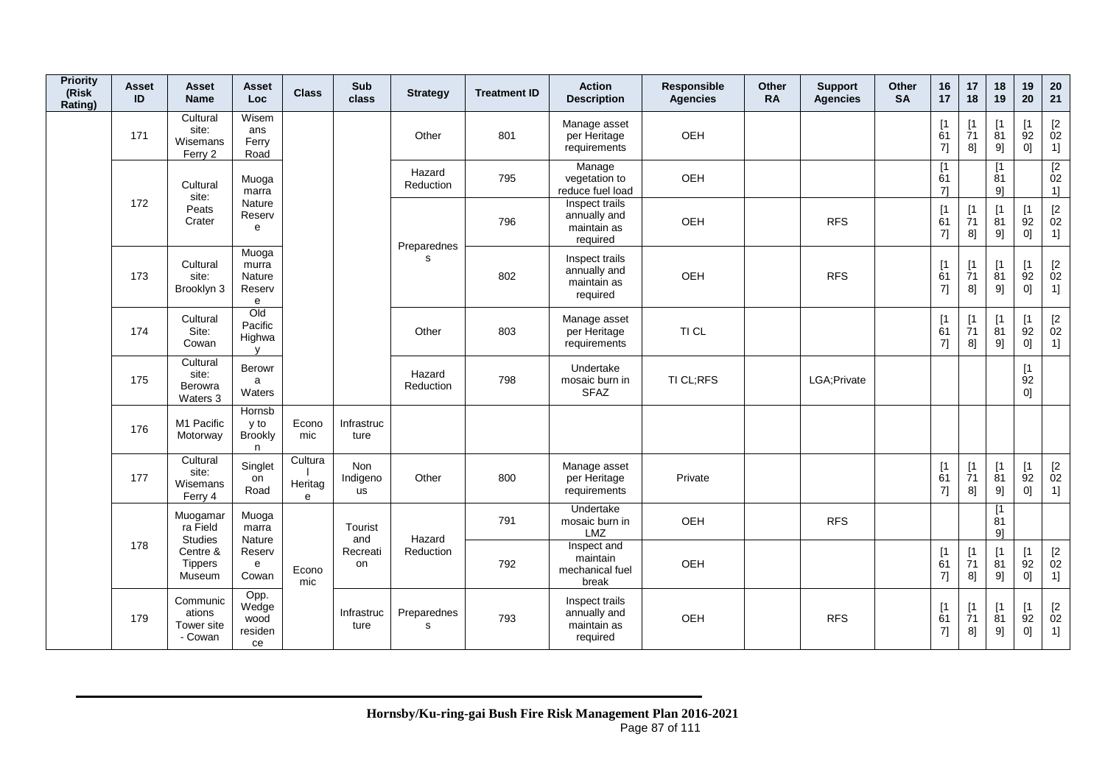| <b>Priority</b><br>(Risk<br>Rating) | <b>Asset</b><br>ID | Asset<br><b>Name</b>                               | Asset<br>Loc                             | <b>Class</b>            | Sub<br>class          | <b>Strategy</b>            | <b>Treatment ID</b> | <b>Action</b><br><b>Description</b>                       | Responsible<br><b>Agencies</b> | Other<br><b>RA</b> | <b>Support</b><br><b>Agencies</b> | Other<br><b>SA</b> | 16<br>17                      | 17<br>18                                   | 18<br>19                      | 19<br>20                                  | $20\,$<br>21                                  |
|-------------------------------------|--------------------|----------------------------------------------------|------------------------------------------|-------------------------|-----------------------|----------------------------|---------------------|-----------------------------------------------------------|--------------------------------|--------------------|-----------------------------------|--------------------|-------------------------------|--------------------------------------------|-------------------------------|-------------------------------------------|-----------------------------------------------|
|                                     | 171                | Cultural<br>site:<br>Wisemans<br>Ferry 2           | Wisem<br>ans<br>Ferry<br>Road            |                         |                       | Other                      | 801                 | Manage asset<br>per Heritage<br>requirements              | OEH                            |                    |                                   |                    | $\sqrt{1}$<br>61<br>7]        | $\lceil 1 \rceil$<br>71<br>8]              | $\lceil 1 \rceil$<br>81<br>9] | $\mathsf{I}$<br>92<br>0]                  | $[2]$<br>02<br>1]                             |
|                                     |                    | Cultural<br>site:                                  | Muoga<br>marra                           |                         |                       | Hazard<br>Reduction        | 795                 | Manage<br>vegetation to<br>reduce fuel load               | OEH                            |                    |                                   |                    | $\sqrt{1}$<br>61<br>71        |                                            | $\mathsf{I}$<br>81<br>91      |                                           | $\overline{2}$<br>02<br>11                    |
|                                     | 172                | Peats<br>Crater                                    | Nature<br>Reserv<br>e                    |                         |                       | Preparednes                | 796                 | Inspect trails<br>annually and<br>maintain as<br>required | OEH                            |                    | <b>RFS</b>                        |                    | [1]<br>61<br>7]               | [1]<br>$\overline{7}1$<br>8]               | $\mathsf{I}$<br>81<br>9]      | [1]<br>92<br>0]                           | $\begin{bmatrix} 2 \\ 02 \end{bmatrix}$<br>1] |
|                                     | 173                | Cultural<br>site:<br>Brooklyn 3                    | Muoga<br>murra<br>Nature<br>Reserv<br>e  |                         |                       | S                          | 802                 | Inspect trails<br>annually and<br>maintain as<br>required | <b>OEH</b>                     |                    | <b>RFS</b>                        |                    | [1]<br>61<br>7]               | $[1]$<br>71<br>8]                          | [1<br>81<br>9]                | $\lceil 1 \rceil$<br>92<br>0]             | $[2]$<br>02<br>1]                             |
|                                     | 174                | Cultural<br>Site:<br>Cowan                         | Old<br>Pacific<br>Highwa<br>$\mathsf{v}$ |                         |                       | Other                      | 803                 | Manage asset<br>per Heritage<br>requirements              | TI CL                          |                    |                                   |                    | [1]<br>61<br>7]               | [1]<br>71<br>8]                            | $\mathsf{I}$<br>81<br>9]      | $\lceil 1 \rceil$<br>92<br>0]             | $[2]$<br>02<br>1]                             |
|                                     | 175                | Cultural<br>site:<br>Berowra<br>Waters 3           | <b>Berowr</b><br>a<br>Waters             |                         |                       | Hazard<br>Reduction        | 798                 | Undertake<br>mosaic burn in<br><b>SFAZ</b>                | TI CL;RFS                      |                    | LGA; Private                      |                    |                               |                                            |                               | $\lceil 1 \rceil$<br>92<br>0 <sup>1</sup> |                                               |
|                                     | 176                | M1 Pacific<br>Motorway                             | Hornsb<br>y to<br><b>Brookly</b><br>n    | Econo<br>mic            | Infrastruc<br>ture    |                            |                     |                                                           |                                |                    |                                   |                    |                               |                                            |                               |                                           |                                               |
|                                     | 177                | Cultural<br>site:<br>Wisemans<br>Ferry 4           | Singlet<br>on<br>Road                    | Cultura<br>Heritag<br>e | Non<br>Indigeno<br>us | Other                      | 800                 | Manage asset<br>per Heritage<br>requirements              | Private                        |                    |                                   |                    | $\lceil 1 \rceil$<br>61<br>7] | $\lceil 1 \rceil$<br>$\overline{7}1$<br>8] | $\mathsf{I}$<br>81<br>9]      | $\lceil 1 \rceil$<br>92<br>0 <sup>1</sup> | $\begin{bmatrix} 2 \\ 02 \end{bmatrix}$<br>1] |
|                                     |                    | Muogamar<br>ra Field<br><b>Studies</b>             | Muoga<br>marra<br>Nature                 |                         | Tourist<br>and        | Hazard                     | 791                 | Undertake<br>mosaic burn in<br>LMZ                        | OEH                            |                    | <b>RFS</b>                        |                    |                               |                                            | $\mathsf{I}$<br>81<br>91      |                                           |                                               |
|                                     | 178                | Centre &<br><b>Tippers</b><br>Museum               | Reserv<br>e<br>Cowan                     | Econo<br>mic            | Recreati<br>on        | Reduction                  | 792                 | Inspect and<br>maintain<br>mechanical fuel<br>break       | OEH                            |                    |                                   |                    | [1]<br>61<br>7]               | [1]<br>71<br>8]                            | $\mathsf{I}$<br>81<br>9]      | [1]<br>92<br>0]                           | $\begin{bmatrix} 2 \\ 02 \end{bmatrix}$<br>1] |
|                                     | 179                | Communic<br>ations<br><b>Tower site</b><br>- Cowan | Opp.<br>Wedge<br>wood<br>residen<br>ce   |                         | Infrastruc<br>ture    | Preparednes<br>$\mathbf s$ | 793                 | Inspect trails<br>annually and<br>maintain as<br>required | OEH                            |                    | <b>RFS</b>                        |                    | [1<br>61<br>71                | [1<br>71<br>8]                             | [1<br>81<br>9]                | $\lceil 1 \rceil$<br>92<br> 0             | $_{02}^{\left[ 2\right] }$<br>1]              |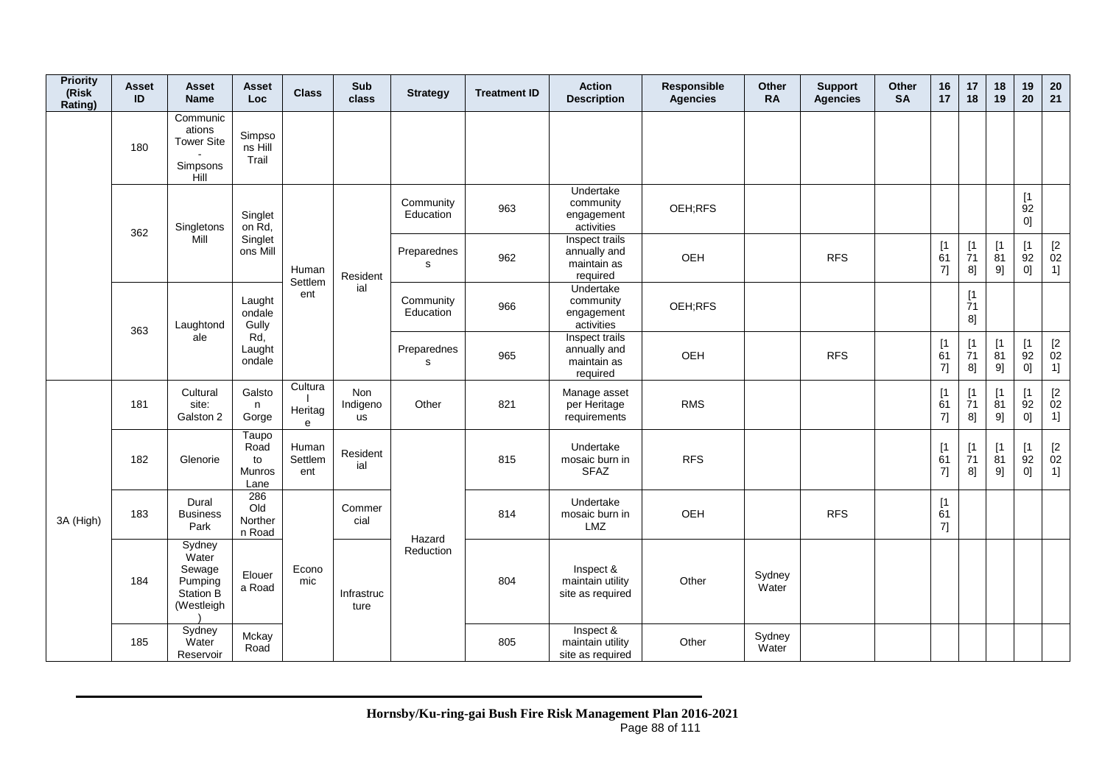| <b>Priority</b><br>(Risk<br>Rating)          | <b>Asset</b><br>ID | <b>Asset</b><br><b>Name</b>                                     | <b>Asset</b><br>Loc                          | <b>Class</b>            | Sub<br>class                 | <b>Strategy</b>            | <b>Treatment ID</b> | <b>Action</b><br><b>Description</b>                       | Responsible<br><b>Agencies</b> | <b>Other</b><br><b>RA</b> | <b>Support</b><br><b>Agencies</b> | Other<br><b>SA</b> | 16<br>17        | 17<br>18          | 18<br>19                      | 19<br>20                                               | 20<br>21                                      |
|----------------------------------------------|--------------------|-----------------------------------------------------------------|----------------------------------------------|-------------------------|------------------------------|----------------------------|---------------------|-----------------------------------------------------------|--------------------------------|---------------------------|-----------------------------------|--------------------|-----------------|-------------------|-------------------------------|--------------------------------------------------------|-----------------------------------------------|
|                                              | 180                | Communic<br>ations<br><b>Tower Site</b><br>Simpsons<br>Hill     | Simpso<br>ns Hill<br>Trail                   |                         |                              |                            |                     |                                                           |                                |                           |                                   |                    |                 |                   |                               |                                                        |                                               |
|                                              | 362                | Singletons                                                      | Singlet<br>on Rd,                            |                         |                              | Community<br>Education     | 963                 | Undertake<br>community<br>engagement<br>activities        | OEH;RFS                        |                           |                                   |                    |                 |                   |                               | [1]<br>92<br>0]                                        |                                               |
|                                              |                    | Mill                                                            | Singlet<br>ons Mill                          | Human<br>Settlem        | Resident                     | Preparednes<br>s           | 962                 | Inspect trails<br>annually and<br>maintain as<br>required | OEH                            |                           | <b>RFS</b>                        |                    | [1]<br>61<br>7] | $[1]$<br>71<br>8] | $\lceil 1 \rceil$<br>81<br>9] | [1]<br>92<br>0]                                        | $\begin{bmatrix} 2 \\ 02 \end{bmatrix}$<br>1] |
| 363<br>181<br>182<br>183<br>3A (High)<br>184 |                    | Laughtond                                                       | Laught<br>ondale<br>Gully                    | ent                     | ial                          | Community<br>Education     | 966                 | Undertake<br>community<br>engagement<br>activities        | OEH;RFS                        |                           |                                   |                    |                 | [1]<br>71<br>8]   |                               |                                                        |                                               |
|                                              |                    | ale                                                             | Rd,<br>Laught<br>ondale                      |                         |                              | Preparednes<br>$\mathbf s$ | 965                 | Inspect trails<br>annually and<br>maintain as<br>required | OEH                            |                           | <b>RFS</b>                        |                    | [1]<br>61<br>7] | [1]<br>71<br>8]   | [1<br>81<br>9]                | [1]<br>92<br>0]                                        | $\begin{bmatrix} 2 \\ 02 \end{bmatrix}$<br>1] |
|                                              |                    | Cultural<br>site:<br>Galston 2                                  | Galsto<br>n<br>Gorge                         | Cultura<br>Heritag<br>e | <b>Non</b><br>Indigeno<br>us | Other                      | 821                 | Manage asset<br>per Heritage<br>requirements              | <b>RMS</b>                     |                           |                                   |                    | [1]<br>61<br>7] | [1]<br>71<br>8]   | $\mathsf{I}$<br>81<br>9]      | $\mathsf{I}$<br>$\overline{9}2$<br>$0] \hspace{.05cm}$ | $\begin{bmatrix} 2 \\ 02 \end{bmatrix}$<br>1] |
|                                              |                    | Glenorie                                                        | Taupo<br>Road<br>to<br><b>Munros</b><br>Lane | Human<br>Settlem<br>ent | Resident<br>ial              |                            | 815                 | Undertake<br>mosaic burn in<br><b>SFAZ</b>                | <b>RFS</b>                     |                           |                                   |                    | [1<br>61<br>7]  | $[1]$<br>71<br>8] | $\lceil 1 \rceil$<br>81<br>9] | [1]<br>92<br>0]                                        | $\underset{02}{[2}$<br>1]                     |
|                                              |                    | Dural<br><b>Business</b><br>Park                                | 286<br>Old<br>Norther<br>n Road              |                         | Commer<br>cial               | Hazard                     | 814                 | Undertake<br>mosaic burn in<br>LMZ                        | OEH                            |                           | <b>RFS</b>                        |                    | [1]<br>61<br>7] |                   |                               |                                                        |                                               |
|                                              |                    | Sydney<br>Water<br>Sewage<br>Pumping<br>Station B<br>(Westleigh | Elouer<br>a Road                             | Econo<br>mic            | Infrastruc<br>ture           | Reduction                  | 804                 | Inspect &<br>maintain utility<br>site as required         | Other                          | Sydney<br>Water           |                                   |                    |                 |                   |                               |                                                        |                                               |
|                                              | 185                | Sydney<br>Water<br>Reservoir                                    | Mckay<br>Road                                |                         |                              |                            | 805                 | Inspect &<br>maintain utility<br>site as required         | Other                          | Sydney<br>Water           |                                   |                    |                 |                   |                               |                                                        |                                               |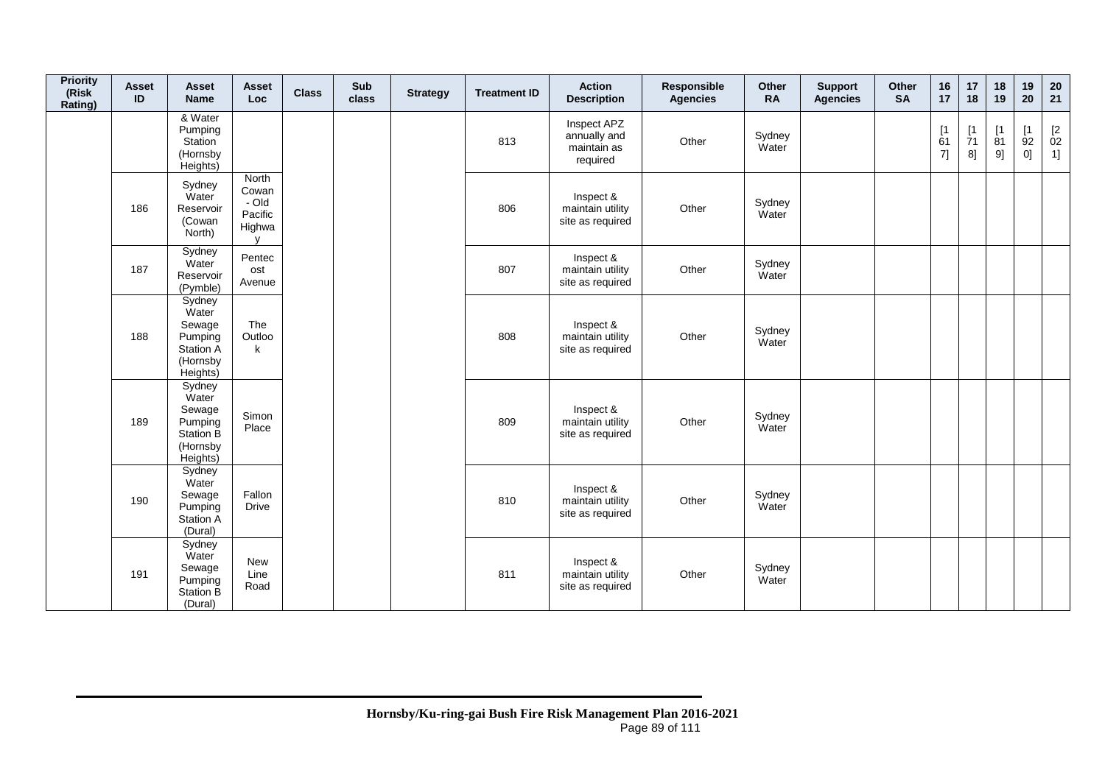| <b>Priority</b><br>(Risk<br>Rating) | <b>Asset</b><br>ID | <b>Asset</b><br><b>Name</b>                                                      | Asset<br>Loc                                                 | <b>Class</b> | Sub<br>class | <b>Strategy</b> | <b>Treatment ID</b> | <b>Action</b><br><b>Description</b>                    | Responsible<br><b>Agencies</b> | Other<br><b>RA</b> | <b>Support</b><br><b>Agencies</b> | Other<br><b>SA</b> | 16<br>17        | 17<br>18       | 18<br>19       | 19<br>20        | ${\bf 20}$<br>21                              |
|-------------------------------------|--------------------|----------------------------------------------------------------------------------|--------------------------------------------------------------|--------------|--------------|-----------------|---------------------|--------------------------------------------------------|--------------------------------|--------------------|-----------------------------------|--------------------|-----------------|----------------|----------------|-----------------|-----------------------------------------------|
|                                     |                    | & Water<br>Pumping<br>Station<br>(Hornsby<br>Heights)                            |                                                              |              |              |                 | 813                 | Inspect APZ<br>annually and<br>maintain as<br>required | Other                          | Sydney<br>Water    |                                   |                    | [1]<br>61<br>7] | [1<br>71<br>8] | [1<br>81<br>9] | [1]<br>92<br>0] | $\begin{bmatrix} 2 \\ 02 \end{bmatrix}$<br>1] |
|                                     | 186                | Sydney<br>Water<br>Reservoir<br>(Cowan<br>North)                                 | North<br>Cowan<br>- Old<br>Pacific<br>Highwa<br>$\mathbf{v}$ |              |              |                 | 806                 | Inspect &<br>maintain utility<br>site as required      | Other                          | Sydney<br>Water    |                                   |                    |                 |                |                |                 |                                               |
|                                     | 187                | Sydney<br>Water<br>Reservoir<br>(Pymble)                                         | Pentec<br>ost<br>Avenue                                      |              |              |                 | 807                 | Inspect &<br>maintain utility<br>site as required      | Other                          | Sydney<br>Water    |                                   |                    |                 |                |                |                 |                                               |
|                                     | 188                | Sydney<br>Water<br>Sewage<br>Pumping<br><b>Station A</b><br>(Hornsby<br>Heights) | The<br>Outloo<br>$\mathsf k$                                 |              |              |                 | 808                 | Inspect &<br>maintain utility<br>site as required      | Other                          | Sydney<br>Water    |                                   |                    |                 |                |                |                 |                                               |
|                                     | 189                | Sydney<br>Water<br>Sewage<br>Pumping<br>Station B<br>(Hornsby<br>Heights)        | Simon<br>Place                                               |              |              |                 | 809                 | Inspect &<br>maintain utility<br>site as required      | Other                          | Sydney<br>Water    |                                   |                    |                 |                |                |                 |                                               |
|                                     | 190                | Sydney<br>Water<br>Sewage<br>Pumping<br>Station A<br>(Dural)                     | Fallon<br><b>Drive</b>                                       |              |              |                 | 810                 | Inspect &<br>maintain utility<br>site as required      | Other                          | Sydney<br>Water    |                                   |                    |                 |                |                |                 |                                               |
|                                     | 191                | Sydney<br>Water<br>Sewage<br>Pumping<br>Station B<br>(Dural)                     | New<br>Line<br>Road                                          |              |              |                 | 811                 | Inspect &<br>maintain utility<br>site as required      | Other                          | Sydney<br>Water    |                                   |                    |                 |                |                |                 |                                               |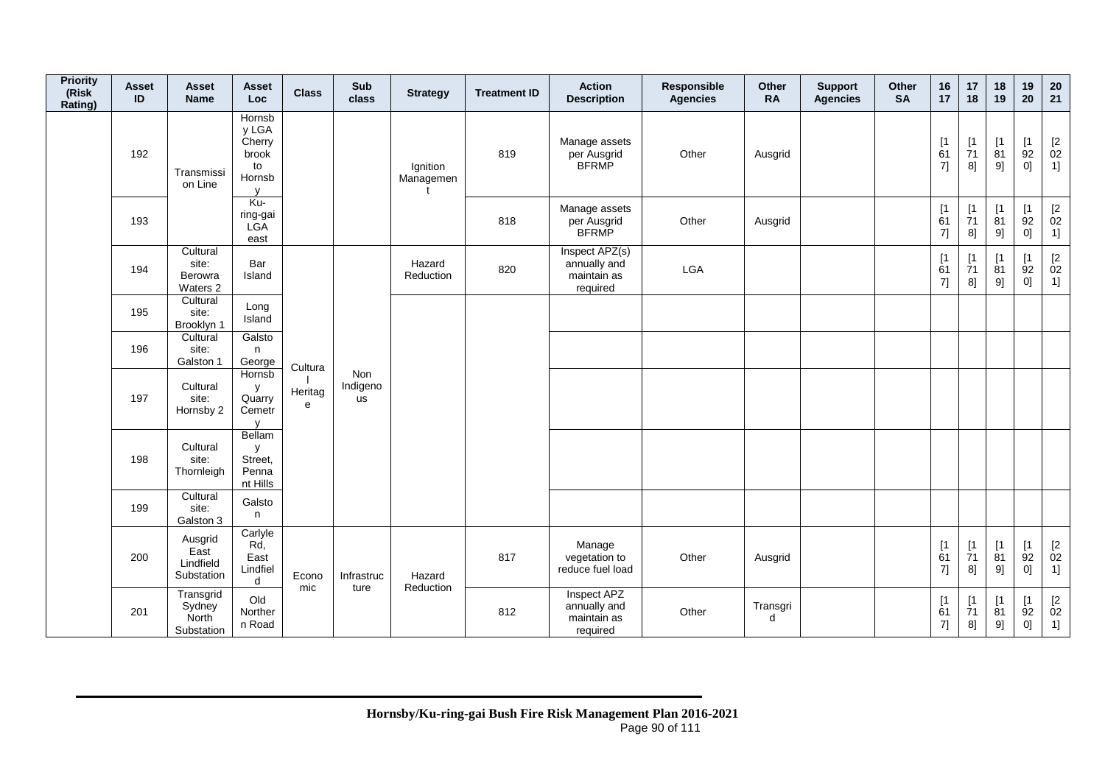| <b>Priority</b><br>(Risk<br>Rating) | <b>Asset</b><br>ID | <b>Asset</b><br><b>Name</b>                                                  | <b>Asset</b><br>Loc                                                | <b>Class</b> | Sub<br>class                 | <b>Strategy</b>       | <b>Treatment ID</b> | <b>Action</b><br><b>Description</b>                       | Responsible<br><b>Agencies</b> | Other<br><b>RA</b> | <b>Support</b><br><b>Agencies</b> | Other<br><b>SA</b> | 16<br>17                                            | 17<br>18                                          | 18<br>19                     | 19<br>20                         | 20<br>21                                                          |
|-------------------------------------|--------------------|------------------------------------------------------------------------------|--------------------------------------------------------------------|--------------|------------------------------|-----------------------|---------------------|-----------------------------------------------------------|--------------------------------|--------------------|-----------------------------------|--------------------|-----------------------------------------------------|---------------------------------------------------|------------------------------|----------------------------------|-------------------------------------------------------------------|
|                                     | 192                | Transmissi<br>on Line                                                        | Hornsb<br>y LGA<br>Cherry<br>brook<br>to<br>Hornsb<br>$\mathsf{V}$ |              |                              | Ignition<br>Managemen | 819                 | Manage assets<br>per Ausgrid<br><b>BFRMP</b>              | Other                          | Ausgrid            |                                   |                    | [1]<br>61<br>7]                                     | [1<br>$\overline{7}1$<br>8]                       | [1]<br>81<br>9]              | [1<br>92<br>0]                   | $\begin{array}{c} \left[2 \right. \\ 02 \\ 1 \right] \end{array}$ |
|                                     | 193                |                                                                              | Ku-<br>ring-gai<br>LGA<br>east                                     |              |                              |                       | 818                 | Manage assets<br>per Ausgrid<br><b>BFRMP</b>              | Other                          | Ausgrid            |                                   |                    | $\begin{array}{c} \n[1] \\ \n61\n\end{array}$<br>7] | [1]<br>71<br>8]                                   | $[1]$<br>81<br>9]            | [1]<br>92<br>0]                  | $[2]$<br>02<br>1]                                                 |
|                                     | 194                | Cultural<br>site:<br>Berowra<br>Waters 2                                     | Bar<br>Island                                                      |              |                              | Hazard<br>Reduction   | 820                 | Inspect APZ(s)<br>annually and<br>maintain as<br>required | LGA                            |                    |                                   |                    | $\begin{array}{c} \n[1] \\ \n61\n\end{array}$<br>7] | $\begin{array}{c} \n 1 \\ 71\n \end{array}$<br>8] | [1]<br>$\dot{8}1$<br>$9] \!$ | [1]<br>92<br>0]                  | $\frac{[2]}{02}$<br>1]                                            |
|                                     | 195                | Cultural<br>site:<br>Brooklyn 1                                              | Long<br>Island                                                     |              |                              |                       |                     |                                                           |                                |                    |                                   |                    |                                                     |                                                   |                              |                                  |                                                                   |
|                                     | 196                | Cultural<br>site:<br>Galston 1                                               | Galsto<br>n<br>George                                              | Cultura      |                              |                       |                     |                                                           |                                |                    |                                   |                    |                                                     |                                                   |                              |                                  |                                                                   |
|                                     | 197                | Cultural<br>site:<br>Hornsby 2                                               | Hornsb<br>у<br>Quarry<br>Cemetr<br>$\mathsf{v}$                    | Heritag<br>e | Non<br>Indigeno<br><b>us</b> |                       |                     |                                                           |                                |                    |                                   |                    |                                                     |                                                   |                              |                                  |                                                                   |
|                                     | 198                | Cultural<br>site:<br>Thornleigh                                              | Bellam<br>y<br>Street,<br>Penna<br>nt Hills                        |              |                              |                       |                     |                                                           |                                |                    |                                   |                    |                                                     |                                                   |                              |                                  |                                                                   |
|                                     | 199                | Cultural<br>site:<br>Galston 3<br>Ausgrid<br>East<br>Lindfield<br>Substation | Galsto<br>n                                                        |              |                              |                       |                     |                                                           |                                |                    |                                   |                    |                                                     |                                                   |                              |                                  |                                                                   |
|                                     | 200                |                                                                              | Carlyle<br>Rd,<br>East<br>Lindfiel<br>d                            | Econo<br>mic | Infrastruc<br>ture           | Hazard                | 817                 | Manage<br>vegetation to<br>reduce fuel load               | Other                          | Ausgrid            |                                   |                    | [1]<br>$\overline{6}1$<br>7]                        | [1]<br>$\overline{7}1$<br>8]                      | [1]<br>$\overline{81}$<br>9] | [1]<br>92<br>0]                  | $\begin{array}{c} \left[2 \right. \\ 02 \\ 1 \right] \end{array}$ |
|                                     | 201                | Transgrid<br>Sydney<br>North<br>Substation                                   | Old<br>Norther<br>n Road                                           |              |                              | Reduction             | 812                 | Inspect APZ<br>annually and<br>maintain as<br>required    | Other                          | Transgri<br>d      |                                   |                    | [1]<br>61<br>7]                                     | [1<br>71<br>8]                                    | [1<br>81<br>9]               | [1]<br>92<br>$0] \hspace{.05cm}$ | $[2]$<br>02<br>1]                                                 |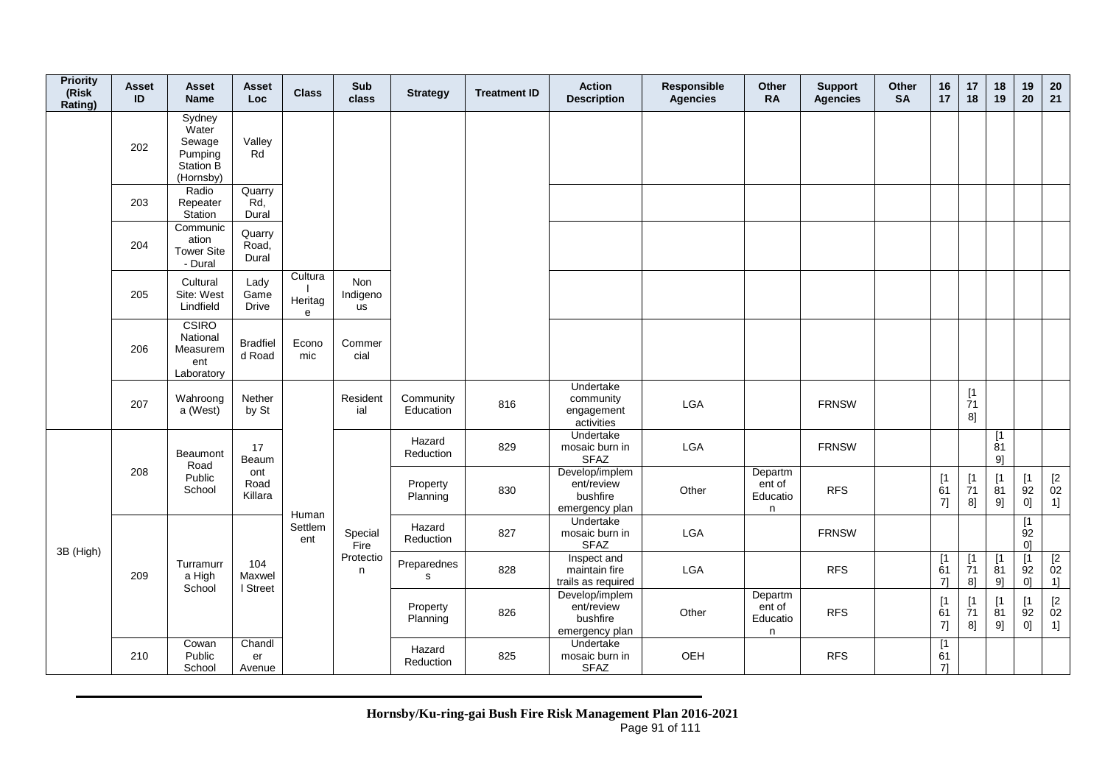| <b>Priority</b><br>(Risk<br>Rating) | <b>Asset</b><br>ID | Asset<br><b>Name</b>                                                  | Asset<br>Loc.                | <b>Class</b>            | Sub<br>class          | <b>Strategy</b>        | <b>Treatment ID</b> | <b>Action</b><br><b>Description</b>                        | Responsible<br><b>Agencies</b> | <b>Other</b><br><b>RA</b>          | <b>Support</b><br><b>Agencies</b> | <b>Other</b><br><b>SA</b> | 16<br>17          | 17<br>18                                                                   | 18<br>19                       | 19<br>20                                               | 20<br>21                   |
|-------------------------------------|--------------------|-----------------------------------------------------------------------|------------------------------|-------------------------|-----------------------|------------------------|---------------------|------------------------------------------------------------|--------------------------------|------------------------------------|-----------------------------------|---------------------------|-------------------|----------------------------------------------------------------------------|--------------------------------|--------------------------------------------------------|----------------------------|
|                                     | 202                | Sydney<br>Water<br>Sewage<br>Pumping<br><b>Station B</b><br>(Hornsby) | Valley<br>Rd                 |                         |                       |                        |                     |                                                            |                                |                                    |                                   |                           |                   |                                                                            |                                |                                                        |                            |
|                                     | 203                | Radio<br>Repeater<br>Station                                          | Quarry<br>Rd,<br>Dural       |                         |                       |                        |                     |                                                            |                                |                                    |                                   |                           |                   |                                                                            |                                |                                                        |                            |
|                                     | 204                | Communic<br>ation<br><b>Tower Site</b><br>- Dural                     | Quarry<br>Road,<br>Dural     |                         |                       |                        |                     |                                                            |                                |                                    |                                   |                           |                   |                                                                            |                                |                                                        |                            |
|                                     | 205                | Cultural<br>Site: West<br>Lindfield                                   | Lady<br>Game<br><b>Drive</b> | Cultura<br>Heritag<br>e | Non<br>Indigeno<br>us |                        |                     |                                                            |                                |                                    |                                   |                           |                   |                                                                            |                                |                                                        |                            |
|                                     | 206                | CSIRO<br>National<br>Measurem<br>ent<br>Laboratory                    | <b>Bradfiel</b><br>d Road    | Econo<br>mic            | Commer<br>cial        |                        |                     |                                                            |                                |                                    |                                   |                           |                   |                                                                            |                                |                                                        |                            |
|                                     | 207                | Wahroong<br>a (West)                                                  | Nether<br>by St              |                         | Resident<br>ial       | Community<br>Education | 816                 | Undertake<br>community<br>engagement<br>activities         | LGA                            |                                    | <b>FRNSW</b>                      |                           |                   | $\begin{array}{c} \left[ 1 \right. \\ \left. 71 \right. \end{array}$<br>8] |                                |                                                        |                            |
|                                     |                    | Beaumont<br>Road                                                      | 17<br>Beaum                  |                         |                       | Hazard<br>Reduction    | 829                 | Undertake<br>mosaic burn in<br><b>SFAZ</b>                 | LGA                            |                                    | <b>FRNSW</b>                      |                           |                   |                                                                            | [1]<br>81<br>91                |                                                        |                            |
|                                     | 208                | Public<br>School                                                      | ont<br>Road<br>Killara       | Human                   |                       | Property<br>Planning   | 830                 | Develop/implem<br>ent/review<br>bushfire<br>emergency plan | Other                          | Departm<br>ent of<br>Educatio<br>n | <b>RFS</b>                        |                           | $[1]$<br>61<br>7] | $[1]$<br>$\overline{7}1$<br>8]                                             | $\lceil 1 \rceil$<br>81<br>9]  | $[1]$<br>92<br>0]                                      | $\frac{[2]}{02}$<br>1]     |
| 3B (High)                           |                    |                                                                       |                              | Settlem<br>ent          | Special<br>Fire       | Hazard<br>Reduction    | 827                 | Undertake<br>mosaic burn in<br><b>SFAZ</b>                 | LGA                            |                                    | <b>FRNSW</b>                      |                           |                   |                                                                            |                                | $\lceil 1 \rceil$<br>$\overline{9}2$<br>0 <sup>1</sup> |                            |
|                                     | 209                | Turramurr<br>a High<br>School                                         | 104<br>Maxwel<br>I Street    |                         | Protectio<br>n        | Preparednes<br>s       | 828                 | Inspect and<br>maintain fire<br>trails as required         | LGA                            |                                    | <b>RFS</b>                        |                           | [1]<br>61<br>71   | [1]<br>$\overline{7}1$<br>$8$ ]                                            | [1]<br>81<br>91                | [1]<br>92<br> 0                                        | $\overline{2}$<br>02<br>1] |
|                                     |                    |                                                                       |                              |                         |                       | Property<br>Planning   | 826                 | Develop/implem<br>ent/review<br>bushfire<br>emergency plan | Other                          | Departm<br>ent of<br>Educatio<br>n | <b>RFS</b>                        |                           | [1]<br>61<br>7]   | $\begin{array}{c} \left[ 1 \right. \\ \left. 71 \right. \end{array}$<br>8] | $\sqrt{1}$<br>$\dot{8}1$<br>9] | [1]<br>$\overline{9}2$<br>0]                           | $\frac{[2]}{02}$<br>1]     |
|                                     | 210                | Cowan<br>Public<br>School                                             | Chandl<br>er<br>Avenue       |                         |                       | Hazard<br>Reduction    | 825                 | Undertake<br>mosaic burn in<br><b>SFAZ</b>                 | OEH                            |                                    | <b>RFS</b>                        |                           | [1]<br>61<br>71   |                                                                            |                                |                                                        |                            |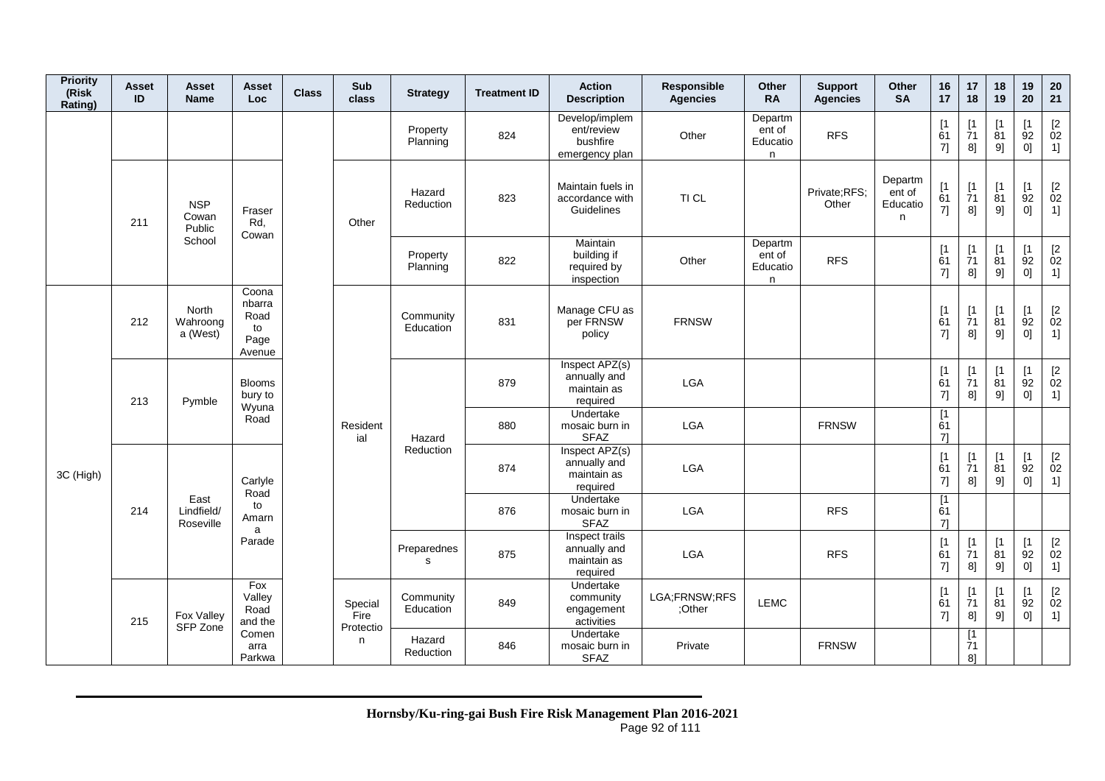| <b>Priority</b><br>(Risk<br>Rating) | <b>Asset</b><br>ID | Asset<br><b>Name</b>            | Asset<br>Loc                                    | <b>Class</b> | Sub<br>class                 | <b>Strategy</b>            | <b>Treatment ID</b> | <b>Action</b><br><b>Description</b>                        | Responsible<br><b>Agencies</b> | Other<br><b>RA</b>                 | <b>Support</b><br><b>Agencies</b> | Other<br><b>SA</b>                 | 16<br>17                                            | 17<br>18                      | 18<br>19                      | 19<br>20                      | 20<br>21                                                         |
|-------------------------------------|--------------------|---------------------------------|-------------------------------------------------|--------------|------------------------------|----------------------------|---------------------|------------------------------------------------------------|--------------------------------|------------------------------------|-----------------------------------|------------------------------------|-----------------------------------------------------|-------------------------------|-------------------------------|-------------------------------|------------------------------------------------------------------|
|                                     |                    |                                 |                                                 |              |                              | Property<br>Planning       | 824                 | Develop/implem<br>ent/review<br>bushfire<br>emergency plan | Other                          | Departm<br>ent of<br>Educatio<br>n | <b>RFS</b>                        |                                    | [1<br>61<br>7]                                      | [1<br>71<br>8]                | $\lceil 1 \rceil$<br>81<br>9] | $\lceil 1 \rceil$<br>92<br>0] | $\frac{[2]}{02}$<br>1]                                           |
|                                     | 211                | <b>NSP</b><br>Cowan<br>Public   | Fraser<br>Rd,<br>Cowan                          |              | Other                        | Hazard<br>Reduction        | 823                 | Maintain fuels in<br>accordance with<br>Guidelines         | TI CL                          |                                    | Private;RFS;<br>Other             | Departm<br>ent of<br>Educatio<br>n | $\begin{array}{c} \n[1] \\ \n61\n\end{array}$<br>7] | [1]<br>71<br>8]               | [1]<br>81<br>9]               | [1]<br>92<br>0]               | $\begin{array}{c} \left[ 2 \right. \\ 02 \end{array}$<br>1]      |
|                                     |                    | School                          |                                                 |              |                              | Property<br>Planning       | 822                 | Maintain<br>building if<br>required by<br>inspection       | Other                          | Departm<br>ent of<br>Educatio<br>n | <b>RFS</b>                        |                                    | [1]<br>61<br>7]                                     | $\lceil 1 \rceil$<br>71<br>8] | $\mathsf{I}$<br>81<br>9]      | $\mathsf{I}$<br>92<br>0]      | $\mathop{02}\limits^{[2]}$<br>1]                                 |
|                                     | 212                | North<br>Wahroong<br>a (West)   | Coona<br>nbarra<br>Road<br>to<br>Page<br>Avenue |              |                              | Community<br>Education     | 831                 | Manage CFU as<br>per FRNSW<br>policy                       | <b>FRNSW</b>                   |                                    |                                   |                                    | [1]<br>61<br>7]                                     | [1<br>71<br>8]                | [1]<br>81<br>9]               | [1]<br>92<br>0]               | $\begin{array}{c} \left[2\right. \\ 02\right. \end{array}$<br>1] |
|                                     | 213                | Pymble                          | <b>Blooms</b><br>bury to<br>Wyuna               |              |                              |                            | 879                 | Inspect APZ(s)<br>annually and<br>maintain as<br>required  | <b>LGA</b>                     |                                    |                                   |                                    | [1]<br>61<br>7]                                     | [1]<br>71<br>8]               | [1]<br>81<br>9]               | [1]<br>92<br>0]               | $\begin{array}{c} \left[2\right. \\ 02\right. \end{array}$<br>1] |
|                                     |                    |                                 | Road                                            |              | Resident<br>ial              | Hazard                     | 880                 | Undertake<br>mosaic burn in<br><b>SFAZ</b>                 | <b>LGA</b>                     |                                    | <b>FRNSW</b>                      |                                    | [1<br>61<br>71                                      |                               |                               |                               |                                                                  |
| 3C (High)                           |                    |                                 | Carlyle<br>Road                                 |              |                              | Reduction                  | 874                 | Inspect APZ(s)<br>annually and<br>maintain as<br>required  | LGA                            |                                    |                                   |                                    | [1]<br>61<br>7]                                     | [1<br>71<br>8]                | [1]<br>81<br>9]               | [1<br>92<br>0]                | $\frac{[2]}{02}$<br>1]                                           |
|                                     | 214                | East<br>Lindfield/<br>Roseville | to<br>Amarn                                     |              |                              |                            | 876                 | Undertake<br>mosaic burn in<br><b>SFAZ</b>                 | LGA                            |                                    | <b>RFS</b>                        |                                    | $\lceil 1 \rceil$<br>61<br>71                       |                               |                               |                               |                                                                  |
|                                     |                    |                                 | a<br>Parade                                     |              |                              | Preparednes<br>$\mathbf s$ | 875                 | Inspect trails<br>annually and<br>maintain as<br>required  | <b>LGA</b>                     |                                    | <b>RFS</b>                        |                                    | [1]<br>61<br>7]                                     | $\lceil 1 \rceil$<br>71<br>8] | $\lceil 1 \rceil$<br>81<br>9] | [1]<br>92<br>0]               | $\begin{bmatrix} 2 \\ 02 \end{bmatrix}$<br>1]                    |
|                                     | 215                | Fox Valley<br>SFP Zone          | Fox<br>Valley<br>Road<br>and the                |              | Special<br>Fire<br>Protectio | Community<br>Education     | 849                 | Undertake<br>community<br>engagement<br>activities         | LGA;FRNSW;RFS<br>;Other        | <b>LEMC</b>                        |                                   |                                    | [1]<br>61<br>7]                                     | [1]<br>71<br>8]               | [1]<br>81<br>9]               | $\lceil 1 \rceil$<br>92<br>0] | $\begin{bmatrix} 2 \\ 02 \end{bmatrix}$<br>1]                    |
|                                     |                    |                                 | Comen<br>arra<br>Parkwa                         |              | n                            | Hazard<br>Reduction        | 846                 | Undertake<br>mosaic burn in<br><b>SFAZ</b>                 | Private                        |                                    | <b>FRNSW</b>                      |                                    |                                                     | [1]<br>71<br>8 <sup>1</sup>   |                               |                               |                                                                  |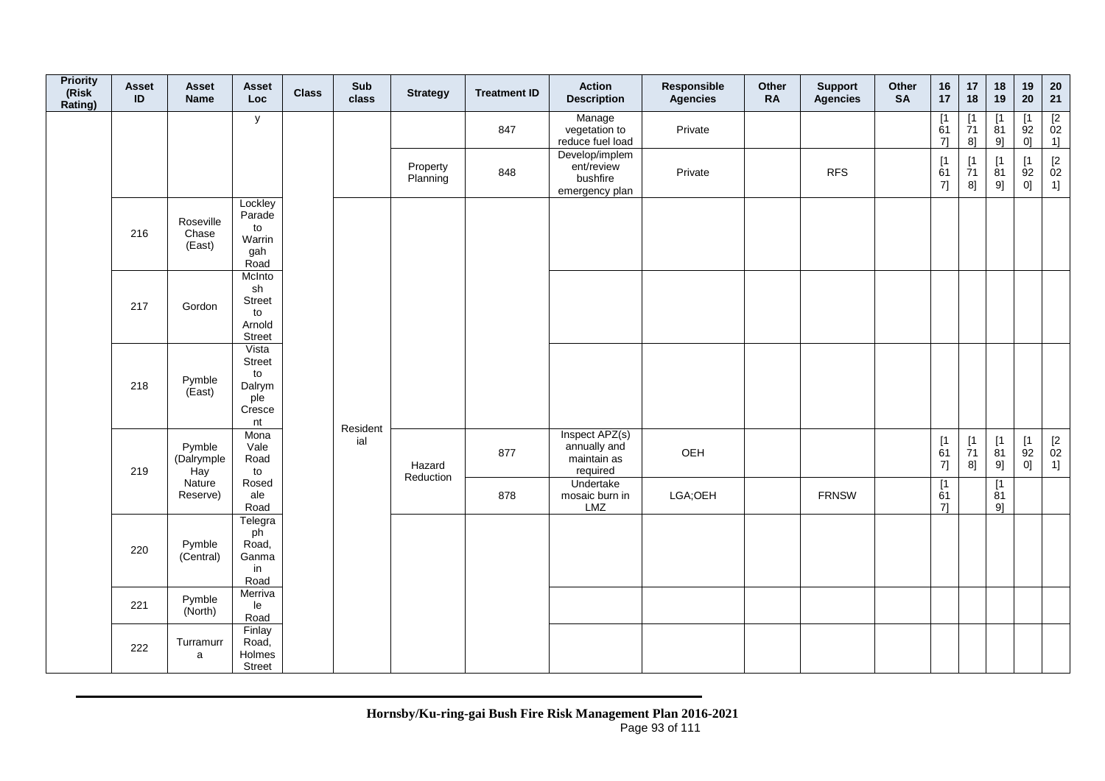| <b>Priority</b><br>(Risk<br>Rating) | <b>Asset</b><br>$\mathsf{ID}$ | <b>Asset</b><br>Name         | Asset<br><b>Loc</b>                                    | <b>Class</b> | Sub<br>class    | <b>Strategy</b>      | <b>Treatment ID</b> | <b>Action</b><br><b>Description</b>                        | Responsible<br>Agencies | Other<br><b>RA</b> | <b>Support</b><br><b>Agencies</b> | Other<br><b>SA</b> | 16<br>17                                                           | 17<br>18                                                                   | 18<br>19                                 | 19<br>20          | ${\bf 20}$<br>21                                                  |
|-------------------------------------|-------------------------------|------------------------------|--------------------------------------------------------|--------------|-----------------|----------------------|---------------------|------------------------------------------------------------|-------------------------|--------------------|-----------------------------------|--------------------|--------------------------------------------------------------------|----------------------------------------------------------------------------|------------------------------------------|-------------------|-------------------------------------------------------------------|
|                                     |                               |                              | y                                                      |              |                 |                      | 847                 | Manage<br>vegetation to<br>reduce fuel load                | Private                 |                    |                                   |                    | $\begin{array}{c} \boxed{1} \\ 61 \end{array}$<br>71               | $\frac{1}{71}$<br>8]                                                       | $\overline{11}$<br>$\overline{8}1$<br>9] | [1<br>92<br>0]    | $\frac{[2]}{02}$<br>1]                                            |
|                                     |                               |                              |                                                        |              |                 | Property<br>Planning | 848                 | Develop/implem<br>ent/review<br>bushfire<br>emergency plan | Private                 |                    | <b>RFS</b>                        |                    | $\begin{array}{c} \left[ 1 \right. \\ 61 \\ 7 \right] \end{array}$ | [1]<br>$\overline{7}1$<br>$\overline{8}$ ]                                 | [1]<br>81<br>9]                          | [1]<br>92<br>$0]$ | $\begin{array}{c} \left[2 \right. \\ 02 \\ 1 \right] \end{array}$ |
|                                     | 216                           | Roseville<br>Chase<br>(East) | Lockley<br>Parade<br>to<br>Warrin<br>gah<br>Road       |              |                 |                      |                     |                                                            |                         |                    |                                   |                    |                                                                    |                                                                            |                                          |                   |                                                                   |
|                                     | 217                           | Gordon                       | McInto<br>sh<br>Street<br>to<br>Arnold<br>Street       |              |                 |                      |                     |                                                            |                         |                    |                                   |                    |                                                                    |                                                                            |                                          |                   |                                                                   |
|                                     | 218                           | Pymble<br>(East)             | Vista<br>Street<br>to<br>Dalrym<br>ple<br>Cresce<br>nt |              |                 |                      |                     |                                                            |                         |                    |                                   |                    |                                                                    |                                                                            |                                          |                   |                                                                   |
|                                     | 219                           | Pymble<br>(Dalrymple<br>Hay  | Mona<br>Vale<br>Road<br>to                             |              | Resident<br>ial | Hazard<br>Reduction  | 877                 | Inspect APZ(s)<br>annually and<br>maintain as<br>required  | OEH                     |                    |                                   |                    | $\begin{array}{c} \n[1] \\ \n61 \n\end{array}$<br>7]               | $\begin{array}{c} \left[ 1 \right. \\ \left. 71 \right. \end{array}$<br>8] | [1]<br>81<br>9]                          | [1]<br>92<br>0]   | $\begin{array}{c} \left[2 \right. \\ 02 \\ 1 \right] \end{array}$ |
|                                     |                               | Nature<br>Reserve)           | Rosed<br>ale<br>Road                                   |              |                 |                      | 878                 | Undertake<br>mosaic burn in<br>LMZ                         | LGA;OEH                 |                    | <b>FRNSW</b>                      |                    | [1]<br>61<br>71                                                    |                                                                            | $\overline{11}$<br>81<br>9]              |                   |                                                                   |
|                                     | 220                           | Pymble<br>(Central)          | Telegra<br>ph<br>Road,<br>Ganma<br>in<br>Road          |              |                 |                      |                     |                                                            |                         |                    |                                   |                    |                                                                    |                                                                            |                                          |                   |                                                                   |
|                                     | 221                           | Pymble<br>(North)            | Merriva<br>le<br>Road                                  |              |                 |                      |                     |                                                            |                         |                    |                                   |                    |                                                                    |                                                                            |                                          |                   |                                                                   |
|                                     | 222                           | Turramurr<br>a               | Finlay<br>Road,<br>Holmes<br><b>Street</b>             |              |                 |                      |                     |                                                            |                         |                    |                                   |                    |                                                                    |                                                                            |                                          |                   |                                                                   |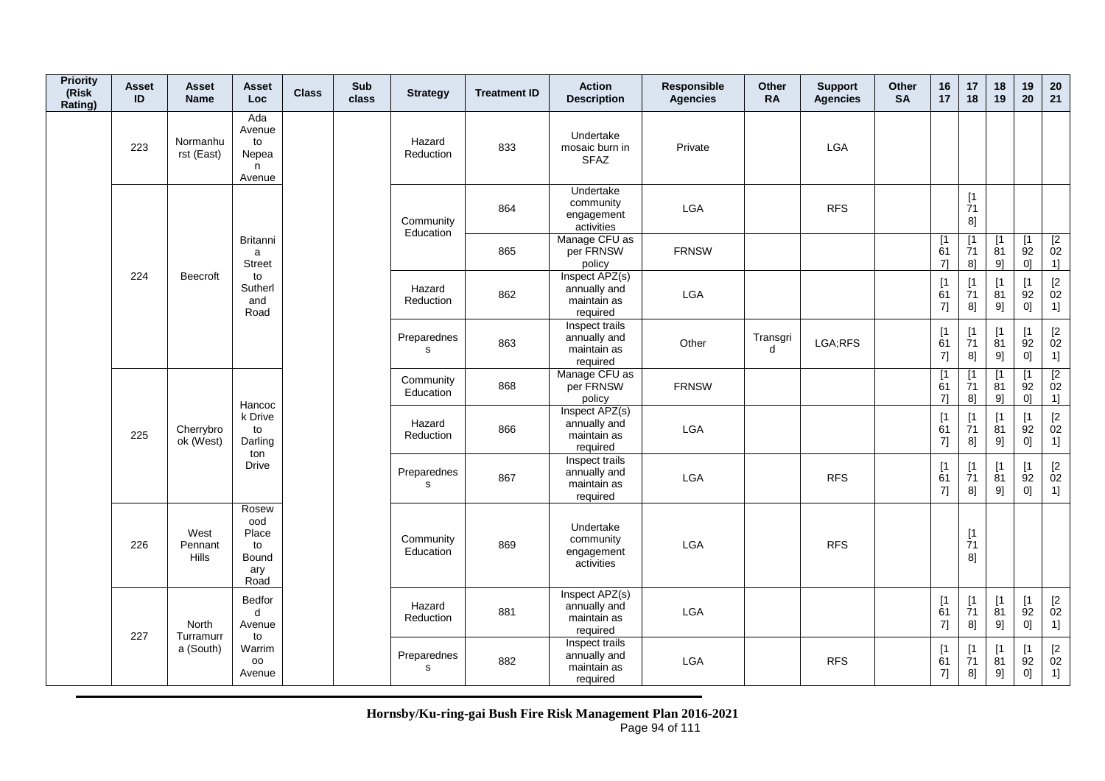| <b>Priority</b><br>(Risk<br>Rating) | Asset<br>ID | Asset<br><b>Name</b>            | Asset<br><b>Loc</b>                                 | <b>Class</b> | <b>Sub</b><br>class | <b>Strategy</b>            | <b>Treatment ID</b> | <b>Action</b><br><b>Description</b>                       | Responsible<br><b>Agencies</b> | Other<br><b>RA</b> | <b>Support</b><br><b>Agencies</b> | Other<br><b>SA</b> | 16<br>17                                            | 17<br>18                                                    | 18<br>19                      | 19<br>20                       | $20\,$<br>21                                  |
|-------------------------------------|-------------|---------------------------------|-----------------------------------------------------|--------------|---------------------|----------------------------|---------------------|-----------------------------------------------------------|--------------------------------|--------------------|-----------------------------------|--------------------|-----------------------------------------------------|-------------------------------------------------------------|-------------------------------|--------------------------------|-----------------------------------------------|
|                                     | 223         | Normanhu<br>rst (East)          | Ada<br>Avenue<br>to<br>Nepea<br>n.<br>Avenue        |              |                     | Hazard<br>Reduction        | 833                 | Undertake<br>mosaic burn in<br><b>SFAZ</b>                | Private                        |                    | <b>LGA</b>                        |                    |                                                     |                                                             |                               |                                |                                               |
|                                     |             |                                 |                                                     |              |                     | Community<br>Education     | 864                 | Undertake<br>community<br>engagement<br>activities        | LGA                            |                    | <b>RFS</b>                        |                    |                                                     | [1]<br>$\overline{7}1$<br>8]                                |                               |                                |                                               |
|                                     |             |                                 | Britanni<br>a<br><b>Street</b>                      |              |                     |                            | 865                 | Manage CFU as<br>per FRNSW<br>policy                      | <b>FRNSW</b>                   |                    |                                   |                    | [1<br>61<br>7                                       | [1]<br>71<br>8]                                             | [1]<br>81<br>9]               | $\lceil 1 \rceil$<br>92<br>0]  | [2]<br>02<br>1]                               |
|                                     | 224         | Beecroft                        | to<br>Sutherl<br>and<br>Road                        |              |                     | Hazard<br>Reduction        | 862                 | Inspect APZ(s)<br>annually and<br>maintain as<br>required | LGA                            |                    |                                   |                    | [1]<br>61<br>7]                                     | $[1]$<br>71<br>8]                                           | [1]<br>81<br>9]               | [1]<br>92<br>0]                | $\frac{[2]}{02}$<br>1]                        |
|                                     |             |                                 |                                                     |              |                     | Preparednes<br>$\mathbf s$ | 863                 | Inspect trails<br>annually and<br>maintain as<br>required | Other                          | Transgri<br>d      | LGA;RFS                           |                    | $\begin{array}{c} \n[1] \\ \n61\n\end{array}$<br>7] | [1]<br>$\overline{7}1$<br>8]                                | [1]<br>81<br>9]               | $\lceil 1 \rceil$<br>92<br>0]  | [2]<br>02<br>1]                               |
|                                     |             |                                 |                                                     |              |                     | Community<br>Education     | 868                 | Manage CFU as<br>per FRNSW<br>policy                      | <b>FRNSW</b>                   |                    |                                   |                    | $\overline{1}$<br>$\overline{6}1$<br>71             | $\overline{1}$<br>$\overline{7}1$<br>8]                     | [1]<br>$\overline{8}1$<br>9]  | $\overline{1}$<br>92<br>0]     | [2]<br>02<br>1]                               |
|                                     | 225         | Cherrybro<br>ok (West)          | Hancoc<br>k Drive<br>to<br>Darling<br>ton           |              |                     | Hazard<br>Reduction        | 866                 | Inspect APZ(s)<br>annually and<br>maintain as<br>required | LGA                            |                    |                                   |                    | [1]<br>61<br>7]                                     | $[1]$<br>71<br>8]                                           | $\lceil 1 \rceil$<br>81<br>9] | $[1]$<br>92<br>0]              | $[2]$<br>02<br>1]                             |
|                                     |             |                                 | <b>Drive</b>                                        |              |                     | Preparednes<br>s           | 867                 | Inspect trails<br>annually and<br>maintain as<br>required | <b>LGA</b>                     |                    | <b>RFS</b>                        |                    | $\begin{array}{c} \n[1] \\ \n61\n\end{array}$<br>7] | $\begin{array}{c} \n[1] \\ \n[7] \n[7] \n\end{array}$<br>8] | [1]<br>81<br>9]               | $[1]$<br>$\overline{9}2$<br>0] | $\begin{bmatrix} 2 \\ 02 \end{bmatrix}$<br>1] |
|                                     | 226         | West<br>Pennant<br><b>Hills</b> | Rosew<br>ood<br>Place<br>to<br>Bound<br>ary<br>Road |              |                     | Community<br>Education     | 869                 | Undertake<br>community<br>engagement<br>activities        | LGA                            |                    | <b>RFS</b>                        |                    |                                                     | [1]<br>$\overline{7}1$<br>8]                                |                               |                                |                                               |
|                                     | 227         | North<br>Turramurr              | Bedfor<br>d<br>Avenue<br>to                         |              |                     | Hazard<br>Reduction        | 881                 | Inspect APZ(s)<br>annually and<br>maintain as<br>required | <b>LGA</b>                     |                    |                                   |                    | [1]<br>61<br>$7]$                                   | $[1]$<br>$\overline{7}1$<br>8]                              | [1]<br>$\overline{8}1$<br>9]  | [1]<br>92<br>0]                | [2]<br>02<br>1]                               |
|                                     |             | a (South)                       | Warrim<br>oo<br>Avenue                              |              |                     | Preparednes<br>$\mathbf s$ | 882                 | Inspect trails<br>annually and<br>maintain as<br>required | LGA                            |                    | <b>RFS</b>                        |                    | $\begin{array}{c} \n[1] \\ \n61\n\end{array}$<br>7] | [1<br>$\dot{7}1$<br>8]                                      | [1]<br>$\overline{81}$<br>9]  | [1]<br>$\overline{9}2$<br>0]   | $[2]$<br>02<br>1]                             |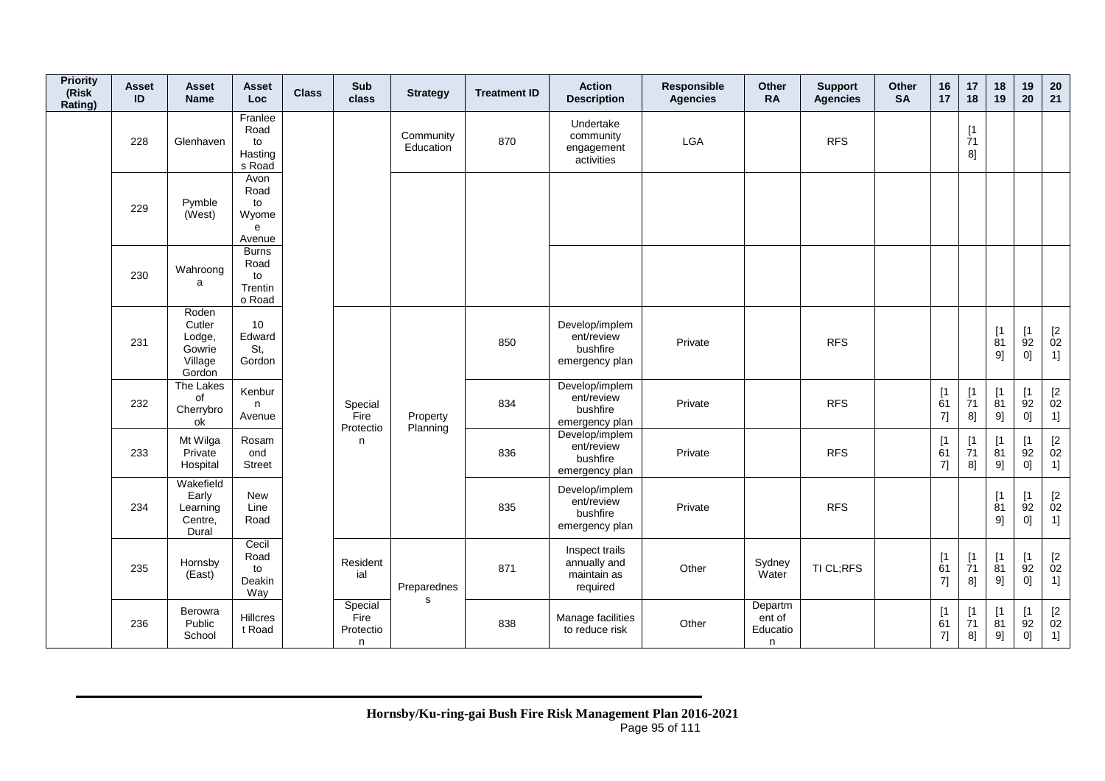| <b>Priority</b><br>(Risk<br>Rating) | <b>Asset</b><br>ID | Asset<br><b>Name</b>                                     | <b>Asset</b><br>Loc                             | <b>Class</b> | Sub<br>class                      | <b>Strategy</b>        | <b>Treatment ID</b> | <b>Action</b><br><b>Description</b>                        | Responsible<br><b>Agencies</b> | Other<br><b>RA</b>                 | <b>Support</b><br><b>Agencies</b> | Other<br><b>SA</b> | 16<br>17                                                    | 17<br>18                       | 18<br>19                       | 19<br>20                        | 20<br>21                                                          |
|-------------------------------------|--------------------|----------------------------------------------------------|-------------------------------------------------|--------------|-----------------------------------|------------------------|---------------------|------------------------------------------------------------|--------------------------------|------------------------------------|-----------------------------------|--------------------|-------------------------------------------------------------|--------------------------------|--------------------------------|---------------------------------|-------------------------------------------------------------------|
|                                     | 228                | Glenhaven                                                | Franlee<br>Road<br>to<br>Hasting<br>s Road      |              |                                   | Community<br>Education | 870                 | Undertake<br>community<br>engagement<br>activities         | LGA                            |                                    | <b>RFS</b>                        |                    |                                                             | [1]<br>71<br>8]                |                                |                                 |                                                                   |
|                                     | 229                | Pymble<br>(West)                                         | Avon<br>Road<br>to<br>Wyome<br>e<br>Avenue      |              |                                   |                        |                     |                                                            |                                |                                    |                                   |                    |                                                             |                                |                                |                                 |                                                                   |
|                                     | 230                | Wahroong<br>a                                            | <b>Burns</b><br>Road<br>to<br>Trentin<br>o Road |              |                                   |                        |                     |                                                            |                                |                                    |                                   |                    |                                                             |                                |                                |                                 |                                                                   |
|                                     | 231                | Roden<br>Cutler<br>Lodge,<br>Gowrie<br>Village<br>Gordon | 10<br>Edward<br>St,<br>Gordon                   |              |                                   |                        | 850                 | Develop/implem<br>ent/review<br>bushfire<br>emergency plan | Private                        |                                    | <b>RFS</b>                        |                    |                                                             |                                | [1]<br>81<br>9]                | [1]<br>92<br>0]                 | $\begin{array}{c} \left[2 \right. \\ 02 \\ 1 \right] \end{array}$ |
|                                     | 232                | The Lakes<br>of<br>Cherrybro<br>ok                       | Kenbur<br>n<br>Avenue                           |              | Special<br>Fire                   | Property               | 834                 | Develop/implem<br>ent/review<br>bushfire<br>emergency plan | Private                        |                                    | <b>RFS</b>                        |                    | [1]<br>61<br>7]                                             | [1]<br>$\overline{7}1$<br>8]   | $[1]$<br>$\overline{8}1$<br>9] | [1<br>92<br>0]                  | $\mathop{02}\limits^{[2]}$<br>1]                                  |
|                                     | 233                | Mt Wilga<br>Private<br>Hospital                          | Rosam<br>ond<br><b>Street</b>                   |              | Protectio<br>n.                   | Planning               | 836                 | Develop/implem<br>ent/review<br>bushfire<br>emergency plan | Private                        |                                    | <b>RFS</b>                        |                    | [1]<br>61<br>7]                                             | $[1]$<br>71<br>8]              | [1]<br>81<br>9]                | [1]<br>92<br>0]                 | $\begin{array}{c} [2 \\ 02 \\ 1] \end{array}$                     |
|                                     | 234                | Wakefield<br>Early<br>Learning<br>Centre,<br>Dural       | <b>New</b><br>Line<br>Road                      |              |                                   |                        | 835                 | Develop/implem<br>ent/review<br>bushfire<br>emergency plan | Private                        |                                    | <b>RFS</b>                        |                    |                                                             |                                | [1]<br>$\overline{8}1$<br>91   | $\lceil 1 \rceil$<br>92<br>0]   | $\begin{array}{c} \left[2 \right. \\ 02 \\ 1 \right] \end{array}$ |
|                                     | 235                | Hornsby<br>(East)                                        | Cecil<br>Road<br>to<br>Deakin<br>Way            |              | Resident<br>ial                   | Preparednes            | 871                 | Inspect trails<br>annually and<br>maintain as<br>required  | Other                          | Sydney<br>Water                    | TI CL;RFS                         |                    | $\begin{array}{c} \left[ 1 \right. \\ 61 \end{array}$<br>7] | $[1]$<br>$\overline{7}1$<br>8] | [1<br>$\overline{8}1$<br>9]    | [1]<br>92<br>0]                 | $\mathop{02}\limits^{[2]}$<br>1]                                  |
|                                     | 236                | Berowra<br>Public<br>School                              | Hillcres<br>t Road                              |              | Special<br>Fire<br>Protectio<br>n | s                      | 838                 | Manage facilities<br>to reduce risk                        | Other                          | Departm<br>ent of<br>Educatio<br>n |                                   |                    | [1]<br>61<br>7]                                             | $\lceil 1 \rceil$<br>71<br>8]  | [1]<br>81<br>9]                | $\lceil 1 \rceil$<br>92<br>$0]$ | $\begin{bmatrix} 2 \\ 02 \end{bmatrix}$<br>1]                     |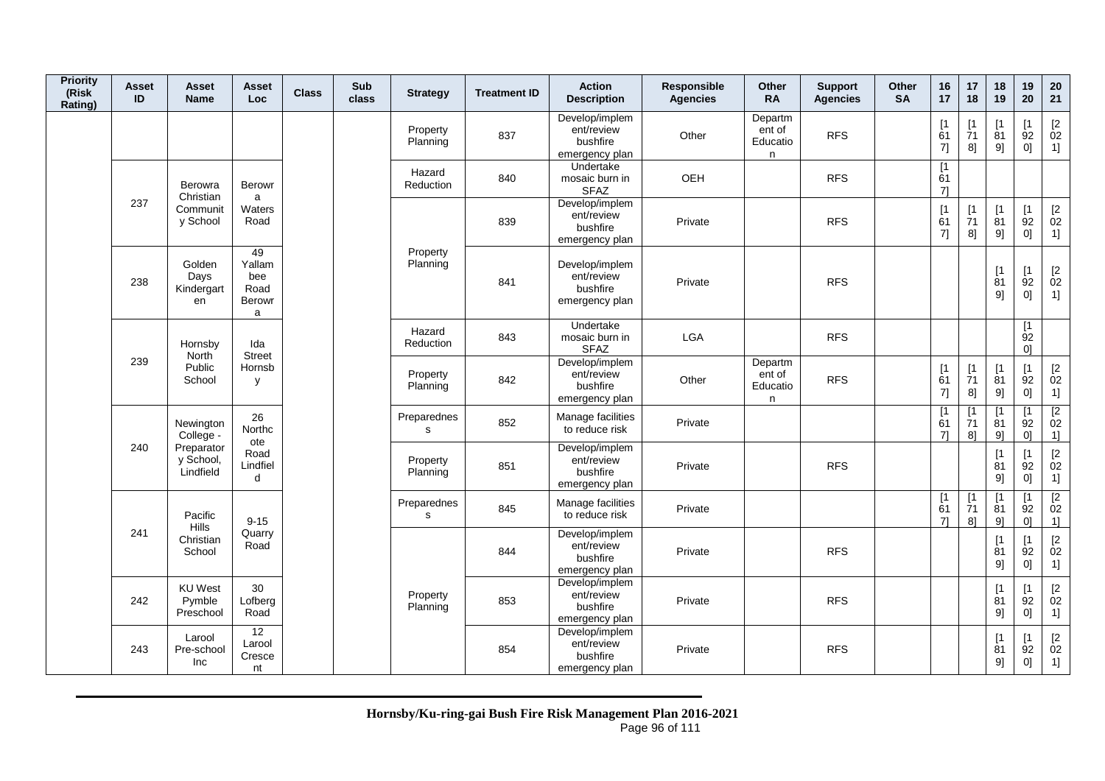| <b>Priority</b><br>(Risk<br>Rating) | Asset<br>ID | Asset<br><b>Name</b>                  | <b>Asset</b><br>Loc                        | <b>Class</b> | Sub<br>class | <b>Strategy</b>             | <b>Treatment ID</b> | <b>Action</b><br><b>Description</b>                        | <b>Responsible</b><br><b>Agencies</b> | <b>Other</b><br><b>RA</b>          | <b>Support</b><br><b>Agencies</b> | <b>Other</b><br><b>SA</b> | 16<br>17                      | 17<br>18                       | 18<br>19                      | 19<br>20                                  | 20<br>21                                                           |
|-------------------------------------|-------------|---------------------------------------|--------------------------------------------|--------------|--------------|-----------------------------|---------------------|------------------------------------------------------------|---------------------------------------|------------------------------------|-----------------------------------|---------------------------|-------------------------------|--------------------------------|-------------------------------|-------------------------------------------|--------------------------------------------------------------------|
|                                     |             |                                       |                                            |              |              | Property<br>Planning        | 837                 | Develop/implem<br>ent/review<br>bushfire<br>emergency plan | Other                                 | Departm<br>ent of<br>Educatio<br>n | <b>RFS</b>                        |                           | $\lceil 1 \rceil$<br>61<br>7] | [1]<br>71<br>8]                | ſ1<br>81<br>9]                | Γ1<br>92<br>0]                            | $\begin{bmatrix} 2 \\ 02 \end{bmatrix}$<br>1]                      |
|                                     |             | Berowra<br>Christian                  | <b>Berowr</b><br>a                         |              |              | Hazard<br>Reduction         | 840                 | Undertake<br>mosaic burn in<br><b>SFAZ</b>                 | OEH                                   |                                    | <b>RFS</b>                        |                           | $[1]$<br>61<br>71             |                                |                               |                                           |                                                                    |
|                                     | 237         | Communit<br>y School                  | Waters<br>Road                             |              |              |                             | 839                 | Develop/implem<br>ent/review<br>bushfire<br>emergency plan | Private                               |                                    | <b>RFS</b>                        |                           | [1]<br>61<br>7]               | $[1]$<br>$\overline{7}1$<br>8] | [1<br>81<br>9]                | $\lceil 1 \rceil$<br>92<br>0]             | $\begin{bmatrix} 2 \\ 02 \end{bmatrix}$<br>1]                      |
|                                     | 238         | Golden<br>Days<br>Kindergart<br>en    | 49<br>Yallam<br>bee<br>Road<br>Berowr<br>a |              |              | Property<br>Planning        | 841                 | Develop/implem<br>ent/review<br>bushfire<br>emergency plan | Private                               |                                    | <b>RFS</b>                        |                           |                               |                                | $\lceil 1 \rceil$<br>81<br>9] | [1]<br>92<br>0]                           | $\underset{02}{[2}$<br>1]                                          |
|                                     |             | Hornsby<br>North                      | Ida<br><b>Street</b>                       |              |              | Hazard<br>Reduction         | 843                 | Undertake<br>mosaic burn in<br><b>SFAZ</b>                 | <b>LGA</b>                            |                                    | <b>RFS</b>                        |                           |                               |                                |                               | [1<br>92<br>0 <sup>1</sup>                |                                                                    |
|                                     | 239         | Public<br>School                      | Hornsb<br>y                                |              |              | Property<br>Planning        | 842                 | Develop/implem<br>ent/review<br>bushfire<br>emergency plan | Other                                 | Departm<br>ent of<br>Educatio<br>n | <b>RFS</b>                        |                           | [1]<br>61<br>7]               | $[1]$<br>$\overline{7}1$<br>8] | [1]<br>81<br>9]               | [1]<br>92<br>0]                           | $\begin{bmatrix} 2 \\ 02 \end{bmatrix}$<br>1]                      |
|                                     |             | Newington<br>College -                | 26<br>Northc<br>ote                        |              |              | Preparednes<br>s            | 852                 | Manage facilities<br>to reduce risk                        | Private                               |                                    |                                   |                           | [1]<br>61<br>71               | $\lceil 1 \rceil$<br>71<br>8]  | Г1<br>81<br>91                | <b>T1</b><br>92<br>0 <sup>1</sup>         | $\begin{array}{c} \boxed{2} \\ 02 \end{array}$<br>1]               |
|                                     | 240         | Preparator<br>y School,<br>Lindfield  | Road<br>Lindfiel<br>d                      |              |              | Property<br>Planning        | 851                 | Develop/implem<br>ent/review<br>bushfire<br>emergency plan | Private                               |                                    | <b>RFS</b>                        |                           |                               |                                | [1]<br>81<br>9]               | $\lceil 1 \rceil$<br>92<br>0]             | $\begin{bmatrix} 2 \\ 02 \end{bmatrix}$<br>$1]$                    |
|                                     |             | Pacific                               | $9 - 15$                                   |              |              | Preparednes<br>$\mathbf{s}$ | 845                 | Manage facilities<br>to reduce risk                        | Private                               |                                    |                                   |                           | $[1]$<br>61<br>7]             | [1]<br>71<br>8]                | $\mathsf{I}$<br>81<br>9]      | $\mathsf{I}$<br>92<br>0]                  | $\overline{2}$<br>02<br>1]                                         |
|                                     | 241         | Hills<br>Christian<br>School          | Quarry<br>Road                             |              |              |                             | 844                 | Develop/implem<br>ent/review<br>bushfire<br>emergency plan | Private                               |                                    | <b>RFS</b>                        |                           |                               |                                | $\mathsf{I}$<br>81<br>91      | $\lceil 1 \rceil$<br>92<br>0]             | $\begin{array}{c} [2 \\ 02 \end{array}$<br>1]                      |
|                                     | 242         | <b>KU</b> West<br>Pymble<br>Preschool | 30<br>Lofberg<br>Road                      |              |              | Property<br>Planning        | 853                 | Develop/implem<br>ent/review<br>bushfire<br>emergency plan | Private                               |                                    | <b>RFS</b>                        |                           |                               |                                | [1]<br>81<br>91               | $\lceil 1 \rceil$<br>92<br>0 <sup>1</sup> | $\begin{array}{c} \left[2 \right. \\ 02 \right. \end{array}$<br>1] |
|                                     | 243         | Larool<br>Pre-school<br>Inc           | $\overline{12}$<br>Larool<br>Cresce<br>nt  |              |              |                             | 854                 | Develop/implem<br>ent/review<br>bushfire<br>emergency plan | Private                               |                                    | <b>RFS</b>                        |                           |                               |                                | $\mathsf{I}$<br>81<br>9]      | $\mathsf{I}$<br>92<br>$0] \;$             | $\begin{bmatrix} 2 \\ 02 \end{bmatrix}$<br>1]                      |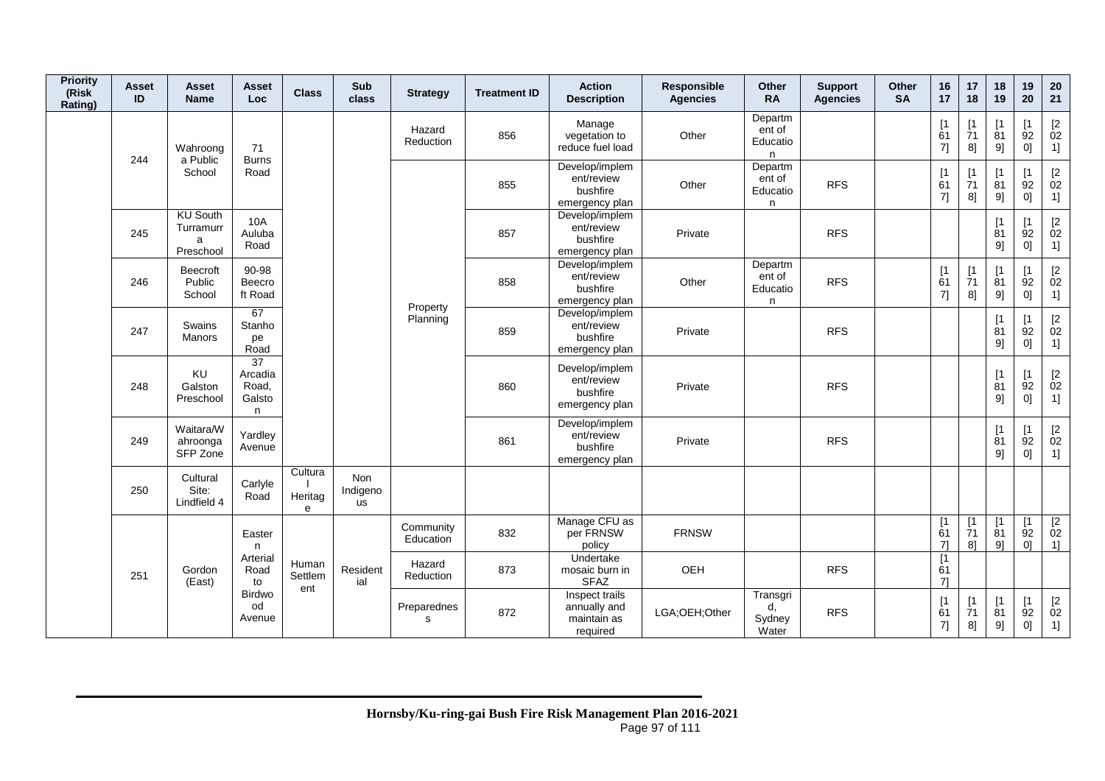| <b>Priority</b><br>(Risk<br>Rating) | <b>Asset</b><br>ID | Asset<br><b>Name</b>                           | Asset<br>Loc                                       | <b>Class</b>            | Sub<br>class                        | <b>Strategy</b>        | <b>Treatment ID</b> | <b>Action</b><br><b>Description</b>                        | Responsible<br><b>Agencies</b> | Other<br><b>RA</b>                 | <b>Support</b><br><b>Agencies</b> | Other<br><b>SA</b> | 16<br>17                      | 17<br>18                                 | 18<br>19                 | 19<br>20                           | 20<br>21                                                         |
|-------------------------------------|--------------------|------------------------------------------------|----------------------------------------------------|-------------------------|-------------------------------------|------------------------|---------------------|------------------------------------------------------------|--------------------------------|------------------------------------|-----------------------------------|--------------------|-------------------------------|------------------------------------------|--------------------------|------------------------------------|------------------------------------------------------------------|
|                                     | 244                | Wahroong                                       | 71                                                 |                         |                                     | Hazard<br>Reduction    | 856                 | Manage<br>vegetation to<br>reduce fuel load                | Other                          | Departm<br>ent of<br>Educatio<br>n |                                   |                    | [1]<br>61<br>7]               | [1]<br>71<br>8]                          | [1<br>81<br>9]           | [1]<br>92<br>0]                    | $\begin{bmatrix} 2 \\ 02 \end{bmatrix}$<br>1]                    |
|                                     |                    | a Public<br>School                             | <b>Burns</b><br>Road                               |                         |                                     |                        | 855                 | Develop/implem<br>ent/review<br>bushfire<br>emergency plan | Other                          | Departm<br>ent of<br>Educatio<br>n | <b>RFS</b>                        |                    | $\lceil 1 \rceil$<br>61<br>7] | $\mathsf{I}$<br>$\overline{7}1$<br>8]    | Γ1<br>81<br>9]           | $\mathsf{I}$<br>92<br>0]           | $\begin{bmatrix} 2 \\ 02 \end{bmatrix}$<br>1]                    |
|                                     | 245                | <b>KU South</b><br>Turramurr<br>a<br>Preschool | 10A<br>Auluba<br>Road                              |                         |                                     |                        | 857                 | Develop/implem<br>ent/review<br>bushfire<br>emergency plan | Private                        |                                    | <b>RFS</b>                        |                    |                               |                                          | [1<br>81<br>9]           | [1]<br>92<br>0]                    | $\begin{array}{c} \left[2\right. \\ 02 \\ 1 \right] \end{array}$ |
|                                     | 246                | Beecroft<br>Public<br>School                   | 90-98<br>Beecro<br>ft Road                         |                         |                                     | Property               | 858                 | Develop/implem<br>ent/review<br>bushfire<br>emergency plan | Other                          | Departm<br>ent of<br>Educatio<br>n | <b>RFS</b>                        |                    | [1]<br>61<br>7]               | $[1]$<br>$\dot{7}1$<br>8]                | $\mathsf{I}$<br>81<br>9] | $\mathsf{I}$<br>92<br>0]           | $^{[2}_{02}$<br>1]                                               |
|                                     | 247                | Swains<br>Manors                               | 67<br>Stanho<br>pe<br>Road                         |                         |                                     | Planning               | 859                 | Develop/implem<br>ent/review<br>bushfire<br>emergency plan | Private                        |                                    | <b>RFS</b>                        |                    |                               |                                          | $\mathsf{I}$<br>81<br>9] | $\lceil 1 \rceil$<br>92<br>0]      | $\begin{array}{c} \left[2\right. \\ 02 \\ 1 \right] \end{array}$ |
|                                     | 248                | KU<br>Galston<br>Preschool                     | $\overline{37}$<br>Arcadia<br>Road,<br>Galsto<br>n |                         |                                     |                        | 860                 | Develop/implem<br>ent/review<br>bushfire<br>emergency plan | Private                        |                                    | <b>RFS</b>                        |                    |                               |                                          | [1]<br>81<br>91          | [1<br>92<br>0 <sup>1</sup>         | $\begin{bmatrix} 2 \\ 02 \end{bmatrix}$<br>1]                    |
|                                     | 249                | Waitara/W<br>ahroonga<br>SFP Zone              | Yardley<br>Avenue                                  |                         |                                     |                        | 861                 | Develop/implem<br>ent/review<br>bushfire<br>emergency plan | Private                        |                                    | <b>RFS</b>                        |                    |                               |                                          | [1]<br>81<br>9]          | [1]<br>92<br>0]                    | $\begin{bmatrix} 2 \\ 02 \end{bmatrix}$<br>1]                    |
|                                     | 250                | Cultural<br>Site:<br>Lindfield 4               | Carlyle<br>Road                                    | Cultura<br>Heritag<br>e | <b>Non</b><br>Indigeno<br><b>us</b> |                        |                     |                                                            |                                |                                    |                                   |                    |                               |                                          |                          |                                    |                                                                  |
|                                     |                    |                                                | Easter<br>n                                        |                         |                                     | Community<br>Education | 832                 | Manage CFU as<br>per FRNSW<br>policy                       | <b>FRNSW</b>                   |                                    |                                   |                    | [1<br>61<br>71                | [1]<br>$\overline{7}1$<br>8 <sup>1</sup> | [1]<br>81<br>91          | [1<br>$\overline{9}2$<br>01        | $\begin{array}{c} \boxed{2} \\ 02 \end{array}$<br>$1$ ]          |
|                                     | 251                | Gordon<br>(East)                               | Arterial<br>Road<br>to                             | Human<br>Settlem<br>ent | Resident<br>ial                     | Hazard<br>Reduction    | 873                 | Undertake<br>mosaic burn in<br><b>SFAZ</b>                 | OEH                            |                                    | <b>RFS</b>                        |                    | $\lceil 1 \rceil$<br>61<br>71 |                                          |                          |                                    |                                                                  |
|                                     |                    |                                                | <b>Birdwo</b><br>od<br>Avenue                      |                         |                                     | Preparednes<br>s       | 872                 | Inspect trails<br>annually and<br>maintain as<br>required  | LGA;OEH;Other                  | Transgri<br>d,<br>Sydney<br>Water  | <b>RFS</b>                        |                    | [1]<br>61<br>7]               | $\lceil 1 \rceil$<br>71<br>8]            | $\mathsf{I}$<br>81<br>9] | $\lceil 1 \rceil$<br>92<br>$0] \;$ | $\begin{bmatrix} 2 \\ 02 \end{bmatrix}$<br>1]                    |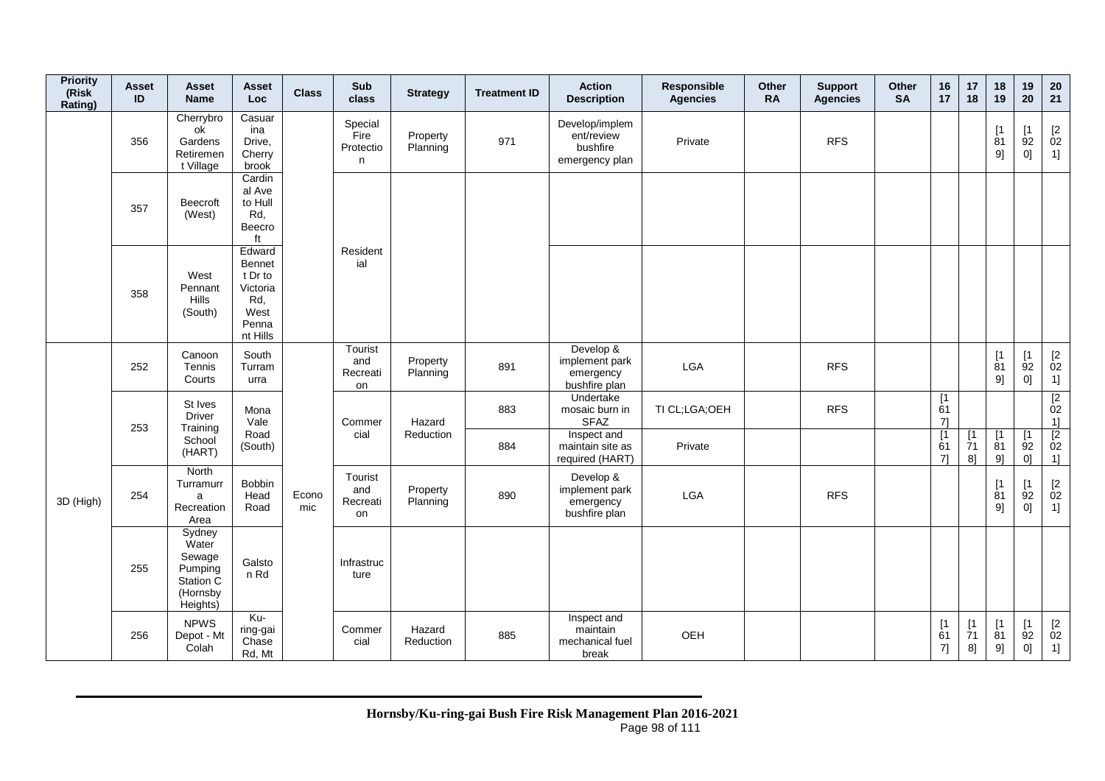| <b>Priority</b><br>(Risk<br>Rating) | <b>Asset</b><br>ID | Asset<br><b>Name</b>                                                      | Asset<br><b>Loc</b>                                                                | <b>Class</b> | Sub<br>class                            | <b>Strategy</b>      | <b>Treatment ID</b> | <b>Action</b><br><b>Description</b>                        | Responsible<br><b>Agencies</b> | <b>Other</b><br><b>RA</b> | <b>Support</b><br><b>Agencies</b> | Other<br><b>SA</b> | 16<br>17        | 17<br>18                     | 18<br>19                      | 19<br>20                         | 20<br>21                     |
|-------------------------------------|--------------------|---------------------------------------------------------------------------|------------------------------------------------------------------------------------|--------------|-----------------------------------------|----------------------|---------------------|------------------------------------------------------------|--------------------------------|---------------------------|-----------------------------------|--------------------|-----------------|------------------------------|-------------------------------|----------------------------------|------------------------------|
|                                     | 356                | Cherrybro<br>ok<br>Gardens<br>Retiremen<br>t Village                      | Casuar<br>ina<br>Drive,<br>Cherry<br>brook                                         |              | Special<br>Fire<br>Protectio<br>n       | Property<br>Planning | 971                 | Develop/implem<br>ent/review<br>bushfire<br>emergency plan | Private                        |                           | <b>RFS</b>                        |                    |                 |                              | [1]<br>81<br>9]               | [1<br>92<br>0]                   | $[2]$<br>02<br>1]            |
|                                     | 357                | <b>Beecroft</b><br>(West)                                                 | Cardin<br>al Ave<br>to Hull<br>Rd,<br>Beecro<br>ft                                 |              |                                         |                      |                     |                                                            |                                |                           |                                   |                    |                 |                              |                               |                                  |                              |
|                                     | 358                | West<br>Pennant<br>Hills<br>(South)                                       | Edward<br><b>Bennet</b><br>t Dr to<br>Victoria<br>Rd,<br>West<br>Penna<br>nt Hills |              | Resident<br>ial                         |                      |                     |                                                            |                                |                           |                                   |                    |                 |                              |                               |                                  |                              |
|                                     | 252                | Canoon<br>Tennis<br>Courts                                                | South<br>Turram<br>urra                                                            |              | Tourist<br>and<br>Recreati<br>on        | Property<br>Planning | 891                 | Develop &<br>implement park<br>emergency<br>bushfire plan  | <b>LGA</b>                     |                           | <b>RFS</b>                        |                    |                 |                              | [1]<br>81<br>9]               | $[1]$<br>92<br>0]                | $[2]$<br>02<br>1]            |
|                                     | 253                | St Ives<br><b>Driver</b><br>Training                                      | Mona<br>Vale                                                                       |              | Commer                                  | Hazard               | 883                 | Undertake<br>mosaic burn in<br><b>SFAZ</b>                 | TI CL;LGA;OEH                  |                           | <b>RFS</b>                        |                    | [1]<br>61<br>71 |                              |                               |                                  | $\overline{[2]}$<br>02<br>1] |
|                                     |                    | School<br>(HART)                                                          | Road<br>(South)                                                                    |              | cial                                    | Reduction            | 884                 | Inspect and<br>maintain site as<br>required (HART)         | Private                        |                           |                                   |                    | [1]<br>61<br>71 | [1]<br>$\overline{7}1$<br>8] | $\lceil 1 \rceil$<br>81<br>9] | $\lceil 1 \rceil$<br>92<br>0]    | $\frac{1}{2}$ 02<br>1]       |
| 3D (High)                           | 254                | North<br>Turramurr<br>a<br>Recreation<br>Area                             | Bobbin<br>Head<br>Road                                                             | Econo<br>mic | Tourist<br>and<br>Recreati<br><b>on</b> | Property<br>Planning | 890                 | Develop &<br>implement park<br>emergency<br>bushfire plan  | LGA                            |                           | <b>RFS</b>                        |                    |                 |                              | [1]<br>81<br>9]               | [1<br>92<br>0]                   | [2]<br>02<br>1]              |
|                                     | 255                | Sydney<br>Water<br>Sewage<br>Pumping<br>Station C<br>(Hornsby<br>Heights) | Galsto<br>n Rd                                                                     |              | Infrastruc<br>ture                      |                      |                     |                                                            |                                |                           |                                   |                    |                 |                              |                               |                                  |                              |
|                                     | 256                | <b>NPWS</b><br>Depot - Mt<br>Colah                                        | Ku-<br>ring-gai<br>Chase<br>Rd, Mt                                                 |              | Commer<br>cial                          | Hazard<br>Reduction  | 885                 | Inspect and<br>maintain<br>mechanical fuel<br>break        | OEH                            |                           |                                   |                    | [1]<br>61<br>7] | [1]<br>71<br>8]              | [1]<br>81<br>9]               | [1]<br>92<br>$0] \hspace{.05cm}$ | $\frac{[2]}{02}$<br>1]       |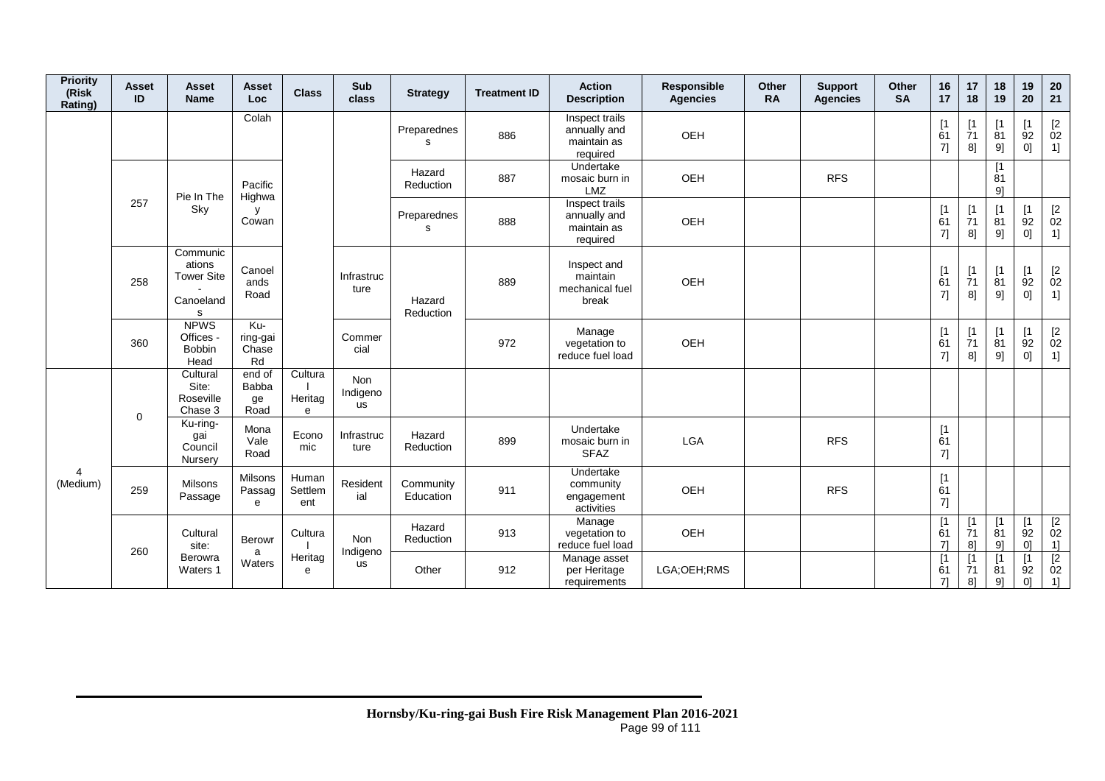| <b>Priority</b><br>(Risk<br>Rating) | <b>Asset</b><br>ID | Asset<br><b>Name</b>                                      | Asset<br>Loc                         | <b>Class</b>            | Sub<br>class                        | <b>Strategy</b>        | <b>Treatment ID</b> | <b>Action</b><br><b>Description</b>                       | Responsible<br><b>Agencies</b> | Other<br><b>RA</b> | <b>Support</b><br><b>Agencies</b> | Other<br><b>SA</b> | 16<br>17                      | 17<br>18                      | 18<br>19                      | 19<br>20                             | 20<br>21                                                         |
|-------------------------------------|--------------------|-----------------------------------------------------------|--------------------------------------|-------------------------|-------------------------------------|------------------------|---------------------|-----------------------------------------------------------|--------------------------------|--------------------|-----------------------------------|--------------------|-------------------------------|-------------------------------|-------------------------------|--------------------------------------|------------------------------------------------------------------|
|                                     |                    |                                                           | Colah                                |                         |                                     | Preparednes<br>s       | 886                 | Inspect trails<br>annually and<br>maintain as<br>required | OEH                            |                    |                                   |                    | [1]<br>61<br>7]               | [1<br>71<br>8]                | 81<br>9]                      | [1<br>92<br>0]                       | $\frac{[2]}{02}$<br>1]                                           |
|                                     |                    | Pie In The                                                | Pacific<br>Highwa                    |                         |                                     | Hazard<br>Reduction    | 887                 | Undertake<br>mosaic burn in<br><b>LMZ</b>                 | <b>OEH</b>                     |                    | <b>RFS</b>                        |                    |                               |                               | [1]<br>81<br>91               |                                      |                                                                  |
|                                     | 257                | Sky                                                       | y<br>Cowan                           |                         |                                     | Preparednes<br>s       | 888                 | Inspect trails<br>annually and<br>maintain as<br>required | OEH                            |                    |                                   |                    | $[1]$<br>61<br>7]             | $[1]$<br>71<br>8]             | $\lceil 1$<br>81<br>9]        | [1<br>92<br>$0]$                     | $\begin{array}{c} \left[ 2 \right. \\ 02 \end{array}$<br>1]      |
|                                     | 258                | Communic<br>ations<br><b>Tower Site</b><br>Canoeland<br>s | Canoel<br>ands<br>Road               |                         | Infrastruc<br>ture                  | Hazard<br>Reduction    | 889                 | Inspect and<br>maintain<br>mechanical fuel<br>break       | <b>OEH</b>                     |                    |                                   |                    | [1]<br>61<br>7]               | $\lceil 1 \rceil$<br>71<br>8] | $\lceil 1 \rceil$<br>81<br>9] | [1]<br>92<br>0]                      | $\begin{array}{c} \left[2\right. \\ 02\right. \end{array}$<br>1] |
|                                     | 360                | <b>NPWS</b><br>Offices -<br>Bobbin<br>Head                | Ku-<br>ring-gai<br>Chase<br>Rd       |                         | Commer<br>cial                      |                        | 972                 | Manage<br>vegetation to<br>reduce fuel load               | OEH                            |                    |                                   |                    | [1<br>61<br>71                | [1]<br>71<br>8]               | $\lceil 1 \rceil$<br>81<br>9] | [1<br>92<br>0]                       | $\begin{bmatrix} 2 \\ 02 \end{bmatrix}$<br>1]                    |
|                                     | $\mathbf 0$        | Cultural<br>Site:<br>Roseville<br>Chase 3                 | end of<br><b>Babba</b><br>ge<br>Road | Cultura<br>Heritag<br>e | <b>Non</b><br>Indigeno<br><b>us</b> |                        |                     |                                                           |                                |                    |                                   |                    |                               |                               |                               |                                      |                                                                  |
|                                     |                    | Ku-ring-<br>gai<br>Council<br>Nursery                     | Mona<br>Vale<br>Road                 | Econo<br>mic            | Infrastruc<br>ture                  | Hazard<br>Reduction    | 899                 | Undertake<br>mosaic burn in<br><b>SFAZ</b>                | <b>LGA</b>                     |                    | <b>RFS</b>                        |                    | [1]<br>61<br>7]               |                               |                               |                                      |                                                                  |
| $\overline{4}$<br>(Medium)          | 259                | Milsons<br>Passage                                        | <b>Milsons</b><br>Passag<br>e        | Human<br>Settlem<br>ent | Resident<br>ial                     | Community<br>Education | 911                 | Undertake<br>community<br>engagement<br>activities        | OEH                            |                    | <b>RFS</b>                        |                    | [1]<br>61<br>7]               |                               |                               |                                      |                                                                  |
|                                     | 260                | Cultural<br>site:                                         | <b>Berowr</b><br>a                   | Cultura                 | <b>Non</b><br>Indigeno              | Hazard<br>Reduction    | 913                 | Manage<br>vegetation to<br>reduce fuel load               | OEH                            |                    |                                   |                    | $\lceil 1 \rceil$<br>61<br>71 | $\lceil 1 \rceil$<br>71<br>8] | $\sqrt{1}$<br>81<br>9]        | $\mathsf{I}$<br>92<br>$\overline{0}$ | $\begin{array}{c} \boxed{2} \\ 02 \end{array}$<br>1]             |
|                                     |                    | Berowra<br>Waters 1                                       | Waters                               | Heritag<br>$\theta$     | us                                  | Other                  | 912                 | Manage asset<br>per Heritage<br>requirements              | LGA:OEH:RMS                    |                    |                                   |                    | 61<br>71                      | [1]<br>71<br>8]               | $\lceil 1 \rceil$<br>81<br>9] | 92<br>0]                             | $\sqrt{2}$<br>02<br>1]                                           |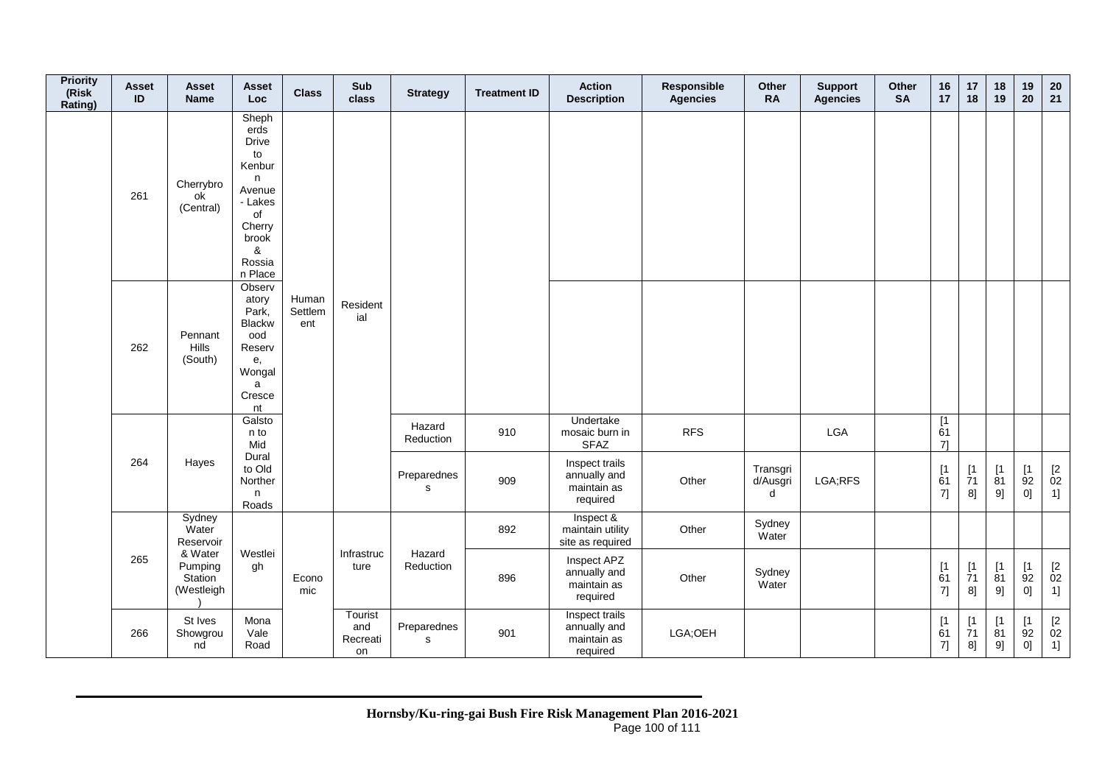| <b>Priority</b><br>(Risk<br>Rating) | Asset<br>$\mathsf{ID}$ | <b>Asset</b><br><b>Name</b>                        | <b>Asset</b><br><b>Loc</b>                                                                                                 | <b>Class</b>            | Sub<br>class                     | <b>Strategy</b>            | <b>Treatment ID</b> | <b>Action</b><br><b>Description</b>                       | Responsible<br><b>Agencies</b> | Other<br><b>RA</b>        | <b>Support</b><br><b>Agencies</b> | Other<br><b>SA</b> | 16<br>17                    | 17<br>18                                                                   | 18<br>19                                      | 19<br>20                         | 20<br>21                         |
|-------------------------------------|------------------------|----------------------------------------------------|----------------------------------------------------------------------------------------------------------------------------|-------------------------|----------------------------------|----------------------------|---------------------|-----------------------------------------------------------|--------------------------------|---------------------------|-----------------------------------|--------------------|-----------------------------|----------------------------------------------------------------------------|-----------------------------------------------|----------------------------------|----------------------------------|
|                                     | 261                    | Cherrybro<br>ok<br>(Central)                       | Sheph<br>erds<br><b>Drive</b><br>to<br>Kenbur<br>n<br>Avenue<br>- Lakes<br>of<br>Cherry<br>brook<br>&<br>Rossia<br>n Place |                         |                                  |                            |                     |                                                           |                                |                           |                                   |                    |                             |                                                                            |                                               |                                  |                                  |
|                                     | 262                    | Pennant<br>Hills<br>(South)                        | Observ<br>atory<br>Park,<br><b>Blackw</b><br>ood<br>Reserv<br>е,<br>Wongal<br>a<br>Cresce<br>nt                            | Human<br>Settlem<br>ent | Resident<br>ial                  |                            |                     |                                                           |                                |                           |                                   |                    |                             |                                                                            |                                               |                                  |                                  |
|                                     |                        |                                                    | Galsto<br>n to<br>Mid                                                                                                      |                         |                                  | Hazard<br>Reduction        | 910                 | Undertake<br>mosaic burn in<br><b>SFAZ</b>                | <b>RFS</b>                     |                           | <b>LGA</b>                        |                    | $\overline{11}$<br>61<br>71 |                                                                            |                                               |                                  |                                  |
|                                     | 264                    | Hayes                                              | Dural<br>to Old<br>Norther<br>n<br>Roads                                                                                   |                         |                                  | Preparednes<br>$\mathbf s$ | 909                 | Inspect trails<br>annually and<br>maintain as<br>required | Other                          | Transgri<br>d/Ausgri<br>d | LGA;RFS                           |                    | $[1]$<br>61<br>7]           | $\begin{array}{c} \left[ 1 \right. \\ \left. 71 \right. \end{array}$<br>8] | $\begin{bmatrix} 1 \\ 81 \end{bmatrix}$<br>9] | [1]<br>92<br>0]                  | $\mathop{02}\limits^{[2]}$<br>1] |
|                                     |                        | Sydney<br>Water<br>Reservoir                       |                                                                                                                            |                         |                                  |                            | 892                 | Inspect &<br>maintain utility<br>site as required         | Other                          | Sydney<br>Water           |                                   |                    |                             |                                                                            |                                               |                                  |                                  |
|                                     | 265                    | & Water<br>Pumping<br><b>Station</b><br>(Westleigh | Westlei<br>gh                                                                                                              | Econo<br>mic            | Infrastruc<br>ture               | Hazard<br>Reduction        | 896                 | Inspect APZ<br>annually and<br>maintain as<br>required    | Other                          | Sydney<br>Water           |                                   |                    | $[1]$<br>61<br>7]           | $\begin{array}{c} \left[ 1 \right. \\ \left. 71 \right. \end{array}$<br>8] | [1]<br>$\overline{8}1$<br>9]                  | [1]<br>92<br>0]                  | $^{[2}_{02}$<br>1]               |
|                                     | 266                    | St Ives<br>Showgrou<br>nd                          | Mona<br>Vale<br>Road                                                                                                       |                         | Tourist<br>and<br>Recreati<br>on | Preparednes<br>$\mathbf s$ | 901                 | Inspect trails<br>annually and<br>maintain as<br>required | LGA;OEH                        |                           |                                   |                    | $[1]$<br>61<br>7]           | $\begin{array}{c} \left[ 1 \right. \\ \left. 71 \right. \end{array}$<br>8] | $[1]$<br>$\overline{81}$<br>9]                | [1]<br>92<br>$0] \hspace{.05cm}$ | $\mathop{02}\limits^{[2]}$<br>1] |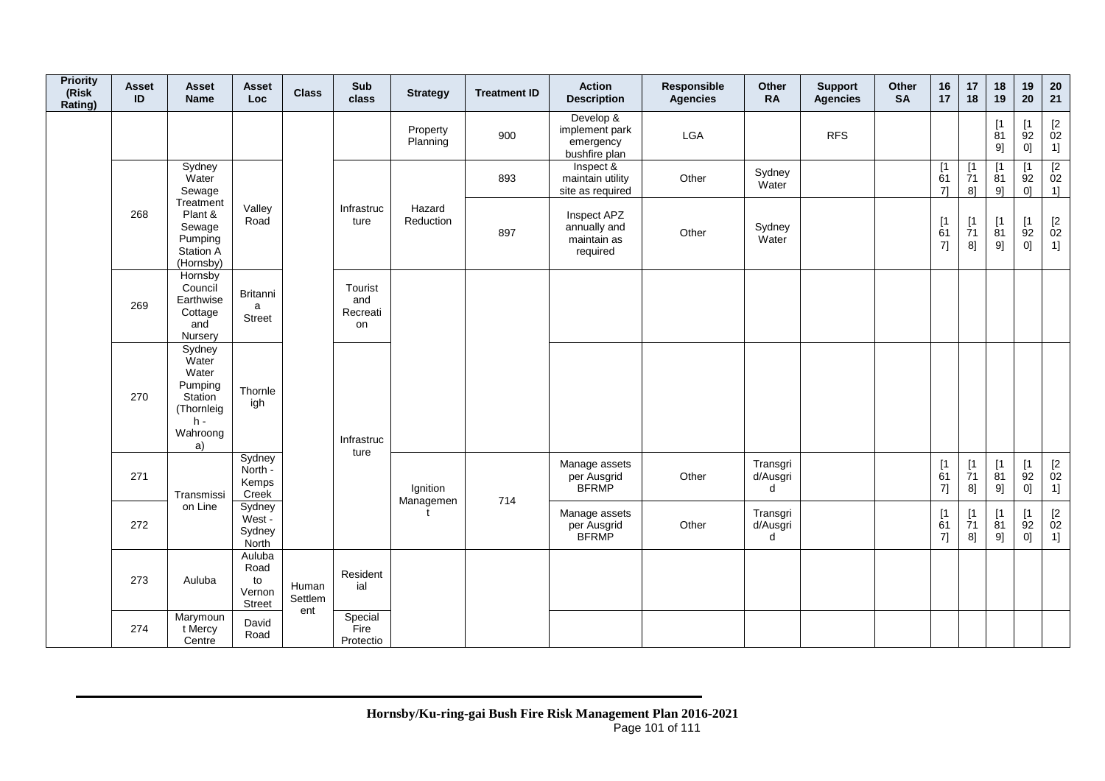| <b>Priority</b><br>(Risk<br>Rating) | <b>Asset</b><br>ID | Asset<br><b>Name</b>                                                                           | <b>Asset</b><br>Loc                             | <b>Class</b>            | Sub<br>class                     | <b>Strategy</b>      | <b>Treatment ID</b> | <b>Action</b><br><b>Description</b>                       | Responsible<br><b>Agencies</b> | Other<br><b>RA</b>        | <b>Support</b><br><b>Agencies</b> | Other<br><b>SA</b> | 16<br>17                                             | 17<br>18                                                    | 18<br>19                      | 19<br>20                                  | 20<br>21                                                |
|-------------------------------------|--------------------|------------------------------------------------------------------------------------------------|-------------------------------------------------|-------------------------|----------------------------------|----------------------|---------------------|-----------------------------------------------------------|--------------------------------|---------------------------|-----------------------------------|--------------------|------------------------------------------------------|-------------------------------------------------------------|-------------------------------|-------------------------------------------|---------------------------------------------------------|
|                                     |                    |                                                                                                |                                                 |                         |                                  | Property<br>Planning | 900                 | Develop &<br>implement park<br>emergency<br>bushfire plan | LGA                            |                           | <b>RFS</b>                        |                    |                                                      |                                                             | [1]<br>81<br>9]               | [1]<br>92<br>0]                           | $[2]$<br>02<br>1]                                       |
|                                     |                    | Sydney<br>Water<br>Sewage                                                                      |                                                 |                         |                                  |                      | 893                 | Inspect &<br>maintain utility<br>site as required         | Other                          | Sydney<br>Water           |                                   |                    | $\begin{array}{c} \boxed{1} \\ 61 \end{array}$<br>71 | [1]<br>$\overline{7}1$<br>$8$ ]                             | $\lceil 1 \rceil$<br>81<br>91 | $\lceil 1 \rceil$<br>92<br>0 <sup>1</sup> | $\begin{array}{c} \boxed{2} \\ 02 \end{array}$<br>$1$ ] |
|                                     | 268                | Treatment<br>Plant &<br>Sewage<br>Pumping<br><b>Station A</b><br>(Hornsby)                     | Valley<br>Road                                  |                         | Infrastruc<br>ture               | Hazard<br>Reduction  | 897                 | Inspect APZ<br>annually and<br>maintain as<br>required    | Other                          | Sydney<br>Water           |                                   |                    | $\begin{array}{c} \n[1] \\ \n61\n\end{array}$<br>7]  | $\begin{array}{c} \n[1] \\ \n[7] \n[7] \n\end{array}$<br>8] | [1]<br>81<br>9]               | [1]<br>92<br>0]                           | $\mathop{02}\limits^{[2]}$<br>1]                        |
|                                     | 269                | Hornsby<br>Council<br>Earthwise<br>Cottage<br>and<br>Nursery                                   | Britanni<br>a<br><b>Street</b>                  |                         | Tourist<br>and<br>Recreati<br>on |                      |                     |                                                           |                                |                           |                                   |                    |                                                      |                                                             |                               |                                           |                                                         |
|                                     | 270                | Sydney<br>Water<br>Water<br>Pumping<br><b>Station</b><br>(Thornleig<br>$h -$<br>Wahroong<br>a) | Thornle<br>igh                                  |                         | Infrastruc                       |                      |                     |                                                           |                                |                           |                                   |                    |                                                      |                                                             |                               |                                           |                                                         |
|                                     | 271                | Transmissi                                                                                     | Sydney<br>North -<br>Kemps<br>Creek             |                         | ture                             | Ignition             | 714                 | Manage assets<br>per Ausgrid<br><b>BFRMP</b>              | Other                          | Transgri<br>d/Ausgri<br>d |                                   |                    | $\begin{array}{c} \n[1] \\ \n61\n\end{array}$<br>7]  | [1<br>$\overline{7}1$<br>8]                                 | [1]<br>81<br>9]               | [1]<br>92<br>0]                           | $\mathop{02}\limits^{[2]}$<br>1]                        |
|                                     | 272                | on Line                                                                                        | Sydney<br>West -<br>Sydney<br>North             |                         |                                  | Managemen            |                     | Manage assets<br>per Ausgrid<br><b>BFRMP</b>              | Other                          | Transgri<br>d/Ausgri<br>d |                                   |                    | $\begin{array}{c} \n[1] \\ \n61\n\end{array}$<br>7]  | [1]<br>$\overline{7}1$<br>8]                                | $\lceil 1 \rceil$<br>81<br>9] | [1<br>92<br>0]                            | $\begin{bmatrix} 2 \\ 02 \end{bmatrix}$<br>1]           |
|                                     | 273                | Auluba                                                                                         | Auluba<br>Road<br>to<br>Vernon<br><b>Street</b> | Human<br>Settlem<br>ent | Resident<br>ial                  |                      |                     |                                                           |                                |                           |                                   |                    |                                                      |                                                             |                               |                                           |                                                         |
|                                     | 274                | Marymoun<br>t Mercy<br>Centre                                                                  | David<br>Road                                   |                         | Special<br>Fire<br>Protectio     |                      |                     |                                                           |                                |                           |                                   |                    |                                                      |                                                             |                               |                                           |                                                         |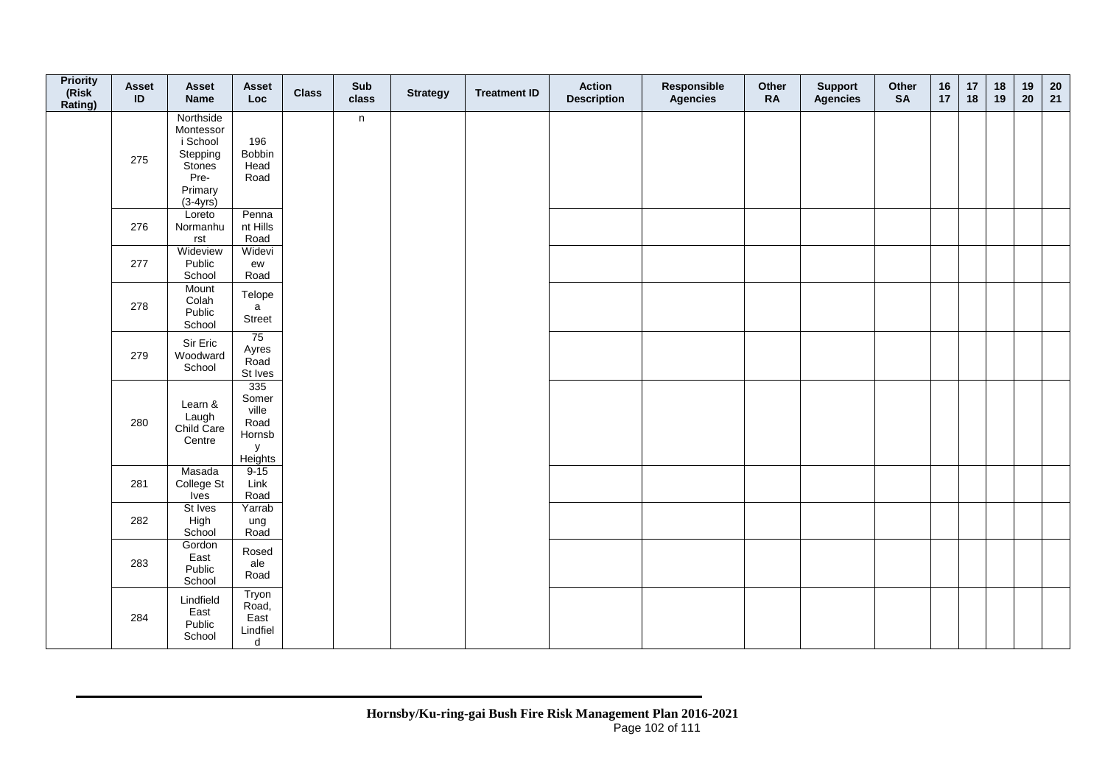| <b>Priority</b><br>(Risk<br>Rating) | Asset<br>ID | Asset<br><b>Name</b>                                                                      | <b>Asset</b><br>Loc                                     | <b>Class</b> | Sub<br>class | <b>Strategy</b> | <b>Treatment ID</b> | <b>Action</b><br><b>Description</b> | Responsible<br><b>Agencies</b> | Other<br><b>RA</b> | <b>Support</b><br><b>Agencies</b> | Other<br><b>SA</b> | $16$<br>17 | 17<br>18 | $18$<br>19 | 19<br>20 | 20<br>21 |
|-------------------------------------|-------------|-------------------------------------------------------------------------------------------|---------------------------------------------------------|--------------|--------------|-----------------|---------------------|-------------------------------------|--------------------------------|--------------------|-----------------------------------|--------------------|------------|----------|------------|----------|----------|
|                                     | 275         | Northside<br>Montessor<br>i School<br>Stepping<br>Stones<br>Pre-<br>Primary<br>$(3-4yrs)$ | 196<br>Bobbin<br>Head<br>Road                           |              | n            |                 |                     |                                     |                                |                    |                                   |                    |            |          |            |          |          |
|                                     | 276         | Loreto<br>Normanhu<br>rst                                                                 | Penna<br>nt Hills<br>Road                               |              |              |                 |                     |                                     |                                |                    |                                   |                    |            |          |            |          |          |
|                                     | 277         | Wideview<br>Public<br>School                                                              | Widevi<br>ew<br>Road                                    |              |              |                 |                     |                                     |                                |                    |                                   |                    |            |          |            |          |          |
|                                     | 278         | Mount<br>Colah<br>Public<br>School                                                        | Telope<br>a<br>Street                                   |              |              |                 |                     |                                     |                                |                    |                                   |                    |            |          |            |          |          |
|                                     | 279         | Sir Eric<br>Woodward<br>School                                                            | 75<br>Ayres<br>Road<br>St Ives                          |              |              |                 |                     |                                     |                                |                    |                                   |                    |            |          |            |          |          |
|                                     | 280         | Learn &<br>Laugh<br>Child Care<br>Centre                                                  | 335<br>Somer<br>ville<br>Road<br>Hornsb<br>y<br>Heights |              |              |                 |                     |                                     |                                |                    |                                   |                    |            |          |            |          |          |
|                                     | 281         | Masada<br>College St<br><b>Ives</b>                                                       | $9-15$<br>Link<br>Road                                  |              |              |                 |                     |                                     |                                |                    |                                   |                    |            |          |            |          |          |
|                                     | 282         | St Ives<br>High<br>School                                                                 | Yarrab<br>ung<br>Road                                   |              |              |                 |                     |                                     |                                |                    |                                   |                    |            |          |            |          |          |
|                                     | 283         | Gordon<br>East<br>Public<br>School                                                        | Rosed<br>ale<br>Road                                    |              |              |                 |                     |                                     |                                |                    |                                   |                    |            |          |            |          |          |
|                                     | 284         | Lindfield<br>East<br>Public<br>School                                                     | Tryon<br>Road,<br>East<br>Lindfiel<br>d                 |              |              |                 |                     |                                     |                                |                    |                                   |                    |            |          |            |          |          |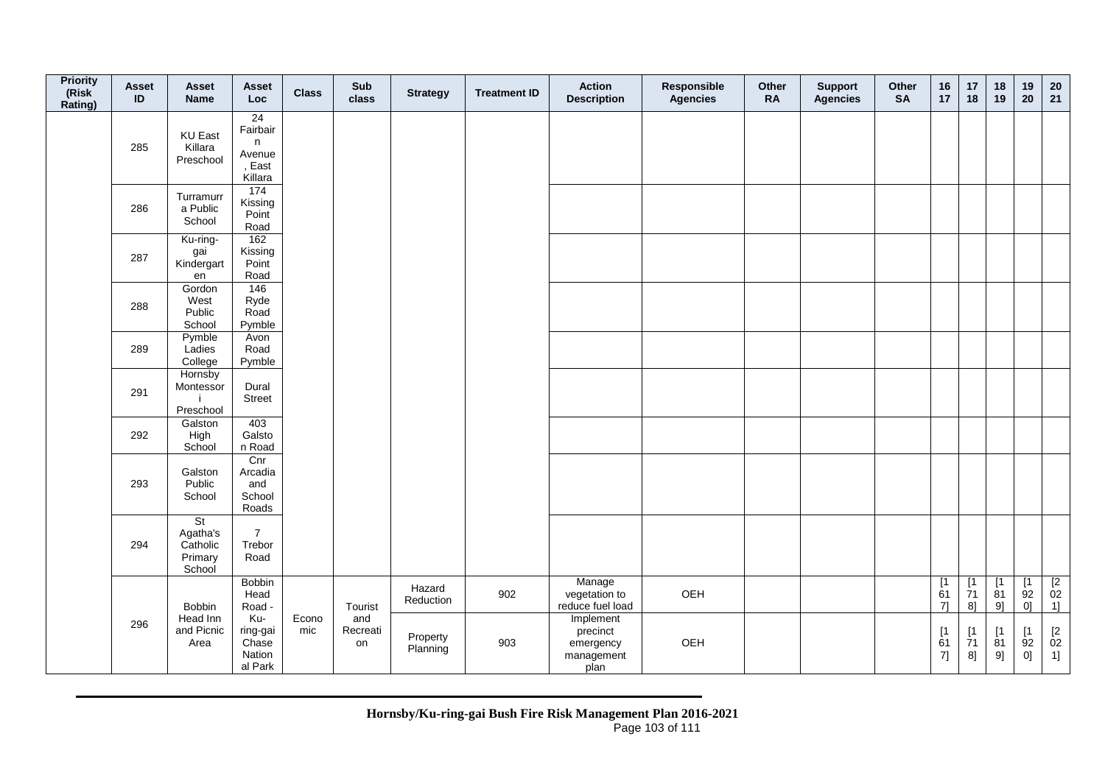| <b>Priority</b><br>(Risk<br>Rating) | Asset<br>ID | Asset<br><b>Name</b>                            | Asset<br><b>Loc</b>                                | <b>Class</b> | Sub<br>class          | <b>Strategy</b>      | <b>Treatment ID</b> | <b>Action</b><br><b>Description</b>                      | Responsible<br><b>Agencies</b> | Other<br><b>RA</b> | <b>Support</b><br><b>Agencies</b> | Other<br><b>SA</b> | 16<br>17        | 17<br>18                    | 18<br>19                     | 19<br>20                    | $20\,$<br>21                                         |
|-------------------------------------|-------------|-------------------------------------------------|----------------------------------------------------|--------------|-----------------------|----------------------|---------------------|----------------------------------------------------------|--------------------------------|--------------------|-----------------------------------|--------------------|-----------------|-----------------------------|------------------------------|-----------------------------|------------------------------------------------------|
|                                     | 285         | <b>KU East</b><br>Killara<br>Preschool          | 24<br>Fairbair<br>n<br>Avenue<br>, East<br>Killara |              |                       |                      |                     |                                                          |                                |                    |                                   |                    |                 |                             |                              |                             |                                                      |
|                                     | 286         | Turramurr<br>a Public<br>School                 | 174<br>Kissing<br>Point<br>Road                    |              |                       |                      |                     |                                                          |                                |                    |                                   |                    |                 |                             |                              |                             |                                                      |
|                                     | 287         | Ku-ring-<br>gai<br>Kindergart<br>en             | 162<br>Kissing<br>Point<br>Road                    |              |                       |                      |                     |                                                          |                                |                    |                                   |                    |                 |                             |                              |                             |                                                      |
|                                     | 288         | Gordon<br>West<br>Public<br>School              | 146<br>Ryde<br>Road<br>Pymble                      |              |                       |                      |                     |                                                          |                                |                    |                                   |                    |                 |                             |                              |                             |                                                      |
|                                     | 289         | Pymble<br>Ladies<br>College                     | Avon<br>Road<br>Pymble                             |              |                       |                      |                     |                                                          |                                |                    |                                   |                    |                 |                             |                              |                             |                                                      |
|                                     | 291         | Hornsby<br>Montessor<br>Preschool               | Dural<br><b>Street</b>                             |              |                       |                      |                     |                                                          |                                |                    |                                   |                    |                 |                             |                              |                             |                                                      |
|                                     | 292         | Galston<br>High<br>School                       | 403<br>Galsto<br>n Road                            |              |                       |                      |                     |                                                          |                                |                    |                                   |                    |                 |                             |                              |                             |                                                      |
|                                     | 293         | Galston<br>Public<br>School                     | Cnr<br>Arcadia<br>and<br>School<br>Roads           |              |                       |                      |                     |                                                          |                                |                    |                                   |                    |                 |                             |                              |                             |                                                      |
|                                     | 294         | St<br>Agatha's<br>Catholic<br>Primary<br>School | $\overline{7}$<br>Trebor<br>Road                   |              |                       |                      |                     |                                                          |                                |                    |                                   |                    |                 |                             |                              |                             |                                                      |
|                                     |             | Bobbin                                          | <b>Bobbin</b><br>Head<br>Road -                    |              | Tourist               | Hazard<br>Reduction  | 902                 | Manage<br>vegetation to<br>reduce fuel load              | OEH                            |                    |                                   |                    | [1]<br>61<br>71 | [1<br>71<br>8 <sup>1</sup>  | $\overline{11}$<br>81<br>9]  | $\overline{11}$<br>92<br>0] | $\begin{array}{c} \n [2] \n 02 \\ 1] \n \end{array}$ |
|                                     | 296         | Head Inn<br>and Picnic<br>Area                  | Ku-<br>ring-gai<br>Chase<br>Nation<br>al Park      | Econo<br>mic | and<br>Recreati<br>on | Property<br>Planning | 903                 | Implement<br>precinct<br>emergency<br>management<br>plan | OEH                            |                    |                                   |                    | [1]<br>61<br>7] | [1<br>$\overline{7}1$<br>8] | $\left[1\right]$<br>81<br>9] | [1]<br>92<br>0]             | $^{[2}_{02}$<br>1]                                   |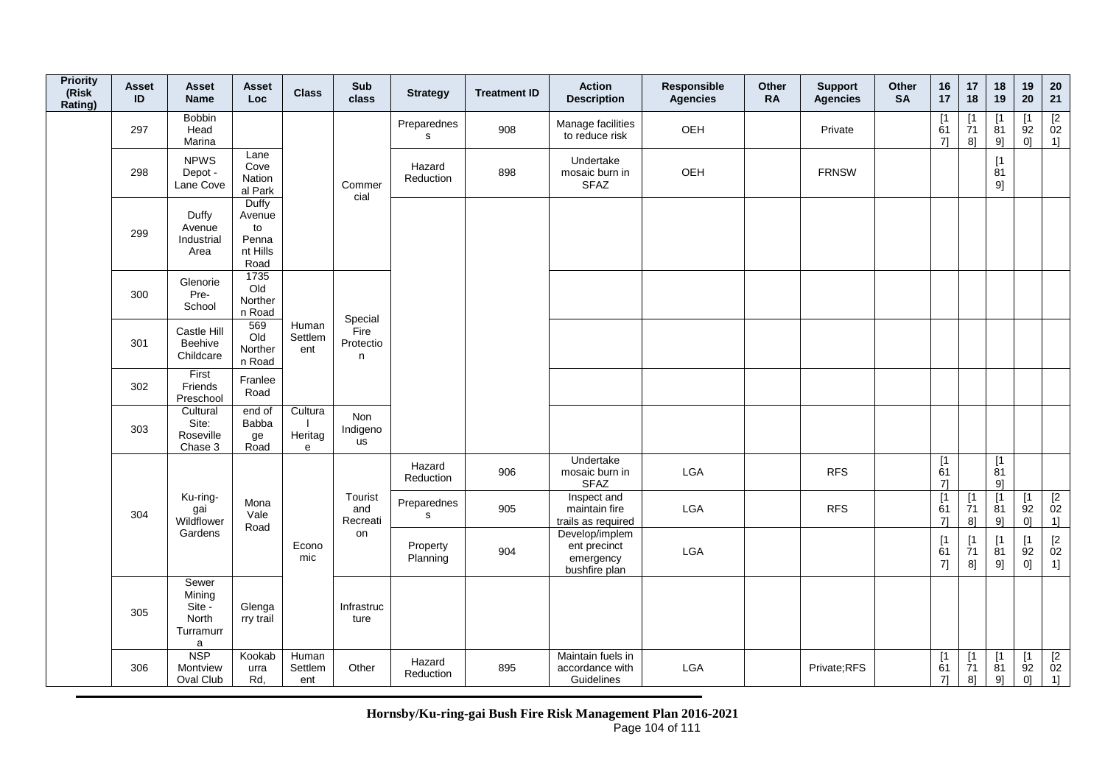| <b>Priority</b><br>(Risk<br>Rating) | <b>Asset</b><br>ID | <b>Asset</b><br><b>Name</b>                                     | Asset<br>Loc                                       | <b>Class</b>            | Sub<br>class               | <b>Strategy</b>             | <b>Treatment ID</b> | <b>Action</b><br><b>Description</b>                          | Responsible<br>Agencies | Other<br><b>RA</b> | <b>Support</b><br><b>Agencies</b> | Other<br><b>SA</b> | 16<br>17                      | 17<br>18                       | 18<br>19                    | 19<br>20                                  | ${\bf 20}$<br>21                                                  |
|-------------------------------------|--------------------|-----------------------------------------------------------------|----------------------------------------------------|-------------------------|----------------------------|-----------------------------|---------------------|--------------------------------------------------------------|-------------------------|--------------------|-----------------------------------|--------------------|-------------------------------|--------------------------------|-----------------------------|-------------------------------------------|-------------------------------------------------------------------|
|                                     | 297                | <b>Bobbin</b><br>Head<br>Marina                                 |                                                    |                         |                            | Preparednes<br>$\mathbf s$  | 908                 | Manage facilities<br>to reduce risk                          | OEH                     |                    | Private                           |                    | $\overline{1}$<br>61<br>71    | [1]<br>$\overline{7}1$<br>8]   | ٢1<br>$\overline{8}1$<br>9] | $\lceil 1 \rceil$<br>92<br>0 <sup>1</sup> | $\frac{[2]}{02}$<br>$1$ ]                                         |
|                                     | 298                | <b>NPWS</b><br>Depot -<br>Lane Cove                             | Lane<br>Cove<br>Nation<br>al Park                  |                         | Commer<br>cial             | Hazard<br>Reduction         | 898                 | Undertake<br>mosaic burn in<br><b>SFAZ</b>                   | OEH                     |                    | <b>FRNSW</b>                      |                    |                               |                                | [1]<br>81<br>9]             |                                           |                                                                   |
|                                     | 299                | Duffy<br>Avenue<br>Industrial<br>Area                           | Duffy<br>Avenue<br>to<br>Penna<br>nt Hills<br>Road |                         |                            |                             |                     |                                                              |                         |                    |                                   |                    |                               |                                |                             |                                           |                                                                   |
|                                     | 300                | Glenorie<br>Pre-<br>School                                      | 1735<br>Old<br>Norther<br>n Road                   |                         | Special                    |                             |                     |                                                              |                         |                    |                                   |                    |                               |                                |                             |                                           |                                                                   |
|                                     | 301                | Castle Hill<br>Beehive<br>Childcare                             | 569<br>Old<br>Norther<br>n Road                    | Human<br>Settlem<br>ent | Fire<br>Protectio<br>n     |                             |                     |                                                              |                         |                    |                                   |                    |                               |                                |                             |                                           |                                                                   |
|                                     | 302                | First<br>Friends<br>Preschool                                   | Franlee<br>Road                                    |                         |                            |                             |                     |                                                              |                         |                    |                                   |                    |                               |                                |                             |                                           |                                                                   |
|                                     | 303                | Cultural<br>Site:<br>Roseville<br>Chase 3                       | end of<br><b>Babba</b><br>ge<br>Road               | Cultura<br>Heritag<br>e | Non<br>Indigeno<br>us      |                             |                     |                                                              |                         |                    |                                   |                    |                               |                                |                             |                                           |                                                                   |
|                                     |                    |                                                                 |                                                    |                         |                            | Hazard<br>Reduction         | 906                 | Undertake<br>mosaic burn in<br><b>SFAZ</b>                   | LGA                     |                    | <b>RFS</b>                        |                    | $\overline{1}$<br>61<br>7]    |                                | $\overline{11}$<br>81<br>9] |                                           |                                                                   |
|                                     | 304                | Ku-ring-<br>gai<br>Wildflower                                   | Mona<br>Vale<br>Road                               |                         | Tourist<br>and<br>Recreati | Preparednes<br>$\mathbf{s}$ | 905                 | Inspect and<br>maintain fire<br>trails as required           | <b>LGA</b>              |                    | <b>RFS</b>                        |                    | [1]<br>61<br>7]               | $[1]$<br>$\dot{7}1$<br>8]      | [1<br>$\overline{8}1$<br>9] | [1]<br>92<br>0]                           | $\begin{array}{c} \boxed{2} \\ 02 \end{array}$<br>1               |
|                                     |                    | Gardens                                                         |                                                    | Econo<br>mic            | on                         | Property<br>Planning        | 904                 | Develop/implem<br>ent precinct<br>emergency<br>bushfire plan | LGA                     |                    |                                   |                    | [1]<br>61<br>7]               | $[1]$<br>$\overline{7}1$<br>8] | [1<br>81<br>9]              | [1<br>92<br>0]                            | $\begin{array}{c} \left[2 \right. \\ 02 \\ 1 \right] \end{array}$ |
|                                     | 305                | Sewer<br>Mining<br>Site -<br>North<br>Turramurr<br>$\mathsf{a}$ | Glenga<br>rry trail                                |                         | Infrastruc<br>ture         |                             |                     |                                                              |                         |                    |                                   |                    |                               |                                |                             |                                           |                                                                   |
|                                     | 306                | <b>NSP</b><br>Montview<br>Oval Club                             | Kookab<br>urra<br>Rd,                              | Human<br>Settlem<br>ent | Other                      | Hazard<br>Reduction         | 895                 | Maintain fuels in<br>accordance with<br>Guidelines           | <b>LGA</b>              |                    | Private;RFS                       |                    | $\lceil 1 \rceil$<br>61<br>7] | [1]<br>71<br>8]                | $[1]$<br>81<br>9]           | [1]<br>92<br>0]                           | $\begin{array}{c} \boxed{2} \\ 02 \end{array}$<br>1]              |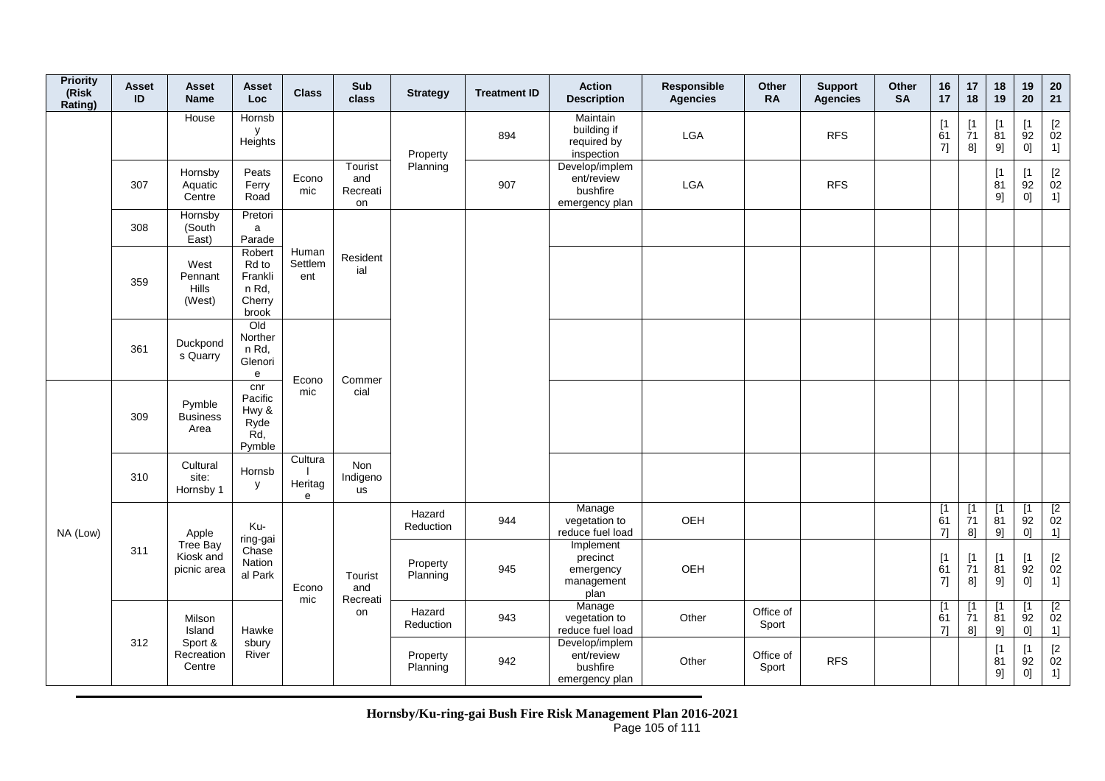| <b>Priority</b><br>(Risk<br>Rating) | <b>Asset</b><br>ID | Asset<br><b>Name</b>                 | Asset<br><b>Loc</b>                                    | <b>Class</b>            | Sub<br>class                     | <b>Strategy</b>      | <b>Treatment ID</b> | <b>Action</b><br><b>Description</b>                        | <b>Responsible</b><br><b>Agencies</b> | Other<br><b>RA</b> | <b>Support</b><br><b>Agencies</b> | Other<br><b>SA</b> | 16<br>17           | 17<br>18                      | 18<br>19                      | 19<br>20                                   | 20<br>21                                                    |
|-------------------------------------|--------------------|--------------------------------------|--------------------------------------------------------|-------------------------|----------------------------------|----------------------|---------------------|------------------------------------------------------------|---------------------------------------|--------------------|-----------------------------------|--------------------|--------------------|-------------------------------|-------------------------------|--------------------------------------------|-------------------------------------------------------------|
|                                     |                    | House                                | Hornsb<br>y<br>Heights                                 |                         |                                  | Property             | 894                 | Maintain<br>building if<br>required by<br>inspection       | <b>LGA</b>                            |                    | <b>RFS</b>                        |                    | [1]<br>61<br>7]    | $\lceil 1 \rceil$<br>71<br>8] | [1]<br>81<br>9]               | $\lceil 1 \rceil$<br>92<br>0]              | $\begin{array}{c} \left[ 2 \right. \\ 02 \end{array}$<br>1] |
|                                     | 307                | Hornsby<br>Aquatic<br>Centre         | Peats<br>Ferry<br>Road                                 | Econo<br>mic            | Tourist<br>and<br>Recreati<br>on | Planning             | 907                 | Develop/implem<br>ent/review<br>bushfire<br>emergency plan | LGA                                   |                    | <b>RFS</b>                        |                    |                    |                               | [1]<br>81<br>9]               | $\mathsf{I}$<br>$\overline{9}2$<br>0]      | $\begin{bmatrix} 2 \\ 02 \end{bmatrix}$<br>1]               |
|                                     | 308                | Hornsby<br>(South<br>East)           | Pretori<br>a<br>Parade                                 |                         |                                  |                      |                     |                                                            |                                       |                    |                                   |                    |                    |                               |                               |                                            |                                                             |
|                                     | 359                | West<br>Pennant<br>Hills<br>(West)   | Robert<br>Rd to<br>Frankli<br>n Rd,<br>Cherry<br>brook | Human<br>Settlem<br>ent | Resident<br>ial                  |                      |                     |                                                            |                                       |                    |                                   |                    |                    |                               |                               |                                            |                                                             |
|                                     | 361                | Duckpond<br>s Quarry                 | Old<br>Norther<br>n Rd,<br>Glenori<br>e                | Econo                   | Commer                           |                      |                     |                                                            |                                       |                    |                                   |                    |                    |                               |                               |                                            |                                                             |
|                                     | 309                | Pymble<br><b>Business</b><br>Area    | cnr<br>Pacific<br>Hwy &<br>Ryde<br>Rd,<br>Pymble       | mic                     | cial                             |                      |                     |                                                            |                                       |                    |                                   |                    |                    |                               |                               |                                            |                                                             |
|                                     | 310                | Cultural<br>site:<br>Hornsby 1       | Hornsb<br>y                                            | Cultura<br>Heritag<br>e | Non<br>Indigeno<br><b>us</b>     |                      |                     |                                                            |                                       |                    |                                   |                    |                    |                               |                               |                                            |                                                             |
| NA (Low)                            |                    | Apple                                | Ku-<br>ring-gai                                        |                         |                                  | Hazard<br>Reduction  | 944                 | Manage<br>vegetation to<br>reduce fuel load                | OEH                                   |                    |                                   |                    | [1]<br>61<br>71    | [1]<br>$\overline{7}1$<br>8]  | [1]<br>$\overline{8}1$<br>9]  | $\lceil 1 \rceil$<br>$\overline{9}2$<br>01 | $\begin{array}{c} \boxed{2} \\ 02 \end{array}$<br>1]        |
|                                     | 311                | Tree Bay<br>Kiosk and<br>picnic area | Chase<br>Nation<br>al Park                             | Econo<br>mic            | Tourist<br>and                   | Property<br>Planning | 945                 | Implement<br>precinct<br>emergency<br>management<br>plan   | OEH                                   |                    |                                   |                    | [1]<br>61<br>7]    | [1]<br>71<br>8]               | [1]<br>81<br>9]               | $\lceil 1 \rceil$<br>92<br>0]              | $\frac{[2]}{02}$<br>1]                                      |
|                                     |                    | Milson<br>Island                     | Hawke                                                  |                         | Recreati<br>on                   | Hazard<br>Reduction  | 943                 | Manage<br>vegetation to<br>reduce fuel load                | Other                                 | Office of<br>Sport |                                   |                    | [1]<br>61<br>$7$ ] | [1<br>71<br>8]                | [1]<br>$\overline{8}1$<br>9   | [1<br>$\overline{9}2$<br>01                | $\begin{array}{c} \n [2] \\ \n 02\n \end{array}$<br>1]      |
|                                     | 312                | Sport &<br>Recreation<br>Centre      | sbury<br>River                                         |                         |                                  | Property<br>Planning | 942                 | Develop/implem<br>ent/review<br>bushfire<br>emergency plan | Other                                 | Office of<br>Sport | <b>RFS</b>                        |                    |                    |                               | $\lceil 1 \rceil$<br>81<br>9] | $\mathsf{I}$<br>92<br>0]                   | $\begin{array}{c} \left[ 2 \right. \\ 02 \end{array}$<br>1] |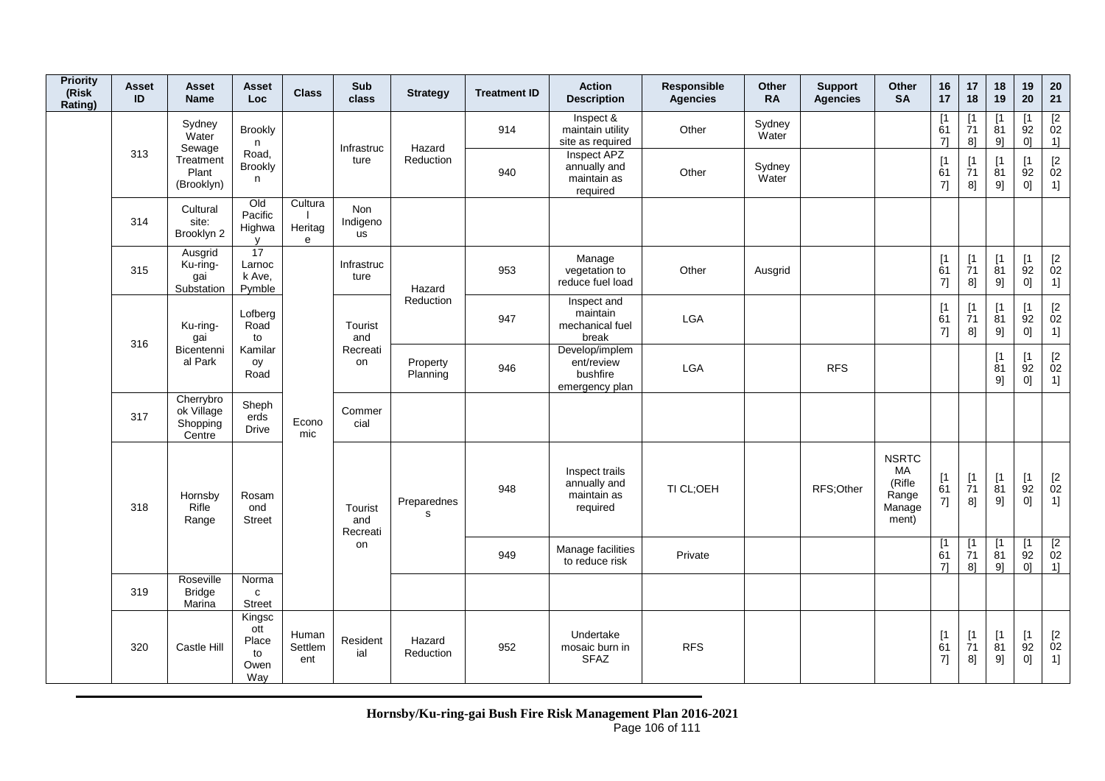| <b>Priority</b><br>(Risk<br>Rating) | Asset<br>ID | <b>Asset</b><br><b>Name</b>                   | <b>Asset</b><br>Loc                         | <b>Class</b>            | Sub<br>class                 | <b>Strategy</b>      | <b>Treatment ID</b> | <b>Action</b><br><b>Description</b>                        | Responsible<br><b>Agencies</b> | Other<br><b>RA</b> | <b>Support</b><br><b>Agencies</b> | Other<br><b>SA</b>                                       | 16<br>17                      | 17<br>18                         | 18<br>19                     | 19<br>20                                   | 20<br>21                                            |
|-------------------------------------|-------------|-----------------------------------------------|---------------------------------------------|-------------------------|------------------------------|----------------------|---------------------|------------------------------------------------------------|--------------------------------|--------------------|-----------------------------------|----------------------------------------------------------|-------------------------------|----------------------------------|------------------------------|--------------------------------------------|-----------------------------------------------------|
|                                     |             | Sydney<br>Water<br>Sewage                     | <b>Brookly</b><br>n                         |                         | Infrastruc                   | Hazard               | 914                 | Inspect &<br>maintain utility<br>site as required          | Other                          | Sydney<br>Water    |                                   |                                                          | $\lceil 1 \rceil$<br>61<br>71 | <b>r</b><br>71<br>8 <sup>1</sup> | $\lceil 1 \rceil$<br>81<br>9 | ſ1<br>92<br>0 <sup>1</sup>                 | $\frac{[2]}{02}$<br>1]                              |
|                                     | 313         | Treatment<br>Plant<br>(Brooklyn)              | Road,<br><b>Brookly</b><br>n                |                         | ture                         | Reduction            | 940                 | Inspect APZ<br>annually and<br>maintain as<br>required     | Other                          | Sydney<br>Water    |                                   |                                                          | [1]<br>61<br>7]               | [1]<br>71<br>8]                  | [1]<br>81<br>9]              | $\lceil 1 \rceil$<br>92<br>0]              | $\begin{bmatrix} 2 \\ 02 \end{bmatrix}$<br>1]       |
|                                     | 314         | Cultural<br>site:<br>Brooklyn 2               | Qd<br>Pacific<br>Highwa<br><b>V</b>         | Cultura<br>Heritag<br>e | <b>Non</b><br>Indigeno<br>us |                      |                     |                                                            |                                |                    |                                   |                                                          |                               |                                  |                              |                                            |                                                     |
|                                     | 315         | Ausgrid<br>Ku-ring-<br>gai<br>Substation      | 17<br>Larnoc<br>k Ave,<br>Pymble            |                         | Infrastruc<br>ture           | Hazard               | 953                 | Manage<br>vegetation to<br>reduce fuel load                | Other                          | Ausgrid            |                                   |                                                          | [1]<br>61<br>7]               | [1]<br>71<br>8]                  | [1]<br>81<br>9]              | $\lceil 1 \rceil$<br>$\overline{9}2$<br>0] | $\begin{bmatrix} 2 \\ 02 \end{bmatrix}$<br>1]       |
|                                     | 316         | Ku-ring-<br>gai                               | Lofberg<br>Road<br>to                       |                         | Tourist<br>and               | Reduction            | 947                 | Inspect and<br>maintain<br>mechanical fuel<br>break        | LGA                            |                    |                                   |                                                          | $[1]$<br>61<br>7]             | <b>r</b><br>71<br>8]             | $\mathsf{I}$<br>81<br>9]     | <b>T1</b><br>92<br>0]                      | $\mathop{02}\limits^{[2]}$<br>1]                    |
|                                     |             | Bicentenni<br>al Park                         | Kamilar<br>oy<br>Road                       |                         | Recreati<br>on               | Property<br>Planning | 946                 | Develop/implem<br>ent/review<br>bushfire<br>emergency plan | <b>LGA</b>                     |                    | <b>RFS</b>                        |                                                          |                               |                                  | [1]<br>81<br>91              | $\lceil 1 \rceil$<br>92<br>0]              | $\begin{bmatrix} 2 \\ 02 \end{bmatrix}$<br>1]       |
|                                     | 317         | Cherrybro<br>ok Village<br>Shopping<br>Centre | Sheph<br>erds<br><b>Drive</b>               | Econo<br>mic            | Commer<br>cial               |                      |                     |                                                            |                                |                    |                                   |                                                          |                               |                                  |                              |                                            |                                                     |
|                                     | 318         | Hornsby<br>Rifle<br>Range                     | Rosam<br>ond<br><b>Street</b>               |                         | Tourist<br>and<br>Recreati   | Preparednes<br>s     | 948                 | Inspect trails<br>annually and<br>maintain as<br>required  | TI CL:OEH                      |                    | RFS;Other                         | <b>NSRTC</b><br>MA<br>(Rifle<br>Range<br>Manage<br>ment) | [1]<br>61<br>7]               | [1]<br>71<br>8]                  | [1]<br>81<br>9]              | $\sqrt{1}$<br>$\overline{9}2$<br> 0        | $\mathop{02}\limits^{[2]}$<br>1]                    |
|                                     |             |                                               |                                             |                         | on                           |                      | 949                 | Manage facilities<br>to reduce risk                        | Private                        |                    |                                   |                                                          | $\lceil 1 \rceil$<br>61<br>71 | $\lceil 1 \rceil$<br>71<br>$8$ ] | $\lceil 1 \rceil$<br>81<br>9 | $\mathsf{I}$<br>92<br>01                   | $\begin{array}{c} \n [2] \n 02\n \end{array}$<br>1] |
|                                     | 319         | Roseville<br><b>Bridge</b><br>Marina          | Norma<br>$\mathbf{C}$<br><b>Street</b>      |                         |                              |                      |                     |                                                            |                                |                    |                                   |                                                          |                               |                                  |                              |                                            |                                                     |
|                                     | 320         | Castle Hill                                   | Kingsc<br>ott<br>Place<br>to<br>Owen<br>Way | Human<br>Settlem<br>ent | Resident<br>ial              | Hazard<br>Reduction  | 952                 | Undertake<br>mosaic burn in<br><b>SFAZ</b>                 | <b>RFS</b>                     |                    |                                   |                                                          | [1]<br>61<br>7]               | $\lceil 1 \rceil$<br>71<br>8]    | [1]<br>81<br>9]              | [1]<br>92<br>01                            | $\begin{bmatrix} 2 \\ 02 \end{bmatrix}$<br>1]       |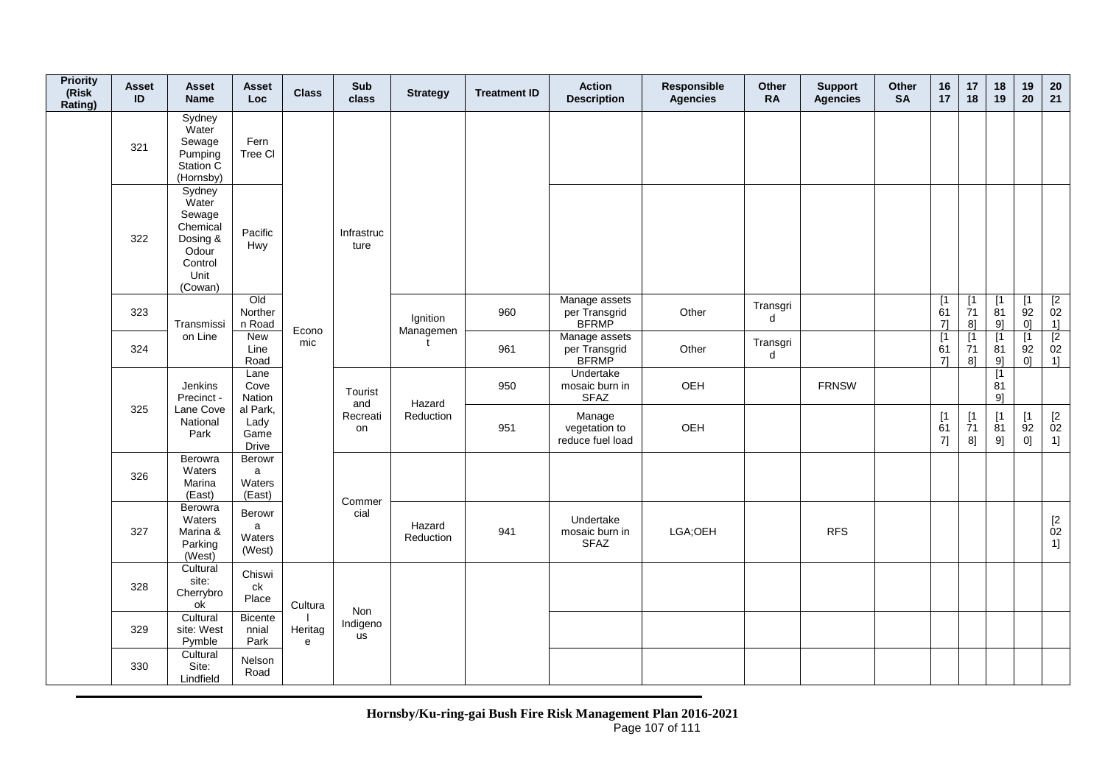| <b>Priority</b><br>(Risk<br>Rating) | <b>Asset</b><br>ID | Asset<br><b>Name</b>                                                                     | Asset<br>Loc                      | <b>Class</b>              | Sub<br>class       | <b>Strategy</b>       | <b>Treatment ID</b> | <b>Action</b><br><b>Description</b>            | Responsible<br>Agencies | Other<br><b>RA</b> | <b>Support</b><br><b>Agencies</b> | Other<br><b>SA</b> | 16<br>17                                             | 17<br>18                       | 18<br>19                                 | 19<br>20                                  | 20<br>21                                            |
|-------------------------------------|--------------------|------------------------------------------------------------------------------------------|-----------------------------------|---------------------------|--------------------|-----------------------|---------------------|------------------------------------------------|-------------------------|--------------------|-----------------------------------|--------------------|------------------------------------------------------|--------------------------------|------------------------------------------|-------------------------------------------|-----------------------------------------------------|
|                                     | 321                | Sydney<br>Water<br>Sewage<br>Pumping<br>Station C<br>(Hornsby)                           | Fern<br>Tree Cl                   |                           |                    |                       |                     |                                                |                         |                    |                                   |                    |                                                      |                                |                                          |                                           |                                                     |
|                                     | 322                | Sydney<br>Water<br>Sewage<br>Chemical<br>Dosing &<br>Odour<br>Control<br>Unit<br>(Cowan) | Pacific<br>Hwy                    |                           | Infrastruc<br>ture |                       |                     |                                                |                         |                    |                                   |                    |                                                      |                                |                                          |                                           |                                                     |
|                                     | 323                | Transmissi                                                                               | Old<br>Norther<br>n Road          | Econo                     |                    | Ignition<br>Managemen | 960                 | Manage assets<br>per Transgrid<br><b>BFRMP</b> | Other                   | Transgri<br>d      |                                   |                    | $\begin{array}{c} \boxed{1} \\ 61 \end{array}$<br>71 | $[1]$<br>$\overline{7}1$<br>8] | $\overline{11}$<br>$\overline{8}1$<br>9] | [1]<br>92<br>0]                           | $\begin{array}{c} \boxed{2} \\ 02 \end{array}$<br>1 |
|                                     | 324                | on Line                                                                                  | New<br>Line<br>Road               | mic                       |                    |                       | 961                 | Manage assets<br>per Transgrid<br><b>BFRMP</b> | Other                   | Transgri<br>d      |                                   |                    | $\begin{array}{c} \boxed{1} \\ 61 \end{array}$<br>71 | [1]<br>$\overline{7}1$<br>81   | $\lceil 1 \rceil$<br>81<br>9]            | $\lceil 1 \rceil$<br>92<br>0 <sup>1</sup> | $\frac{1}{12}$<br>1]                                |
|                                     |                    | Jenkins<br>Precinct -                                                                    | Lane<br>Cove<br>Nation            |                           | Tourist<br>and     | Hazard                | 950                 | Undertake<br>mosaic burn in<br><b>SFAZ</b>     | OEH                     |                    | <b>FRNSW</b>                      |                    |                                                      |                                | [1]<br>81<br>91                          |                                           |                                                     |
|                                     | 325                | Lane Cove<br>National<br>Park                                                            | al Park,<br>Lady<br>Game<br>Drive |                           | Recreati<br>on     | Reduction             | 951                 | Manage<br>vegetation to<br>reduce fuel load    | OEH                     |                    |                                   |                    | $\begin{array}{c} \n[1] \\ \n61\n\end{array}$<br>7]  | $[1]$<br>$\overline{7}1$<br>8] | [1]<br>81<br>9]                          | [1]<br>92<br>0]                           | $[2]$<br>02<br>1]                                   |
|                                     | 326                | Berowra<br>Waters<br>Marina<br>(East)                                                    | Berowr<br>a<br>Waters<br>(East)   |                           | Commer             |                       |                     |                                                |                         |                    |                                   |                    |                                                      |                                |                                          |                                           |                                                     |
|                                     | 327                | Berowra<br>Waters<br>Marina &<br>Parking<br>(West)                                       | Berowr<br>a<br>Waters<br>(West)   |                           | cial               | Hazard<br>Reduction   | 941                 | Undertake<br>mosaic burn in<br><b>SFAZ</b>     | LGA;OEH                 |                    | <b>RFS</b>                        |                    |                                                      |                                |                                          |                                           | $\mathop{02}\limits^{[2]}$<br>1]                    |
|                                     | 328                | Cultural<br>site:<br>Cherrybro<br>ok                                                     | Chiswi<br>ck<br>Place             | Cultura                   | Non                |                       |                     |                                                |                         |                    |                                   |                    |                                                      |                                |                                          |                                           |                                                     |
|                                     | 329                | Cultural<br>site: West<br>Pymble                                                         | <b>Bicente</b><br>nnial<br>Park   | Heritag<br>$\mathsf{e}\,$ | Indigeno<br>us     |                       |                     |                                                |                         |                    |                                   |                    |                                                      |                                |                                          |                                           |                                                     |
|                                     | 330                | Cultural<br>Site:<br>Lindfield                                                           | Nelson<br>Road                    |                           |                    |                       |                     |                                                |                         |                    |                                   |                    |                                                      |                                |                                          |                                           |                                                     |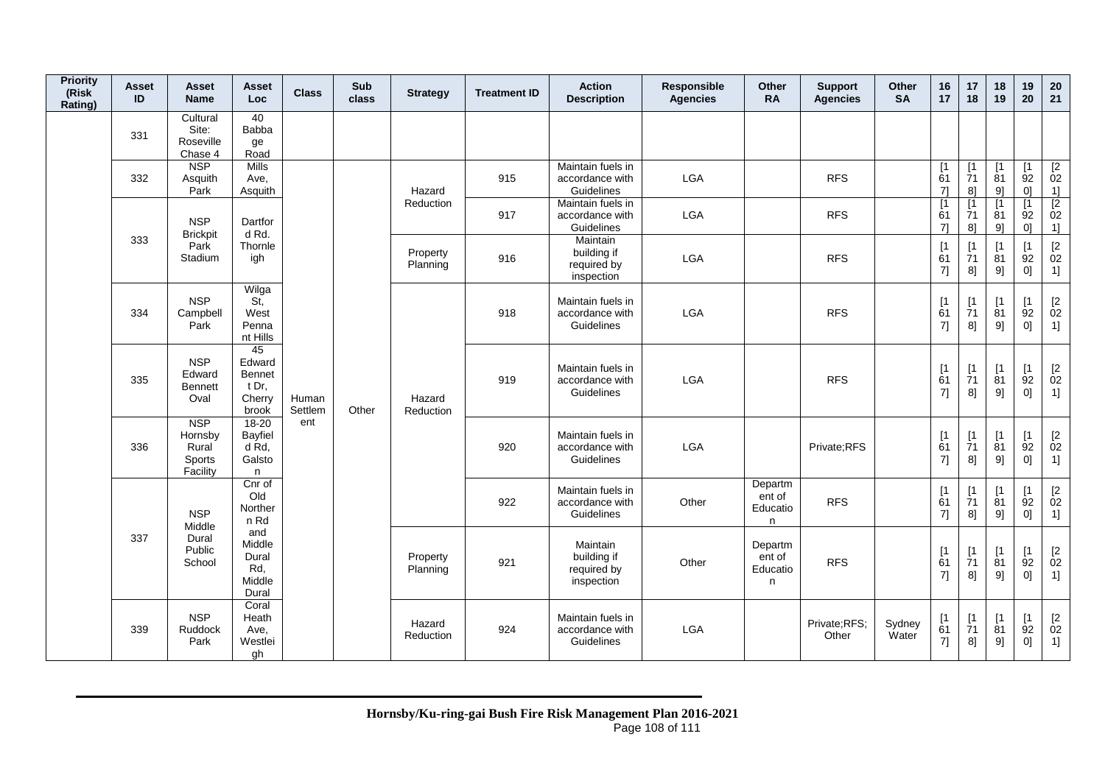| <b>Priority</b><br>(Risk<br>Rating) | <b>Asset</b><br>ID | Asset<br><b>Name</b>                                 | Asset<br><b>Loc</b>                                                                  | <b>Class</b>            | Sub<br>class | <b>Strategy</b>                                                    | <b>Treatment ID</b>  | <b>Action</b><br><b>Description</b>                       | Responsible<br><b>Agencies</b>                       | Other<br><b>RA</b>                 | <b>Support</b><br><b>Agencies</b> | Other<br><b>SA</b> | 16<br>17                      | 17<br>18                      | 18<br>19                      | 19<br>20                                  | 20<br>21                                             |
|-------------------------------------|--------------------|------------------------------------------------------|--------------------------------------------------------------------------------------|-------------------------|--------------|--------------------------------------------------------------------|----------------------|-----------------------------------------------------------|------------------------------------------------------|------------------------------------|-----------------------------------|--------------------|-------------------------------|-------------------------------|-------------------------------|-------------------------------------------|------------------------------------------------------|
|                                     | 331                | Cultural<br>Site:<br>Roseville<br>Chase 4            | 40<br>Babba<br>ge<br>Road                                                            |                         |              |                                                                    |                      |                                                           |                                                      |                                    |                                   |                    |                               |                               |                               |                                           |                                                      |
|                                     | 332                | <b>NSP</b><br>Asquith<br>Park                        | <b>Mills</b><br>Ave,<br>Asquith                                                      |                         |              | Hazard                                                             | 915                  | Maintain fuels in<br>accordance with<br>Guidelines        | <b>LGA</b>                                           |                                    | <b>RFS</b>                        |                    | [1]<br>61<br>$7$ ]            | $\mathsf{I}$<br>71<br>8]      | $\lceil 1 \rceil$<br>81<br>9] | $\mathsf{I}$<br>92<br>0 <sup>1</sup>      | $[2]$<br>$\dot{0}2$<br>1]                            |
|                                     |                    | <b>NSP</b><br><b>Brickpit</b>                        | Dartfor<br>d Rd.                                                                     |                         |              | Reduction                                                          | 917                  | Maintain fuels in<br>accordance with<br>Guidelines        | <b>LGA</b>                                           |                                    | <b>RFS</b>                        |                    | $\lceil 1 \rceil$<br>61<br>71 | $\lceil 1 \rceil$<br>71<br>81 | [1]<br>81<br>91               | [1<br>92<br>01                            | $\begin{array}{c} \boxed{2} \\ 02 \end{array}$<br>1] |
|                                     | 333                | Park<br>Stadium                                      | Thornle<br>igh                                                                       |                         |              |                                                                    | Property<br>Planning | 916                                                       | Maintain<br>building if<br>required by<br>inspection | <b>LGA</b>                         |                                   | <b>RFS</b>         |                               | [1]<br>61<br>7]               | $\lceil 1 \rceil$<br>71<br>8  | $\lceil 1 \rceil$<br>81<br>91             | $\lceil 1 \rceil$<br>92<br>01                        |
|                                     | 334                | <b>NSP</b><br>Campbell<br>Park                       | Wilga<br>St.<br>West<br>Penna<br>nt Hills                                            | Human<br>Settlem<br>ent |              | Hazard<br>Reduction<br>Property<br>Planning<br>Hazard<br>Reduction | 918                  | Maintain fuels in<br>accordance with<br>Guidelines        | <b>LGA</b>                                           |                                    | <b>RFS</b>                        |                    | [1]<br>61<br>7]               | $\lceil 1 \rceil$<br>71<br>8] | $\lceil 1 \rceil$<br>81<br>91 | $\lceil 1 \rceil$<br>92<br>0 <sup>1</sup> | $\frac{[2]}{02}$<br>1]                               |
|                                     | 335                | <b>NSP</b><br>Edward<br>Bennett<br>Oval              | 45<br>Edward<br>Bennet<br>t Dr.<br>Cherry<br>brook                                   |                         | Other        |                                                                    | 919                  | Maintain fuels in<br>accordance with<br><b>Guidelines</b> | <b>LGA</b>                                           |                                    | <b>RFS</b>                        |                    | [1]<br>61<br>7]               | [1]<br>71<br>8]               | [1]<br>81<br>9]               | [1]<br>92<br>0]                           | $\frac{[2]}{02}$<br>1]                               |
|                                     | 336                | <b>NSP</b><br>Hornsby<br>Rural<br>Sports<br>Facility | $18 - 20$<br>Bayfiel<br>d Rd.<br>Galsto<br>n                                         |                         |              |                                                                    | 920                  | Maintain fuels in<br>accordance with<br>Guidelines        | <b>LGA</b>                                           |                                    | Private;RFS                       |                    | [1]<br>61<br>7]               | $\lceil 1 \rceil$<br>71<br>8] | $\lceil 1 \rceil$<br>81<br>9] | $\lceil 1 \rceil$<br>92<br>01             | $\frac{[2]}{02}$<br>1]                               |
|                                     |                    | <b>NSP</b><br>Middle                                 | Cnr of<br>Old<br>Norther<br>n Rd<br>and<br>Middle<br>Dural<br>Rd,<br>Middle<br>Dural |                         |              |                                                                    | 922                  | Maintain fuels in<br>accordance with<br>Guidelines        | Other                                                | Departm<br>ent of<br>Educatio<br>n | <b>RFS</b>                        |                    | [1]<br>61<br>7]               | $\mathsf{I}$<br>71<br>8]      | $\mathsf{I}$<br>81<br>9]      | $\mathsf{I}$<br>92<br>0]                  | $\frac{[2]}{02}$<br>1]                               |
|                                     | 337                | Dural<br>Public<br>School                            |                                                                                      |                         |              |                                                                    | 921                  | Maintain<br>building if<br>required by<br>inspection      | Other                                                | Departm<br>ent of<br>Educatio<br>n | <b>RFS</b>                        |                    | [1]<br>61<br>7]               | $\lceil 1 \rceil$<br>71<br>8] | $\lceil 1 \rceil$<br>81<br>9] | [1]<br>92<br>0]                           | $\frac{[2]}{02}$<br>1]                               |
|                                     | 339                | <b>NSP</b><br>Ruddock<br>Park                        | Coral<br>Heath<br>Ave,<br>Westlei<br>gh                                              |                         |              |                                                                    | 924                  | Maintain fuels in<br>accordance with<br>Guidelines        | LGA                                                  |                                    | Private;RFS;<br>Other             | Sydney<br>Water    | [1]<br>61<br>7]               | $\lceil 1 \rceil$<br>71<br>8] | [1]<br>81<br>9]               | $\lceil 1 \rceil$<br>92<br>01             | $\frac{[2]}{02}$<br>1]                               |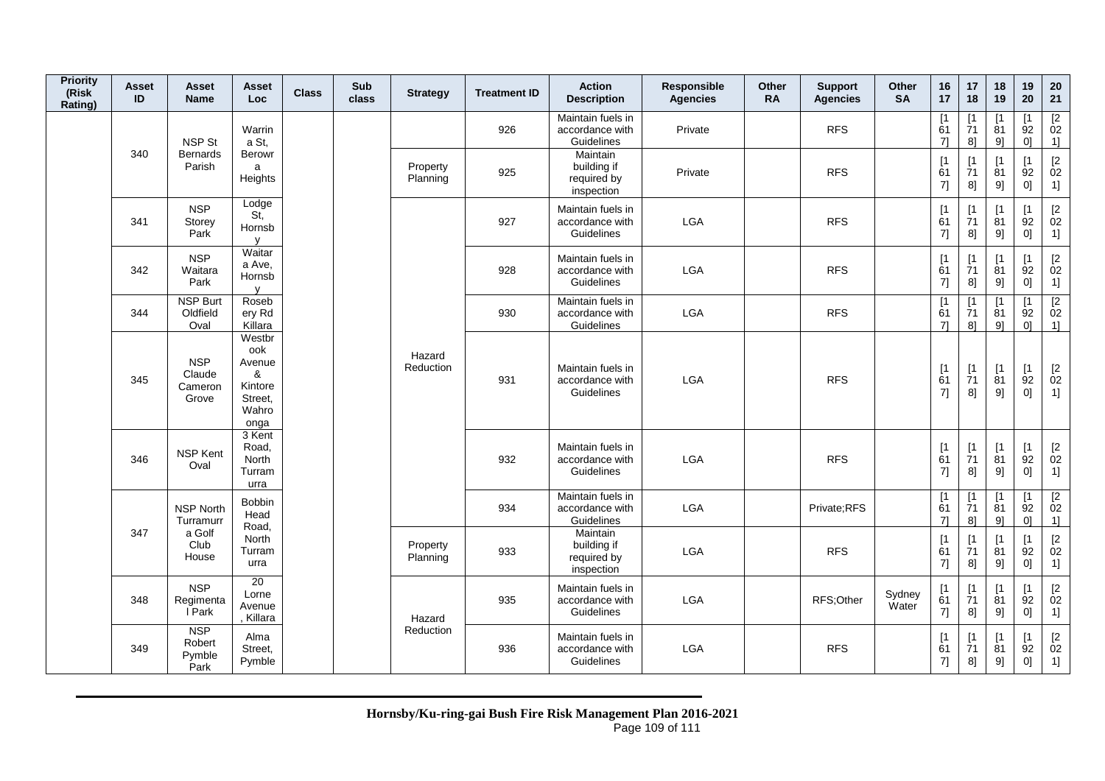| <b>Priority</b><br>(Risk<br>Rating) | Asset<br>ID | Asset<br><b>Name</b>                                                 | Asset<br>Loc                                                                  | <b>Class</b> | Sub<br>class | <b>Strategy</b>      | <b>Treatment ID</b> | <b>Action</b><br><b>Description</b>                  | <b>Responsible</b><br><b>Agencies</b>              | <b>Other</b><br><b>RA</b> | <b>Support</b><br><b>Agencies</b> | <b>Other</b><br><b>SA</b> | 16<br>17                      | 17<br>18                           | 18<br>19                      | 19<br>20                      | 20<br>21                                      |                            |
|-------------------------------------|-------------|----------------------------------------------------------------------|-------------------------------------------------------------------------------|--------------|--------------|----------------------|---------------------|------------------------------------------------------|----------------------------------------------------|---------------------------|-----------------------------------|---------------------------|-------------------------------|------------------------------------|-------------------------------|-------------------------------|-----------------------------------------------|----------------------------|
|                                     |             | <b>NSP St</b>                                                        | Warrin<br>a St.                                                               |              |              |                      | 926                 | Maintain fuels in<br>accordance with<br>Guidelines   | Private                                            |                           | <b>RFS</b>                        |                           | $\lceil 1$<br>61<br>71        | [1<br>71<br>8]                     | ٢1<br>81<br>91                | [1<br>92<br>0 <sup>1</sup>    | $\frac{[2]}{02}$<br>1]                        |                            |
|                                     | 340         | <b>Bernards</b><br>Parish                                            | <b>Berowr</b><br>a<br>Heights                                                 |              |              | Property<br>Planning | 925                 | Maintain<br>building if<br>required by<br>inspection | Private                                            |                           | <b>RFS</b>                        |                           | [1]<br>61<br>7]               | [1]<br>71<br>8]                    | $\lceil 1 \rceil$<br>81<br>9] | $\lceil 1 \rceil$<br>92<br>0] | $\begin{bmatrix} 2 \\ 02 \end{bmatrix}$<br>1] |                            |
|                                     | 341         | <b>NSP</b><br>Storey<br>Park                                         | Lodge<br>St,<br>Hornsb<br>$\mathsf{V}$                                        |              |              |                      | 927                 | Maintain fuels in<br>accordance with<br>Guidelines   | <b>LGA</b>                                         |                           | <b>RFS</b>                        |                           | [1<br>61<br>7]                | $[1]$<br>$\overline{7}1$<br>8]     | [1<br>81<br>9]                | $\lceil 1 \rceil$<br>92<br>0] | $\begin{bmatrix} 2 \\ 02 \end{bmatrix}$<br>1] |                            |
|                                     | 342         | <b>NSP</b><br>Waitara<br>Park<br><b>NSP Burt</b><br>Oldfield<br>Oval | Waitar<br>a Ave,<br>Hornsb<br>$\mathsf{V}$                                    |              |              |                      | 928                 | Maintain fuels in<br>accordance with<br>Guidelines   | <b>LGA</b>                                         |                           | <b>RFS</b>                        |                           | [1<br>61<br>7]                | [1]<br>71<br>8]                    | ſ1<br>81<br>9]                | $\lceil 1 \rceil$<br>92<br> 0 | $[2]$<br>02<br>1]                             |                            |
|                                     | 344         |                                                                      | Roseb<br>ery Rd<br>Killara                                                    |              |              |                      | 930                 | Maintain fuels in<br>accordance with<br>Guidelines   | LGA                                                |                           | <b>RFS</b>                        |                           | $\lceil 1 \rceil$<br>61<br>71 | $\lceil 1$<br>71<br>8 <sup>1</sup> | 81<br>91                      | Γ1<br>92<br>0 <sup>1</sup>    | $\boxed{2}$<br>02<br>1                        |                            |
|                                     | 345         | <b>NSP</b><br>Claude<br>Cameron<br>Grove                             | Westbr<br>ook<br>Avenue<br>&<br>Kintore<br>Street,<br>Wahro<br>onga           |              |              | Hazard<br>Reduction  | 931                 | Maintain fuels in<br>accordance with<br>Guidelines   | <b>LGA</b>                                         |                           | <b>RFS</b>                        |                           | $\lceil 1 \rceil$<br>61<br>7] | $[1]$<br>$\overline{7}1$<br>8]     | [1]<br>81<br>9]               | $[1]$<br>92<br>0]             | $\begin{bmatrix} 2 \\ 02 \end{bmatrix}$<br>1] |                            |
|                                     | 346         | NSP Kent<br>Oval                                                     | 3 Kent<br>Road,<br>North<br>Turram<br>urra                                    |              |              |                      | 932                 | Maintain fuels in<br>accordance with<br>Guidelines   | LGA                                                |                           | <b>RFS</b>                        |                           | [1<br>61<br>7]                | [1]<br>$\overline{7}1$<br>8]       | [1<br>81<br>9]                | [1<br>92<br>0]                | $^{[2}_{02}$<br>1]                            |                            |
|                                     |             | <b>NSP North</b><br>Turramurr                                        | Bobbin<br>Head<br>Road,<br>a Golf<br>North<br>Club<br>Turram<br>House<br>urra |              |              |                      |                     | 934                                                  | Maintain fuels in<br>accordance with<br>Guidelines | <b>LGA</b>                |                                   | Private:RFS               |                               | [1<br>61<br>71                     | [1]<br>71<br>8]               | [1<br>81<br>91                | $\lceil 1 \rceil$<br>92<br>01                 | $\overline{2}$<br>02<br>1] |
|                                     | 347         |                                                                      |                                                                               |              |              | Property<br>Planning | 933                 | Maintain<br>building if<br>required by<br>inspection | LGA                                                |                           | <b>RFS</b>                        |                           | [1]<br>61<br>7]               | [1]<br>71<br>8]                    | $\mathsf{I}$<br>81<br>9]      | [1<br>92<br>0]                | $[2]$<br>02<br>1]                             |                            |
|                                     | 348<br>349  | <b>NSP</b><br>Regimenta<br>I Park                                    | $\overline{20}$<br>Lorne<br>Avenue<br>Killara                                 |              |              | Hazard               | 935                 | Maintain fuels in<br>accordance with<br>Guidelines   | LGA                                                |                           | RFS;Other                         | Sydney<br>Water           | [1]<br>61<br>7]               | [1<br>$\overline{7}1$<br>8]        | [1<br>81<br>9]                | $\mathsf{I}$<br>92<br>0]      | $\begin{bmatrix} 2 \\ 02 \end{bmatrix}$<br>1] |                            |
|                                     |             | <b>NSP</b><br>Robert<br>Pymble<br>Park                               | Alma<br>Street,<br>Pymble                                                     |              |              | Reduction            | 936                 | Maintain fuels in<br>accordance with<br>Guidelines   | <b>LGA</b>                                         |                           | <b>RFS</b>                        |                           | [1<br>61<br>7]                | [1]<br>71<br>8]                    | [1<br>81<br>9]                | $\lceil 1 \rceil$<br>92<br>0] | $[2]$<br>02<br>1]                             |                            |